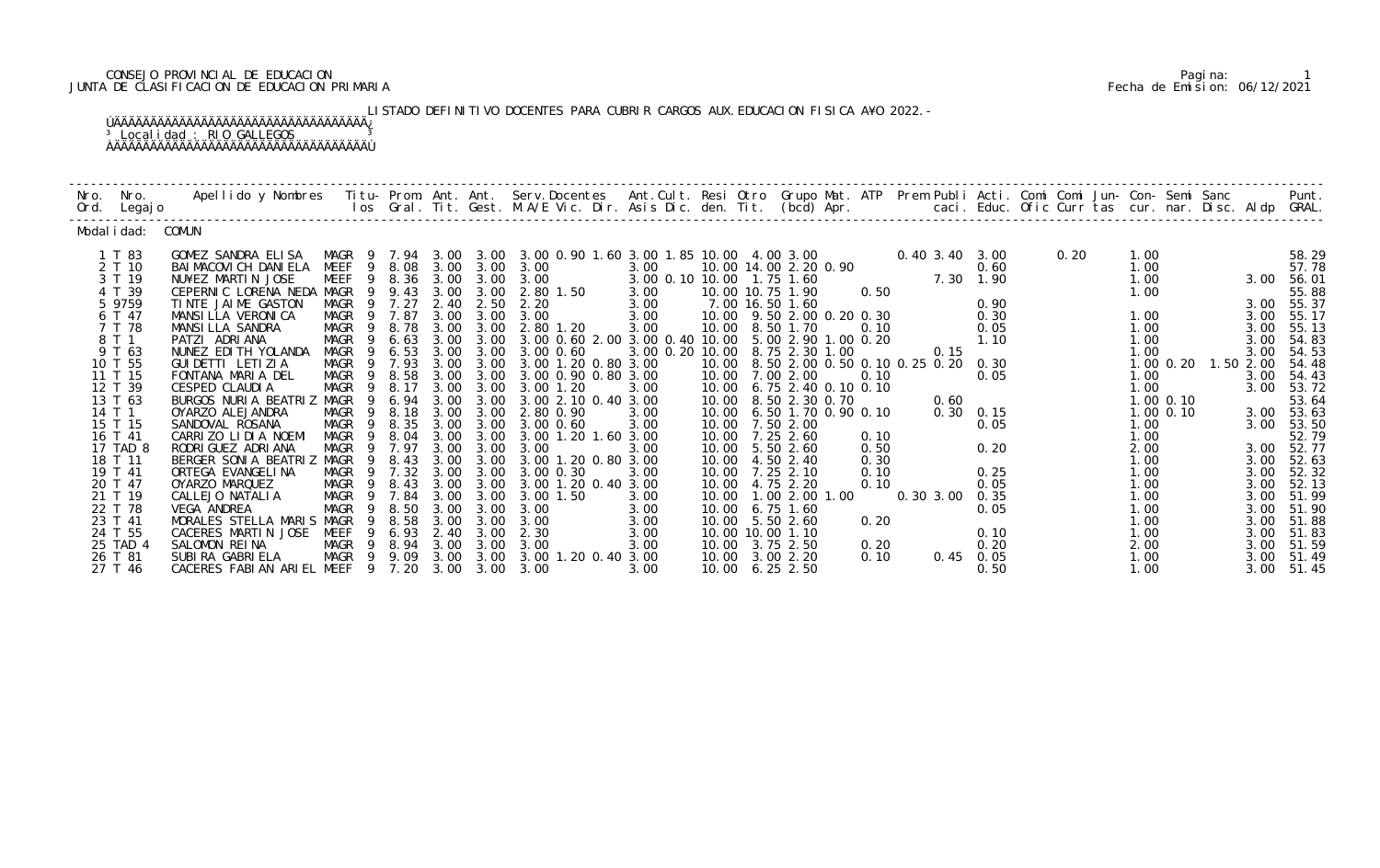# CONSEJO PROVINCIAL DE EDUCACION Pagina: 1 JUNTA DE CLASIFICACION DE EDUCACION PRIMARIA Fecha de Emision: 06/12/2021

LISTADO DEFINITIVO DOCENTES PARA CUBRIR CARGOS AUX. EDUCACION FISICA A¥O 2022.- ÚÄÄÄÄÄÄÄÄÄÄÄÄÄÄÄÄÄÄÄÄÄÄÄÄÄÄÄÄÄÄÄÄÄÄÄ¿ <sup>3</sup> Localidad : RIO GALLEGOS 3

ÀÄÄÄÄÄÄÄÄÄÄÄÄÄÄÄÄÄÄÄÄÄÄÄÄÄÄÄÄÄÄÄÄÄÄÄÙ

| Nro. Nro.<br>Ord. Legajo                                                                                                                                                                                       | Apellido y Nombres - Titu- Prom. Ant. Ant. Serv.Docentes - Ant.Cult. Resi Otro Grupo Mat. ATP Prem Publi Acti. Comi Comi Jun- Con- Semi Sanc - - - Punt.<br>Ios Gral. Tit. Gest. M.A/E Vic. Dir. Asis Dic. den. Tit. (bcd) Apr. -                                                                                                                                                                                                                     |                                                                                                                                                                                                                                        |                                                                                                                                                                  |                                                                                                      |                                                                                                           |                                                                                                                                                                                                                                                                                                                                                                                                                                 |                                                                                                                                             |       |                                                                                                                                                                                                                       |                                                                                                                                                                                                                                                              |                                   |                                                                                               |      |                                                                                                                              |                                             |                                                                           |                                                                                                                                                                                                                |
|----------------------------------------------------------------------------------------------------------------------------------------------------------------------------------------------------------------|-------------------------------------------------------------------------------------------------------------------------------------------------------------------------------------------------------------------------------------------------------------------------------------------------------------------------------------------------------------------------------------------------------------------------------------------------------|----------------------------------------------------------------------------------------------------------------------------------------------------------------------------------------------------------------------------------------|------------------------------------------------------------------------------------------------------------------------------------------------------------------|------------------------------------------------------------------------------------------------------|-----------------------------------------------------------------------------------------------------------|---------------------------------------------------------------------------------------------------------------------------------------------------------------------------------------------------------------------------------------------------------------------------------------------------------------------------------------------------------------------------------------------------------------------------------|---------------------------------------------------------------------------------------------------------------------------------------------|-------|-----------------------------------------------------------------------------------------------------------------------------------------------------------------------------------------------------------------------|--------------------------------------------------------------------------------------------------------------------------------------------------------------------------------------------------------------------------------------------------------------|-----------------------------------|-----------------------------------------------------------------------------------------------|------|------------------------------------------------------------------------------------------------------------------------------|---------------------------------------------|---------------------------------------------------------------------------|----------------------------------------------------------------------------------------------------------------------------------------------------------------------------------------------------------------|
| Modal i dad: COMUN                                                                                                                                                                                             |                                                                                                                                                                                                                                                                                                                                                                                                                                                       |                                                                                                                                                                                                                                        |                                                                                                                                                                  |                                                                                                      |                                                                                                           |                                                                                                                                                                                                                                                                                                                                                                                                                                 |                                                                                                                                             |       |                                                                                                                                                                                                                       |                                                                                                                                                                                                                                                              |                                   |                                                                                               |      |                                                                                                                              |                                             |                                                                           |                                                                                                                                                                                                                |
| 1 T 83<br>2 T 10<br>3 T 19<br>4 T 39<br>5 9759<br>6 T 47<br>7 T 78<br>8 T 1<br>9 T 63<br>10 T 55<br>11 T 15<br>12 T 39<br>13 T 63<br>14 T 1<br>15 T 15<br>16 T 41<br>17 TAD 8<br>18 T 11<br>19 T 41<br>20 T 47 | GOMEZ SANDRA ELISA<br>BAI MACOVI CH DANI ELA<br>NU¥EZ MARTIN JOSE<br>CEPERNIC LORENA NEDA MAGR<br>TINTE JAIME GASTON<br>MANSILLA VERONICA<br>MANSILLA SANDRA<br>PATZI ADRIANA<br>NUNEZ EDI TH YOLANDA<br>GUI DETTI LETI ZI A<br>FONTANA MARIA DEL<br>CESPED CLAUDIA<br>BURGOS NURIA BEATRIZ<br>OYARZO ALEJANDRA<br>SANDOVAL ROSANA<br>CARRIZO LIDIA NOEMI<br>RODRI GUEZ ADRI ANA<br>BERGER SONIA BEATRIZ MAGR<br>ORTEGA EVANGELI NA<br>OYARZO MARQUEZ | <b>MEEF</b><br>MEEF<br>-9<br>MAGR<br>MAGR 9 7.87<br>MAGR<br>9<br>MAGR<br>-9<br>MAGR<br>9<br>MAGR<br>MAGR<br>- 9<br>MAGR<br>$\overline{9}$<br>MAGR<br>MAGR<br>$\overline{9}$<br>MAGR<br>9<br>MAGR<br>-9<br>MAGR<br>-9<br>MAGR<br>MAGR 9 | 9 8.08<br>9 8.36<br>9.43<br>9 7.27<br>8.78<br>6.63<br>6.53<br>9 7.93<br>8.58<br>8.17<br>9 6.94 3.00<br>8.18<br>8.35<br>8. 04<br>7.97<br>9 8.43<br>9 7.32<br>8.43 | 3.00<br>2.40<br>3.00<br>3.00<br>3.00<br>3.00<br>3.00<br>3.00<br>3.00<br>3.00<br>3.00<br>3.00<br>3.00 | 3.00<br>2.50<br>3.00 3.00<br>3.00<br>3.00<br>3.00<br>3.00<br>3.00<br>3.00<br>3.00<br>3.00<br>3.00<br>3.00 | MAGR 9 7.94 3.00 3.00 3.00 0.90 1.60 3.00 1.85 10.00 4.00 3.00<br>3.00 3.00 3.00<br>3.00 3.00 3.00<br>2.80 1.50<br>2.20<br>3.00<br>2.80 1.20<br>3.00 0.60 2.00 3.00 0.40 10.00<br>3.00 3.00 3.00 0.60<br>3.00 3.00 1.20 0.80 3.00<br>3.00 0.90 0.80 3.00<br>3.00 1.20<br>3.00 2.10 0.40 3.00<br>3.00 2.80 0.90<br>3.00 0.60<br>3.00 1.20 1.60 3.00<br>3.00<br>3.00 3.00 3.00 1.20 0.80 3.00<br>3.00 0.30<br>3.00 1.20 0.40 3.00 | 3.00<br>3.00 0.10 10.00 1.75 1.60<br>3.00<br>3.00<br>3.00<br>3.00<br>3.00 0.20 10.00 8.75 2.30 1.00<br>3.00<br>3.00<br>3.00<br>3.00<br>3.00 | 10.00 | 10.00 14.00 2.20 0.90<br>10.00 10.75 1.90<br>7.00 16.50 1.60<br>10.00 7.00 2.00<br>10.00 8.50 2.30 0.70<br>10.00 7.50 2.00<br>7.25 2.60<br>10.00 5.50 2.60<br>10.00  4.50  2.40<br>10.00 7.25 2.10<br>10.00 4.75 2.20 | $0.40\,3.40\,3.00$<br>0.50<br>10.00 9.50 2.00 0.20 0.30<br>10.00 8.50 1.70 0.10<br>5.00 2.90 1.00 0.20<br>10.00 8.50 2.00 0.50 0.10 0.25 0.20 0.30<br>0.10<br>10.00 6.75 2.40 0.10 0.10<br>10.00 6.50 1.70 0.90 0.10<br>0.10<br>0.50<br>0.30<br>0.10<br>0.10 | 0.15<br>0.60<br>$0.30 \quad 0.15$ | 0.60<br>$7.30 \t1.90$<br>0.90<br>0.30<br>0.05<br>1.10<br>0.05<br>0.05<br>0.20<br>0.25<br>0.05 | 0.20 | 1.00<br>1.00<br>1.00<br>1.00<br>1.00<br>1.00<br>1.00<br>1.00<br>1.00<br>1.00<br>1.00<br>1.00<br>2.00<br>1.00<br>1.00<br>1.00 | $1.00$ $0.20$<br>$1.00$ 0.10<br>$1.00$ 0.10 | 3.00<br>3.00<br>3.00<br>3.00<br>1.50 2.00<br>3.00<br>3.00<br>3.00<br>3.00 | 58.29<br>57.78<br>3.00 56.01<br>55.88<br>3.00 55.37<br>55.17<br>55.13<br>54.83<br>54.53<br>54.48<br>54.43<br>3.00 53.72<br>53.64<br>3.00 53.63<br>3.00 53.50<br>52.79<br>3.00 52.77<br>52.63<br>52.32<br>52.13 |
| 21 T 19<br>22 T 78<br>23 T 41<br>24 T 55<br>25 TAD 4<br>26 T 81<br>27 T 46                                                                                                                                     | CALLEJO NATALIA<br>VEGA ANDREA<br>MORALES STELLA MARIS MAGR<br>CACERES MARTIN JOSE<br>SALOMON REINA<br>SUBIRA GABRIELA<br>CACERES FABIAN ARIEL MEEF 9 7.20                                                                                                                                                                                                                                                                                            | MAGR 9 7.84<br>MAGR 9 8.50<br>9<br>MEEF<br>9<br>MAGR 9 8.94 3.00 3.00<br>MAGR 9 9.09                                                                                                                                                   | 8.58<br>6.93                                                                                                                                                     | 3.00<br>3.00<br>3.00<br>2.40                                                                         | 3.00<br>3.00<br>3.00<br>3.00<br>$3.00 \quad 3.00$                                                         | 3.00 1.50<br>3.00<br>3.00<br>2.30<br>3.00<br>3.00 3.00 3.00 1.20 0.40 3.00<br>3.00                                                                                                                                                                                                                                                                                                                                              | 3.00<br>3.00<br>3.00<br>3.00<br>3.00<br>3.00                                                                                                |       | 10.00  1.00  2.00  1.00<br>10.00 6.75 1.60<br>10.00 5.50 2.60<br>10.00 10.00 1.10<br>10.00 3.75 2.50<br>10.00 3.00 2.20<br>10.00 6.25 2.50                                                                            | 0.20<br>0.20<br>0.10                                                                                                                                                                                                                                         | 0.30 3.00 0.35                    | 0.05<br>0.10<br>0.20<br>$0.45$ 0.05<br>0.50                                                   |      | 1.00<br>1.00<br>1.00<br>1.00<br>2.00<br>1.00<br>1.00                                                                         |                                             | 3.00<br>3.00<br>3.00<br>3.00<br>3.00<br>3.00<br>3.00                      | 51.99<br>51.90<br>51.88<br>51.83<br>51.59<br>51.49<br>51.45                                                                                                                                                    |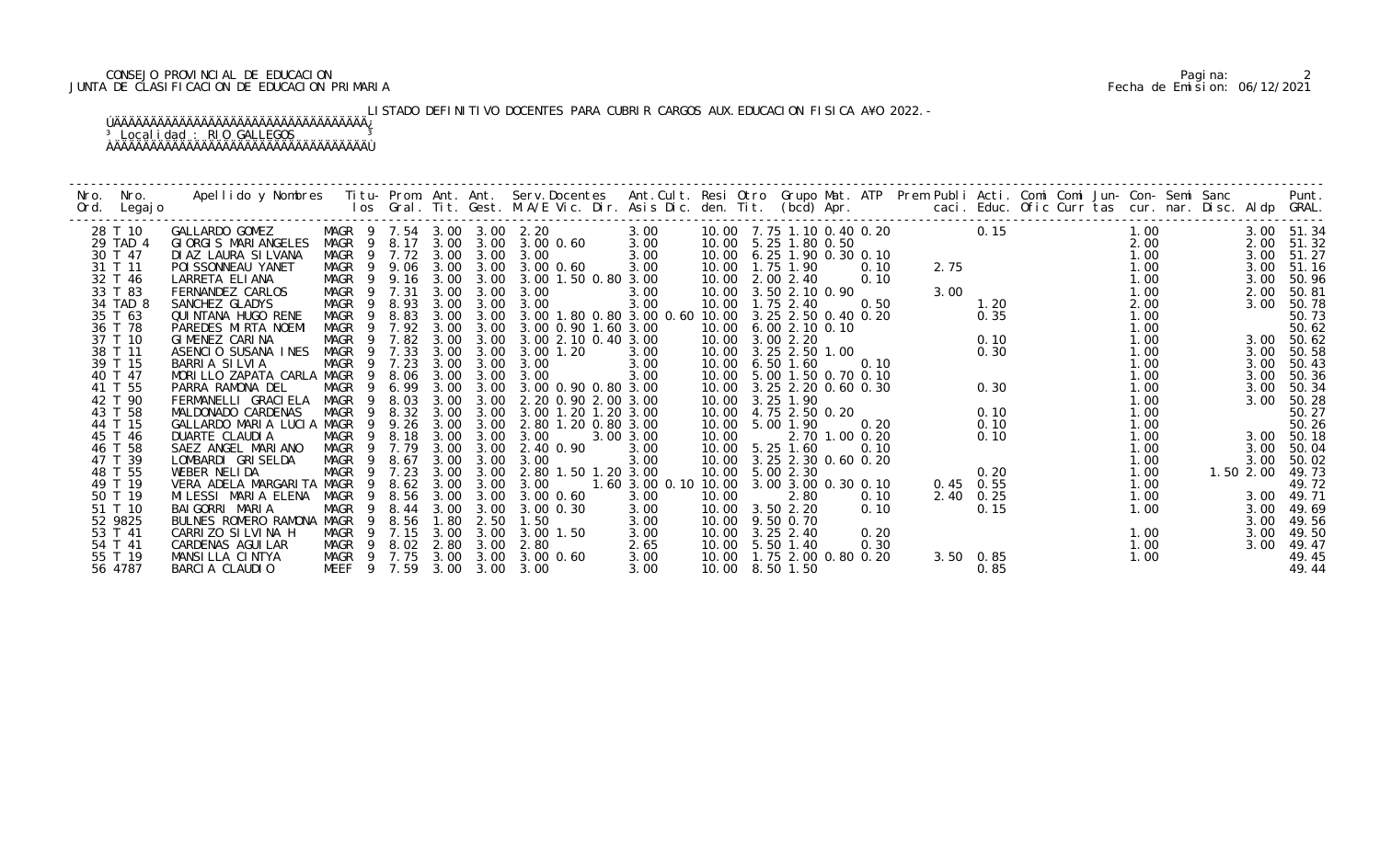# CONSEJO PROVINCIAL DE EDUCACION Pagina: 2 JUNTA DE CLASIFICACION DE EDUCACION PRIMARIA Fecha de Emision: 06/12/2021

LISTADO DEFINITIVO DOCENTES PARA CUBRIR CARGOS AUX. EDUCACION FISICA A¥O 2022.-

| Nro. | Nro.<br>Ord. Legajo | Apellido y Nombres  Titu- Prom. Ant. Ant.  Serv.Docentes  Ant.Cult. Resi Otro  Grupo Mat. ATP  Prem Publi Acti. Comi Comi Jun- Con- Semi Sanc          Punt.<br>Ios Gral. Tit. Gest. M.A/E Vic. Dir. Asis Dic. den. Tit. (bcd) Ap |             |     |                                      |      |      |                                                                          |                                          |                      |      |                               |                           |              |                                                                                                                                                                                                      |                                                             |  |              |                |
|------|---------------------|-----------------------------------------------------------------------------------------------------------------------------------------------------------------------------------------------------------------------------------|-------------|-----|--------------------------------------|------|------|--------------------------------------------------------------------------|------------------------------------------|----------------------|------|-------------------------------|---------------------------|--------------|------------------------------------------------------------------------------------------------------------------------------------------------------------------------------------------------------|-------------------------------------------------------------|--|--------------|----------------|
|      | 28 T 10             | GALLARDO GOMEZ                                                                                                                                                                                                                    |             |     |                                      |      |      |                                                                          |                                          |                      |      |                               | 10.00 7.75 1.10 0.40 0.20 | 0.15         |                                                                                                                                                                                                      | 1.00                                                        |  |              | 3.00 51.34     |
|      | 29 TAD 4            | GIORGIS MARIANGELES                                                                                                                                                                                                               |             |     |                                      |      |      | MAGR 9 7.54 3.00 3.00 2.20 3.00<br>MAGR 9 8.17 3.00 3.00 3.00 0.60 3.00  |                                          |                      |      |                               |                           |              | 10. 00  5. 25  1. 80  0. 50<br>10. 00  6. 25  1. 90  0. 30  0. 10<br>10. 00  1. 75  1. 90  0. 30  0. 10<br>10. 00  2. 00  2. 40  0. 10<br>10. 00  3. 50  2. 10  0. 90<br>10. 00  3. 50  2. 10  0. 90 | 2.00                                                        |  |              | 2.00 51.32     |
|      | 30 T 47             | DI AZ LAURA SI LVANA                                                                                                                                                                                                              |             |     | MAGR 9 7.72 3.00                     |      |      | 3.00 3.00                                                                | 3.00                                     |                      |      |                               |                           |              |                                                                                                                                                                                                      | 1.00                                                        |  |              | 3.00 51.27     |
|      | 31 T 11             | POI SSONNEAU YANET                                                                                                                                                                                                                |             |     |                                      |      |      | MAGR 9 9.06 3.00 3.00 3.00 0.60                                          | 3.00                                     |                      |      |                               |                           |              |                                                                                                                                                                                                      | 1.00                                                        |  |              | 3.00 51.16     |
|      | 32 T 46             | LARRETA ELIANA                                                                                                                                                                                                                    |             |     |                                      |      |      | MAGR 9 9.16 3.00 3.00 3.00 1.50 0.80 3.00                                |                                          |                      |      |                               |                           |              |                                                                                                                                                                                                      | 1.00                                                        |  | 3.00         | 50.96          |
|      | 33 T 83             | FERNANDEZ CARLOS                                                                                                                                                                                                                  | MAGR 9 7.31 |     |                                      | 3.00 | 3.00 | 3.00                                                                     | 3.00                                     |                      |      |                               |                           |              |                                                                                                                                                                                                      | 1.00                                                        |  | 2.00         | 50.81          |
|      | 34 TAD 8            | SANCHEZ GLADYS                                                                                                                                                                                                                    |             |     | MAGR 9 8.93 3.00                     |      | 3.00 | 3.00                                                                     | 3.00                                     | 10.00  1.75  2.40    |      | 0.50                          |                           | 1.20         |                                                                                                                                                                                                      | $2.00$<br>1.00<br>1.00                                      |  |              | 3.00 50.78     |
|      | 35 T 63             | QUINTANA HUGO RENE                                                                                                                                                                                                                |             |     |                                      |      |      | MAGR 9 8.83 3.00 3.00 3.00 1.80 0.80 3.00 0.60 10.00 3.25 2.50 0.40 0.20 |                                          |                      |      |                               |                           | 0.35         |                                                                                                                                                                                                      |                                                             |  |              | 50.73          |
|      | 36 T 78             | PAREDES MIRTA NOEMI                                                                                                                                                                                                               | MAGR        |     | 9 7.92 3.00                          |      | 3.00 | 3.00 0.90 1.60 3.00                                                      |                                          | 10.00 6.00 2.10 0.10 |      |                               |                           |              |                                                                                                                                                                                                      |                                                             |  |              | 50.62          |
|      | 37 T 10             | GIMENEZ CARINA                                                                                                                                                                                                                    |             |     | MAGR 9 7.82 3.00                     |      | 3.00 | 3.00 2.10 0.40 3.00                                                      |                                          | 10.00 3.00 2.20      |      |                               |                           | 0.10         |                                                                                                                                                                                                      | 1.00                                                        |  |              | 3.00 50.62     |
|      | 38 T 11             | ASENCIO SUSANA INES                                                                                                                                                                                                               |             |     | MAGR 9 7.33 3.00                     |      | 3.00 | 3.00 1.20                                                                | 3.00                                     | 10.00 3.25 2.50 1.00 |      |                               |                           | 0.30         |                                                                                                                                                                                                      | 1.00                                                        |  |              | 3.00 50.58     |
|      | 39 T 15             | BARRIA SILVIA                                                                                                                                                                                                                     |             |     | MAGR 9 7.23 3.00                     |      |      | 3.00 3.00                                                                | 3.00                                     | 10.00 6.50 1.60      |      | 0.10                          |                           |              |                                                                                                                                                                                                      | 1.00                                                        |  | 3.00         | 50.43          |
|      | 40 T 47             | MORILLO ZAPATA CARLA MAGR 9 8.06 3.00                                                                                                                                                                                             |             |     |                                      |      |      | 3.00 3.00                                                                | 3.00                                     |                      |      | 10.00 5.00 1.50 0.70 0.10     |                           |              |                                                                                                                                                                                                      | 1.00                                                        |  | 3.00         | 50.36          |
|      | 41 T 55<br>42 T 90  | PARRA RAMONA DEL                                                                                                                                                                                                                  |             |     | MAGR 9 6.99 3.00                     |      |      | 3.00 3.00 0.90 0.80 3.00                                                 |                                          | 10.00 3.25 1.90      |      | 10.00 3.25 2.20 0.60 0.30     |                           |              | 0.30                                                                                                                                                                                                 | 1.00                                                        |  | 3.00<br>3.00 | 50.34          |
|      |                     | FERMANELLI GRACIELA                                                                                                                                                                                                               |             |     | MAGR 9 8.03 3.00<br>MAGR 9 8.32 3.00 |      | 3.00 | 2.20 0.90 2.00 3.00                                                      |                                          | 10.00 4.75 2.50 0.20 |      |                               |                           |              |                                                                                                                                                                                                      |                                                             |  |              | 50.28<br>50.27 |
|      | 43 T 58<br>44 T 15  | MALDONADO CARDENAS<br>GALLARDO MARIA LUCIA MAGR                                                                                                                                                                                   |             |     | 9 9.26 3.00                          |      | 3.00 | 3.00 3.00 1.20 1.20 3.00<br>2.80 1.20 0.80 3.00                          |                                          | 10.00 5.00 1.90      |      | 0.20                          |                           | 0.10<br>0.10 |                                                                                                                                                                                                      |                                                             |  |              | 50.26          |
|      | 45 T 46             | DUARTE CLAUDIA                                                                                                                                                                                                                    | MAGR        | - 9 | 8.18 3.00                            |      | 3.00 | 3.00                                                                     | 3.00 3.00                                | 10.00                |      | 2.70 1.00 0.20                |                           | 0.10         |                                                                                                                                                                                                      | $\begin{array}{c} 1.00 \\ 1.00 \\ 1.00 \\ 1.00 \end{array}$ |  |              | 3.00 50.18     |
|      | 46 T 58             | SAEZ ANGEL MARIANO                                                                                                                                                                                                                |             |     | MAGR 9 7.79                          | 3.00 |      | 3.00 2.40 0.90                                                           | 3.00                                     | 10.00 5.25 1.60      |      | 0.10                          |                           |              |                                                                                                                                                                                                      | 1.00                                                        |  |              | 3.00 50.04     |
|      | 47 T 39             | LOMBARDI GRISELDA                                                                                                                                                                                                                 |             |     |                                      |      |      | MAGR 9 8.67 3.00 3.00 3.00                                               | 3.00                                     |                      |      | 10.00 3.25 2.30 0.60 0.20     |                           |              |                                                                                                                                                                                                      | 1.00                                                        |  | 3.00         | 50.02          |
|      | 48 T 55             | WEBER NELIDA                                                                                                                                                                                                                      |             |     |                                      |      |      | MAGR 9 7.23 3.00 3.00 2.80 1.50 1.20 3.00                                |                                          | 10.00 5.00 2.30      |      |                               |                           | 0.20         |                                                                                                                                                                                                      | 1.00                                                        |  | 1.50 2.00    | 49.73          |
|      | 49 T 19             | VERA ADELA MARGARITA MAGR 9 8.62 3.00                                                                                                                                                                                             |             |     |                                      |      | 3.00 | 3.00                                                                     | 1.60 3.00 0.10 10.00 3.00 3.00 0.30 0.10 |                      |      |                               |                           | $0.45$ 0.55  |                                                                                                                                                                                                      | 1.00                                                        |  |              | 49.72          |
|      | 50 T 19             | MILESSI MARIA ELENA MAGR 9 8.56 3.00                                                                                                                                                                                              |             |     |                                      |      | 3.00 | 3.00 0.60                                                                | 3.00                                     | 10.00                | 2.80 | 0.10                          |                           | 2.40 0.25    |                                                                                                                                                                                                      | 1.00                                                        |  |              | 3.00 49.71     |
|      | 51 T 10             | BAI GORRI MARIA                                                                                                                                                                                                                   |             |     | MAGR 9 8.44 3.00                     |      |      | 3.00 3.00 0.30                                                           | 3.00                                     | 10.00 3.50 2.20      |      | 0.10                          |                           | 0.15         |                                                                                                                                                                                                      | 1.00                                                        |  |              | 3.00 49.69     |
|      | 52 9825             | BULNES ROMERO RAMONA MAGR                                                                                                                                                                                                         |             |     | 9 8.56                               | 1.80 | 2.50 | 1.50                                                                     | 3.00                                     | 10.00 9.50 0.70      |      |                               |                           |              |                                                                                                                                                                                                      |                                                             |  | 3.00         | 49.56          |
|      | 53 T 41             | CARRIZO SILVINA H                                                                                                                                                                                                                 |             |     | MAGR 9 7.15                          | 3.00 | 3.00 | 3.00 1.50                                                                | 3.00                                     | 10.00 3.25 2.40      |      | 0.20                          |                           |              |                                                                                                                                                                                                      | 1.00                                                        |  | 3.00         | 49.50          |
|      | 54 T 41             | CARDENAS AGUI LAR                                                                                                                                                                                                                 |             |     | MAGR 9 8.02 2.80                     |      | 3.00 | 2.80                                                                     | 2.65                                     | 10.00 5.50 1.40      |      | 0.30                          |                           |              |                                                                                                                                                                                                      | $1.00$<br>$1.00$                                            |  | 3.00         | 49.47          |
|      | 55 T 19             | MANSILLA CINTYA                                                                                                                                                                                                                   |             |     |                                      |      |      | MAGR 9 7.75 3.00 3.00 3.00 0.60                                          | 3.00                                     |                      |      | 10.00  1.75  2.00  0.80  0.20 |                           | 3.50 0.85    |                                                                                                                                                                                                      |                                                             |  |              | 49.45          |
|      | 56 4787             | BARCIA CLAUDIO                                                                                                                                                                                                                    |             |     |                                      |      |      | MEEF 9 7.59 3.00 3.00 3.00                                               | 3.00                                     | 10.00 8.50 1.50      |      |                               |                           | 0.85         |                                                                                                                                                                                                      |                                                             |  |              | 49.44          |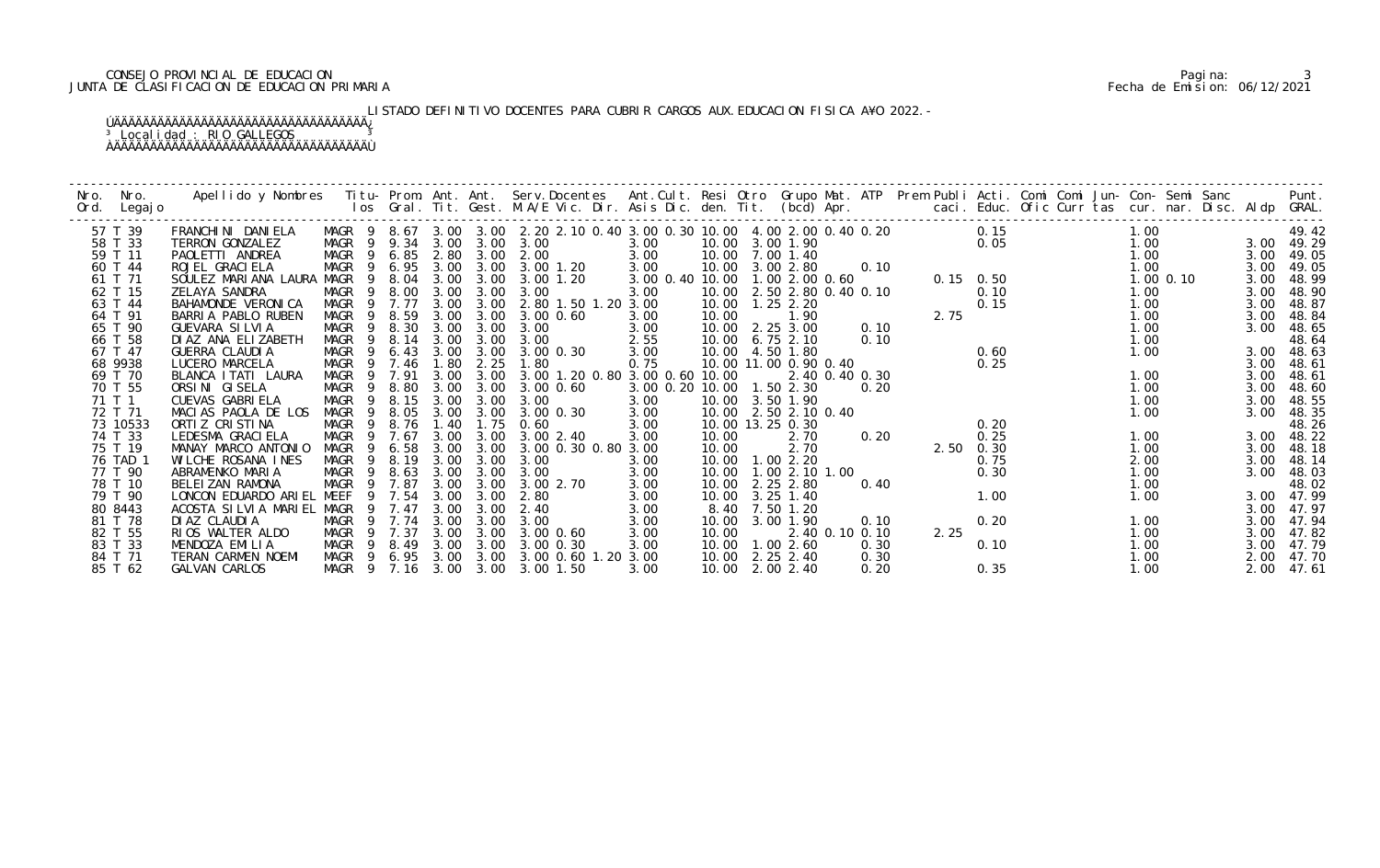# CONSEJO PROVINCIAL DE EDUCACION Pagina: 3 JUNTA DE CLASIFICACION DE EDUCACION PRIMARIA Fecha de Emision: 06/12/2021

LISTADO DEFINITIVO DOCENTES PARA CUBRIR CARGOS AUX. EDUCACION FISICA A¥O 2022.-

| Nro. | Nro.<br>Ord. Legajo | Apellido y Nombres Titu- Prom. Ant. Ant. Serv.Docentes Ant.Cult. Resi Otro Grupo Mat. ATP Prem Publi Acti. Comi Comi Jun- Con- Semi Sanc Punt.<br>Ios Gral. Tit. Gest. M.A/E Vic. Dir. Asis Dic. den. Tit. (bcd) Apr. |                   |                |             |      |      |                                           |                                                                          |       |                         |                |                             |      |                                                                                                                                                                                   |                        |      | Punt.      |
|------|---------------------|-----------------------------------------------------------------------------------------------------------------------------------------------------------------------------------------------------------------------|-------------------|----------------|-------------|------|------|-------------------------------------------|--------------------------------------------------------------------------|-------|-------------------------|----------------|-----------------------------|------|-----------------------------------------------------------------------------------------------------------------------------------------------------------------------------------|------------------------|------|------------|
|      | 57 T 39             | FRANCHI NI DANI ELA                                                                                                                                                                                                   |                   |                |             |      |      |                                           | MAGR 9 8.67 3.00 3.00 2.20 2.10 0.40 3.00 0.30 10.00 4.00 2.00 0.40 0.20 |       |                         |                |                             |      | 10.00 3.00 1.90<br>10.00 7.00 1.40<br>10.00 3.00 2.80<br>10.00 1.00 2.00 0.60<br>10.00 1.00 2.00 0.60<br>10.00 1.25 2.20<br>10.00 1.25 2.20<br>10.00 1.25 2.20<br>10.00 1.25 2.20 | $1.00$<br>1.00<br>1.00 |      | 49.42      |
|      | 58 T 33             | TERRON GONZALEZ                                                                                                                                                                                                       | MAGR 9 9.34       |                |             | 3.00 |      | $3.00 \quad 3.00$                         | 3.00                                                                     |       |                         |                |                             |      |                                                                                                                                                                                   |                        |      | 3.00 49.29 |
|      | 59 T 11             | PAOLETTI ANDREA                                                                                                                                                                                                       | MAGR 9 6.85 2.80  |                |             |      | 3.00 | 2.00                                      | 3.00                                                                     |       |                         |                |                             |      |                                                                                                                                                                                   | 1.00                   |      | 3.00 49.05 |
|      | 60 T 44             | ROJEL GRACI ELA                                                                                                                                                                                                       | MAGR              |                |             |      |      | 9 6.95 3.00 3.00 3.00 1.20                | 3.00                                                                     |       |                         |                |                             |      |                                                                                                                                                                                   | 1.00                   | 3.00 | 49.05      |
|      | 61 T 71             | SOULEZ MARIANA LAURA MAGR                                                                                                                                                                                             |                   | 9              | 8.04        | 3.00 | 3.00 | 3.00 1.20                                 | 3.00 0.40 10.00 1.00 2.00 0.60                                           |       |                         |                |                             |      |                                                                                                                                                                                   | $1.00$ $0.10$          | 3.00 | 48.99      |
|      | 62 T 15             | ZELAYA SANDRA                                                                                                                                                                                                         | MAGR 9            |                | 8.00        | 3.00 | 3.00 | 3.00                                      | 3.00                                                                     |       |                         |                |                             |      |                                                                                                                                                                                   |                        | 3.00 | 48.90      |
|      | 63 T 44             | BAHAMONDE VERONICA                                                                                                                                                                                                    | MAGR 9 7.77       |                |             | 3.00 | 3.00 | 2.80 1.50 1.20 3.00                       |                                                                          |       |                         |                |                             |      |                                                                                                                                                                                   | 1.00<br>1.00           | 3.00 | 48.87      |
|      | 64 T 91             | BARRIA PABLO RUBEN                                                                                                                                                                                                    | MAGR <sub>9</sub> |                | 8.59        | 3.00 | 3.00 | 3.00 0.60                                 | 3.00                                                                     | 10.00 | 1.90                    |                | 2.75                        |      |                                                                                                                                                                                   | 1.00                   | 3.00 | 48.84      |
|      | 65 T 90             | GUEVARA SI LVI A                                                                                                                                                                                                      | MAGR              | 9              | 8.30        | 3.00 | 3.00 | 3.00                                      | 3.00                                                                     |       | 10.00 2.25 3.00         | 0.10           |                             |      |                                                                                                                                                                                   | 1.00                   | 3.00 | 48.65      |
|      | 66 T 58             | DI AZ ANA ELIZABETH                                                                                                                                                                                                   | MAGR              | - 9            | 8.14        | 3.00 | 3.00 | 3.00                                      | 2.55                                                                     |       | 10.00 6.75 2.10         | 0.10           |                             |      |                                                                                                                                                                                   | 1.00                   |      | 48.64      |
|      | 67 T 47             | GUERRA CLAUDIA                                                                                                                                                                                                        | MAGR              |                | 9 6.43 3.00 |      | 3.00 | 3.00 0.30                                 | 3.00                                                                     |       | 10.00  4.50  1.80       |                |                             | 0.60 |                                                                                                                                                                                   | 1.00                   |      | 3.00 48.63 |
|      | 68 9938             | LUCERO MARCELA                                                                                                                                                                                                        | MAGR 9 7.46       |                |             | 1.80 | 2.25 | 1.80                                      | 0.75                                                                     |       | 10.00 11.00 0.90 0.40   |                |                             | 0.25 |                                                                                                                                                                                   |                        | 3.00 | 48.61      |
|      | 69 T 70             | BLANCA I TATI LAURA                                                                                                                                                                                                   | MAGR <sub>9</sub> |                | 7.91        | 3.00 | 3.00 |                                           | 3.00 1.20 0.80 3.00 0.60 10.00                                           |       |                         | 2.40 0.40 0.30 |                             |      |                                                                                                                                                                                   | 1.00                   | 3.00 | 48.61      |
|      | 70 T 55             | ORSINI GISELA                                                                                                                                                                                                         | MAGR 9            |                | 8.80        | 3.00 | 3.00 | 3.00 0.60                                 | 3.00 0.20 10.00 1.50 2.30                                                |       |                         | 0.20           |                             |      |                                                                                                                                                                                   | 1.00                   | 3.00 | 48.60      |
|      | 71 T 1              | CUEVAS GABRI ELA                                                                                                                                                                                                      | MAGR              |                | 9 8.15      | 3.00 | 3.00 | 3.00                                      | 3.00                                                                     |       | 10.00 3.50 1.90         |                |                             |      |                                                                                                                                                                                   | 1.00                   | 3.00 | 48.55      |
|      | 72 T 71             | MACIAS PAOLA DE LOS                                                                                                                                                                                                   | MAGR              | - 9            | 8.05        | 3.00 | 3.00 | 3.00 0.30 3.00                            |                                                                          |       | 10.00 2.50 2.10 0.40    |                |                             |      |                                                                                                                                                                                   | 1.00                   | 3.00 | 48.35      |
|      | 73 10533            | ORTIZ CRISTINA                                                                                                                                                                                                        | MAGR              | - 9            | 8.76        | 1.40 | 1.75 | 0.60                                      | 3.00                                                                     |       | 10.00 13.25 0.30        |                |                             | 0.20 |                                                                                                                                                                                   |                        |      | 48.26      |
|      | 74 T 33             | LEDESMA GRACI ELA                                                                                                                                                                                                     | MAGR              | - 9            | 7.67        | 3.00 | 3.00 | 3.00 2.40                                 | 3.00                                                                     | 10.00 | 2.70                    | 0.20           |                             | 0.25 |                                                                                                                                                                                   | 1.00                   |      | 3.00 48.22 |
|      | 75 T 19             | MANAY MARCO ANTONIO                                                                                                                                                                                                   | MAGR <sub>9</sub> |                | 6.58        | 3.00 | 3.00 | 3.00 0.30 0.80 3.00                       |                                                                          | 10.00 | 2.70                    |                | $2.50$ 0.30<br>0.30<br>0.75 |      |                                                                                                                                                                                   | 1.00                   |      | 3.00 48.18 |
|      | 76 TAD 1            | WILCHE ROSANA INES                                                                                                                                                                                                    | MAGR <sub>9</sub> |                | 8.19        | 3.00 | 3.00 | 3.00                                      | 3.00                                                                     |       | 10.00  1.00  2.20       |                |                             | 0.75 |                                                                                                                                                                                   | 2.00                   | 3.00 | 48.14      |
|      | 77 T 90             | ABRAMENKO MARIA                                                                                                                                                                                                       | MAGR              | $\overline{9}$ | 8.63        | 3.00 | 3.00 | 3.00                                      | 3.00                                                                     |       | 10.00  1.00  2.10  1.00 |                |                             | 0.30 |                                                                                                                                                                                   | 1.00                   | 3.00 | 48.03      |
|      | 78 T 10             | BELEIZAN RAMONA                                                                                                                                                                                                       | MAGR              | - 9            | 7.87        | 3.00 | 3.00 | 3.00 2.70                                 | 3.00                                                                     |       | 10.00 2.25 2.80         | 0.40           |                             |      |                                                                                                                                                                                   | 1.00                   |      | 48.02      |
|      | 79 T 90             | LONCON EDUARDO ARIEL MEEF                                                                                                                                                                                             |                   |                | 9 7.54      | 3.00 | 3.00 | 2.80                                      | 3.00                                                                     |       | 10.00 3.25 1.40         |                |                             | 1.00 |                                                                                                                                                                                   | 1.00                   |      | 3.00 47.99 |
|      | 80 8443             | ACOSTA SILVIA MARIEL MAGR                                                                                                                                                                                             |                   |                | 9 7.47      | 3.00 | 3.00 | 2.40                                      | 3.00                                                                     |       | 8.40 7.50 1.20          |                |                             |      |                                                                                                                                                                                   |                        |      | 3.00 47.97 |
|      | 81 T 78             | DI AZ CLAUDI A                                                                                                                                                                                                        | MAGR 9 7.74       |                |             | 3.00 | 3.00 | 3.00                                      | 3.00                                                                     | 10.00 | 3.00 1.90               | 0.10           |                             | 0.20 |                                                                                                                                                                                   | 1.00                   | 3.00 | 47.94      |
|      | 82 T 55             | RIOS WALTER ALDO                                                                                                                                                                                                      | MAGR 9 7.37       |                |             | 3.00 | 3.00 | 3.00 0.60                                 | 3.00                                                                     | 10.00 |                         | 2.40 0.10 0.10 | 2.25                        |      |                                                                                                                                                                                   | 1.00                   | 3.00 | 47.82      |
|      | 83 T 33             | MENDOZA EMILIA                                                                                                                                                                                                        | MAGR 9 8.49       |                |             | 3.00 | 3.00 | 3.00 0.30                                 | 3.00                                                                     |       | 10.00  1.00  2.60       | 0.30           |                             | 0.10 |                                                                                                                                                                                   | 1.00                   |      | 3.00 47.79 |
|      | 84 T 71             | TERAN CARMEN NOEMI                                                                                                                                                                                                    |                   |                |             |      |      | MAGR 9 6.95 3.00 3.00 3.00 0.60 1.20 3.00 |                                                                          |       | 10.00 2.25 2.40         | 0.30           |                             |      |                                                                                                                                                                                   | 1.00                   | 2.00 | 47.70      |
|      | 85 T 62             | GALVAN CARLOS                                                                                                                                                                                                         |                   |                |             |      |      | MAGR 9 7.16 3.00 3.00 3.00 1.50           | 3.00                                                                     |       | 10.00 2.00 2.40         | 0.20           |                             | 0.35 |                                                                                                                                                                                   | 1.00                   |      | 2.00 47.61 |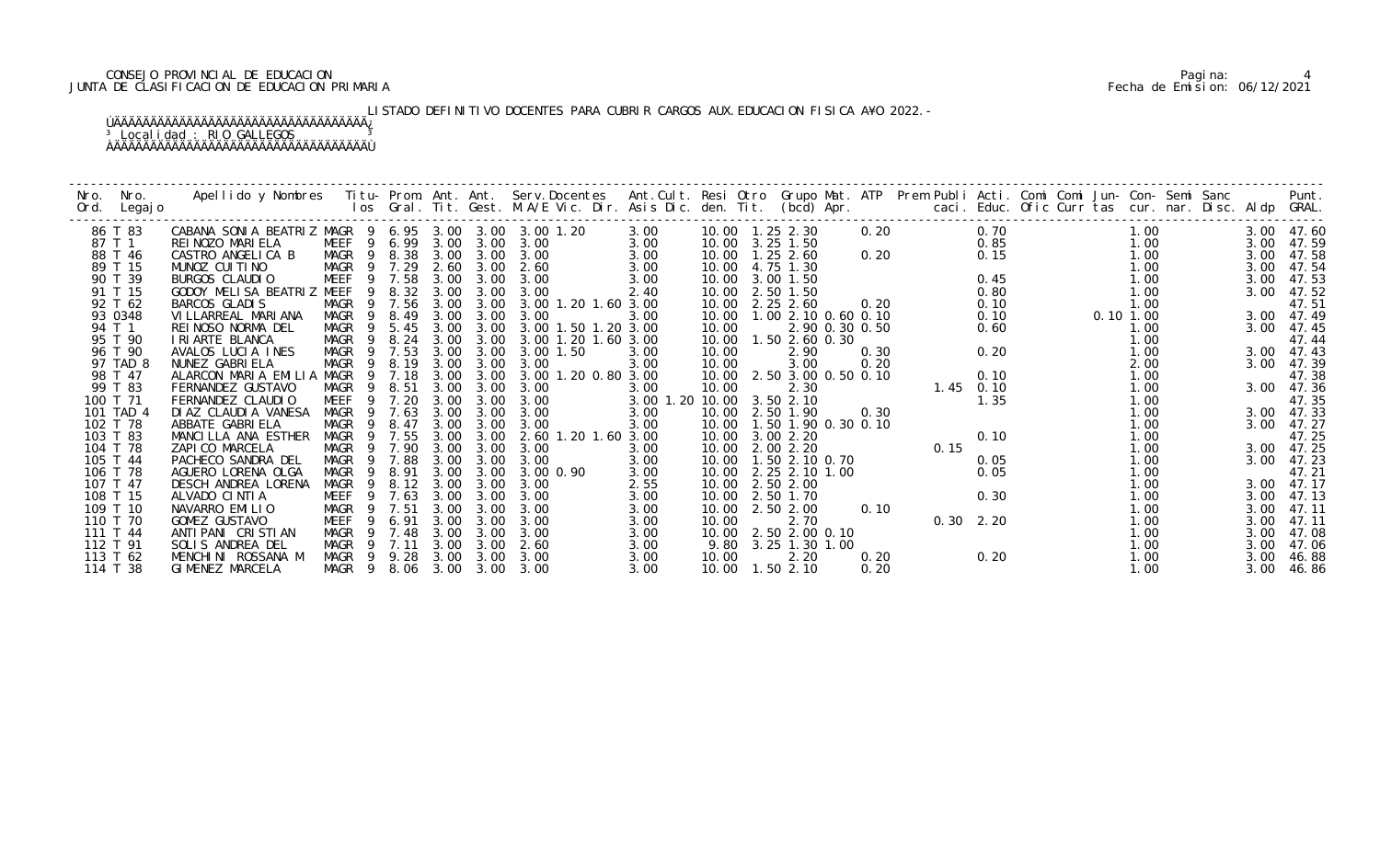# CONSEJO PROVINCIAL DE EDUCACION Pagina: 4 JUNTA DE CLASIFICACION DE EDUCACION PRIMARIA Fecha de Emision: 06/12/2021

LISTADO DEFINITIVO DOCENTES PARA CUBRIR CARGOS AUX. EDUCACION FISICA A¥O 2022.-

| Nro.<br>Nro.<br>Ord.<br>Legaj o | Apellido y Nombres - Titu- Prom. Ant. Ant. Serv.Docentes - Ant.Cult. Resi Otro Grupo Mat. ATP Prem Publi Acti. Comi Comi Jun- Con- Semi Sanc - - - Punt.<br>Ios Gral. Tit. Gest. M.A/E Vic. Dir. Asis Dic. den. Tit. (bcd) Apr. - |                        |             |      |      |           |                     |                           |                         |                      |                               |      |               |  |           |      |            |
|---------------------------------|-----------------------------------------------------------------------------------------------------------------------------------------------------------------------------------------------------------------------------------|------------------------|-------------|------|------|-----------|---------------------|---------------------------|-------------------------|----------------------|-------------------------------|------|---------------|--|-----------|------|------------|
| 86 T 83                         | CABANA SONIA BEATRIZ MAGR 9 6.95 3.00 3.00 3.00 1.20                                                                                                                                                                              |                        |             |      |      |           |                     | 3.00                      |                         |                      | 0.20                          |      | 0.70          |  | 1.00      |      | 3.00 47.60 |
| 87 T 1                          | REI NOZO MARI ELA                                                                                                                                                                                                                 | MEEF                   | 9 6.99 3.00 |      | 3.00 | 3.00      |                     | 3.00                      | 10.00 3.25 1.50         |                      |                               |      | 0.85          |  | 1.00      |      | 3.00 47.59 |
| 88 T 46                         | CASTRO ANGELICA B                                                                                                                                                                                                                 | MAGR                   | 9 8.38      | 3.00 | 3.00 | 3.00      |                     | 3.00                      | 10.00  1.25  2.60       |                      | 0.20                          |      | 0.15          |  | 1.00      |      | 3.00 47.58 |
| 89 T 15                         | MUNOZ CUITINO                                                                                                                                                                                                                     | MAGR                   | 9 7.29      | 2.60 | 3.00 | 2.60      |                     | 3.00                      | 10.00                   | 4.75 1.30            |                               |      |               |  | 1.00      | 3.00 | 47.54      |
| 90 T 39                         | BURGOS CLAUDIO                                                                                                                                                                                                                    | MEEF                   | 9 7.58      | 3.00 | 3.00 | 3.00      |                     | 3.00                      | 10.00 3.00 1.50         |                      |                               |      | 0.45          |  | 1.00      | 3.00 | 47.53      |
| 91 T 15                         | GODOY MELISA BEATRIZ MEEF                                                                                                                                                                                                         | -9                     | 8.32 3.00   |      | 3.00 | 3.00      |                     | 2.40                      | 10.00 2.50 1.50         |                      |                               |      | 0.80          |  | 1.00      |      | 3.00 47.52 |
| 92 T 62                         | BARCOS GLADIS                                                                                                                                                                                                                     | MAGR 9 7.56            |             | 3.00 | 3.00 |           | 3.00 1.20 1.60 3.00 |                           | 10.00 2.25 2.60         |                      | 0.20                          |      | 0.10          |  | 1.00      |      | 47.51      |
| 93 0348                         | VI LLARREAL MARI ANA                                                                                                                                                                                                              | MAGR<br>- 9            | 8.49        | 3.00 | 3.00 | 3.00      |                     | 3.00                      |                         |                      | 10.00  1.00  2.10  0.60  0.10 |      | 0.10          |  | 0.10 1.00 |      | 3.00 47.49 |
| 94 T 1                          | REINOSO NORMA DEL                                                                                                                                                                                                                 | MAGR<br>$\overline{9}$ | 5.45        | 3.00 | 3.00 |           | 3.00 1.50 1.20 3.00 |                           | 10.00                   |                      | 2.90 0.30 0.50                |      | 0.60          |  | 1.00      |      | 3.00 47.45 |
| 95 T 90                         | I RI ARTE BLANCA                                                                                                                                                                                                                  | MAGR<br>- 9            | 8.24        | 3.00 | 3.00 |           | 3.00 1.20 1.60 3.00 |                           | 10.00                   | 1.50 2.60 0.30       |                               |      |               |  | 1.00      |      | 47.44      |
| 96 T 90                         | AVALOS LUCIA INES                                                                                                                                                                                                                 | MAGR 9 7.53            |             | 3.00 | 3.00 | 3.00 1.50 |                     | 3.00                      | 10.00                   | 2.90                 | 0.30                          |      | 0.20          |  | 1.00      |      | 3.00 47.43 |
| 97 TAD 8                        | NUNEZ GABRIELA                                                                                                                                                                                                                    | MAGR<br>- 9            | 8.19        | 3.00 | 3.00 | 3.00      |                     | 3.00                      | 10.00                   | 3.00                 | 0.20                          |      |               |  | 2.00      |      | 3.00 47.39 |
| 98 T 47                         | ALARCON MARIA EMILIA MAGR                                                                                                                                                                                                         |                        | 9 7.18      | 3.00 | 3.00 |           | 3.00 1.20 0.80 3.00 |                           |                         |                      | 10.00 2.50 3.00 0.50 0.10     |      | 0.10          |  | 1.00      |      | 47.38      |
| 99 T 83                         | FERNANDEZ GUSTAVO                                                                                                                                                                                                                 | MAGR<br>- 9            | 8.51        | 3.00 | 3.00 | 3.00      |                     | 3.00                      | 10.00                   | 2.30                 |                               |      | $1.45$ 0.10   |  | 1.00      |      | 3.00 47.36 |
| 100 T 71                        | FERNANDEZ CLAUDIO                                                                                                                                                                                                                 | MEEF                   | 9 7.20      | 3.00 | 3.00 | 3.00      |                     | 3.00 1.20 10.00 3.50 2.10 |                         |                      |                               |      | 1.35          |  | 1.00      |      | 47.35      |
| 101 TAD 4                       | DI AZ CLAUDI A VANESA                                                                                                                                                                                                             | MAGR<br>$\overline{9}$ | 7.63        | 3.00 | 3.00 | 3.00      |                     | 3.00                      | 10.00 2.50 1.90         |                      | 0.30                          |      |               |  | 1.00      |      | 3.00 47.33 |
| 102 T 78                        | ABBATE GABRIELA                                                                                                                                                                                                                   | <b>MAGR</b><br>- 9     | 8.47        | 3.00 | 3.00 | 3.00      |                     | 3.00                      |                         |                      | 10.00  1.50  1.90  0.30  0.10 |      |               |  | 1.00      | 3.00 | 47.27      |
| 103 T 83                        | MANCILLA ANA ESTHER                                                                                                                                                                                                               | MAGR                   | 9 7.55      | 3.00 | 3.00 |           | 2.60 1.20 1.60 3.00 |                           |                         | 10.00 3.00 2.20      |                               |      | 0.10          |  | 1.00      |      | 47.25      |
| 104 T 78                        | ZAPICO MARCELA                                                                                                                                                                                                                    | MAGR                   | 9 7.90      | 3.00 | 3.00 | 3.00      |                     | 3.00                      | 10.00 2.00 2.20         |                      |                               | 0.15 |               |  | 1.00      |      | 3.00 47.25 |
| 105 T 44                        | PACHECO SANDRA DEL                                                                                                                                                                                                                | MAGR                   | 9 7.88      | 3.00 | 3.00 | 3.00      |                     | 3.00                      | 10.00  1.50  2.10  0.70 |                      |                               |      | 0.05          |  | 1.00      |      | 3.00 47.23 |
| 106 T 78                        | AGUERO LORENA OLGA                                                                                                                                                                                                                | MAGR<br>- 9            | 8.91        | 3.00 | 3.00 | 3.00 0.90 |                     | 3.00                      | 10.00                   | 2. 25 2. 10 1. 00    |                               |      | 0.05          |  | 1.00      |      | 47.21      |
| 107 T 47                        | DESCH ANDREA LORENA                                                                                                                                                                                                               | MAGR<br>- 9            | 8.12        | 3.00 | 3.00 | 3.00      |                     | 2.55                      | 10.00 2.50 2.00         |                      |                               |      |               |  | 1.00      |      | 3.00 47.17 |
| 108 T 15                        | ALVADO CINTIA                                                                                                                                                                                                                     | MEEF                   | 9 7.63      | 3.00 | 3.00 | 3.00      |                     | 3.00                      | 10.00 2.50 1.70         |                      |                               |      | 0.30          |  | 1.00      |      | 3.00 47.13 |
| 109 T 10                        | NAVARRO EMILIO                                                                                                                                                                                                                    | MAGR<br>- 9            | 7.51        | 3.00 | 3.00 | 3.00      |                     | 3.00                      | 10.00 2.50 2.00         |                      | 0.10                          |      |               |  | 1.00      | 3.00 | 47.11      |
| 110 T 70                        | GOMEZ GUSTAVO                                                                                                                                                                                                                     | MEEF<br>9              | 6.91        | 3.00 | 3.00 | 3.00      |                     | 3.00                      | 10.00                   | 2.70                 |                               |      | $0.30$ $2.20$ |  | 1.00      | 3.00 | 47.11      |
| 111 T 44                        | ANTIPANI CRISTIAN                                                                                                                                                                                                                 | MAGR<br>$\overline{9}$ | 7.48        | 3.00 | 3.00 | 3.00      |                     | 3.00                      |                         | 10.00 2.50 2.00 0.10 |                               |      |               |  | 1.00      | 3.00 | 47.08      |
| 112 T 91                        | SOLIS ANDREA DEL                                                                                                                                                                                                                  | MAGR 9 7.11            |             | 3.00 | 3.00 | 2.60      |                     | 3.00                      | 9.80                    | 3.25 1.30 1.00       |                               |      |               |  | 1.00      | 3.00 | 47.06      |
| 113 T 62                        | MENCHINI ROSSANA M                                                                                                                                                                                                                | MAGR<br>$\overline{9}$ | 9.28        | 3.00 | 3.00 | 3.00      |                     | 3.00                      | 10.00                   | 2.20                 | 0.20                          |      | 0.20          |  | 1.00      | 3.00 | 46.88      |
| 114 T 38                        | GIMENEZ MARCELA                                                                                                                                                                                                                   | MAGR 9 8.06 3.00       |             |      | 3.00 | 3.00      |                     | 3.00                      | 10.00  1.50  2.10       |                      | 0.20                          |      |               |  | 1.00      |      | 3.00 46.86 |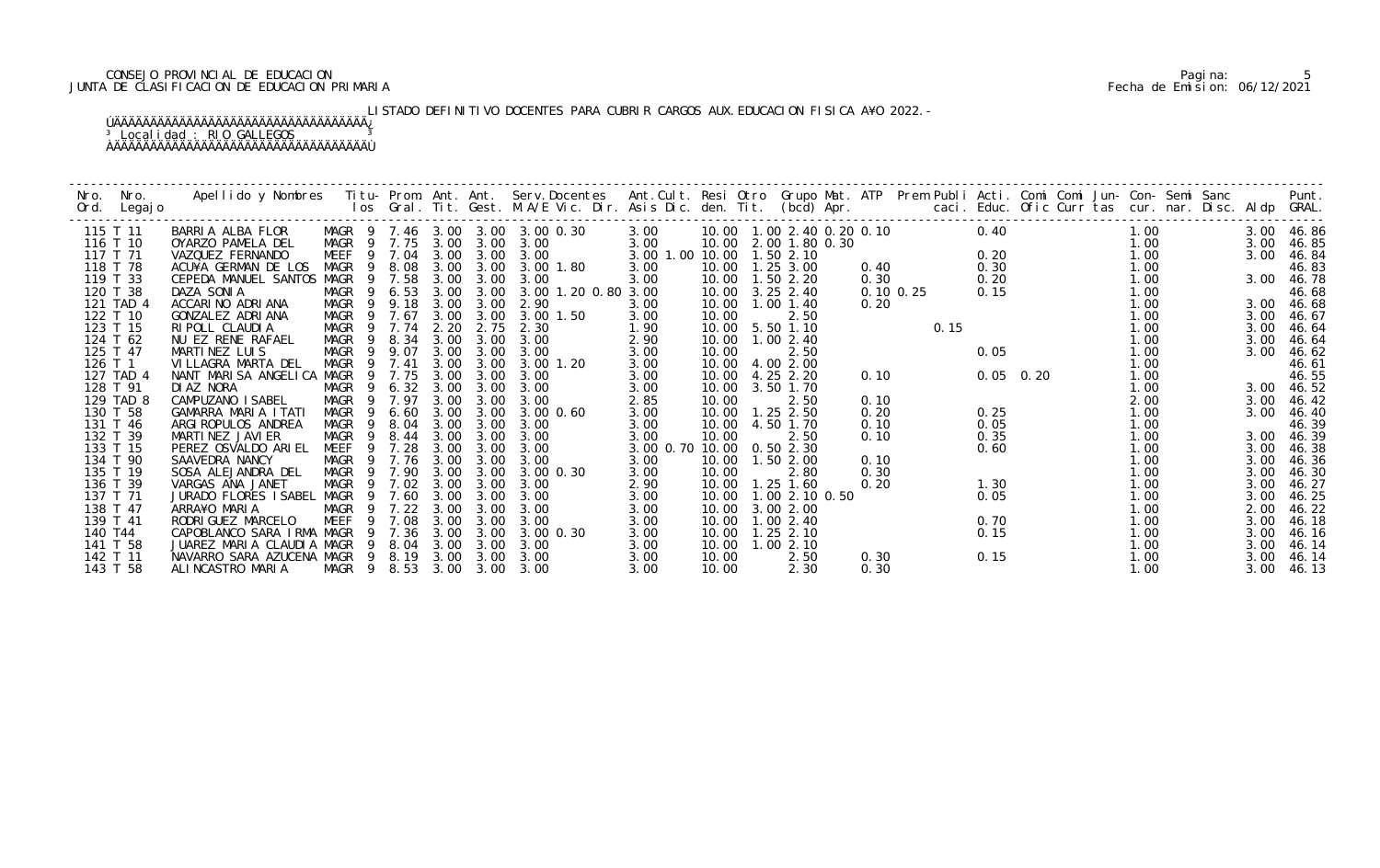# CONSEJO PROVINCIAL DE EDUCACION Pagina: 5 JUNTA DE CLASIFICACION DE EDUCACION PRIMARIA Fecha de Emision: 06/12/2021

LISTADO DEFINITIVO DOCENTES PARA CUBRIR CARGOS AUX. EDUCACION FISICA A¥O 2022.-

| Nro.<br>Ord. | Nro.<br>Legaj o | Apellido y Nombres - Titu- Prom. Ant. Ant. Serv.Docentes - Ant.Cult. Resi Otro Grupo Mat. ATP Prem Publi Acti. Comi Comi Jun- Con- Semi Sanc - - - Punt.<br>Ios Gral. Tit. Gest. M.A/E Vic. Dir. Asis Dic. den. Tit. (bcd) Apr. - |             |                |                                 |      |      |      |                     |                           |       |                               |      |               |      |                |  |      |  |      |            |
|--------------|-----------------|-----------------------------------------------------------------------------------------------------------------------------------------------------------------------------------------------------------------------------------|-------------|----------------|---------------------------------|------|------|------|---------------------|---------------------------|-------|-------------------------------|------|---------------|------|----------------|--|------|--|------|------------|
|              | 115 T 11        | BARRIA ALBA FLOR                                                                                                                                                                                                                  |             |                | MAGR 9 7.46 3.00 3.00 3.00 0.30 |      |      |      |                     | 3.00                      |       | 10.00  1.00  2.40  0.20  0.10 |      |               |      | 0.40           |  | 1.00 |  |      | 3.00 46.86 |
|              | 116 T 10        | OYARZO PAMELA DEL                                                                                                                                                                                                                 |             |                | MAGR 9 7.75 3.00                |      | 3.00 | 3.00 |                     | 3.00                      |       | 10.00 2.00 1.80 0.30          |      |               |      |                |  | 1.00 |  | 3.00 | 46.85      |
|              | 117 T 71        | VAZQUEZ FERNANDO                                                                                                                                                                                                                  |             |                | MEEF 9 7.04                     | 3.00 | 3.00 | 3.00 |                     | 3.00 1.00 10.00 1.50 2.10 |       |                               |      |               |      |                |  | 1.00 |  |      | 3.00 46.84 |
|              | 118 T 78        | ACU¥A GERMAN DE LOS                                                                                                                                                                                                               |             |                | MAGR 9 8.08                     | 3.00 | 3.00 |      | 3.00 1.80           | 3.00                      |       | 10.00  1.25  3.00             | 0.40 |               |      | $0.20$<br>0.30 |  | 1.00 |  |      | 46.83      |
|              | 119 T 33        | CEPEDA MANUEL SANTOS MAGR 9 7.58                                                                                                                                                                                                  |             |                |                                 | 3.00 | 3.00 | 3.00 |                     | 3.00                      |       | 10.00  1.50  2.20             | 0.30 |               |      | 0.20           |  | 1.00 |  |      | 3.00 46.78 |
|              | 120 T 38        | DAZA SONIA                                                                                                                                                                                                                        |             |                | MAGR 9 6.53 3.00                |      | 3.00 |      | 3.00 1.20 0.80 3.00 |                           |       | 10.00 3.25 2.40               |      | $0.10$ $0.25$ |      | 0.15           |  | 1.00 |  |      | 46.68      |
|              | 121 TAD 4       | ACCARINO ADRIANA                                                                                                                                                                                                                  |             |                | MAGR 9 9.18                     | 3.00 | 3.00 | 2.90 |                     | 3.00                      |       | 10.00 1.00 1.40               | 0.20 |               |      |                |  | 1.00 |  |      | 3.00 46.68 |
|              | 122 T 10        | GONZALEZ ADRIANA                                                                                                                                                                                                                  |             |                | MAGR 9 7.67                     | 3.00 | 3.00 |      | 3.00 1.50           | 3.00                      | 10.00 | 2.50                          |      |               |      |                |  | 1.00 |  | 3.00 | 46.67      |
|              | 123 T 15        | RI POLL CLAUDI A                                                                                                                                                                                                                  | MAGR        |                | 9 7.74                          | 2.20 | 2.75 | 2.30 |                     | 1.90                      |       | 10.00 5.50 1.10               |      |               | 0.15 |                |  | 1.00 |  | 3.00 | 46.64      |
|              | 124 T 62        | NU EZ RENE RAFAEL                                                                                                                                                                                                                 | MAGR 9      |                | 8.34                            | 3.00 | 3.00 | 3.00 |                     | 2.90                      | 10.00 | 1.002.40                      |      |               |      |                |  | 1.00 |  | 3.00 | 46. 64     |
|              | 125 T 47        | MARTINEZ LUIS                                                                                                                                                                                                                     |             |                | MAGR 9 9.07                     | 3.00 | 3.00 | 3.00 |                     | 3.00                      | 10.00 | 2.50                          |      |               |      | 0.05           |  | 1.00 |  | 3.00 | 46.62      |
| 126 T 1      |                 | VILLAGRA MARTA DEL                                                                                                                                                                                                                | MAGR 9 7.41 |                |                                 | 3.00 | 3.00 |      | 3.00 1.20           | 3.00                      | 10.00 | 4.00 2.00                     |      |               |      |                |  | 1.00 |  |      | 46.61      |
|              | 127 TAD 4       | NANT MARISA ANGELICA MAGR 9 7.75                                                                                                                                                                                                  |             |                |                                 | 3.00 | 3.00 | 3.00 |                     | 3.00                      | 10.00 | 4.25 2.20                     | 0.10 |               |      | $0.05$ 0.20    |  | 1.00 |  |      | 46.55      |
|              | 128 T 91        | DI AZ NORA                                                                                                                                                                                                                        |             |                | MAGR 9 6.32 3.00                |      | 3.00 | 3.00 |                     | 3.00                      |       | 10.00 3.50 1.70               |      |               |      |                |  | 1.00 |  |      | 3.00 46.52 |
|              | 129 TAD 8       | CAMPUZANO ISABEL                                                                                                                                                                                                                  |             |                | MAGR 9 7.97                     | 3.00 | 3.00 | 3.00 |                     | 2.85                      | 10.00 | 2.50                          | 0.10 |               |      |                |  | 2.00 |  |      | 3.00 46.42 |
|              | 130 T 58        | GAMARRA MARIA ITATI                                                                                                                                                                                                               | MAGR        | 9              | 6.60                            | 3.00 | 3.00 |      | 3.00 0.60           | 3.00                      |       | 10.00  1.25  2.50             | 0.20 |               |      | 0.25           |  | 1.00 |  | 3.00 | 46.40      |
|              | 131 T 46        | ARGI ROPULOS ANDREA                                                                                                                                                                                                               | MAGR        | - 9            | 8. 04                           | 3.00 | 3.00 | 3.00 |                     | 3.00                      | 10.00 | 4.50 1.70                     | 0.10 |               |      | 0.05           |  | 1.00 |  |      | 46.39      |
|              | 132 T 39        | MARTINEZ JAVIER                                                                                                                                                                                                                   | MAGR        | - 9            | 8.44                            | 3.00 | 3.00 | 3.00 |                     | 3.00                      | 10.00 | 2.50                          | 0.10 |               |      | 0.35           |  | 1.00 |  |      | 3.00 46.39 |
|              | 133 T 15        | PEREZ OSVALDO ARIEL                                                                                                                                                                                                               | <b>MEEF</b> |                | 9 7.28                          | 3.00 | 3.00 | 3.00 |                     | 3.00 0.70 10.00 0.50 2.30 |       |                               |      |               |      | 0.60           |  | 1.00 |  |      | 3.00 46.38 |
|              | 134 T 90        | SAAVEDRA NANCY                                                                                                                                                                                                                    |             |                | MAGR 9 7.76                     | 3.00 | 3.00 | 3.00 |                     | 3.00                      |       | 10.00  1.50  2.00             | 0.10 |               |      |                |  | 1.00 |  | 3.00 | 46.36      |
|              | 135 T 19        | SOSA ALEJANDRA DEL                                                                                                                                                                                                                |             |                | MAGR 9 7.90                     | 3.00 | 3.00 |      | 3.00 0.30           | 3.00                      | 10.00 | 2.80                          | 0.30 |               |      |                |  | 1.00 |  | 3.00 | 46.30      |
|              | 136 T 39        | VARGAS ANA JANET                                                                                                                                                                                                                  |             |                | MAGR 9 7.02                     | 3.00 | 3.00 | 3.00 |                     | 2.90                      | 10.00 | $1.25$ 1.60                   | 0.20 |               |      | 1.30           |  | 1.00 |  | 3.00 | 46.27      |
|              | 137 T 71        | JURADO FLORES ISABEL MAGR 9 7.60                                                                                                                                                                                                  |             |                |                                 | 3.00 | 3.00 | 3.00 |                     | 3.00                      |       | 10.00 1.00 2.10 0.50          |      |               |      | 0.05           |  | 1.00 |  | 3.00 | 46. 25     |
|              | 138 T 47        | ARRA¥O MARIA                                                                                                                                                                                                                      | MAGR        |                | 9 7.22 3.00                     |      | 3.00 | 3.00 |                     | 3.00                      | 10.00 | 3.00 2.00                     |      |               |      |                |  | 1.00 |  | 2.00 | 46.22      |
|              | 139 T 41        | RODRI GUEZ MARCELO                                                                                                                                                                                                                | MEEF        | $\overline{9}$ | 7.08                            | 3.00 | 3.00 | 3.00 |                     | 3.00                      | 10.00 | 1.002.40                      |      |               |      | 0.70           |  | 1.00 |  | 3.00 | 46.18      |
|              | 140 T44         | CAPOBLANCO SARA IRMA MAGR 9 7.36                                                                                                                                                                                                  |             |                |                                 | 3.00 | 3.00 |      | $3.00 \, 0.30$      | 3.00                      | 10.00 | $1.25$ 2.10                   |      |               |      | 0.15           |  | 1.00 |  | 3.00 | -46.16     |
|              | 141 T 58        | JUAREZ MARIA CLAUDIA MAGR 9 8.04                                                                                                                                                                                                  |             |                |                                 | 3.00 | 3.00 | 3.00 |                     | 3.00                      | 10.00 | 1.002.10                      |      |               |      |                |  | 1.00 |  | 3.00 | -46.14     |
|              | 142 T 11        | NAVARRO SARA AZUCENA MAGR 9 8.19 3.00                                                                                                                                                                                             |             |                |                                 |      | 3.00 | 3.00 |                     | 3.00                      | 10.00 | 2.50                          | 0.30 |               |      | 0.15           |  | 1.00 |  | 3.00 | 46.14      |
|              | 143 T 58        | ALINCASTRO MARIA                                                                                                                                                                                                                  |             |                | MAGR 9 8.53 3.00 3.00           |      |      | 3.00 |                     | 3.00                      | 10.00 | 2.30                          | 0.30 |               |      |                |  | 1.00 |  | 3.00 | 46.13      |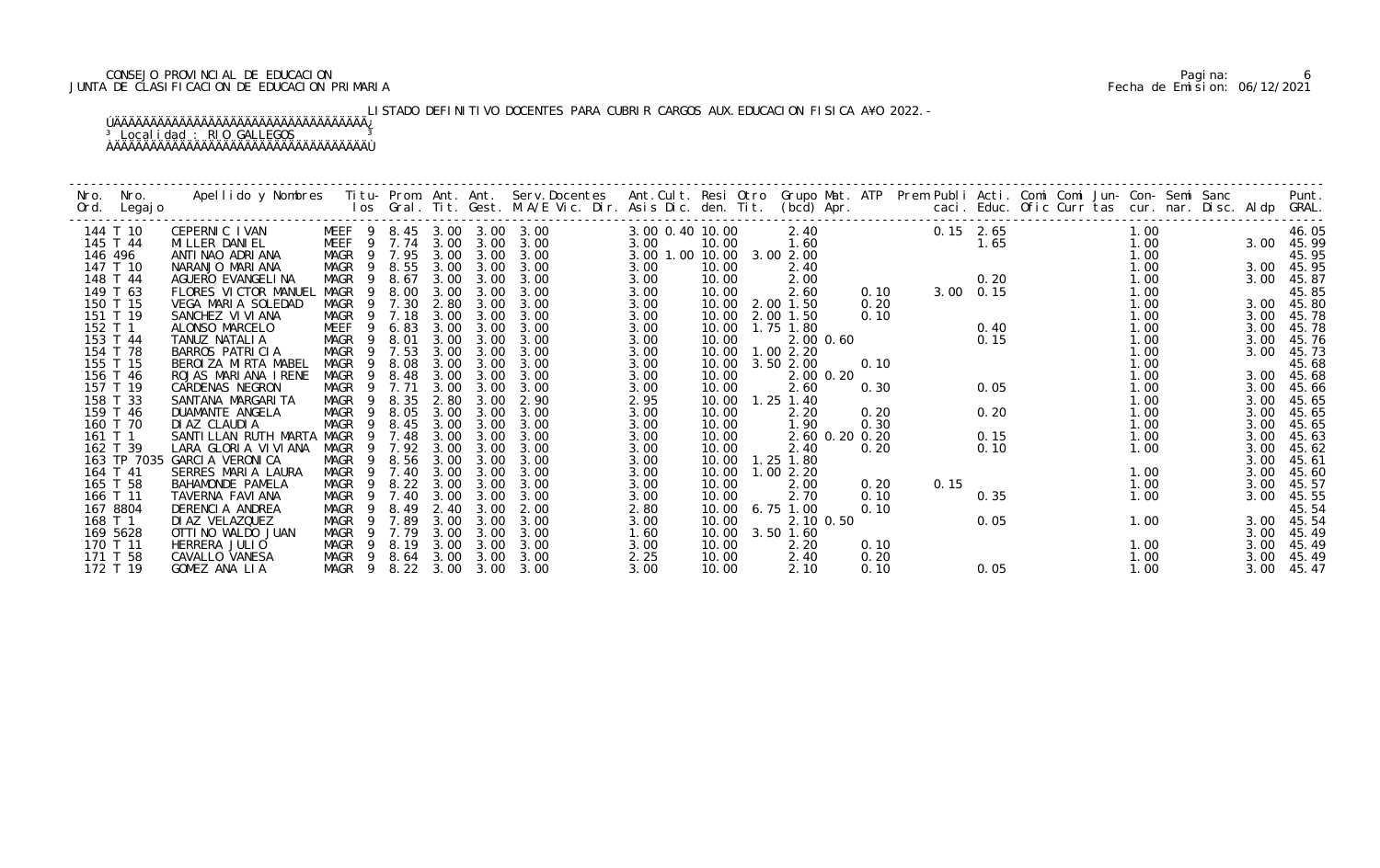# CONSEJO PROVINCIAL DE EDUCACION Pagina: 6 JUNTA DE CLASIFICACION DE EDUCACION PRIMARIA Fecha de Emision: 06/12/2021

# LISTADO DEFINITIVO DOCENTES PARA CUBRIR CARGOS AUX. EDUCACION FISICA A¥O 2022.-

| Nro.<br>Ord. | Nro.<br>Legaj o | Apellido y Nombres - Titu- Prom. Ant. Ant. Serv.Docentes - Ant.Cult. Resi Otro - Grupo Mat. ATP - Prem Publi Acti. Comi Comi Jun- Con- Semi Sanc - Semi Sanc - Semi Sanc - Semi Sanc - Semi Sanc - Semi Sanc - Semi Sanc - Ios |                       |                |        |      |      |                            |                           |       |                 |                |      | caci. Educ. Ofic Curr tas cur. nar. Disc. Aldp GRAL. |             |  |      |      | Punt.      |
|--------------|-----------------|--------------------------------------------------------------------------------------------------------------------------------------------------------------------------------------------------------------------------------|-----------------------|----------------|--------|------|------|----------------------------|---------------------------|-------|-----------------|----------------|------|------------------------------------------------------|-------------|--|------|------|------------|
|              | 144 T 10        | CEPERNIC IVAN                                                                                                                                                                                                                  |                       |                |        |      |      | MEEF 9 8.45 3.00 3.00 3.00 | 3.00 0.40 10.00           |       | 2.40            |                |      |                                                      | $0.15$ 2.65 |  | 1.00 |      | 46.05      |
|              | 145 T 44        | MILLER DANIEL                                                                                                                                                                                                                  | MEEF                  |                | 9 7.74 | 3.00 | 3.00 | 3.00                       | 3.00                      | 10.00 | 1.60            |                |      |                                                      | 1.65        |  | 1.00 |      | 3.00 45.99 |
|              | 146 496         | ANTI NAO ADRI ANA                                                                                                                                                                                                              | MAGR                  |                | 9 7.95 | 3.00 | 3.00 | 3.00                       | 3.00 1.00 10.00 3.00 2.00 |       |                 |                |      |                                                      |             |  | 1.00 |      | 45.95      |
|              | 147 T 10        | NARANJO MARIANA                                                                                                                                                                                                                | MAGR                  | - 9            | 8.55   | 3.00 | 3.00 | 3.00                       | 3.00                      | 10.00 | 2.40            |                |      |                                                      |             |  | 1.00 | 3.00 | 45.95      |
|              | 148 T 44        | AGUERO EVANGELI NA                                                                                                                                                                                                             | <b>MAGR</b>           | - 9            | 8.67   | 3.00 | 3.00 | 3.00                       | 3.00                      | 10.00 | 2.00            |                |      |                                                      | 0.20        |  | 1.00 | 3.00 | 45.87      |
|              | 149 T 63        | <b>FLORES VICTOR MANUEL</b>                                                                                                                                                                                                    | MAGR                  | - 9            | 8.00   | 3.00 | 3.00 | 3.00                       | 3.00                      | 10.00 | 2.60            |                | 0.10 |                                                      | 3.00 0.15   |  | 1.00 |      | 45.85      |
|              | 150 T 15        | VEGA MARIA SOLEDAD                                                                                                                                                                                                             | MAGR                  |                | 9 7.30 | 2.80 | 3.00 | 3.00                       | 3.00                      |       | 10.00 2.00 1.50 |                | 0.20 |                                                      |             |  | 1.00 |      | 3.00 45.80 |
|              | 151 T 19        | SANCHEZ VI VI ANA                                                                                                                                                                                                              | MAGR                  | - 9            | 7.18   | 3.00 | 3.00 | 3.00                       | 3.00                      |       | 10.00 2.00 1.50 |                | 0.10 |                                                      |             |  | 1.00 | 3.00 | 45.78      |
|              | 152 T 1         | ALONSO MARCELO                                                                                                                                                                                                                 | MEEF                  | 9              | 6.83   | 3.00 | 3.00 | 3.00                       | 3.00                      | 10.00 | 1.75 1.80       |                |      |                                                      | 0.40        |  | 1.00 | 3.00 | 45.78      |
|              | 153 T 44        | TANUZ NATALIA                                                                                                                                                                                                                  | MAGR                  | - 9            | 8.01   | 3.00 | 3.00 | 3.00                       | 3.00                      | 10.00 |                 | 2.00 0.60      |      |                                                      | 0.15        |  | 1.00 | 3.00 | 45.76      |
|              | 154 T 78        | BARROS PATRICIA                                                                                                                                                                                                                | MAGR                  | $\overline{9}$ | 7.53   | 3.00 | 3.00 | 3.00                       | 3.00                      | 10.00 | 1.002.20        |                |      |                                                      |             |  | 1.00 | 3.00 | 45.73      |
|              | 155 T 15        | BEROIZA MIRTA MABEL                                                                                                                                                                                                            | MAGR                  | - 9            | 8.08   | 3.00 | 3.00 | 3.00                       | 3.00                      | 10.00 | 3.50 2.00       |                | 0.10 |                                                      |             |  | 1.00 |      | 45.68      |
|              | 156 T 46        | ROJAS MARIANA IRENE                                                                                                                                                                                                            | MAGR                  |                | 8.48   | 3.00 | 3.00 | 3.00                       | 3.00                      | 10.00 |                 | 2.00 0.20      |      |                                                      |             |  | 1.00 |      | 3.00 45.68 |
|              | 157 T 19        | <b>CARDENAS NEGRON</b>                                                                                                                                                                                                         | MAGR 9                |                | 7.71   | 3.00 | 3.00 | 3.00                       | 3.00                      | 10.00 | 2.60            |                | 0.30 |                                                      | 0.05        |  | 1.00 | 3.00 | 45.66      |
|              | 158 T 33        | SANTANA MARGARI TA                                                                                                                                                                                                             | MAGR                  | - 9            | 8.35   | 2.80 | 3.00 | 2.90                       | 2.95                      | 10.00 | $1.25$ 1.40     |                |      |                                                      |             |  | 1.00 | 3.00 | 45.65      |
|              | 159 T 46        | DUAMANTE ANGELA                                                                                                                                                                                                                | <b>MAGR</b>           | - 9            | 8.05   | 3.00 | 3.00 | 3.00                       | 3.00                      | 10.00 | 2.20            |                | 0.20 |                                                      | 0.20        |  | 1.00 | 3.00 | 45.65      |
|              | 160 T 70        | DI AZ CLAUDI A                                                                                                                                                                                                                 | MAGR                  | - 9            | 8.45   | 3.00 | 3.00 | 3.00                       | 3.00                      | 10.00 | 1.90            |                | 0.30 |                                                      |             |  | 1.00 | 3.00 | 45.65      |
|              | 161 T 1         | SANTI LLAN RUTH MARTA                                                                                                                                                                                                          | MAGR                  | -9             | 7.48   | 3.00 | 3.00 | 3.00                       | 3.00                      | 10.00 |                 | 2.60 0.20 0.20 |      |                                                      | 0.15        |  | 1.00 | 3.00 | 45.63      |
|              | 162 T 39        | LARA GLORIA VIVIANA                                                                                                                                                                                                            | MAGR                  | -9             | 7.92   | 3.00 | 3.00 | 3.00                       | 3.00                      | 10.00 | 2.40            |                | 0.20 |                                                      | 0.10        |  | 1.00 | 3.00 | 45.62      |
|              |                 | 163 TP 7035 GARCIA VERONICA                                                                                                                                                                                                    | MAGR                  | - 9            | 8.56   | 3.00 | 3.00 | 3.00                       | 3.00                      | 10.00 | 1.25 1.80       |                |      |                                                      |             |  |      | 3.00 | 45.61      |
|              | 164 T 41        | SERRES MARIA LAURA                                                                                                                                                                                                             | MAGR                  |                | 7.40   | 3.00 | 3.00 | 3.00                       | 3.00                      | 10.00 | 1.002.20        |                |      |                                                      |             |  | 1.00 | 3.00 | 45.60      |
|              | 165 T 58        | BAHAMONDE PAMELA                                                                                                                                                                                                               | MAGR                  | - 9            | 8.22   | 3.00 | 3.00 | 3.00                       | 3.00                      | 10.00 | 2.00            |                | 0.20 | 0.15                                                 |             |  | 1.00 | 3.00 | 45.57      |
|              | 166 T 11        | TAVERNA FAVI ANA                                                                                                                                                                                                               | MAGR                  | 9              | 7.40   | 3.00 | 3.00 | 3.00                       | 3.00                      | 10.00 | 2.70            |                | 0.10 |                                                      | 0.35        |  | 1.00 | 3.00 | 45.55      |
|              | 167 8804        | DERENCIA ANDREA                                                                                                                                                                                                                | <b>MAGR</b>           | -9             | 8.49   | 2.40 | 3.00 | 2.00                       | 2.80                      | 10.00 | $6.75$ 1.00     |                | 0.10 |                                                      |             |  |      |      | 45.54      |
|              | 168 T 1         | DI AZ VELAZQUEZ                                                                                                                                                                                                                | MAGR                  |                | 7.89   | 3.00 | 3.00 | 3.00                       | 3.00                      | 10.00 |                 | 2.10 0.50      |      |                                                      | 0.05        |  | 1.00 | 3.00 | 45.54      |
|              | 169 5628        | OTTI NO WALDO JUAN                                                                                                                                                                                                             | MAGR                  | - 9            | 7.79   | 3.00 | 3.00 | 3.00                       | 1.60                      | 10.00 | 3.50 1.60       |                |      |                                                      |             |  |      | 3.00 | 45.49      |
|              | 170 T 11        | HERRERA JULIO                                                                                                                                                                                                                  | MAGR                  | - 9            | 8.19   | 3.00 | 3.00 | 3.00                       | 3.00                      | 10.00 | 2.20            |                | 0.10 |                                                      |             |  | 1.00 | 3.00 | 45.49      |
|              | 171 T 58        | CAVALLO VANESA                                                                                                                                                                                                                 | MAGR                  | - 9            | 8.64   | 3.00 | 3.00 | 3.00                       | 2.25                      | 10.00 | 2.40            |                | 0.20 |                                                      |             |  | 1.00 | 3.00 | 45.49      |
|              | 172 T 19        | GOMEZ ANA LIA                                                                                                                                                                                                                  | MAGR 9 8.22 3.00 3.00 |                |        |      |      | 3.00                       | 3.00                      | 10.00 | 2.10            |                | 0.10 |                                                      | 0.05        |  | 1.00 |      | 3.00 45.47 |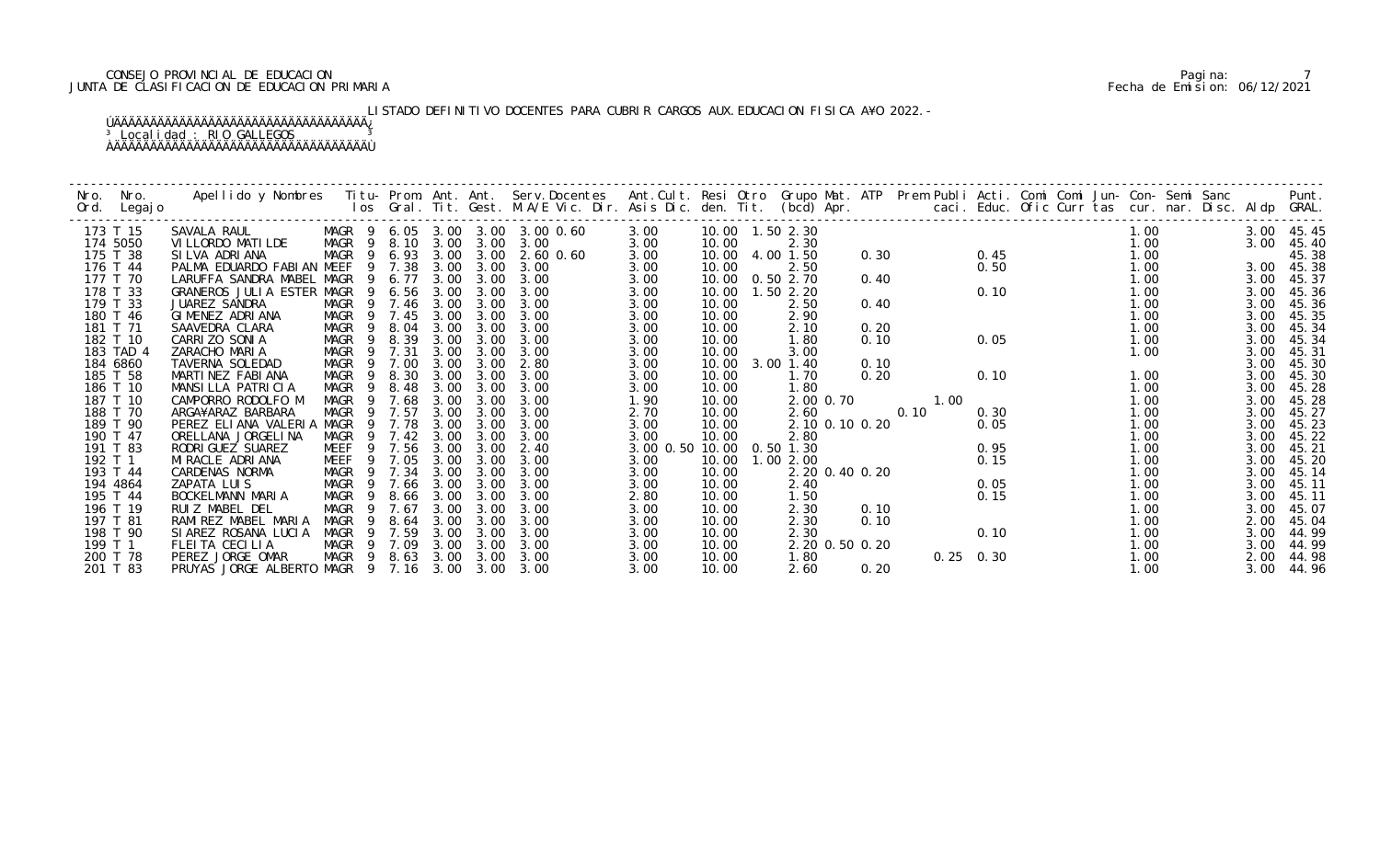# CONSEJO PROVINCIAL DE EDUCACION Pagina: 7 JUNTA DE CLASIFICACION DE EDUCACION PRIMARIA Fecha de Emision: 06/12/2021

LISTADO DEFINITIVO DOCENTES PARA CUBRIR CARGOS AUX. EDUCACION FISICA A¥O 2022.-

| Nro.<br>Ord. | Nro.<br>Legaj o | Apellido y Nombres - Titu- Prom. Ant. Ant. Serv.Docentes - Ant.Cult. Resi Otro Grupo Mat. ATP - Prem Publi Acti. Comi Comi Jun- Con- Semi Sanc - Semi Sanc - Semi Sanc - Semi Sanc - Semi Sanc - Semi Sanc - Semi Sanc - Semi |             |                |                  |      |      |                                 |                           |       |                   |                | caci. Educ. Ofic Curr tas cur. nar. Disc. Aldp GRAL. |             |  |      |  |      | Punt.      |
|--------------|-----------------|-------------------------------------------------------------------------------------------------------------------------------------------------------------------------------------------------------------------------------|-------------|----------------|------------------|------|------|---------------------------------|---------------------------|-------|-------------------|----------------|------------------------------------------------------|-------------|--|------|--|------|------------|
| 173 T 15     |                 | SAVALA RAUL                                                                                                                                                                                                                   |             |                |                  |      |      | MAGR 9 6.05 3.00 3.00 3.00 0.60 | 3.00                      |       | 10.00  1.50  2.30 |                |                                                      |             |  | 1.00 |  |      | 3.00 45.45 |
| 174 5050     |                 | VI LLORDO MATI LDE                                                                                                                                                                                                            |             |                | MAGR 9 8.10 3.00 |      | 3.00 | 3.00                            | 3.00                      | 10.00 | 2.30              |                |                                                      |             |  | 1.00 |  | 3.00 | 45.40      |
| 175 T 38     |                 | SILVA ADRIANA                                                                                                                                                                                                                 |             |                | MAGR 9 6.93 3.00 |      | 3.00 | 2.60 0.60                       | 3.00                      | 10.00 | 4.00 1.50         | 0.30           |                                                      | 0.45        |  | 1.00 |  |      | 45.38      |
| 176 T 44     |                 | PALMA EDUARDO FABIAN MEEF 9 7.38                                                                                                                                                                                              |             |                |                  | 3.00 | 3.00 | 3.00                            | 3.00                      | 10.00 | 2.50              |                |                                                      | 0.50        |  | 1.00 |  |      | 3.00 45.38 |
| 177 T 70     |                 | LARUFFA SANDRA MABEL MAGR                                                                                                                                                                                                     |             |                | 9 6.77           | 3.00 | 3.00 | 3.00                            | 3.00                      | 10.00 | 0.502.70          | 0.40           |                                                      |             |  | 1.00 |  | 3.00 | 45.37      |
| 178 T 33     |                 | GRANEROS JULIA ESTER MAGR 9                                                                                                                                                                                                   |             |                | $6.56$ 3.00      |      | 3.00 | 3.00                            | 3.00                      | 10.00 | 1.50 2.20         |                |                                                      | 0.10        |  | 1.00 |  | 3.00 | 45.36      |
| 179 T 33     |                 | JUAREZ SANDRA                                                                                                                                                                                                                 | MAGR 9 7.46 |                |                  | 3.00 | 3.00 | 3.00                            | 3.00                      | 10.00 | 2.50              | 0.40           |                                                      |             |  | 1.00 |  | 3.00 | 45.36      |
| 180 T 46     |                 | GIMENEZ ADRIANA                                                                                                                                                                                                               | MAGR        | $\overline{9}$ | 7.45             | 3.00 | 3.00 | 3.00                            | 3.00                      | 10.00 | 2.90              |                |                                                      |             |  | 1.00 |  | 3.00 | 45.35      |
| 181 T 71     |                 | SAAVEDRA CLARA                                                                                                                                                                                                                | MAGR        | - 9            | 8. 04            | 3.00 | 3.00 | 3.00                            | 3.00                      | 10.00 | 2.10              | 0.20           |                                                      |             |  | 1.00 |  | 3.00 | 45.34      |
| 182 T 10     |                 | CARRIZO SONIA                                                                                                                                                                                                                 | MAGR        | - 9            | 8.39             | 3.00 | 3.00 | 3.00                            | 3.00                      | 10.00 | 1.80              | 0.10           |                                                      | 0.05        |  | 1.00 |  | 3.00 | 45.34      |
| 183 TAD 4    |                 | ZARACHO MARIA                                                                                                                                                                                                                 | MAGR        | $\overline{9}$ | 7.31             | 3.00 | 3.00 | 3.00                            | 3.00                      | 10.00 | 3.00              |                |                                                      |             |  | 1.00 |  | 3.00 | 45.31      |
| 184 6860     |                 | TAVERNA SOLEDAD                                                                                                                                                                                                               | MAGR        | $\overline{9}$ | 7.00             | 3.00 | 3.00 | 2.80                            | 3.00                      | 10.00 | 3.00 1.40         | 0.10           |                                                      |             |  |      |  | 3.00 | 45.30      |
| 185 T 58     |                 | MARTINEZ FABIANA                                                                                                                                                                                                              | MAGR 9      |                | 8.30             | 3.00 | 3.00 | 3.00                            | 3.00                      | 10.00 | 1.70              | 0.20           |                                                      | 0.10        |  | 1.00 |  | 3.00 | 45.30      |
| 186 T 10     |                 | MANSILLA PATRICIA                                                                                                                                                                                                             | MAGR        | - 9            | 8.48             | 3.00 | 3.00 | 3.00                            | 3.00                      | 10.00 | 1.80              |                |                                                      |             |  | 1.00 |  | 3.00 | 45.28      |
| 187 T 10     |                 | CAMPORRO RODOLFO M                                                                                                                                                                                                            | MAGR        |                | 9 7.68           | 3.00 | 3.00 | 3.00                            | 1.90                      | 10.00 |                   | 2.00 0.70      | 1.00                                                 |             |  | 1.00 |  | 3.00 | 45.28      |
| 188 T 70     |                 | ARGA¥ARAZ BARBARA                                                                                                                                                                                                             | MAGR        | - 9            | 7.57             | 3.00 | 3.00 | 3.00                            | 2.70                      | 10.00 | 2.60              |                | 0.10                                                 | 0.30        |  | 1.00 |  | 3.00 | 45.27      |
| 189 T 90     |                 | PEREZ ELIANA VALERIA                                                                                                                                                                                                          | MAGR        | - 9            | 7.78             | 3.00 | 3.00 | 3.00                            | 3.00                      | 10.00 |                   | 2.10 0.10 0.20 |                                                      | 0.05        |  | 1.00 |  | 3.00 | 45.23      |
| 190 T 47     |                 | ORELLANA JORGELINA                                                                                                                                                                                                            | MAGR        |                | 9 7.42           | 3.00 | 3.00 | 3.00                            | 3.00                      | 10.00 | 2.80              |                |                                                      |             |  | 1.00 |  | 3.00 | 45.22      |
| 191 T 83     |                 | RODRI GUEZ SUAREZ                                                                                                                                                                                                             | MEEF        |                | 9 7.56           | 3.00 | 3.00 | 2.40                            | 3.00 0.50 10.00 0.50 1.30 |       |                   |                |                                                      | 0.95        |  | 1.00 |  | 3.00 | 45.21      |
| 192 T 1      |                 | MI RACLE ADRI ANA                                                                                                                                                                                                             | MEEF        |                | 9 7.05           | 3.00 | 3.00 | 3.00                            | 3.00                      |       | 10.00  1.00  2.00 |                |                                                      | 0.15        |  | 1.00 |  | 3.00 | 45.20      |
| 193 T 44     |                 | CARDENAS NORMA                                                                                                                                                                                                                | MAGR        | $\overline{9}$ | 7.34             | 3.00 | 3.00 | 3.00                            | 3.00                      | 10.00 |                   | 2.20 0.40 0.20 |                                                      |             |  | 1.00 |  | 3.00 | 45.14      |
| 194 4864     |                 | ZAPATA LUIS                                                                                                                                                                                                                   | MAGR        | $\overline{9}$ | 7.66             | 3.00 | 3.00 | 3.00                            | 3.00                      | 10.00 | 2.40              |                |                                                      | 0.05        |  | 1.00 |  | 3.00 | 45.11      |
| 195 T 44     |                 | BOCKELMANN MARIA                                                                                                                                                                                                              | MAGR        | - 9            | 8.66             | 3.00 | 3.00 | 3.00                            | 2.80                      | 10.00 | 1.50              |                |                                                      | 0.15        |  | 1.00 |  | 3.00 | 45.11      |
| 196 T 19     |                 | RUIZ MABEL DEL                                                                                                                                                                                                                | <b>MAGR</b> | - 9            | 7.67             | 3.00 | 3.00 | 3.00                            | 3.00                      | 10.00 | 2.30              | 0.10           |                                                      |             |  | 1.00 |  | 3.00 | 45.07      |
| 197 T 81     |                 | RAMIREZ MABEL MARIA                                                                                                                                                                                                           | MAGR        | - 9            | 8.64             | 3.00 | 3.00 | 3.00                            | 3.00                      | 10.00 | 2.30              | 0.10           |                                                      |             |  | 1.00 |  | 2.00 | 45.04      |
| 198 T 90     |                 | SIAREZ ROSANA LUCIA                                                                                                                                                                                                           | MAGR        |                | 9 7.59           | 3.00 | 3.00 | 3.00                            | 3.00                      | 10.00 | 2.30              |                |                                                      | 0.10        |  | 1.00 |  | 3.00 | 44.99      |
| 199 T 1      |                 | FLEITA CECILIA                                                                                                                                                                                                                | MAGR 9 7.09 |                |                  | 3.00 | 3.00 | 3.00                            | 3.00                      | 10.00 |                   | 2.20 0.50 0.20 |                                                      |             |  | 1.00 |  | 3.00 | 44.99      |
| 200 T 78     |                 | PEREZ JORGE OMAR                                                                                                                                                                                                              | MAGR 9      |                | 8.63             | 3.00 | 3.00 | 3.00                            | 3.00                      | 10.00 | 1.80              |                |                                                      | $0.25$ 0.30 |  | 1.00 |  | 2.00 | 44.98      |
| 201 T 83     |                 | PRUYAS JORGE ALBERTO MAGR 9 7.16 3.00 3.00                                                                                                                                                                                    |             |                |                  |      |      | 3.00                            | 3.00                      | 10.00 | 2.60              | 0.20           |                                                      |             |  | 1.00 |  |      | 3.00 44.96 |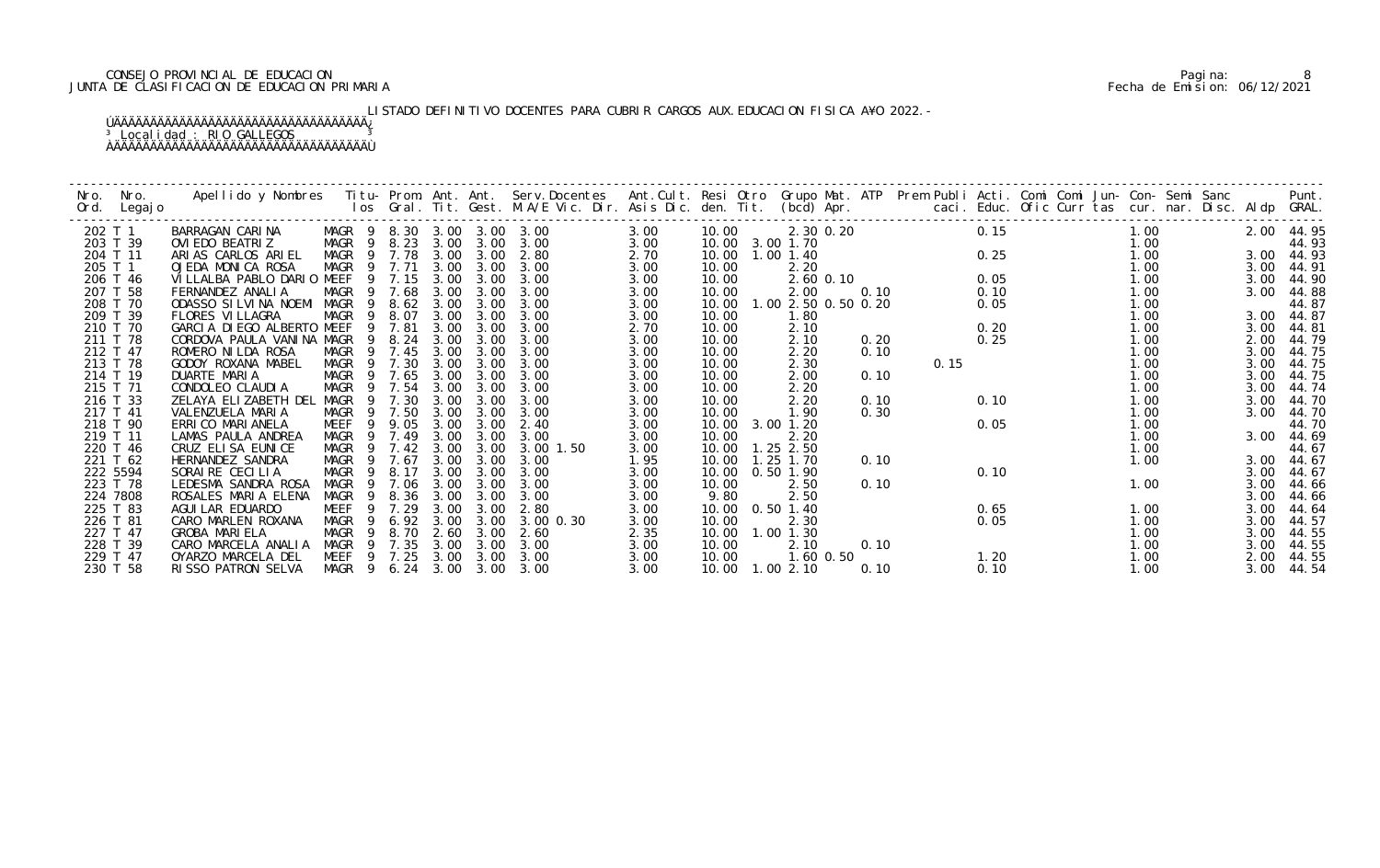# CONSEJO PROVINCIAL DE EDUCACION Pagina: 8 JUNTA DE CLASIFICACION DE EDUCACION PRIMARIA Fecha de Emision: 06/12/2021

# LISTADO DEFINITIVO DOCENTES PARA CUBRIR CARGOS AUX. EDUCACION FISICA A¥O 2022.-

| Nro.<br>Ord. | Nro.<br>Legaj o | Apellido y Nombres  Titu- Prom. Ant. Ant. Serv.Docentes  Ant.Cult. Resi Otro  Grupo Mat. ATP  Prem Publi Acti. Comi Comi Jun- Con- Semi Sanc              Punt.<br>Ios Gral. Tit. Gest. M.A/E Vic. Dir. Asis Dic. den. Tit. (bcd) |                  |                |        |      |      |                            |      |                   |                     |               |      |      |      |  |      |      |            |
|--------------|-----------------|-----------------------------------------------------------------------------------------------------------------------------------------------------------------------------------------------------------------------------------|------------------|----------------|--------|------|------|----------------------------|------|-------------------|---------------------|---------------|------|------|------|--|------|------|------------|
| 202 T 1      |                 | BARRAGAN CARINA                                                                                                                                                                                                                   |                  |                |        |      |      | MAGR 9 8.30 3.00 3.00 3.00 | 3.00 | 10.00             |                     | 2.30 0.20     |      |      | 0.15 |  | 1.00 |      | 2.00 44.95 |
|              | 203 T 39        | OVI EDO BEATRI Z                                                                                                                                                                                                                  | MAGR             | - 9            | 8.23   | 3.00 | 3.00 | 3.00                       | 3.00 | 10.00 3.00 1.70   |                     |               |      |      |      |  | 1.00 |      | 44.93      |
|              | 204 T 11        | ARIAS CARLOS ARIEL                                                                                                                                                                                                                | MAGR 9 7.78      |                |        | 3.00 | 3.00 | 2.80                       | 2.70 | 10.00  1.00  1.40 |                     |               |      |      | 0.25 |  | 1.00 |      | 3.00 44.93 |
| 205 T 1      |                 | OJEDA MONICA ROSA                                                                                                                                                                                                                 | MAGR 9 7.71      |                |        | 3.00 | 3.00 | 3.00                       | 3.00 | 10.00             | 2.20                |               |      |      |      |  | 1.00 | 3.00 | 44.91      |
|              | 206 T 46        | VILLALBA PABLO DARIO MEEF                                                                                                                                                                                                         |                  |                | 9 7.15 | 3.00 | 3.00 | 3.00                       | 3.00 | 10.00             |                     | $2.60$ $0.10$ |      |      | 0.05 |  | 1.00 | 3.00 | 44.90      |
|              | 207 T 58        | FERNANDEZ ANALIA                                                                                                                                                                                                                  | MAGR 9           |                | 7.68   | 3.00 | 3.00 | 3.00                       | 3.00 | 10.00             | 2.00                |               | 0.10 |      | 0.10 |  | 1.00 | 3.00 | 44.88      |
|              | 208 T 70        | ODASSO SILVINA NOEMI MAGR                                                                                                                                                                                                         |                  | - 9            | 8.62   | 3.00 | 3.00 | 3.00                       | 3.00 | 10.00             | 1.00 2.50 0.50 0.20 |               |      |      | 0.05 |  | 1.00 |      | 44.87      |
|              | 209 T 39        | FLORES VI LLAGRA                                                                                                                                                                                                                  | MAGR             | - 9            | 8.07   | 3.00 | 3.00 | 3.00                       | 3.00 | 10.00             | 1.80                |               |      |      |      |  | 1.00 |      | 3.00 44.87 |
|              | 210 T 70        | GARCIA DI EGO ALBERTO MEEF                                                                                                                                                                                                        |                  | 9              | 7.81   | 3.00 | 3.00 | 3.00                       | 2.70 | 10.00             | 2.10                |               |      |      | 0.20 |  | 1.00 | 3.00 | 44.81      |
|              | 211 T 78        | CORDOVA PAULA VANINA MAGR                                                                                                                                                                                                         |                  | - 9            | 8.24   | 3.00 | 3.00 | 3.00                       | 3.00 | 10.00             | 2.10                |               | 0.20 |      | 0.25 |  | 1.00 | 2.00 | 44.79      |
| 212 T 47     |                 | ROMERO NI LDA ROSA                                                                                                                                                                                                                | MAGR 9 7.45      |                |        | 3.00 | 3.00 | 3.00                       | 3.00 | 10.00             | 2.20                |               | 0.10 |      |      |  | 1.00 |      | 3.00 44.75 |
|              | 213 T 78        | GODOY ROXANA MABEL                                                                                                                                                                                                                | MAGR 9 7.30      |                |        | 3.00 | 3.00 | 3.00                       | 3.00 | 10.00             | 2.30                |               |      | 0.15 |      |  | 1.00 | 3.00 | 44.75      |
|              | 214 T 19        | DUARTE MARIA                                                                                                                                                                                                                      | MAGR             | $\overline{9}$ | 7.65   | 3.00 | 3.00 | 3.00                       | 3.00 | 10.00             | 2.00                |               | 0.10 |      |      |  | 1.00 | 3.00 | 44.75      |
|              | 215 T 71        | CONDOLEO CLAUDIA                                                                                                                                                                                                                  | MAGR             | - 9            | 7.54   | 3.00 | 3.00 | 3.00                       | 3.00 | 10.00             | 2.20                |               |      |      |      |  | 1.00 | 3.00 | 44.74      |
|              | 216 T 33        | ZELAYA ELIZABETH DEL                                                                                                                                                                                                              | MAGR             |                | 9 7.30 | 3.00 | 3.00 | 3.00                       | 3.00 | 10.00             | 2.20                |               | 0.10 |      | 0.10 |  | 1.00 | 3.00 | 44.70      |
| 217 T 41     |                 | VALENZUELA MARIA                                                                                                                                                                                                                  | MAGR             | 9              | 7.50   | 3.00 | 3.00 | 3.00                       | 3.00 | 10.00             | 1.90                |               | 0.30 |      |      |  | 1.00 | 3.00 | 44.70      |
|              | 218 T 90        | ERRI CO MARI ANELA                                                                                                                                                                                                                | MEEF             | 9              | 9.05   | 3.00 | 3.00 | 2.40                       | 3.00 | 10.00             | 3.00 1.20           |               |      |      | 0.05 |  | 1.00 |      | 44.70      |
|              | 219 T 11        | LAMAS PAULA ANDREA                                                                                                                                                                                                                | MAGR             | - 9            | 7.49   | 3.00 | 3.00 | 3.00                       | 3.00 | 10.00             | 2.20                |               |      |      |      |  | 1.00 | 3.00 | 44.69      |
|              | 220 T 46        | CRUZ ELISA EUNICE                                                                                                                                                                                                                 | MAGR             | $\overline{9}$ | 7.42   | 3.00 | 3.00 | 3.00 1.50                  | 3.00 | 10.00             | $1.25$ $2.50$       |               |      |      |      |  | 1.00 |      | 44.67      |
|              | 221 T 62        | HERNANDEZ SANDRA                                                                                                                                                                                                                  | MAGR             | - 9            | 7.67   | 3.00 | 3.00 | 3.00                       | 1.95 | 10.00             | 1.25 1.70           |               | 0.10 |      |      |  | 1.00 | 3.00 | 44.67      |
|              | 222 5594        | SORAIRE CECILIA                                                                                                                                                                                                                   | MAGR             | - 9            | 8.17   | 3.00 | 3.00 | 3.00                       | 3.00 | 10.00             | $0.50$ 1.90         |               |      |      | 0.10 |  |      | 3.00 | 44.67      |
|              | 223 T 78        | LEDESMA SANDRA ROSA                                                                                                                                                                                                               | MAGR             | $\overline{9}$ | 7.06   | 3.00 | 3.00 | 3.00                       | 3.00 | 10.00             | 2.50                |               | 0.10 |      |      |  | 1.00 | 3.00 | 44.66      |
|              | 224 7808        | ROSALES MARIA ELENA                                                                                                                                                                                                               | MAGR             | - 9            | 8.36   | 3.00 | 3.00 | 3.00                       | 3.00 | 9.80              | 2.50                |               |      |      |      |  |      | 3.00 | 44.66      |
|              | 225 T 83        | AGUI LAR EDUARDO                                                                                                                                                                                                                  | MEEF             | 9              | 7.29   | 3.00 | 3.00 | 2.80                       | 3.00 | 10.00             | $0.50$ 1.40         |               |      |      | 0.65 |  | 1.00 | 3.00 | 44.64      |
|              | 226 T 81        | CARO MARLEN ROXANA                                                                                                                                                                                                                | <b>MAGR</b>      | -9             | 6.92   | 3.00 | 3.00 | 3.00 0.30                  | 3.00 | 10.00             | 2.30                |               |      |      | 0.05 |  | 1.00 | 3.00 | 44.57      |
|              | 227 T 47        | <b>GROBA MARIELA</b>                                                                                                                                                                                                              | MAGR             | - 9            | 8.70   | 2.60 | 3.00 | 2.60                       | 2.35 | 10.00             | 1.00 1.30           |               |      |      |      |  | 1.00 | 3.00 | 44.55      |
|              | 228 T 39        | CARO MARCELA ANALIA                                                                                                                                                                                                               | MAGR             |                | 9 7.35 | 3.00 | 3.00 | 3.00                       | 3.00 | 10.00             | 2.10                |               | 0.10 |      |      |  | 1.00 | 3.00 | 44.55      |
|              | 229 T 47        | OYARZO MARCELA DEL                                                                                                                                                                                                                | MEEF             |                | 9 7.25 | 3.00 | 3.00 | 3.00                       | 3.00 | 10.00             |                     | $1.60$ $0.50$ |      |      | 1.20 |  | 1.00 | 2.00 | 44.55      |
|              | 230 T 58        | RISSO PATRON SELVA                                                                                                                                                                                                                | MAGR 9 6.24 3.00 |                |        |      | 3.00 | 3.00                       | 3.00 |                   | 10.00  1.00  2.10   |               | 0.10 |      | 0.10 |  | 1.00 |      | 3.00 44.54 |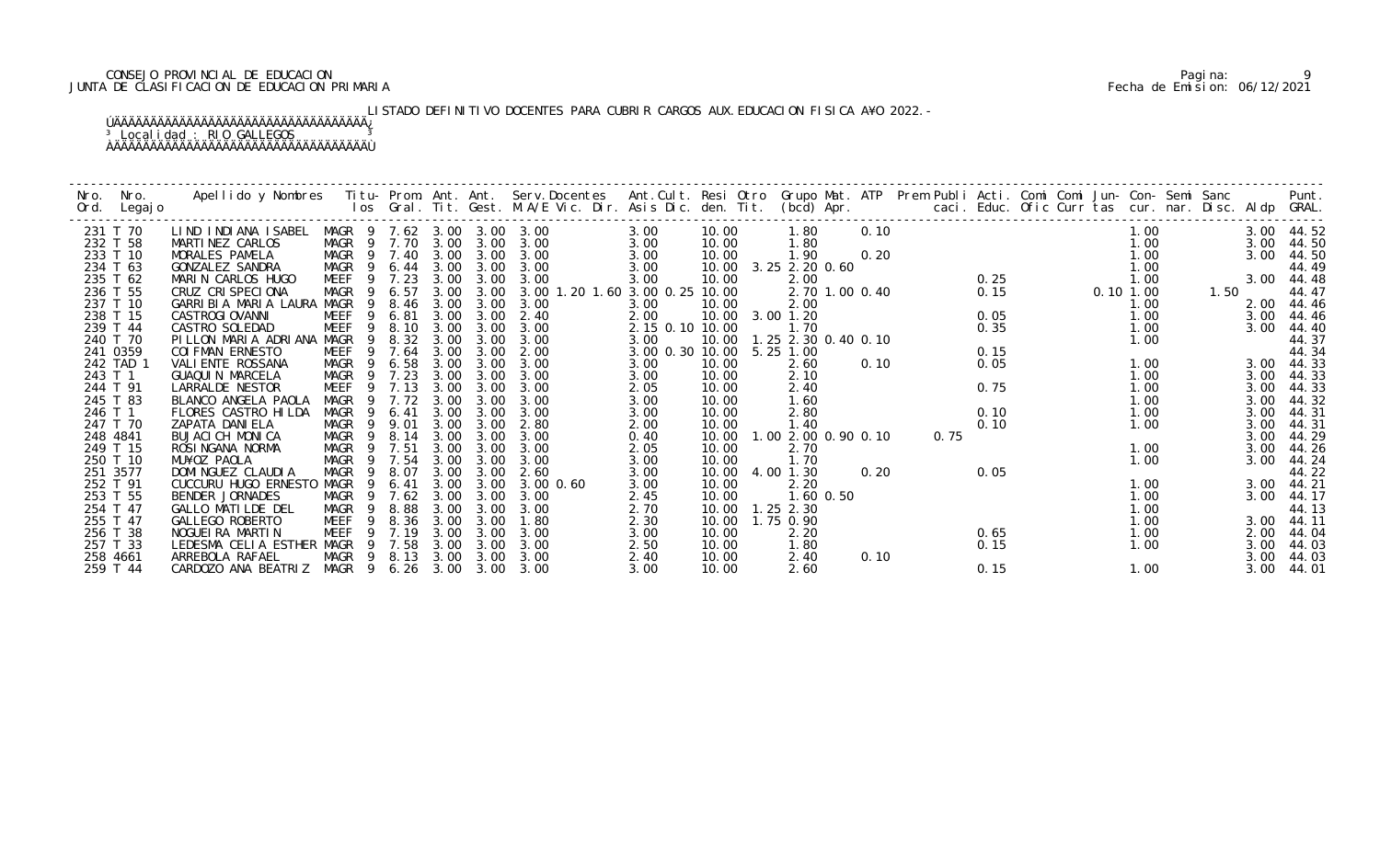# CONSEJO PROVINCIAL DE EDUCACION Pagina: 9 JUNTA DE CLASIFICACION DE EDUCACION PRIMARIA Fecha de Emision: 06/12/2021

LISTADO DEFINITIVO DOCENTES PARA CUBRIR CARGOS AUX. EDUCACION FISICA A¥O 2022.-

| Nro.<br>Ord. | Nro.<br>Legaj o | Apellido y Nombres  Titu- Prom. Ant. Ant. Serv.Docentes  Ant.Cult. Resi Otro Grupo Mat. ATP Prem Publi Acti. Comi Comi Jun- Con- Semi Sanc         Punt.<br>Ios Gral. Tit. Gest. M.A/E Vic. Dir. Asis Dic. den. Tit. (bcd) Apr. |                   |                |                  |      |                            |      |           |                           |       |                                   |           |                            |      |                                              |  |               |      |      |            |
|--------------|-----------------|---------------------------------------------------------------------------------------------------------------------------------------------------------------------------------------------------------------------------------|-------------------|----------------|------------------|------|----------------------------|------|-----------|---------------------------|-------|-----------------------------------|-----------|----------------------------|------|----------------------------------------------|--|---------------|------|------|------------|
|              | 231 T 70        | LIND INDIANA ISABEL                                                                                                                                                                                                             |                   |                |                  |      | MAGR 9 7.62 3.00 3.00 3.00 |      |           | 3.00                      | 10.00 | 1.80                              |           | 0.10                       |      |                                              |  | 1.00          |      |      | 3.00 44.52 |
|              | 232 T 58        | MARTINEZ CARLOS                                                                                                                                                                                                                 |                   |                | MAGR 9 7.70 3.00 |      | $3.00\quad 3.00$           |      |           | 3.00                      | 10.00 | 1.80                              |           |                            |      |                                              |  | 1.00          |      |      | 3.00 44.50 |
|              | 233 T 10        | MORALES PAMELA                                                                                                                                                                                                                  |                   |                | MAGR 9 7.40      | 3.00 | 3.00                       | 3.00 |           | 3.00                      | 10.00 | 1.90                              |           | 0.20                       |      | $\begin{array}{ccc} 0.25 & 0.15 \end{array}$ |  | 1.00          |      |      | 3.00 44.50 |
|              | 234 T 63        | GONZALEZ SANDRA                                                                                                                                                                                                                 | MAGR              |                | 9 6.44           | 3.00 | 3.00                       | 3.00 |           | 3.00                      | 10.00 | 3.25 2.20 0.60                    |           |                            |      |                                              |  | 1.00          |      |      | 44.49      |
|              | 235 T 62        | MARIN CARLOS HUGO                                                                                                                                                                                                               | MEEF              |                | 9 7.23           | 3.00 | 3.00                       | 3.00 |           | 3.00                      | 10.00 | 2.00                              |           |                            |      |                                              |  | 1.00          |      |      | 3.00 44.48 |
|              | 236 T 55        | CRUZ CRISPECIONA                                                                                                                                                                                                                | MAGR 9            |                | 6.57             | 3.00 | 3.00                       |      |           | 3.00 1.20 1.60 3.00 0.25  | 10.00 |                                   |           | 2. UU<br>2. 70 1. 00 0. 40 |      |                                              |  | $0.10$ $1.00$ | 1.50 |      | 44.47      |
|              | 237 T 10        | GARRIBIA MARIA LAURA MAGR                                                                                                                                                                                                       |                   |                | 9 8.46           | 3.00 | 3.00                       | 3.00 |           | 3.00                      | 10.00 |                                   |           |                            |      |                                              |  | 1.00          |      |      | 2.00 44.46 |
|              | 238 T 15        | CASTROGI OVANNI                                                                                                                                                                                                                 | MEEF              | -9             | 6.81             | 3.00 | 3.00                       | 2.40 |           | 2.00                      |       | 10.00 3.00 1.20                   |           |                            |      | 0.05                                         |  | 1.00          |      | 3.00 | 44.46      |
|              | 239 T 44        | CASTRO SOLEDAD                                                                                                                                                                                                                  | MEEF              | 9              | 8.10             | 3.00 | 3.00                       | 3.00 |           | 2.15 0.10 10.00           |       | 1.70                              |           |                            |      | 0.35                                         |  | 1.00          |      | 3.00 | 44.40      |
|              | 240 T 70        | PILLON MARIA ADRIANA                                                                                                                                                                                                            | MAGR              | 9              | 8.32             | 3.00 | 3.00                       | 3.00 |           | 3.00                      |       | 10.00   1.25   2.30   0.40   0.10 |           |                            |      |                                              |  | 1.00          |      |      | 44.37      |
|              | 241 0359        | <b>COI FMAN ERNESTO</b>                                                                                                                                                                                                         | MEEF              |                | 9 7.64           | 3.00 | 3.00                       | 2.00 |           | 3.00 0.30 10.00 5.25 1.00 |       |                                   |           |                            |      | 0.15                                         |  |               |      |      | 44.34      |
|              | 242 TAD 1       | VALI ENTE ROSSANA                                                                                                                                                                                                               | MAGR <sub>9</sub> |                | 6.58             | 3.00 | 3.00                       | 3.00 |           | 3.00                      | 10.00 | 2.60                              |           | 0.10                       |      | 0.05                                         |  | 1.00          |      |      | 3.00 44.33 |
| 243 T 1      |                 | <b>GUAQUIN MARCELA</b>                                                                                                                                                                                                          | MAGR 9            |                | 7.23             | 3.00 | 3.00                       | 3.00 |           | 3.00                      | 10.00 | 2.10                              |           |                            |      |                                              |  | 1.00          |      | 3.00 | 44.33      |
|              | 244 T 91        | LARRALDE NESTOR                                                                                                                                                                                                                 | MEEF              |                | 9 7.13           | 3.00 | 3.00                       | 3.00 |           | 2.05                      | 10.00 | 2.40                              |           |                            |      | 0.75                                         |  | 1.00          |      | 3.00 | 44.33      |
|              | 245 T 83        | BLANCO ANGELA PAOLA                                                                                                                                                                                                             | MAGR              |                | 9 7.72           | 3.00 | 3.00                       | 3.00 |           | 3.00                      | 10.00 | 1.60                              |           |                            |      |                                              |  | 1.00          |      | 3.00 | 44.32      |
| 246 T 1      |                 | FLORES CASTRO HILDA                                                                                                                                                                                                             | <b>MAGR</b>       | -9             | 6.41             | 3.00 | 3.00                       | 3.00 |           | 3.00                      | 10.00 | 2.80                              |           |                            |      | 0.10                                         |  | 1.00          |      | 3.00 | 44.31      |
|              | 247 T 70        | ZAPATA DANI ELA                                                                                                                                                                                                                 | MAGR              | - 9            | 9.01             | 3.00 | 3.00                       | 2.80 |           | 2.00                      | 10.00 | 1.40                              |           |                            |      | 0.10                                         |  | 1.00          |      | 3.00 | 44.31      |
|              | 248 4841        | BUJACI CH MONICA                                                                                                                                                                                                                | MAGR              | - 9            | 8.14             | 3.00 | 3.00                       | 3.00 |           | 0.40                      | 10.00 | 1.00 2.00 0.90 0.10               |           |                            | 0.75 |                                              |  |               |      | 3.00 | 44.29      |
|              | 249 T 15        | ROSI NGANA NORMA                                                                                                                                                                                                                | MAGR 9 7.51       |                |                  | 3.00 | 3.00                       | 3.00 |           | 2.05                      | 10.00 | 2.70                              |           |                            |      |                                              |  | 1.00          |      | 3.00 | 44.26      |
|              | 250 T 10        | MU¥OZ PAOLA                                                                                                                                                                                                                     | MAGR              |                | 9 7.54           | 3.00 | 3.00                       | 3.00 |           | 3.00                      | 10.00 | 1.70                              |           |                            |      |                                              |  | 1.00          |      | 3.00 | 44.24      |
|              | 251 3577        | DOMI NGUEZ CLAUDI A                                                                                                                                                                                                             | MAGR              | $\overline{9}$ | 8.07             | 3.00 | 3.00                       | 2.60 |           | 3.00                      |       | 10.00 4.00 1.30                   |           | 0.20                       |      | 0.05                                         |  |               |      |      | 44.22      |
|              | 252 T 91        | CUCCURU HUGO ERNESTO MAGR                                                                                                                                                                                                       |                   | $\overline{9}$ | 6.41             | 3.00 | 3.00                       |      | 3.00 0.60 | 3.00                      | 10.00 | 2.20                              |           |                            |      |                                              |  | 1.00          |      |      | 3.00 44.21 |
|              | 253 T 55        | BENDER JORNADES                                                                                                                                                                                                                 | MAGR              | $\overline{9}$ | 7.62             | 3.00 | 3.00                       | 3.00 |           | 2.45                      | 10.00 |                                   | 1.60 0.50 |                            |      |                                              |  | 1.00          |      | 3.00 | 44.17      |
|              | 254 T 47        | GALLO MATILDE DEL                                                                                                                                                                                                               | MAGR              | - 9            | 8.88             | 3.00 | 3.00                       | 3.00 |           | 2.70                      | 10.00 | $1.25$ $2.30$                     |           |                            |      |                                              |  | 1.00          |      |      | 44.13      |
|              | 255 T 47        | GALLEGO ROBERTO                                                                                                                                                                                                                 | MEEF              | -9             | 8.36             | 3.00 | 3.00                       | 1.80 |           | 2.30                      | 10.00 | 1.75 0.90                         |           |                            |      |                                              |  | 1.00          |      |      | 3.00 44.11 |
|              | 256 T 38        | NOGUEIRA MARTIN                                                                                                                                                                                                                 | MEEF              |                | 9 7.19           | 3.00 | 3.00                       | 3.00 |           | 3.00                      | 10.00 | 2.20                              |           |                            |      | 0.65                                         |  | 1.00          |      | 2.00 | 44.04      |
|              | 257 T 33        | LEDESMA CELIA ESTHER MAGR 9 7.58                                                                                                                                                                                                |                   |                |                  | 3.00 | 3.00                       | 3.00 |           | 2.50                      | 10.00 | 1.80                              |           |                            |      | 0.15                                         |  | 1.00          |      | 3.00 | 44.03      |
|              | 258 4661        | ARREBOLA RAFAEL                                                                                                                                                                                                                 | MAGR 9            |                | 8.13             | 3.00 | 3.00                       | 3.00 |           | 2.40                      | 10.00 | 2.40                              |           | 0.10                       |      |                                              |  |               |      | 3.00 | 44.03      |
|              | 259 T 44        | CARDOZO ANA BEATRIZ MAGR 9 6.26 3.00 3.00                                                                                                                                                                                       |                   |                |                  |      |                            | 3.00 |           | 3.00                      | 10.00 | 2.60                              |           |                            |      | 0.15                                         |  | 1.00          |      |      | 3.00 44.01 |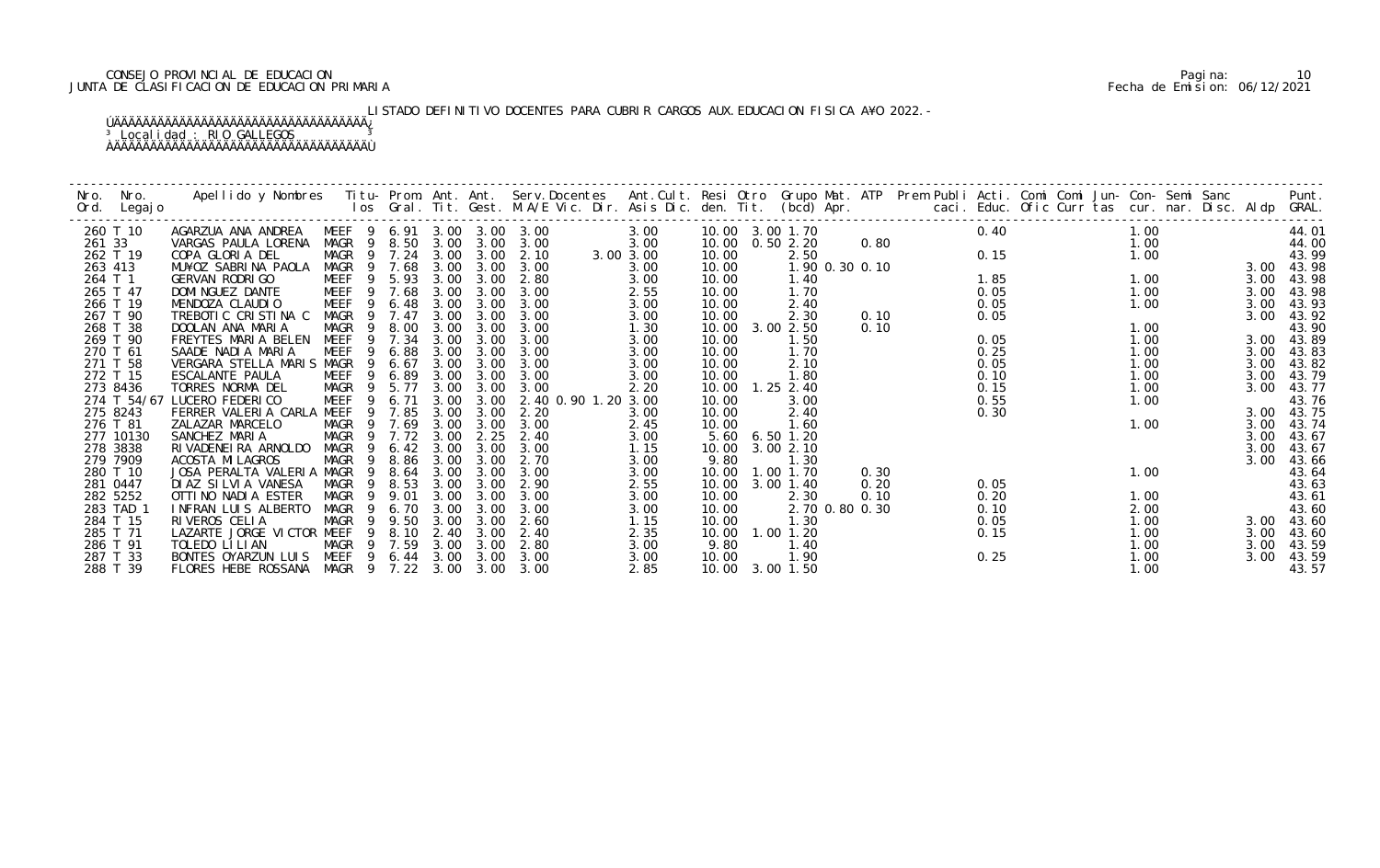# CONSEJO PROVINCIAL DE EDUCACION Pagina: 10 JUNTA DE CLASIFICACION DE EDUCACION PRIMARIA Fecha de Emision: 06/12/2021

LISTADO DEFINITIVO DOCENTES PARA CUBRIR CARGOS AUX. EDUCACION FISICA A¥O 2022.-

| Nro.   | Nro.<br>Ord. Legajo | Apellido y Nombres - Titu- Prom. Ant. Ant. Serv.Docentes - Ant.Cult. Resi Otro Grupo Mat. ATP - Prem Publi Acti. Comi Comi Jun- Con- Semi Sanc - - - - Punt.<br>Ios Gral. Tit. Gest. M.A/E Vic. Dir. Asis Dic. den. Tit. (bcd) Ap |                   |                |                   |      |           |                            |                     |           |                 |                   |                |      |  |      |                |      |              |      |            |
|--------|---------------------|-----------------------------------------------------------------------------------------------------------------------------------------------------------------------------------------------------------------------------------|-------------------|----------------|-------------------|------|-----------|----------------------------|---------------------|-----------|-----------------|-------------------|----------------|------|--|------|----------------|------|--------------|------|------------|
|        | 260 T 10            | AGARZUA ANA ANDREA MEEF 9 6.91 3.00 3.00 3.00                                                                                                                                                                                     |                   |                |                   |      |           |                            |                     | 3.00      |                 |                   |                |      |  | 0.40 |                | 1.00 |              |      | 44.01      |
| 261 33 |                     | VARGAS PAULA LORENA                                                                                                                                                                                                               |                   |                |                   |      |           | MAGR 9 8.50 3.00 3.00 3.00 |                     | 3.00      |                 |                   |                |      |  |      |                | 1.00 |              |      | 44.00      |
|        | 262 T 19            | COPA GLORIA DEL                                                                                                                                                                                                                   |                   |                | MAGR 9 7.24 3.00  |      | 3.00      | 2.10                       |                     | 3.00 3.00 |                 |                   |                |      |  |      | $0.15$<br>1.85 |      | 1.00<br>1.00 |      | 43.99      |
|        | 263 413             | MU¥OZ SABRINA PAOLA                                                                                                                                                                                                               |                   |                | MAGR 9 7.68       |      | 3.00 3.00 | 3.00                       |                     | 3.00      |                 |                   |                |      |  |      |                |      |              |      | 3.00 43.98 |
|        | 264 T 1             | GERVAN RODRIGO                                                                                                                                                                                                                    | MEEF              |                | 9 5.93 3.00       |      | 3.00      | 2.80                       |                     | 3.00      | 10.00           | 1.40              |                |      |  |      |                | 1.00 |              | 3.00 | 43.98      |
|        | 265 T 47            | DOMI NGUEZ DANTE                                                                                                                                                                                                                  |                   |                | MEEF 9 7.68       | 3.00 | 3.00      | 3.00                       |                     | 2.55      | 10.00           | 1.70              |                |      |  | 0.05 |                | 1.00 |              | 3.00 | 43.98      |
|        | 266 T 19            | MENDOZA CLAUDIO                                                                                                                                                                                                                   | MEEF <sub>9</sub> |                | 6.48              | 3.00 | 3.00      | 3.00                       |                     | 3.00      | 10.00           | 2.40              |                |      |  | 0.05 |                | 1.00 |              | 3.00 | 43.93      |
|        | 267 T 90            | TREBOTIC CRISTINA C                                                                                                                                                                                                               |                   |                | MAGR 9 7.47       | 3.00 | 3.00      | 3.00                       |                     | 3.00      | 10.00           | 2.30              |                | 0.10 |  | 0.05 |                |      |              | 3.00 | 43.92      |
|        | 268 T 38            | DOOLAN ANA MARIA                                                                                                                                                                                                                  | MAGR              | - 9            | 8.00              | 3.00 | 3.00      | 3.00                       |                     | 1.30      |                 | 10.00 3.00 2.50   |                | 0.10 |  |      |                | 1.00 |              |      | 43.90      |
|        | 269 T 90            | FREYTES MARIA BELEN                                                                                                                                                                                                               | MEEF 9 7.34       |                |                   | 3.00 | 3.00      | 3.00                       |                     | 3.00      | 10.00           | 1.50              |                |      |  | 0.05 |                | 1.00 |              |      | 3.00 43.89 |
|        | 270 T 61            | SAADE NADIA MARIA                                                                                                                                                                                                                 | MEEF 9 6.88       |                |                   | 3.00 | 3.00      | 3.00                       |                     | 3.00      | 10.00           | 1.70              |                |      |  | 0.25 |                | 1.00 |              |      | 3.00 43.83 |
|        | 271 T 58            | VERGARA STELLA MARIS MAGR 9 6.67                                                                                                                                                                                                  |                   |                |                   | 3.00 | 3.00      | 3.00                       |                     | 3.00      | 10.00           | 2.10              |                |      |  | 0.05 |                | 1.00 |              | 3.00 | 43.82      |
|        | 272 T 15            | ESCALANTE PAULA                                                                                                                                                                                                                   | MEEF              | - 9            | 6.89              | 3.00 | 3.00      | 3.00                       |                     | 3.00      | 10.00           | 1.80              |                |      |  | 0.10 |                | 1.00 |              | 3.00 | 43.79      |
|        | 273 8436            | TORRES NORMA DEL                                                                                                                                                                                                                  | MAGR 9 5.77       |                |                   | 3.00 | 3.00      | 3.00                       |                     | 2.20      |                 | 10.00  1.25  2.40 |                |      |  | 0.15 |                | 1.00 |              | 3.00 | 43.77      |
|        |                     | 274 T 54/67 LUCERO FEDERICO                                                                                                                                                                                                       | MEEF 9 6.71       |                |                   | 3.00 | 3.00      |                            | 2.40 0.90 1.20 3.00 |           | 10.00           | 3.00              |                |      |  | 0.55 |                | 1.00 |              |      | 43.76      |
|        | 275 8243            | FERRER VALERIA CARLA MEEF                                                                                                                                                                                                         |                   |                | 9 7.85            | 3.00 | 3.00      | 2.20                       |                     | 3.00      | 10.00           | 2.40              |                |      |  | 0.30 |                |      |              |      | 3.00 43.75 |
|        | 276 T 81            | ZALAZAR MARCELO                                                                                                                                                                                                                   |                   |                | MAGR 9 7.69       | 3.00 | 3.00      | 3.00                       |                     | 2.45      | 10.00           | 1.60              |                |      |  |      |                | 1.00 |              | 3.00 | 43.74      |
|        | 277 10130           | SANCHEZ MARIA                                                                                                                                                                                                                     |                   |                | MAGR 9 7.72 3.00  |      | 2.25      | 2.40                       |                     | 3.00      |                 | 5.60 6.50 1.20    |                |      |  |      |                |      |              | 3.00 | 43.67      |
|        | 278 3838            | RI VADENEI RA ARNOLDO                                                                                                                                                                                                             | MAGR 9            |                | $6.42 \quad 3.00$ |      | 3.00      | 3.00                       |                     | 1.15      | 10.00           | 3.002.10          |                |      |  |      |                |      |              | 3.00 | 43.67      |
|        | 279 7909            | ACOSTA MI LAGROS                                                                                                                                                                                                                  | MAGR              |                | 9 8.86            | 3.00 | 3.00      | 2.70                       |                     | 3.00      | 9.80            | 1.30              |                |      |  |      |                |      |              | 3.00 | 43.66      |
|        | 280 T 10            | JOSA PERALTA VALERIA MAGR                                                                                                                                                                                                         |                   | $\overline{9}$ | 8.64              | 3.00 | 3.00      | 3.00                       |                     | 3.00      |                 | 10.00  1.00  1.70 |                | 0.30 |  |      |                | 1.00 |              |      | 43.64      |
|        | 281 0447            | DIAZ SILVIA VANESA                                                                                                                                                                                                                | MAGR              |                | 9 8.53            | 3.00 | 3.00      | 2.90                       |                     | 2.55      | 10.00 3.00 1.40 |                   |                | 0.20 |  | 0.05 |                |      |              |      | 43.63      |
|        | 282 5252            | OTTINO NADIA ESTER                                                                                                                                                                                                                | MAGR 9 9.01       |                |                   | 3.00 | 3.00      | 3.00                       |                     | 3.00      | 10.00           | 2.30              |                | 0.10 |  | 0.20 |                | 1.00 |              |      | 43.61      |
|        | 283 TAD 1           | INFRAN LUIS ALBERTO                                                                                                                                                                                                               | MAGR              | - 9            | 6.70              | 3.00 | 3.00      | 3.00                       |                     | 3.00      | 10.00           |                   | 2.70 0.80 0.30 |      |  | 0.10 |                | 2.00 |              |      | 43.60      |
|        | 284 T 15            | RIVEROS CELIA                                                                                                                                                                                                                     | MAGR              |                | 9 9.50            | 3.00 | 3.00      | 2.60                       |                     | 1.15      | 10.00           | 1.30              |                |      |  | 0.05 |                | 1.00 |              |      | 3.00 43.60 |
|        | 285 T 71            | LAZARTE JORGE VICTOR MEEF                                                                                                                                                                                                         |                   |                | 9 8.10            | 2.40 | 3.00      | 2.40                       |                     | 2.35      |                 | 10.00  1.00  1.20 |                |      |  | 0.15 |                | 1.00 |              | 3.00 | 43.60      |
|        | 286 T 91            | TOLEDO LI LI AN                                                                                                                                                                                                                   |                   |                | MAGR 9 7.59 3.00  |      | 3.00      | 2.80                       |                     | 3.00      | 9.80            | 1.40              |                |      |  |      |                | 1.00 |              | 3.00 | 43.59      |
|        | 287 T 33            | BONTES OYARZUN LUIS MEEF 9 6.44 3.00                                                                                                                                                                                              |                   |                |                   |      | 3.00      | 3.00                       |                     | 3.00      | 10.00           | 1.90              |                |      |  | 0.25 |                | 1.00 |              | 3.00 | 43.59      |
|        | 288 T 39            | FLORES HEBE ROSSANA MAGR 9 7.22 3.00 3.00 3.00                                                                                                                                                                                    |                   |                |                   |      |           |                            |                     | 2.85      | 10.00 3.00 1.50 |                   |                |      |  |      |                | 1.00 |              |      | 43.57      |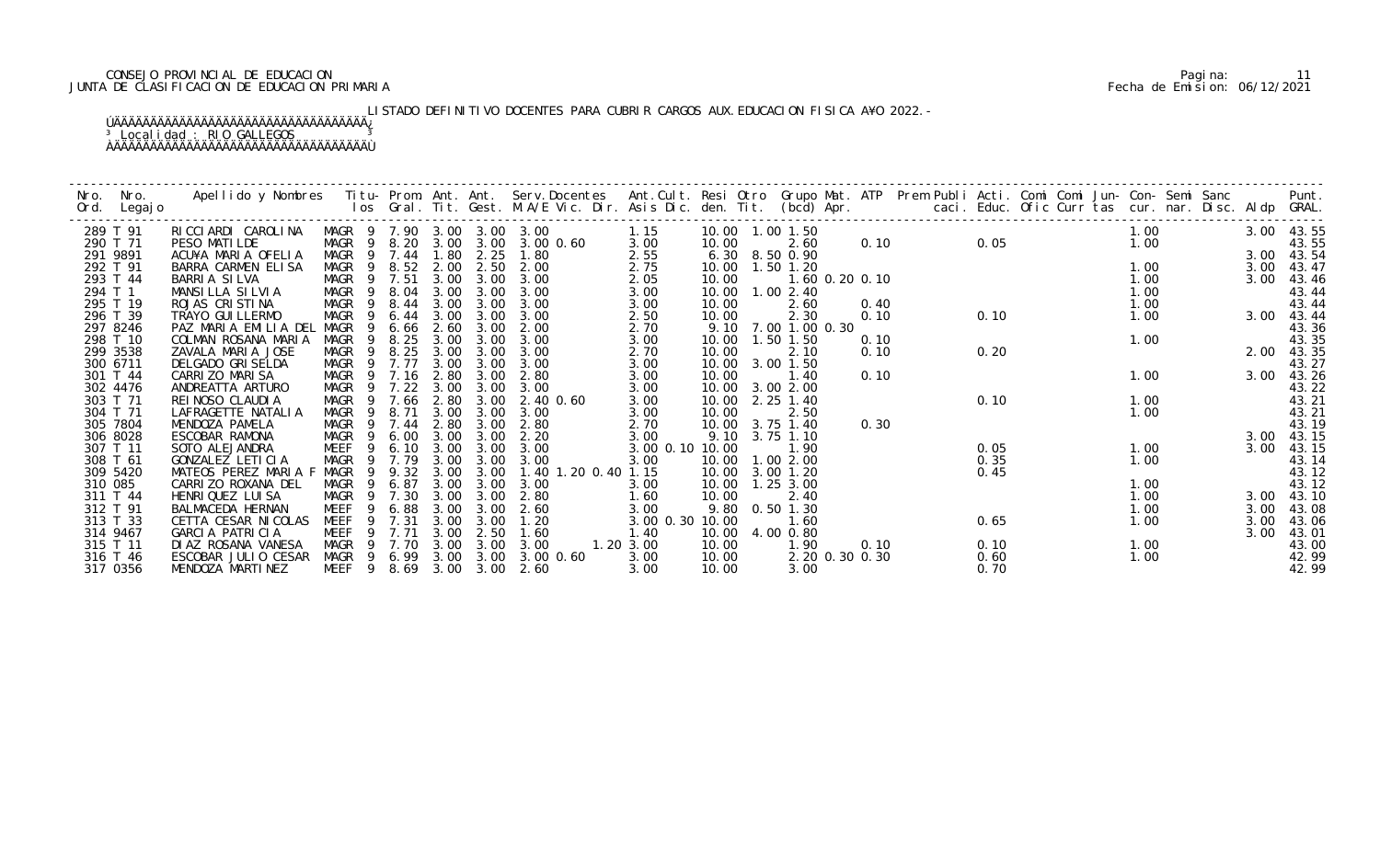# CONSEJO PROVINCIAL DE EDUCACION Pagina: 11 JUNTA DE CLASIFICACION DE EDUCACION PRIMARIA Fecha de Emision: 06/12/2021

LISTADO DEFINITIVO DOCENTES PARA CUBRIR CARGOS AUX. EDUCACION FISICA A¥O 2022.-

| Nro. | Nro.<br>Ord. Legajo | Apellido y Nombres  Titu- Prom. Ant. Ant. Serv.Docentes  Ant.Cult. Resi Otro Grupo Mat. ATP  Prem Publi Acti. Comi Comi Jun- Con- Semi Sanc        Punt.<br>Ios Gral. Tit. Gest. M.A/E Vic. Dir. Asis Dic. den. Tit. (bcd) Apr. |                            |                        |                  |      |                     |                 |                   |                |                |      |  |      |      |  |      |  |      |            |
|------|---------------------|---------------------------------------------------------------------------------------------------------------------------------------------------------------------------------------------------------------------------------|----------------------------|------------------------|------------------|------|---------------------|-----------------|-------------------|----------------|----------------|------|--|------|------|--|------|--|------|------------|
|      | 289 T 91            | RI CCI ARDI CAROLINA                                                                                                                                                                                                            | MAGR 9 7.90 3.00 3.00 3.00 |                        |                  |      |                     | 1.15            | 10.00  1.00  1.50 |                |                |      |  |      |      |  | 1.00 |  |      | 3.00 43.55 |
|      | 290 T 71            | PESO MATILDE                                                                                                                                                                                                                    | MAGR 9 8.20 3.00           |                        |                  |      | 3.00 3.00 0.60      | 3.00            | 10.00             | 2.60           |                | 0.10 |  |      | 0.05 |  | 1.00 |  |      | 43.55      |
|      | 291 9891            | ACU¥A MARIA OFELIA                                                                                                                                                                                                              | MAGR 9 7.44 1.80           |                        |                  | 2.25 | 1.80                | 2.55            |                   | 6.30 8.50 0.90 |                |      |  |      |      |  |      |  |      | 3.00 43.54 |
|      | 292 T 91            | BARRA CARMEN ELISA                                                                                                                                                                                                              | MAGR 9 8.52                |                        | 2.00             | 2.50 | 2.00                | 2.75            | 10.00  1.50  1.20 |                |                |      |  |      |      |  | 1.00 |  | 3.00 | 43.47      |
|      | 293 T 44            | BARRIA SILVA                                                                                                                                                                                                                    | MAGR 9 7.51                |                        | 3.00             | 3.00 | 3.00                | 2.05            | 10.00             |                | 1.60 0.20 0.10 |      |  |      |      |  | 1.00 |  | 3.00 | 43.46      |
|      | 294 T 1             | MANSILLA SILVIA                                                                                                                                                                                                                 | MAGR 9                     | 8.04                   | 3.00             | 3.00 | 3.00                | 3.00            | 10.00  1.00  2.40 |                |                |      |  |      |      |  | 1.00 |  |      | 43.44      |
|      | 295 T 19            | ROJAS CRISTINA                                                                                                                                                                                                                  | MAGR 9 8.44                |                        | 3.00             | 3.00 | 3.00                | 3.00            | 10.00             | 2.60           |                | 0.40 |  |      |      |  | 1.00 |  |      | 43.44      |
|      | 296 T 39            | TRAYO GUI LLERMO                                                                                                                                                                                                                | MAGR                       | - 9<br>6.44            | 3.00             | 3.00 | 3.00                | 2.50            | 10.00             | 2.30           |                | 0.10 |  | 0.10 |      |  | 1.00 |  |      | 3.00 43.44 |
|      | 297 8246            | PAZ MARIA EMILIA DEL                                                                                                                                                                                                            | MAGR                       | - 9<br>6.66            | 2.60             | 3.00 | 2.00                | 2.70            | 9.10              | 7.00 1.00 0.30 |                |      |  |      |      |  |      |  |      | 43.36      |
|      | 298 T 10            | COLMAN ROSANA MARIA                                                                                                                                                                                                             | MAGR                       | 8.25<br>9              | 3.00             | 3.00 | 3.00                | 3.00            | 10.00             | 1.50 1.50      |                | 0.10 |  |      |      |  | 1.00 |  |      | 43.35      |
|      | 299 3538            | ZAVALA MARIA JOSE                                                                                                                                                                                                               | MAGR 9 8.25                |                        | 3.00             | 3.00 | 3.00                | 2.70            | 10.00             | 2.10           |                | 0.10 |  | 0.20 |      |  |      |  |      | 2.00 43.35 |
|      | 300 6711            | DELGADO GRI SELDA                                                                                                                                                                                                               | MAGR 9 7.77                |                        | 3.00             | 3.00 | 3.00                | 3.00            | 10.00             | 3.00 1.50      |                |      |  |      |      |  |      |  |      | 43.27      |
|      | 301 T 44            | CARRI ZO MARI SA                                                                                                                                                                                                                | MAGR 9                     | 7.16                   | 2.80             | 3.00 | 2.80                | 3.00            | 10.00             | 1.40           |                | 0.10 |  |      |      |  | 1.00 |  |      | 3.00 43.26 |
|      | 302 4476            | ANDREATTA ARTURO                                                                                                                                                                                                                | MAGR 9 7.22 3.00           |                        |                  | 3.00 | 3.00                | 3.00            | 10.00 3.00 2.00   |                |                |      |  |      |      |  |      |  |      | 43.22      |
|      | 303 T 71            | REI NOSO CLAUDIA                                                                                                                                                                                                                | MAGR 9 7.66                |                        | 2.80             | 3.00 | 2.40 0.60           | 3.00            | 10.00 2.25 1.40   |                |                |      |  | 0.10 |      |  | 1.00 |  |      | 43.21      |
|      | 304 T 71            | LAFRAGETTE NATALIA                                                                                                                                                                                                              | MAGR                       | 8.71<br>- 9            | 3.00             | 3.00 | 3.00                | 3.00            | 10.00             | 2.50           |                |      |  |      |      |  | 1.00 |  |      | 43.21      |
|      | 305 7804            | MENDOZA PAMELA                                                                                                                                                                                                                  | MAGR                       | 7.44<br>- 9            | 2.80             | 3.00 | 2.80                | 2.70            | 10.00 3.75 1.40   |                |                | 0.30 |  |      |      |  |      |  |      | 43.19      |
|      | 306 8028            | ESCOBAR RAMONA                                                                                                                                                                                                                  | MAGR 9                     | 6. 00                  | 3.00             | 3.00 | 2.20                | 3.00            | 9.10              | 3.75 1.10      |                |      |  |      |      |  |      |  |      | 3.00 43.15 |
|      | 307 T 11            | SOTO ALEJANDRA                                                                                                                                                                                                                  | MEEF                       | 6.10<br>-9             | 3.00             | 3.00 | 3.00                | 3.00 0.10 10.00 |                   | 1.90           |                |      |  | 0.05 |      |  | 1.00 |  |      | 3.00 43.15 |
|      | 308 T 61            | GONZALEZ LETICIA                                                                                                                                                                                                                | MAGR                       | 9 7.79                 | 3.00             | 3.00 | 3.00                | 3.00            | 10.00  1.00  2.00 |                |                |      |  | 0.35 |      |  | 1.00 |  |      | 43.14      |
|      | 309 5420            | MATEOS PEREZ MARIA F                                                                                                                                                                                                            | MAGR                       | 9.32<br>$\overline{9}$ | 3.00             | 3.00 | 1.40 1.20 0.40 1.15 |                 | 10.00 3.00 1.20   |                |                |      |  | 0.45 |      |  |      |  |      | 43.12      |
|      | 310 085             | CARRIZO ROXANA DEL                                                                                                                                                                                                              | MAGR                       | 6.87<br>- 9            | 3.00             | 3.00 | 3.00                | 3.00            | 10.00  1.25  3.00 |                |                |      |  |      |      |  | 1.00 |  |      | 43.12      |
|      | 311 T 44            | HENRI QUEZ LUI SA                                                                                                                                                                                                               | MAGR 9 7.30                |                        | 3.00             | 3.00 | 2.80                | 1.60            | 10.00             | 2.40           |                |      |  |      |      |  | 1.00 |  |      | 3.00 43.10 |
|      | 312 T 91            | BALMACEDA HERNAN                                                                                                                                                                                                                | MEEF                       | 6.88<br>9              | 3.00             | 3.00 | 2.60                | 3.00            | 9.80              | $0.50$ 1.30    |                |      |  |      |      |  | 1.00 |  | 3.00 | 43.08      |
|      | 313 T 33            | CETTA CESAR NICOLAS                                                                                                                                                                                                             | <b>MEEF</b>                | 7.31<br>9              | 3.00             | 3.00 | 1.20                | 3.00 0.30 10.00 |                   | 1.60           |                |      |  | 0.65 |      |  | 1.00 |  | 3.00 | 43.06      |
|      | 314 9467            | GARCIA PATRICIA                                                                                                                                                                                                                 | MEEF                       | 9 7.71                 | 3.00             | 2.50 | 1.60                | 1.40            | 10.00 4.00 0.80   |                |                |      |  |      |      |  |      |  | 3.00 | 43.01      |
|      | 315 T 11            | DIAZ ROSANA VANESA                                                                                                                                                                                                              | MAGR 9 7.70                |                        | 3.00             | 3.00 | 3.00                | 1.20 3.00       | 10.00             | 1.90           |                | 0.10 |  | 0.10 |      |  | 1.00 |  |      | 43.00      |
|      | 316 T 46            | ESCOBAR JULIO CESAR                                                                                                                                                                                                             | MAGR                       |                        | 9 6.99 3.00 3.00 |      | 3.00 0.60           | 3.00            | 10.00             |                | 2.20 0.30 0.30 |      |  | 0.60 |      |  | 1.00 |  |      | 42.99      |
|      | 317 0356            | MENDOZA MARTINEZ                                                                                                                                                                                                                | MEEF 9 8.69 3.00 3.00      |                        |                  |      | 2.60                | 3.00            | 10.00             | 3.00           |                |      |  | 0.70 |      |  |      |  |      | 42.99      |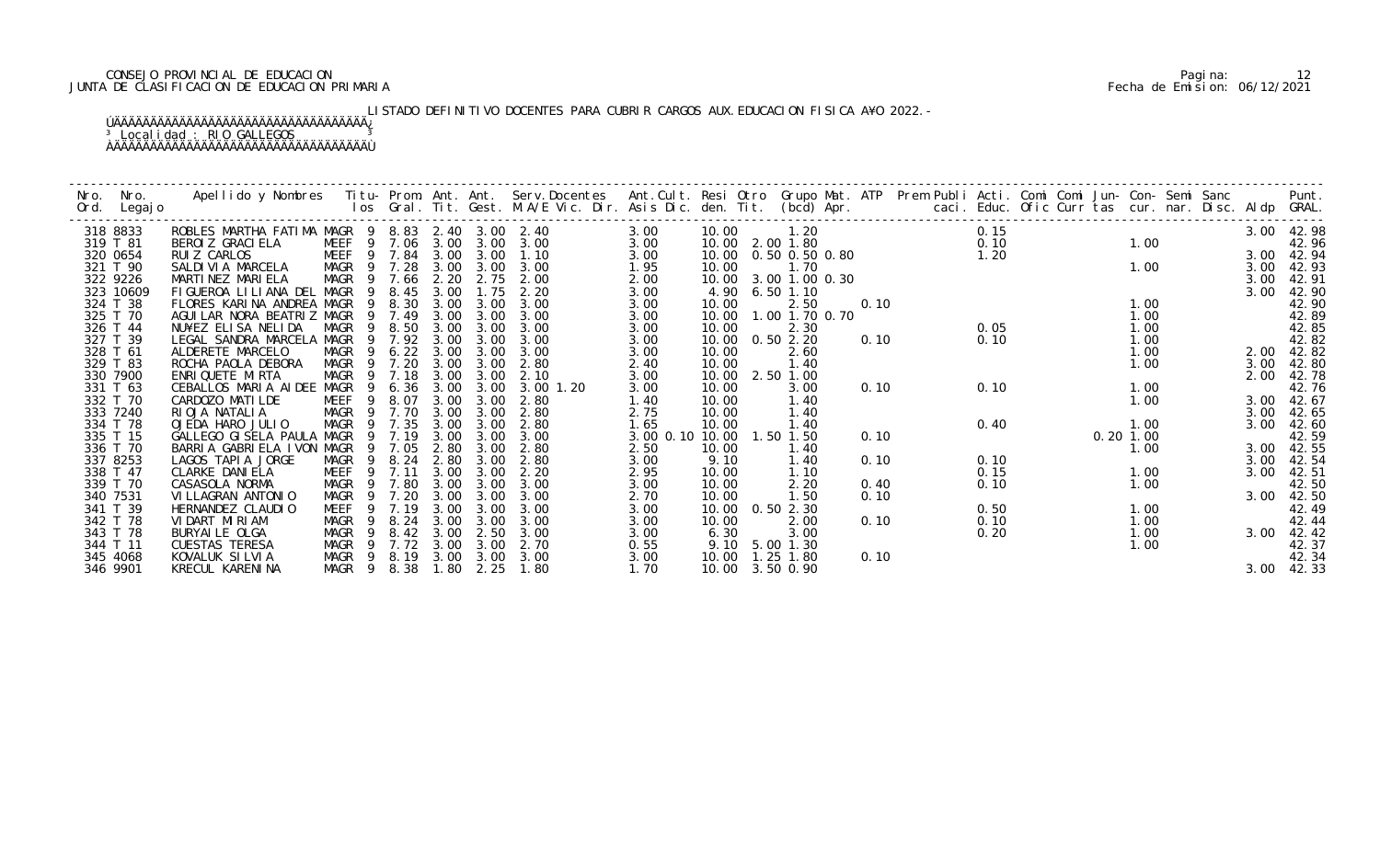# CONSEJO PROVINCIAL DE EDUCACION Pagina: 12 JUNTA DE CLASIFICACION DE EDUCACION PRIMARIA Fecha de Emision: 06/12/2021

LISTADO DEFINITIVO DOCENTES PARA CUBRIR CARGOS AUX. EDUCACION FISICA A¥O 2022.-

| Nro. | Nro.<br>Ord. Legajo | Apellido y Nombres - Titu- Prom. Ant. Ant. Serv.Docentes - Ant.Cult. Resi Otro Grupo Mat. ATP Prem Publi Acti. Comi Comi Jun- Con- Semi Sanc - - Punt.<br>Ios Gral. Tit. Gest. M.A/E Vic. Dir. Asis Dic. den. Tit. (bcd) Apr. - - |                  |             |      |           |           |               |                   |                         |      |                                                  |      |      |             |      |      |            |
|------|---------------------|-----------------------------------------------------------------------------------------------------------------------------------------------------------------------------------------------------------------------------------|------------------|-------------|------|-----------|-----------|---------------|-------------------|-------------------------|------|--------------------------------------------------|------|------|-------------|------|------|------------|
|      | 318 8833            | ROBLES MARTHA FATIMA MAGR 9 8.83 2.40 3.00 2.40                                                                                                                                                                                   |                  |             |      |           |           | 3.00          | 10.00             | 1.20                    |      |                                                  |      | 1.20 |             |      |      | 3.00 42.98 |
|      | 319 T 81            | BEROI Z GRACI ELA                                                                                                                                                                                                                 | MEEF 9 7.06 3.00 |             |      | 3.00      | 3.00      | 3.00          |                   |                         |      |                                                  |      |      |             | 1.00 |      | 42.96      |
|      | 320 0654            | RUI Z CARLOS                                                                                                                                                                                                                      | MEEF 9 7.84 3.00 |             |      | 3.00      | 1.10      | 3.00          |                   |                         |      |                                                  |      |      |             |      |      | 3.00 42.94 |
|      | 321 T 90            | SALDIVIA MARCELA                                                                                                                                                                                                                  | MAGR 9 7.28      |             | 3.00 | 3.00      | 3.00      | 1.95          |                   |                         |      | 10.00<br>10.00 2.00 1.80<br>10.00 0.50 0.50 0.80 |      |      |             | 1.00 | 3.00 | 42.93      |
|      | 322 9226            | MARTINEZ MARIELA                                                                                                                                                                                                                  | MAGR 9 7.66      |             | 2.20 |           | 2.75 2.00 | 2.00          | 10.00             | 3.00 1.00 0.30          |      |                                                  |      |      |             |      | 3.00 | 42.91      |
|      | 323 10609           | FIGUEROA LILIANA DEL MAGR 9 8.45                                                                                                                                                                                                  |                  |             | 3.00 | 1.75      | 2.20      | 3.00          | 4.90              | $6.50$ 1.10             |      |                                                  |      |      |             |      | 3.00 | 42.90      |
|      | 324 T 38            | FLORES KARINA ANDREA MAGR                                                                                                                                                                                                         |                  | 9 8.30      | 3.00 | 3.00      | 3.00      | 3.00          | 10.00             | 2.50                    | 0.10 |                                                  |      |      |             | 1.00 |      | 42.90      |
|      | 325 T 70            | AGUILAR NORA BEATRIZ MAGR 9 7.49                                                                                                                                                                                                  |                  |             | 3.00 | 3.00      | 3.00      | 3.00          |                   | 10.00  1.00  1.70  0.70 |      |                                                  |      |      |             | 1.00 |      | 42.89      |
|      | 326 T 44            | NU¥EZ ELISA NELIDA                                                                                                                                                                                                                | MAGR<br>9        | 8.50        | 3.00 | 3.00      | 3.00      | 3.00          | 10.00             | 2.30                    |      |                                                  | 0.05 |      |             | 1.00 |      | 42.85      |
|      | 327 T 39            | LEGAL SANDRA MARCELA MAGR                                                                                                                                                                                                         |                  | 9 7.92 3.00 |      | 3.00      | 3.00      | 3.00          | 10.00             | 0.502.20                | 0.10 |                                                  | 0.10 |      |             | 1.00 |      | 42.82      |
|      | 328 T 61            | ALDERETE MARCELO                                                                                                                                                                                                                  | MAGR 9 6.22 3.00 |             |      | 3.00      | 3.00      | 3.00          | 10.00             | 2.60                    |      |                                                  |      |      |             | 1.00 |      | 2.00 42.82 |
|      | 329 T 83            | ROCHA PAOLA DEBORA                                                                                                                                                                                                                | MAGR 9 7.20      |             | 3.00 | 3.00      | 2.80      | 2.40          | 10.00             | 1.40                    |      |                                                  |      |      |             | 1.00 | 3.00 | 42.80      |
|      | 330 7900            | ENRI QUETE MI RTA                                                                                                                                                                                                                 | MAGR             | 9 7.18      | 3.00 | 3.00      | 2.10      | 3.00          | 10.00             | 2.50 1.00               |      |                                                  |      |      |             |      | 2.00 | 42.78      |
|      | 331 T 63            | CEBALLOS MARIA AIDEE MAGR                                                                                                                                                                                                         | - 9              | 6.36        | 3.00 | 3.00      | 3.00 1.20 | 3.00          | 10.00             | 3.00                    | 0.10 |                                                  | 0.10 |      |             | 1.00 |      | 42.76      |
|      | 332 T 70            | CARDOZO MATILDE                                                                                                                                                                                                                   | MEEF             | 9 8.07      | 3.00 | 3.00      | 2.80      | 1.40          | 10.00             | 1.40                    |      |                                                  |      |      |             | 1.00 |      | 3.00 42.67 |
|      | 333 7240            | RIOJA NATALIA                                                                                                                                                                                                                     | MAGR 9 7.70      |             | 3.00 | 3.00      | 2.80      | 2.75          | 10.00             | 1.40                    |      |                                                  |      |      |             |      | 3.00 | 42.65      |
|      | 334 T 78            | OJEDA HARO JULIO                                                                                                                                                                                                                  | MAGR             | 9 7.35      | 3.00 | 3.00      | 2.80      | 1.65          | 10.00             | 1.40                    |      |                                                  | 0.40 |      |             | 1.00 | 3.00 | 42.60      |
|      | 335 T 15            | GALLEGO GI SELA PAULA                                                                                                                                                                                                             | MAGR<br>9        | 7.19        | 3.00 | 3.00      | 3.00      | $3.00$ $0.10$ | 10.00             | $1.50$ $1.50$           | 0.10 |                                                  |      |      | $0.20$ 1.00 |      |      | 42.59      |
|      | 336 T 70            | BARRIA GABRIELA IVON MAGR                                                                                                                                                                                                         |                  | 9 7.05      | 2.80 | 3.00      | 2.80      | 2.50          | 10.00             | 1.40                    |      |                                                  |      |      |             | 1.00 |      | 3.00 42.55 |
|      | 337 8253            | LAGOS TAPIA JORGE                                                                                                                                                                                                                 | MAGR 9 8.24      |             | 2.80 | 3.00      | 2.80      | 3.00          | 9.10              | 1.40                    | 0.10 |                                                  | 0.10 |      |             |      | 3.00 | 42.54      |
|      | 338 T 47            | CLARKE DANI ELA                                                                                                                                                                                                                   | MEEF             | 9 7.11      | 3.00 | 3.00      | 2.20      | 2.95          | 10.00             | 1.10                    |      |                                                  | 0.15 |      |             | 1.00 | 3.00 | 42.51      |
|      | 339 T 70            | CASASOLA NORMA                                                                                                                                                                                                                    | MAGR 9           | 7.80        | 3.00 | 3.00      | 3.00      | 3.00          | 10.00             | 2.20                    | 0.40 |                                                  | 0.10 |      |             | 1.00 |      | 42.50      |
|      | 340 7531            | VI LLAGRAN ANTONIO                                                                                                                                                                                                                | MAGR             | 9 7.20      | 3.00 | 3.00      | 3.00      | 2.70          | 10.00             | 1.50                    | 0.10 |                                                  |      |      |             |      |      | 3.00 42.50 |
|      | 341 T 39            | HERNANDEZ CLAUDIO                                                                                                                                                                                                                 | MEEF             | 9 7.19      | 3.00 | 3.00      | 3.00      | 3.00          | 10.00  0.50  2.30 |                         |      |                                                  | 0.50 |      |             | 1.00 |      | 42.49      |
|      | 342 T 78            | VIDART MIRIAM                                                                                                                                                                                                                     | <b>MAGR</b><br>9 | 8.24        | 3.00 | 3.00      | 3.00      | 3.00          | 10.00             | 2.00                    | 0.10 |                                                  | 0.10 |      |             | 1.00 |      | 42.44      |
|      | 343 T 78            | BURYAI LE OLGA                                                                                                                                                                                                                    | MAGR<br>-9       | 8.42        | 3.00 | 2.50      | 3.00      | 3.00          | 6.30              | 3.00                    |      |                                                  | 0.20 |      |             | 1.00 | 3.00 | 42.42      |
|      | 344 T 11            | CUESTAS TERESA                                                                                                                                                                                                                    | MAGR             | 9 7.72 3.00 |      | 3.00      | 2.70      | 0.55          | 9.10              | 5.00 1.30               |      |                                                  |      |      |             | 1.00 |      | 42.37      |
|      | 345 4068            | KOVALUK SI LVI A                                                                                                                                                                                                                  | MAGR 9 8.19      |             |      | 3.00 3.00 | 3.00      | 3.00          | 10.00  1.25  1.80 |                         | 0.10 |                                                  |      |      |             |      |      | 42.34      |
|      | 346 9901            | KRECUL KARENINA                                                                                                                                                                                                                   | MAGR 9 8.38      |             | 1.80 | 2.25      | 1.80      | 1.70          | 10.00             | 3.50 0.90               |      |                                                  |      |      |             |      |      | 3.00 42.33 |
|      |                     |                                                                                                                                                                                                                                   |                  |             |      |           |           |               |                   |                         |      |                                                  |      |      |             |      |      |            |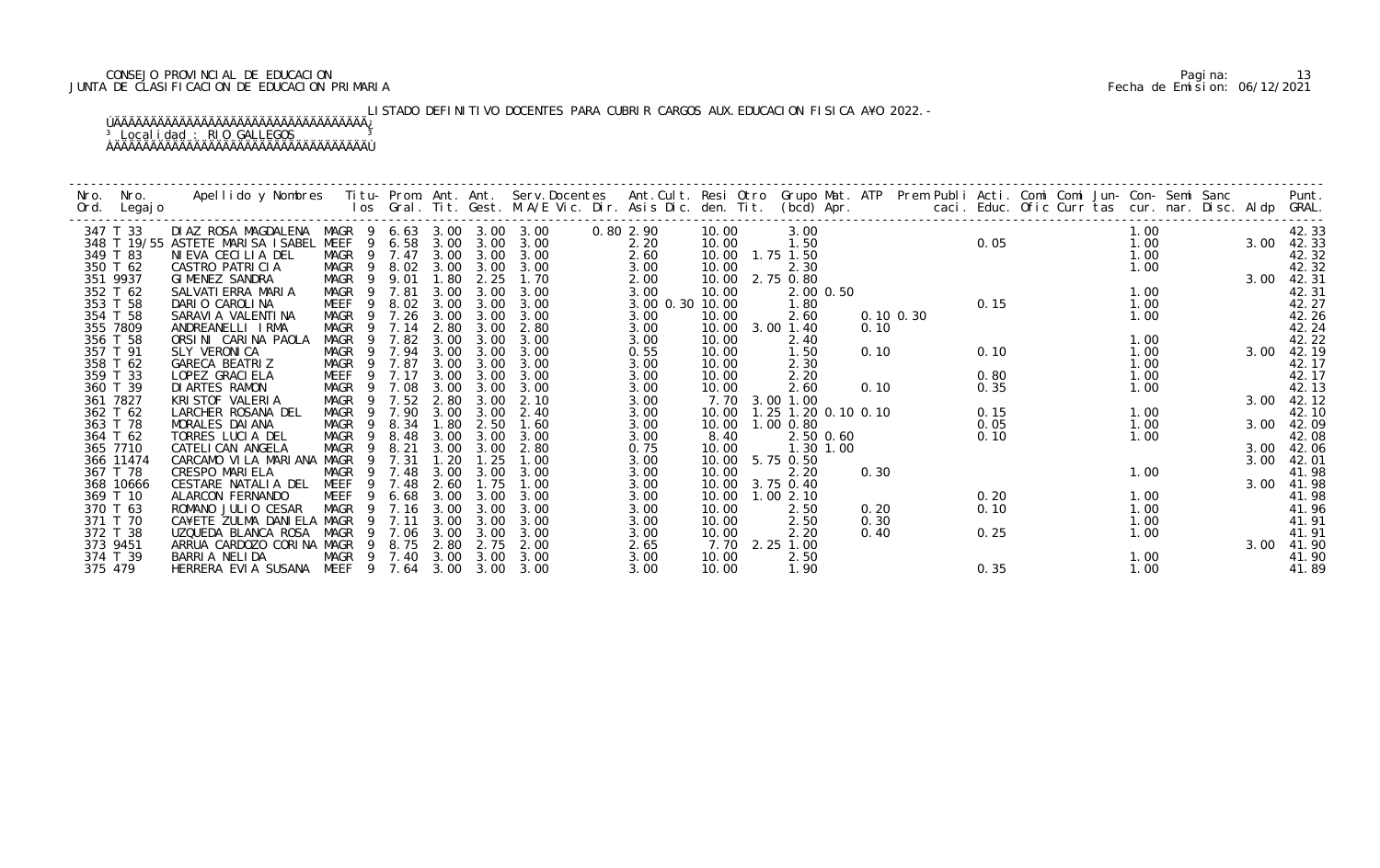# CONSEJO PROVINCIAL DE EDUCACION Pagina: 13 JUNTA DE CLASIFICACION DE EDUCACION PRIMARIA Fecha de Emision: 06/12/2021

LISTADO DEFINITIVO DOCENTES PARA CUBRIR CARGOS AUX. EDUCACION FISICA A¥O 2022.-

| Nro.<br>Ord. | Nro.<br>Legaj o      |                                                  |              |                |                |              |              |              |                   |                |                                   |           |      |                |      |  |              |  |      |                |
|--------------|----------------------|--------------------------------------------------|--------------|----------------|----------------|--------------|--------------|--------------|-------------------|----------------|-----------------------------------|-----------|------|----------------|------|--|--------------|--|------|----------------|
|              | 347 T 33             | DIAZ ROSA MAGDALENA MAGR 9 6.63 3.00 3.00 3.00   |              |                |                |              |              |              | 0.80 2.90         | 10.00          | 3.00                              |           |      |                |      |  | 1.00         |  |      | 42.33          |
|              |                      | 348 T 19/55 ASTETE MARISA ISABEL MEEF            |              | 9              | 6.58           | 3.00         | 3.00         | 3.00         | 2.20              | 10.00          | 1.50                              |           |      |                | 0.05 |  | 1.00         |  |      | 3.00 42.33     |
|              | 349 T 83             | NIEVA CECILIA DEL                                | MAGR 9 7.47  |                |                | 3.00         | 3.00         | 3.00         | 2.60              |                | 10.00  1.75  1.50                 |           |      |                |      |  | 1.00         |  |      | 42.32          |
|              | 350 T 62             | CASTRO PATRICIA                                  | MAGR         |                | 9 8.02         | 3.00         | 3.00         | 3.00         | 3.00              | 10.00          | 2.30                              |           |      |                |      |  | 1.00         |  |      | 42.32          |
|              | 351 9937             | GIMENEZ SANDRA                                   | MAGR         | - 9            | 9.01           | 1.80         | 2.25         | 1.70         | 2.00              | 10.00          | 2.75 0.80                         |           |      |                |      |  |              |  |      | 3.00 42.31     |
|              | 352 T 62             | SALVATI ERRA MARIA                               | MAGR         | $\overline{9}$ | 7.81           | 3.00<br>3.00 | 3.00<br>3.00 | 3.00<br>3.00 | 3.00              | 10.00<br>10.00 |                                   | 2.00 0.50 |      |                |      |  | 1.00         |  |      | 42.31          |
|              | 353 T 58<br>354 T 58 | DARIO CAROLINA<br>SARAVI A VALENTI NA            | MEEF<br>MAGR |                | 8.02<br>9 7.26 | 3.00         | 3.00         | 3.00         | 3.00 0.30<br>3.00 | 10.00          | 1.80<br>2.60                      |           |      | $0.10 \, 0.30$ | 0.15 |  | 1.00<br>1.00 |  |      | 42.27          |
|              | 355 7809             | ANDREANELLI IRMA                                 | MAGR         | -9             | 7.14           | 2.80         | 3.00         | 2.80         | 3.00              |                | 10.00 3.00 1.40                   |           | 0.10 |                |      |  |              |  |      | 42.26<br>42.24 |
|              | 356 T 58             | ORSINI CARINA PAOLA                              | MAGR         |                | 7.82           | 3.00         | 3.00         | 3.00         | 3.00              | 10.00          | 2.40                              |           |      |                |      |  | 1.00         |  |      | 42.22          |
|              | 357 T 91             | SLY VERONICA                                     | MAGR         |                | 9 7.94         | 3.00         | 3.00         | 3.00         | 0.55              | 10.00          | 1.50                              |           | 0.10 |                | 0.10 |  | 1.00         |  | 3.00 | 42.19          |
|              | 358 T 62             | GARECA BEATRIZ                                   | MAGR         |                | 9 7.87         | 3.00         | 3.00         | 3.00         | 3.00              | 10.00          | 2.30                              |           |      |                |      |  | 1.00         |  |      | 42.17          |
|              | 359 T 33             | LOPEZ GRACI ELA                                  | MEEF         | $\overline{9}$ | 7.17           | 3.00         | 3.00         | 3.00         | 3.00              | 10.00          | 2.20                              |           |      |                | 0.80 |  | 1.00         |  |      | 42.17          |
|              | 360 T 39             | DI ARTES RAMON                                   | MAGR         |                | 7.08           | 3.00         | 3.00         | 3.00         | 3.00              | 10.00          | 2.60                              |           | 0.10 |                | 0.35 |  | 1.00         |  |      | 42.13          |
|              | 361 7827             | KRI STOF VALERIA                                 | MAGR         | - 9            | 7.52           | 2.80         | 3.00         | 2.10         | 3.00              |                | 7.70 3.00 1.00                    |           |      |                |      |  |              |  |      | 3.00 42.12     |
|              | 362 T 62             | LARCHER ROSANA DEL                               | MAGR         | - 9            | 7.90           | 3.00         | 3.00         | 2.40         | 3.00              |                | 10.00   1.25   1.20   0.10   0.10 |           |      |                | 0.15 |  | 1.00         |  |      | 42.10          |
|              | 363 T 78             | MORALES DAI ANA                                  | <b>MAGR</b>  | -9             | 8.34           | 1.80         | 2.50         | 1.60         | 3.00              | 10.00          | 1.00 0.80                         |           |      |                | 0.05 |  | 1.00         |  |      | 3.00 42.09     |
|              | 364 T 62             | TORRES LUCIA DEL                                 | MAGR         | 9              | 8.48           | 3.00         | 3.00         | 3.00         | 3.00              | 8.40           |                                   | 2.50 0.60 |      |                | 0.10 |  | 1.00         |  |      | 42.08          |
|              | 365 7710             | CATELI CAN ANGELA                                | MAGR         | -9             | 8.21           | 3.00         | 3.00         | 2.80         | 0.75              | 10.00          |                                   | 1.30 1.00 |      |                |      |  |              |  | 3.00 | 42.06          |
|              | 366 11474            | CARCAMO VILA MARIANA                             | MAGR         | 9              | 7.31           | 1.20         | 1.25         | 1.00         | 3.00              | 10.00          | 5.75 0.50                         |           |      |                |      |  |              |  | 3.00 | 42.01          |
|              | 367 T 78             | <b>CRESPO MARIELA</b>                            | MAGR         |                | 9 7.48         | 3.00         | 3.00         | 3.00         | 3.00              | 10.00          | 2.20                              |           | 0.30 |                |      |  | 1.00         |  |      | 41.98          |
|              | 368 10666            | CESTARE NATALIA DEL                              | MEEF         | 9              | 7.48           | 2.60         | 1.75         | 1.00         | 3.00              | 10.00          | 3.75 0.40                         |           |      |                |      |  |              |  |      | 3.00 41.98     |
|              | 369 T 10             | ALARCON FERNANDO                                 | MEEF         | - 9            | 6.68           | 3.00         | 3.00         | 3.00         | 3.00              | 10.00          | 1.002.10                          |           |      |                | 0.20 |  | 1.00         |  |      | 41.98          |
|              | 370 T 63             | ROMANO JULIO CESAR                               | MAGR 9 7.16  |                |                | 3.00         | 3.00         | 3.00         | 3.00              | 10.00          | 2.50                              |           | 0.20 |                | 0.10 |  | 1.00         |  |      | 41.96          |
|              | 371 T 70             | CA¥ETE ZULMA DANIELA MAGR                        |              | 9 7.11         |                | 3.00         | 3.00         | 3.00         | 3.00              | 10.00          | 2.50                              |           | 0.30 |                |      |  | 1.00         |  |      | 41.91          |
|              | 372 T 38<br>373 9451 | UZQUEDA BLANCA ROSA<br>ARRUA CARDOZO CORINA MAGR | MAGR         | - 9            | 7.06<br>9 8.75 | 3.00<br>2.80 | 3.00<br>2.75 | 3.00<br>2.00 | 3.00<br>2.65      | 10.00          | 2.20<br>7.70 2.25 1.00            |           | 0.40 |                | 0.25 |  | 1.00         |  | 3.00 | 41.91<br>41.90 |
|              | 374 T 39             | BARRIA NELIDA                                    | MAGR 9 7.40  |                |                | 3.00         | 3.00         | 3.00         | 3.00              | 10.00          | 2.50                              |           |      |                |      |  | 1.00         |  |      | 41.90          |
|              | 375 479              | HERRERA EVIA SUSANA MEEF 9 7.64                  |              |                |                | 3.00         | 3.00         | 3.00         | 3.00              | 10.00          | 1.90                              |           |      |                | 0.35 |  | 1.00         |  |      | 41.89          |
|              |                      |                                                  |              |                |                |              |              |              |                   |                |                                   |           |      |                |      |  |              |  |      |                |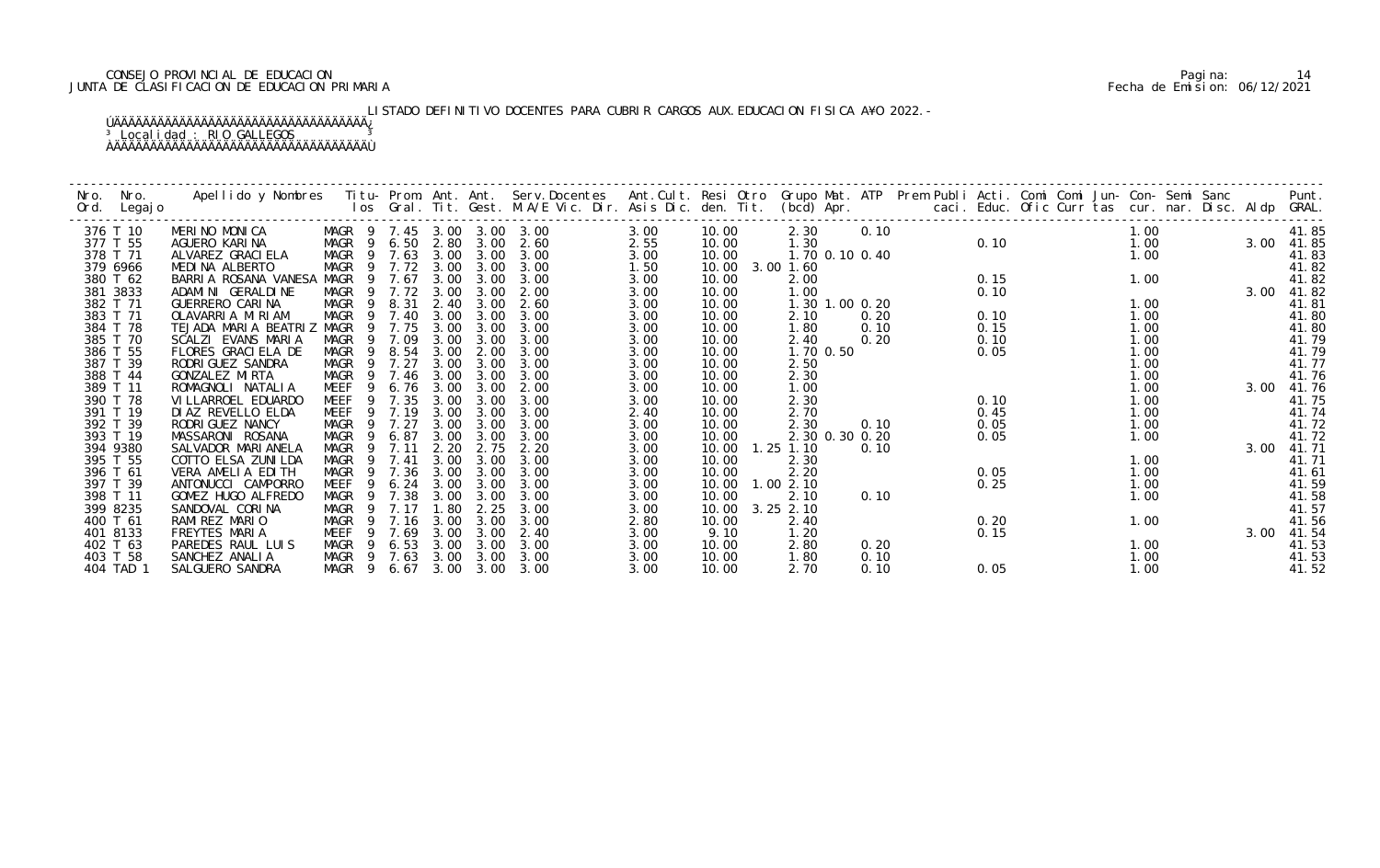# CONSEJO PROVINCIAL DE EDUCACION Pagina: 14 JUNTA DE CLASIFICACION DE EDUCACION PRIMARIA Fecha de Emision: 06/12/2021

# LISTADO DEFINITIVO DOCENTES PARA CUBRIR CARGOS AUX. EDUCACION FISICA A¥O 2022.-

| Nro.<br>Ord. | Nro.<br>Legaj o      | Apellido y Nombres - Titu- Prom. Ant. Ant. Serv.Docentes - Ant.Cult. Resi Otro Grupo Mat. ATP - Prem Publi Acti. Comi Comi Jun- Con- Semi Sanc - Semi Sanc - Semi Sanc - Semi Sanc - Semi Sanc - Semi Sanc - Semi Sanc - Semi |              |                        |                            |              |              |              |                |                |      |      | caci. Educ. Ofic Curr tas cur. nar. Disc. Aldp GRAL. |              |      | Punt.          |
|--------------|----------------------|-------------------------------------------------------------------------------------------------------------------------------------------------------------------------------------------------------------------------------|--------------|------------------------|----------------------------|--------------|--------------|--------------|----------------|----------------|------|------|------------------------------------------------------|--------------|------|----------------|
|              |                      |                                                                                                                                                                                                                               |              |                        |                            |              |              |              |                |                |      |      |                                                      |              |      |                |
|              | 376 T 10             | MERINO MONICA                                                                                                                                                                                                                 |              |                        | MAGR 9 7.45 3.00 3.00 3.00 |              |              | 3.00         | 10.00          | 2.30           | 0.10 |      |                                                      | 1.00         |      | 41.85          |
|              | 377 T 55             | AGUERO KARINA                                                                                                                                                                                                                 | MAGR 9       | 6.50                   | 2.80                       | 3.00         | 2.60         | 2.55         | 10.00          | 1.30           |      | 0.10 |                                                      | 1.00         |      | 3.00 41.85     |
|              | 378 T 71             | ALVAREZ GRACI ELA                                                                                                                                                                                                             | MAGR         | 9 7.63                 | 3.00                       | 3.00         | 3.00         | 3.00         | 10.00          | 1.70 0.10 0.40 |      |      |                                                      | 1.00         |      | 41.83          |
|              | 379 6966             | MEDINA ALBERTO                                                                                                                                                                                                                | MAGR         | 9 7.72                 | 3.00                       | 3.00         | 3.00         | 1.50         | 10.00          | $3.00$ 1.60    |      |      |                                                      |              |      | 41.82          |
|              | 380 T 62             | BARRIA ROSANA VANESA MAGR                                                                                                                                                                                                     |              | 7.67<br>$\overline{9}$ | 3.00                       | 3.00         | 3.00         | 3.00         | 10.00          | 2.00           |      | 0.15 |                                                      | 1.00         |      | 41.82          |
|              | 381 3833             | ADAMINI GERALDINE                                                                                                                                                                                                             | MAGR 9 7.72  |                        | 3.00                       | 3.00         | 2.00         | 3.00         | 10.00          | 1.00           |      | 0.10 |                                                      |              | 3.00 | 41.82          |
|              | 382 T 71             | GUERRERO CARINA                                                                                                                                                                                                               | MAGR         | 9 8.31                 | 2.40                       | 3.00         | 2.60         | 3.00         | 10.00          | 1.30 1.00 0.20 |      |      |                                                      | 1.00         |      | 41.81          |
|              | 383 T 71             | OLAVARRIA MIRIAM                                                                                                                                                                                                              | MAGR         | 9 7.40                 | 3.00                       | 3.00         | 3.00         | 3.00         | 10.00          | 2.10           | 0.20 | 0.10 |                                                      | 1.00         |      | 41.80          |
|              | 384 T 78             | TEJADA MARIA BEATRIZ MAGR                                                                                                                                                                                                     |              | 7.75<br>-9             | 3.00                       | 3.00         | 3.00         | 3.00         | 10.00          | 1.80           | 0.10 | 0.15 |                                                      | 1.00         |      | 41.80          |
|              | 385 T 70             | SCALZI EVANS MARIA                                                                                                                                                                                                            | MAGR         | 7.09<br>-9             | 3.00                       | 3.00         | 3.00         | 3.00         | 10.00          | 2.40           | 0.20 | 0.10 |                                                      | 1.00         |      | 41.79          |
|              | 386 T 55             | FLORES GRACIELA DE                                                                                                                                                                                                            | MAGR         | 9 8.54                 | 3.00                       | 2.00         | 3.00         | 3.00         | 10.00          | 1.70 0.50      |      | 0.05 |                                                      | 1.00         |      | 41.79          |
|              | 387 T 39             | RODRI GUEZ SANDRA                                                                                                                                                                                                             | MAGR         | 9 7.27                 | 3.00                       | 3.00         | 3.00         | 3.00         | 10.00          | 2.50           |      |      |                                                      | 1.00         |      | 41.77          |
|              | 388 T 44             | GONZALEZ MIRTA                                                                                                                                                                                                                | MAGR         | 7.46<br>$\overline{9}$ | 3.00<br>3.00               | 3.00<br>3.00 | 3.00<br>2.00 | 3.00         | 10.00          | 2.30<br>1.00   |      |      |                                                      | 1.00         |      | 41.76          |
|              | 389 T 11<br>390 T 78 | ROMAGNOLI NATALIA<br>VI LLARROEL EDUARDO                                                                                                                                                                                      | MEEF<br>MEEF | 6.76<br>9 7.35         | 3.00                       | 3.00         | 3.00         | 3.00<br>3.00 | 10.00<br>10.00 | 2.30           |      | 0.10 |                                                      | 1.00<br>1.00 | 3.00 | 41.76<br>41.75 |
|              | 391 T 19             | DI AZ REVELLO ELDA                                                                                                                                                                                                            | MEEF         | 7.19<br>-9             | 3.00                       | 3.00         | 3.00         | 2.40         | 10.00          | 2.70           |      | 0.45 |                                                      | 1.00         |      | 41.74          |
|              | 392 T 39             | RODRI GUEZ NANCY                                                                                                                                                                                                              | <b>MAGR</b>  | 7.27<br>9              | 3.00                       | 3.00         | 3.00         | 3.00         | 10.00          | 2.30           | 0.10 | 0.05 |                                                      | 1.00         |      | 41.72          |
|              | 393 T 19             | MASSARONI ROSANA                                                                                                                                                                                                              | MAGR         | 6.87<br>-9             | 3.00                       | 3.00         | 3.00         | 3.00         | 10.00          | 2.30 0.30 0.20 |      | 0.05 |                                                      | 1.00         |      | 41.72          |
|              | 394 9380             | SALVADOR MARI ANELA                                                                                                                                                                                                           | MAGR         | 7.11<br>-9             | 2.20                       | 2.75         | 2.20         | 3.00         | 10.00          | $1.25$ 1.10    | 0.10 |      |                                                      |              | 3.00 | 41.71          |
|              | 395 T 55             | COTTO ELSA ZUNI LDA                                                                                                                                                                                                           | MAGR         | 7.41<br>-9             | 3.00                       | 3.00         | 3.00         | 3.00         | 10.00          | 2.30           |      |      |                                                      | 1.00         |      | 41.71          |
|              | 396 T 61             | VERA AMELIA EDITH                                                                                                                                                                                                             | MAGR         | 9 7.36                 | 3.00                       | 3.00         | 3.00         | 3.00         | 10.00          | 2.20           |      | 0.05 |                                                      | 1.00         |      | 41.61          |
|              | 397 T 39             | ANTONUCCI CAMPORRO                                                                                                                                                                                                            | MEEF         | 6.24                   | 3.00                       | 3.00         | 3.00         | 3.00         | 10.00          | 1.002.10       |      | 0.25 |                                                      | 1.00         |      | 41.59          |
|              | 398 T 11             | GOMEZ HUGO ALFREDO                                                                                                                                                                                                            | MAGR         | 9 7.38                 | 3.00                       | 3.00         | 3.00         | 3.00         | 10.00          | 2.10           | 0.10 |      |                                                      | 1.00         |      | 41.58          |
|              | 399 8235             | SANDOVAL CORINA                                                                                                                                                                                                               | MAGR         | 9 7.17                 | 1.80                       | 2.25         | 3.00         | 3.00         | 10.00          | $3.25$ $2.10$  |      |      |                                                      |              |      | 41.57          |
|              | 400 T 61             | RAMI REZ MARIO                                                                                                                                                                                                                | MAGR         | 7.16<br>-9             | 3.00                       | 3.00         | 3.00         | 2.80         | 10.00          | 2.40           |      | 0.20 |                                                      | 1.00         |      | 41.56          |
|              | 401 8133             | FREYTES MARIA                                                                                                                                                                                                                 | MEEF         | 7.69<br>9              | 3.00                       | 3.00         | 2.40         | 3.00         | 9.10           | 1.20           |      | 0.15 |                                                      |              | 3.00 | 41.54          |
|              | 402 T 63             | PAREDES RAUL LUIS                                                                                                                                                                                                             | MAGR         | 6.53<br>-9             | 3.00                       | 3.00         | 3.00         | 3.00         | 10.00          | 2.80           | 0.20 |      |                                                      | 1.00         |      | 41.53          |
|              | 403 T 58             | SANCHEZ ANALIA                                                                                                                                                                                                                | MAGR         | 9 7.63                 | 3.00                       | 3.00         | 3.00         | 3.00         | 10.00          | 1.80           | 0.10 |      |                                                      | 1.00         |      | 41.53          |
|              | 404 TAD 1            | SALGUERO SANDRA                                                                                                                                                                                                               | MAGR         | 9 6.67                 | 3.00                       | 3.00         | 3.00         | 3.00         | 10.00          | 2.70           | 0.10 | 0.05 |                                                      | 1.00         |      | 41.52          |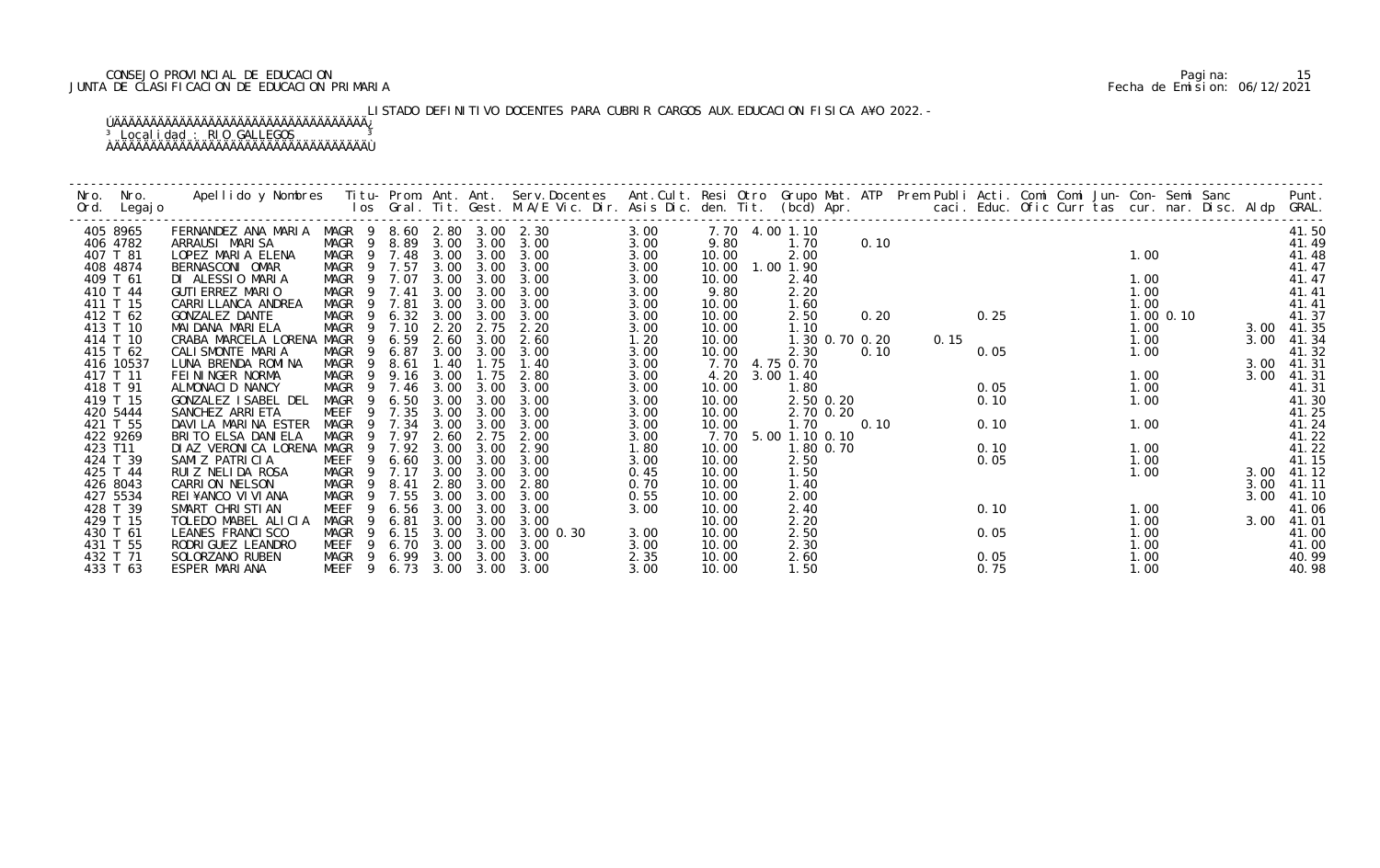# CONSEJO PROVINCIAL DE EDUCACION Pagina: 15 JUNTA DE CLASIFICACION DE EDUCACION PRIMARIA Fecha de Emision: 06/12/2021

LISTADO DEFINITIVO DOCENTES PARA CUBRIR CARGOS AUX. EDUCACION FISICA A¥O 2022.-

| Nro.<br>Ord. | Nro.      | Apellido y Nombres - Titu- Prom. Ant. Ant. Serv.Docentes - Ant.Cult. Resi Otro Grupo Mat. ATP Prem Publi Acti. Comi Comi Jun- Con- Semi Sanc - - - Punt.<br>Ios Gral. Tit. Gest. M.A/E Vic. Dir. Asis Dic. den. Tit. (bcd) Apr. - |                       |                        |      |      |           |      |                |                |      |      |      |  |      |             |      |       |
|--------------|-----------|-----------------------------------------------------------------------------------------------------------------------------------------------------------------------------------------------------------------------------------|-----------------------|------------------------|------|------|-----------|------|----------------|----------------|------|------|------|--|------|-------------|------|-------|
|              | Legaj o   |                                                                                                                                                                                                                                   |                       |                        |      |      |           |      |                |                |      |      |      |  |      |             |      |       |
|              | 405 8965  | FERNANDEZ ANA MARIA MAGR 9 8.60 2.80 3.00 2.30                                                                                                                                                                                    |                       |                        |      |      |           | 3.00 | 7.70 4.00 1.10 |                |      |      |      |  |      |             |      | 41.50 |
|              | 406 4782  | ARRAUSI MARISA                                                                                                                                                                                                                    | MAGR 9 8.89 3.00      |                        |      | 3.00 | 3.00      | 3.00 | 9.80           | 1.70           | 0.10 |      |      |  |      |             |      | 41.49 |
|              | 407 T 81  | LOPEZ MARIA ELENA                                                                                                                                                                                                                 | MAGR 9 7.48           |                        | 3.00 | 3.00 | 3.00      | 3.00 | 10.00          | 2.00           |      |      |      |  | 1.00 |             |      | 41.48 |
|              | 408 4874  | BERNASCONI OMAR                                                                                                                                                                                                                   | MAGR 9 7.57           |                        | 3.00 | 3.00 | 3.00      | 3.00 | 10.00          | 1.00 1.90      |      |      |      |  |      |             |      | 41.47 |
|              | 409 T 61  | DI ALESSIO MARIA                                                                                                                                                                                                                  | MAGR                  | 9 7.07                 | 3.00 | 3.00 | 3.00      | 3.00 | 10.00          | 2.40           |      |      |      |  | 1.00 |             |      | 41.47 |
|              | 410 T 44  | GUTI ERREZ MARIO                                                                                                                                                                                                                  | MAGR 9 7.41           |                        | 3.00 | 3.00 | 3.00      | 3.00 | 9.80           | 2.20           |      |      |      |  | 1.00 |             |      | 41.41 |
|              | 411 T 15  | CARRI LLANCA ANDREA                                                                                                                                                                                                               | MAGR                  | 9 7.81                 | 3.00 | 3.00 | 3.00      | 3.00 | 10.00          | 1.60           |      |      |      |  | 1.00 |             |      | 41.41 |
|              | 412 T 62  | GONZALEZ DANTE                                                                                                                                                                                                                    | MAGR                  | 9 6.32                 | 3.00 | 3.00 | 3.00      | 3.00 | 10.00          | 2.50           | 0.20 |      | 0.25 |  |      | $1.00$ 0.10 |      | 41.37 |
|              | 413 T 10  | MAI DANA MARI ELA                                                                                                                                                                                                                 | MAGR                  | 9 7.10                 | 2.20 | 2.75 | 2.20      | 3.00 | 10.00          | 1.10           |      |      |      |  | 1.00 |             | 3.00 | 41.35 |
|              | 414 T 10  | CRABA MARCELA LORENA                                                                                                                                                                                                              | MAGR                  | 6.59<br>-9             | 2.60 | 3.00 | 2.60      | 1.20 | 10.00          | 1.30 0.70 0.20 |      | 0.15 |      |  | 1.00 |             | 3.00 | 41.34 |
|              | 415 T 62  | CALI SMONTE MARIA                                                                                                                                                                                                                 | MAGR                  | 9 6.87                 | 3.00 | 3.00 | 3.00      | 3.00 | 10.00          | 2.30           | 0.10 |      | 0.05 |  | 1.00 |             |      | 41.32 |
|              | 416 10537 | LUNA BRENDA ROMINA                                                                                                                                                                                                                | MAGR 9 8.61           |                        | 1.40 | 1.75 | 1.40      | 3.00 | 7.70           | 4.75 0.70      |      |      |      |  |      |             | 3.00 | 41.31 |
|              | 417 T 11  | FEI NI NGER NORMA                                                                                                                                                                                                                 | MAGR                  | $\overline{9}$<br>9.16 | 3.00 | 1.75 | 2.80      | 3.00 | 4.20           | 3.00 1.40      |      |      |      |  | 1.00 |             | 3.00 | 41.31 |
|              | 418 T 91  | ALMONACI D NANCY                                                                                                                                                                                                                  | MAGR 9 7.46           |                        | 3.00 | 3.00 | 3.00      | 3.00 | 10.00          | 1.80           |      |      | 0.05 |  | 1.00 |             |      | 41.31 |
|              | 419 T 15  | GONZALEZ ISABEL DEL                                                                                                                                                                                                               | MAGR                  | 9 6.50                 | 3.00 | 3.00 | 3.00      | 3.00 | 10.00          | 2.50 0.20      |      |      | 0.10 |  | 1.00 |             |      | 41.30 |
|              | 420 5444  | SANCHEZ ARRIETA                                                                                                                                                                                                                   | MEEF                  | 9 7.35                 | 3.00 | 3.00 | 3.00      | 3.00 | 10.00          | 2.70 0.20      |      |      |      |  |      |             |      | 41.25 |
|              | 421 T 55  | DAVILA MARINA ESTER                                                                                                                                                                                                               | MAGR                  | 9 7.34                 | 3.00 | 3.00 | 3.00      | 3.00 | 10.00          | 1.70           | 0.10 |      | 0.10 |  | 1.00 |             |      | 41.24 |
|              | 422 9269  | BRITO ELSA DANIELA                                                                                                                                                                                                                | MAGR                  | 9 7.97                 | 2.60 | 2.75 | 2.00      | 3.00 | 7.70           | 5.00 1.10 0.10 |      |      |      |  |      |             |      | 41.22 |
| 423 T11      |           | DI AZ VERONICA LORENA MAGR                                                                                                                                                                                                        |                       | 9 7.92                 | 3.00 | 3.00 | 2.90      | 1.80 | 10.00          | 1.80 0.70      |      |      | 0.10 |  | 1.00 |             |      | 41.22 |
|              | 424 T 39  | SAMIZ PATRICIA                                                                                                                                                                                                                    | MEEF 9 6.60           |                        | 3.00 | 3.00 | 3.00      | 3.00 | 10.00          | 2.50           |      |      | 0.05 |  | 1.00 |             |      | 41.15 |
|              | 425 T 44  | RUIZ NELIDA ROSA                                                                                                                                                                                                                  | MAGR                  | 9 7.17                 | 3.00 | 3.00 | 3.00      | 0.45 | 10.00          | 1.50           |      |      |      |  | 1.00 |             | 3.00 | 41.12 |
|              | 426 8043  | CARRION NELSON                                                                                                                                                                                                                    | MAGR                  | 8.41<br>$\overline{9}$ | 2.80 | 3.00 | 2.80      | 0.70 | 10.00          | 1.40           |      |      |      |  |      |             | 3.00 | 41.11 |
|              | 427 5534  | REI¥ANCO VI VI ANA                                                                                                                                                                                                                | MAGR                  | 9 7.55                 | 3.00 | 3.00 | 3.00      | 0.55 | 10.00          | 2.00           |      |      |      |  |      |             | 3.00 | 41.10 |
|              | 428 T 39  | SMART CHRISTIAN                                                                                                                                                                                                                   | MEEF                  | 6.56<br>-9             | 3.00 | 3.00 | 3.00      | 3.00 | 10.00          | 2.40           |      |      | 0.10 |  | 1.00 |             |      | 41.06 |
|              | 429 T 15  | TOLEDO MABEL ALICIA                                                                                                                                                                                                               | MAGR                  | 6.81<br>-9             | 3.00 | 3.00 | 3.00      |      | 10.00          | 2.20           |      |      |      |  | 1.00 |             | 3.00 | 41.01 |
|              | 430 T 61  | LEANES FRANCI SCO                                                                                                                                                                                                                 | MAGR                  | 6.15<br>-9             | 3.00 | 3.00 | 3.00 0.30 | 3.00 | 10.00          | 2.50           |      |      | 0.05 |  | 1.00 |             |      | 41.00 |
|              | 431 T 55  | RODRI GUEZ LEANDRO                                                                                                                                                                                                                | MEEF                  | 9 6.70                 | 3.00 | 3.00 | 3.00      | 3.00 | 10.00          | 2.30           |      |      |      |  | 1.00 |             |      | 41.00 |
|              | 432 T 71  | SOLORZANO RUBEN                                                                                                                                                                                                                   | MAGR 9 6.99 3.00 3.00 |                        |      |      | 3.00      | 2.35 | 10.00          | 2.60           |      |      | 0.05 |  | 1.00 |             |      | 40.99 |
|              | 433 T 63  | ESPER MARIANA                                                                                                                                                                                                                     | MEEF 9 6.73 3.00      |                        |      | 3.00 | 3.00      | 3.00 | 10.00          | 1.50           |      |      | 0.75 |  | 1.00 |             |      | 40.98 |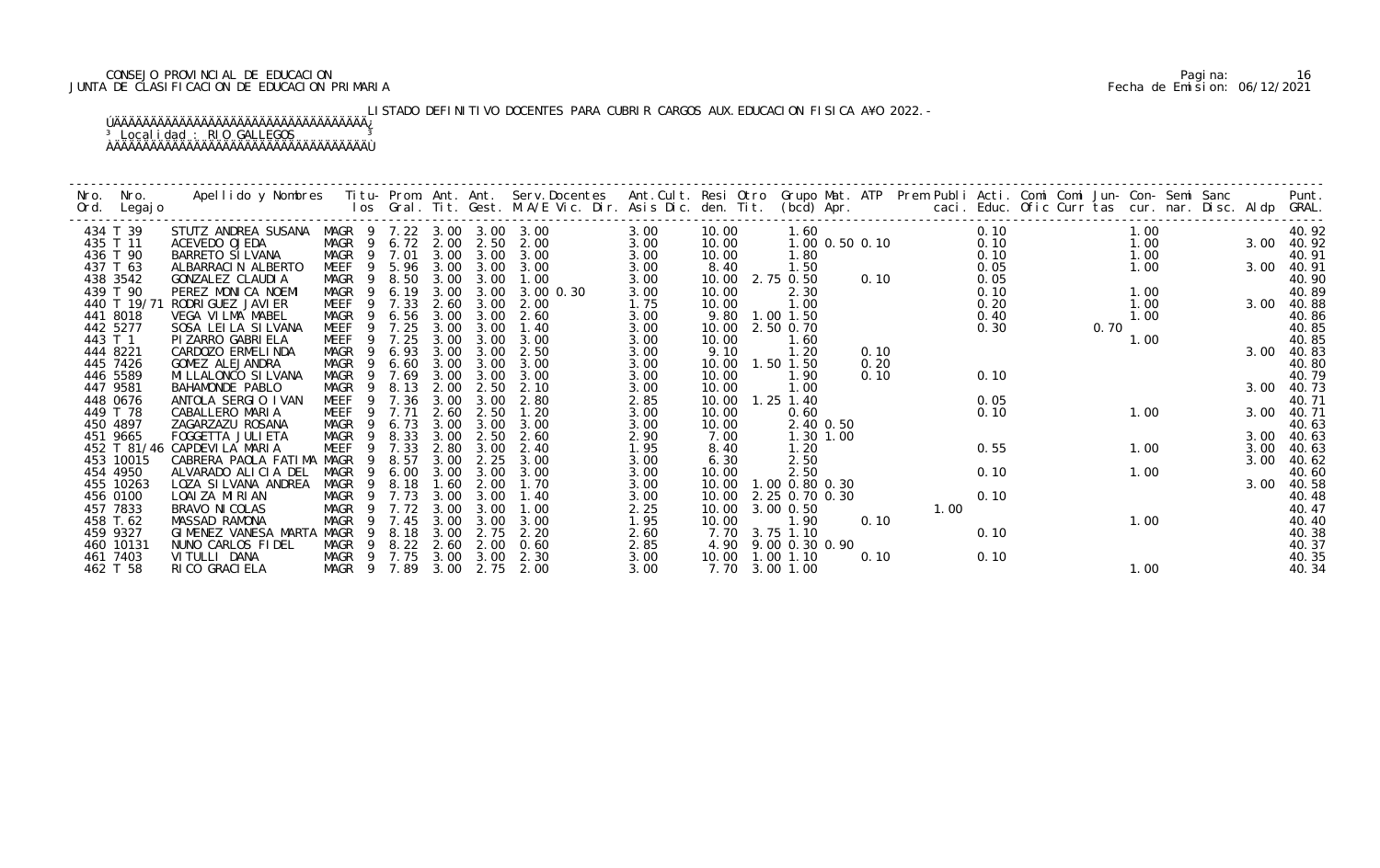# CONSEJO PROVINCIAL DE EDUCACION Pagina: 16 JUNTA DE CLASIFICACION DE EDUCACION PRIMARIA Fecha de Emision: 06/12/2021

LISTADO DEFINITIVO DOCENTES PARA CUBRIR CARGOS AUX. EDUCACION FISICA A¥O 2022.-

| Nro. | Nro.<br>Ord. Legajo  | Apellido y Nombres - Titu- Prom. Ant. Ant. Serv.Docentes - Ant.Cult. Resi Otro Grupo Mat. ATP Prem Publi Acti. Comi Comi Jun- Con- Semi Sanc - - - Punt.<br>Ios Gral. Tit. Gest. M.A/E Vic. Dir. Asis Dic. den. Tit. (bcd) Apr. - |                     |                |        |              |              |              |              |               |                     |      |      |      |                        |      |      |  |            |                |
|------|----------------------|-----------------------------------------------------------------------------------------------------------------------------------------------------------------------------------------------------------------------------------|---------------------|----------------|--------|--------------|--------------|--------------|--------------|---------------|---------------------|------|------|------|------------------------|------|------|--|------------|----------------|
|      |                      |                                                                                                                                                                                                                                   |                     |                |        |              |              |              |              |               |                     |      |      |      |                        |      |      |  |            |                |
|      | 434 T 39             | STUTZ ANDREA SUSANA MAGR 9 7.22 3.00 3.00 3.00                                                                                                                                                                                    |                     |                |        |              |              |              | 3.00         | 10.00         | 1.60                |      |      | 0.10 |                        |      | 1.00 |  |            | 40.92          |
|      | 435 T 11             | ACEVEDO OJEDA                                                                                                                                                                                                                     | MAGR 9 6.72 2.00    |                |        |              | 2.50         | 2.00         | 3.00         | 10.00         | 1.00 0.50 0.10      |      |      |      |                        |      | 1.00 |  | 3.00 40.92 |                |
|      | 436 T 90             | BARRETO SI LVANA                                                                                                                                                                                                                  | MAGR                |                | 9 7.01 | 3.00         | 3.00         | 3.00         | 3.00         | 10.00         | 1.80                |      |      |      | $0.10$<br>0.10<br>0.05 |      | 1.00 |  |            | 40.91          |
|      | 437 T 63             | ALBARRACIN ALBERTO                                                                                                                                                                                                                | MEEF                |                | 9 5.96 | 3.00         | 3.00         | 3.00         | 3.00         | 8.40          | 1.50                |      |      |      |                        |      | 1.00 |  | 3.00       | 40.91          |
|      | 438 3542             | GONZALEZ CLAUDIA                                                                                                                                                                                                                  | MAGR                | - 9            | 8.50   | 3.00         | 3.00         | 1.00         | 3.00         | 10.00         | 2.75 0.50           | 0.10 |      | 0.05 |                        |      |      |  |            | 40.90          |
|      | 439 T 90             | PEREZ MONICA NOEMI                                                                                                                                                                                                                | MAGR                |                | 6.19   | 3.00         | 3.00         | 3.00 0.30    | 3.00         | 10.00         | 2.30                |      |      | 0.10 |                        |      | 1.00 |  |            | 40.89          |
|      | 440 T 19/71          | RODRI GUEZ JAVI ER                                                                                                                                                                                                                | MEEF                |                | 9 7.33 | 2.60         | 3.00         | 2.00         | 1.75         | 10.00         | 1.00                |      |      | 0.20 |                        |      | 1.00 |  | 3.00 40.88 |                |
|      | 441 8018             | VEGA VILMA MABEL                                                                                                                                                                                                                  | MAGR 9 6.56         |                |        | 3.00         | 3.00         | 2.60         | 3.00         |               | 9.80 1.00 1.50      |      |      | 0.40 |                        |      | 1.00 |  |            | 40.86          |
|      | 442 5277             | SOSA LEI LA SI LVANA                                                                                                                                                                                                              | MEEF                | 9              | 7.25   | 3.00         | 3.00         | 1.40         | 3.00         | 10.00         | 2.50 0.70           |      |      | 0.30 |                        | 0.70 |      |  |            | 40.85          |
|      | 443 T 1              | PI ZARRO GABRI ELA                                                                                                                                                                                                                | <b>MEEF</b>         |                | 7.25   | 3.00         | 3.00         | 3.00         | 3.00         | 10.00         | .60                 |      |      |      |                        |      | 1.00 |  |            | 40.85          |
|      | 444 8221             | CARDOZO ERMELINDA                                                                                                                                                                                                                 | MAGR                | 9              | 6.93   | 3.00         | 3.00         | 2.50         | 3.00         | 9.10          | 1.20                | 0.10 |      |      |                        |      |      |  | 3.00       | 40.83          |
|      | 445 7426             | GOMEZ ALEJANDRA                                                                                                                                                                                                                   | MAGR                | $\overline{9}$ | 6.60   | 3.00         | 3.00         | 3.00         | 3.00         | 10.00         | $1.50$ $1.50$       | 0.20 |      |      |                        |      |      |  |            | 40.80          |
|      | 446 5589             | MI LLALONCO SI LVANA                                                                                                                                                                                                              | MAGR                |                | 9 7.69 | 3.00         | 3.00         | 3.00         | 3.00         | 10.00         | 1.90                | 0.10 |      | 0.10 |                        |      |      |  |            | 40.79          |
|      | 447 9581             | BAHAMONDE PABLO                                                                                                                                                                                                                   | MAGR                | - 9            | 8.13   | 2.00         | 2.50         | 2.10         | 3.00         | 10.00         | 1.00                |      |      |      |                        |      |      |  | 3.00       | 40.73          |
|      | 448 0676             | ANTOLA SERGIO IVAN                                                                                                                                                                                                                | MEEF                |                | 9 7.36 | 3.00         | 3.00         | 2.80         | 2.85         |               | 10.00  1.25  1.40   |      |      | 0.05 |                        |      |      |  |            | 40.71          |
|      | 449 T 78             | CABALLERO MARIA                                                                                                                                                                                                                   | MEEF                | 9              | 7.71   | 2.60         | 2.50         | 1.20         | 3.00         | 10.00         | 0.60                |      |      | 0.10 |                        |      | 1.00 |  |            | 3.00 40.71     |
|      | 450 4897             | ZAGARZAZU ROSANA                                                                                                                                                                                                                  | MAGR                | -9             | 6.73   | 3.00         | 3.00         | 3.00         | 3.00         | 10.00         | 2.40 0.50           |      |      |      |                        |      |      |  |            | 40.63          |
|      | 451 9665             | FOGGETTA JULI ETA                                                                                                                                                                                                                 | MAGR                | $\overline{9}$ | 8.33   | 3.00         | 2.50         | 2.60         | 2.90         | 7.00          | 1.30 1.00           |      |      |      |                        |      |      |  | 3.00       | 40.63          |
|      |                      | 452 T 81/46 CAPDEVILA MARIA                                                                                                                                                                                                       | MEEF                | 9              | 7.33   | 2.80         | 3.00         | 2.40         | 1.95         | 8.40          | 1.20                |      |      | 0.55 |                        |      | 1.00 |  | 3.00       | 40.63          |
|      | 453 10015            | CABRERA PAOLA FATIMA MAGR                                                                                                                                                                                                         |                     |                | 9 8.57 | 3.00         | 2.25         | 3.00         | 3.00         | 6.30          | 2.50                |      |      |      |                        |      |      |  | 3.00       | 40.62          |
|      | 454 4950             | ALVARADO ALICIA DEL                                                                                                                                                                                                               | MAGR                | -9             | 6.00   | 3.00         | 3.00         | 3.00         | 3.00         | 10.00         | 2.50                |      |      | 0.10 |                        |      | 1.00 |  |            | 40.60          |
|      | 455 10263            | LOZA SI LVANA ANDREA                                                                                                                                                                                                              | MAGR                | -9             | 8.18   | 1.60<br>3.00 | 2.00         | 1.70<br>1.40 | 3.00         | 10.00         | 1.00 0.80 0.30      |      |      |      |                        |      |      |  | 3.00       | 40.58          |
|      | 456 0100<br>457 7833 | LOAI ZA MIRIAN<br>BRAVO NI COLAS                                                                                                                                                                                                  | MAGR 9 7.73<br>MAGR |                | 9 7.72 | 3.00         | 3.00<br>3.00 | 1.00         | 3.00         | 10.00         | 2.25 0.70 0.30      |      | 1.00 | 0.10 |                        |      |      |  |            | 40.48<br>40.47 |
|      | 458 T.62             | MASSAD RAMONA                                                                                                                                                                                                                     | MAGR                | 9              | 7.45   | 3.00         | 3.00         | 3.00         | 2.25         | 10.00         | 3.00 0.50<br>1.90   | 0.10 |      |      |                        |      | 1.00 |  |            | 40.40          |
|      | 459 9327             | GIMENEZ VANESA MARTA                                                                                                                                                                                                              | MAGR                | -9             | 8.18   | 3.00         | 2.75         | 2.20         | 1.95<br>2.60 | 10.00<br>7.70 | 3.75 1.10           |      |      | 0.10 |                        |      |      |  |            | 40.38          |
|      | 460 10131            | NUNO CARLOS FIDEL                                                                                                                                                                                                                 | MAGR                | $\overline{9}$ | 8.22   | 2.60         | 2.00         | 0.60         | 2.85         |               | 4.90 9.00 0.30 0.90 |      |      |      |                        |      |      |  |            | 40.37          |
|      | 461 7403             | VITULLI DANA                                                                                                                                                                                                                      | MAGR 9 7.75         |                |        | 3.00         | 3.00         | 2.30         | 3.00         |               | 10.00 1.00 1.10     | 0.10 |      | 0.10 |                        |      |      |  |            | 40.35          |
|      | 462 T 58             | RI CO GRACI ELA                                                                                                                                                                                                                   | MAGR 9 7.89         |                |        | 3.00         | 2.75         | 2.00         | 3.00         | 7.70          | 3.00 1.00           |      |      |      |                        |      | 1.00 |  |            | 40.34          |
|      |                      |                                                                                                                                                                                                                                   |                     |                |        |              |              |              |              |               |                     |      |      |      |                        |      |      |  |            |                |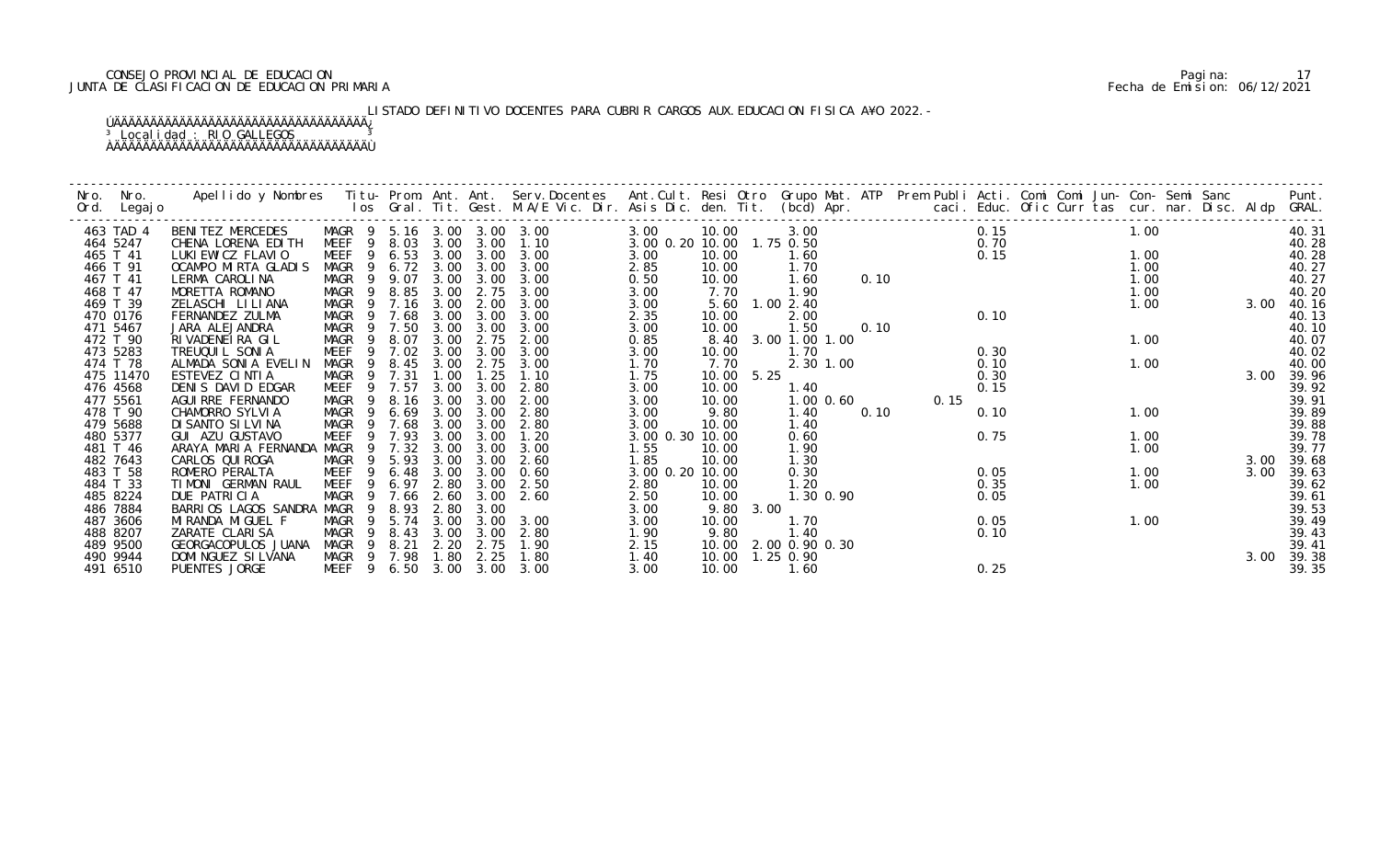# CONSEJO PROVINCIAL DE EDUCACION Pagina: 17 JUNTA DE CLASIFICACION DE EDUCACION PRIMARIA Fecha de Emision: 06/12/2021

LISTADO DEFINITIVO DOCENTES PARA CUBRIR CARGOS AUX. EDUCACION FISICA A¥O 2022.-

| Nro. | Nro.                 |                                         |                            |                |              |              |              |              |                           |                |           |                   |           |      |      |      |  |      |              |      |                |
|------|----------------------|-----------------------------------------|----------------------------|----------------|--------------|--------------|--------------|--------------|---------------------------|----------------|-----------|-------------------|-----------|------|------|------|--|------|--------------|------|----------------|
|      | Ord. Legajo          |                                         |                            |                |              |              |              |              |                           |                |           |                   |           |      |      |      |  |      |              |      |                |
|      | 463 TAD 4            | BENITEZ MERCEDES                        | MAGR 9 5.16 3.00 3.00 3.00 |                |              |              |              |              | 3.00                      | 10.00          |           | 3.00              |           |      |      | 0.15 |  | 1.00 |              |      | 40.31          |
|      | 464 5247             | CHENA LORENA EDITH                      | <b>MEEF</b>                |                |              | 9 8.03 3.00  | 3.00         | 1.10         | 3.00 0.20 10.00 1.75 0.50 |                |           |                   |           |      |      | 0.70 |  |      |              |      | 40.28          |
|      | 465 T 41             | LUKI EWICZ FLAVIO                       | MEEF                       |                |              | 9 6.53 3.00  | 3.00         | 3.00         | 3.00                      | 10.00          |           | 1.60              |           |      |      | 0.15 |  |      | 1.00         |      | 40.28          |
|      | 466 T 91             | OCAMPO MIRTA GLADIS                     | MAGR 9 6.72 3.00           |                |              |              | 3.00         | 3.00         | 2.85                      | 10.00          |           | 1.70              |           |      |      |      |  |      |              |      | 40.27          |
|      | 467 T 41             | LERMA CAROLINA                          | MAGR                       | - 9            | 9.07         | 3.00         | 3.00         | 3.00         | 0.50                      | 10.00          |           | 1.60              |           | 0.10 |      |      |  |      | 1.00<br>1.00 |      | 40.27          |
|      | 468 T 47             | MORETTA ROMANO                          | MAGR                       |                | 8.85         | 3.00         | 2.75         | 3.00         | 3.00                      | 7.70           |           | 1.90              |           |      |      |      |  | 1.00 |              |      | 40.20          |
|      | 469 T 39             | ZELASCHI LILIANA                        | MAGR 9 7.16                |                |              | 3.00         | 2.00         | 3.00         | 3.00                      |                |           | 5.60 1.00 2.40    |           |      |      |      |  | 1.00 |              | 3.00 | 40.16          |
|      | 470 0176             | FERNANDEZ ZULMA                         | MAGR 9                     |                | 7.68         | 3.00         | 3.00         | 3.00         | 2.35                      | 10.00          |           | 2.00              |           |      |      | 0.10 |  |      |              |      | 40.13          |
|      | 471 5467             | JARA ALEJANDRA                          | MAGR                       | - 9            | 7.50         | 3.00         | 3.00         | 3.00         | 3.00                      | 10.00          |           | 1.50              |           | 0.10 |      |      |  |      |              |      | 40.10          |
|      | 472 T 90             | RIVADENEIRA GIL                         | MAGR                       | -9             | 8.07         | 3.00         | 2.75         | 2.00         | 0.85                      | 8.40           |           | 3.00 1.00 1.00    |           |      |      |      |  | 1.00 |              |      | 40.07          |
|      | 473 5283             | TREUQUI L SONI A                        | MEEF                       | -9             | 7.02         | 3.00         | 3.00         | 3.00         | 3.00                      | 10.00          |           | 1.70              |           |      |      | 0.30 |  |      |              |      | 40.02          |
|      | 474 T 78             | ALMADA SONIA EVELIN                     | MAGR                       | - 9            | 8.45         | 3.00         | 2.75         | 3.00         | 1.70                      | 7.70           |           | 2.30 1.00         |           |      |      | 0.10 |  | 1.00 |              |      | 40.00          |
|      | 475 11470            | ESTEVEZ CINTIA                          | MAGR                       | - 9            | 7.31         | 1.00         | 1.25         | 1.10         | 1.75                      | 10.00 5.25     |           |                   |           |      |      | 0.30 |  |      |              | 3.00 | 39.96          |
|      | 476 4568             | DENIS DAVID EDGAR                       | MEEF                       |                | 7.57         | 3.00         | 3.00         | 2.80         | 3.00                      | 10.00          |           | 1.40              |           |      |      | 0.15 |  |      |              |      | 39.92          |
|      | 477 5561             | AGUI RRE FERNANDO                       | MAGR                       | - 9            | 8.16         | 3.00         | 3.00         | 2.00         | 3.00                      | 10.00          |           |                   | 1.00 0.60 |      | 0.15 |      |  |      |              |      | 39.91          |
|      | 478 T 90             | CHAMORRO SYLVIA                         | MAGR                       | - 9            | 6.69         | 3.00         | 3.00         | 2.80         | 3.00                      | 9.80           |           | 1.40              |           | 0.10 |      | 0.10 |  | 1.00 |              |      | 39.89          |
|      | 479 5688             | DI SANTO SI LVI NA                      | MAGR<br>MEEF               | - 9            | 7.68<br>7.93 | 3.00<br>3.00 | 3.00<br>3.00 | 2.80<br>1.20 | 3.00<br>3.00 0.30         | 10.00<br>10.00 |           | 1.40<br>0.60      |           |      |      | 0.75 |  | 1.00 |              |      | 39.88<br>39.78 |
|      | 480 5377<br>481 T 46 | GUI AZU GUSTAVO<br>ARAYA MARIA FERNANDA | MAGR                       |                | 7.32         |              | 3.00         | 3.00         |                           | 10.00          |           | 1.90              |           |      |      |      |  | 1.00 |              |      | 39.77          |
|      | 482 7643             | CARLOS QUI ROGA                         | MAGR                       | 9 5.93         |              | 3.00<br>3.00 | 3.00         | 2.60         | 1.55<br>1.85              | 10.00          |           | 1.30              |           |      |      |      |  |      |              | 3.00 | 39.68          |
|      | 483 T 58             | ROMERO PERALTA                          | MEEF                       | - 9            | 6.48         | 3.00         | 3.00         | 0.60         | 3.00 0.20 10.00           |                |           | 0.30              |           |      |      | 0.05 |  | 1.00 |              | 3.00 | 39.63          |
|      | 484 T 33             | TIMONI GERMAN RAUL                      | MEEF                       |                | 6.97         | 2.80         | 3.00         | 2.50         | 2.80                      | 10.00          |           | 1.20              |           |      |      | 0.35 |  | 1.00 |              |      | 39.62          |
|      | 485 8224             | DUE PATRICIA                            | MAGR                       | 9 7.66         |              | 2.60         | 3.00         | 2.60         | 2.50                      | 10.00          |           |                   | 1.30 0.90 |      |      | 0.05 |  |      |              |      | 39.61          |
|      | 486 7884             | BARRIOS LAGOS SANDRA MAGR               |                            | $\overline{9}$ | 8.93         | 2.80         | 3.00         |              | 3.00                      |                | 9.80 3.00 |                   |           |      |      |      |  |      |              |      | 39.53          |
|      | 487 3606             | MI RANDA MI GUEL F                      | MAGR                       | -9             | 5.74         | 3.00         | 3.00         | 3.00         | 3.00                      | 10.00          |           | 1.70              |           |      |      | 0.05 |  | 1.00 |              |      | 39.49          |
|      | 488 8207             | ZARATE CLARISA                          | MAGR                       | $\overline{9}$ | 8.43         | 3.00         | 3.00         | 2.80         | 1.90                      | 9.80           |           | 1.40              |           |      |      | 0.10 |  |      |              |      | 39.43          |
|      | 489 9500             | GEORGACOPULOS JUANA                     | MAGR                       | 9 8.21         |              | 2.20         | 2.75         | 1.90         | 2.15                      | 10.00          |           | 2.00 0.90 0.30    |           |      |      |      |  |      |              |      | 39.41          |
|      | 490 9944             | DOMI NGUEZ SI LVANA                     | MAGR 9 7.98                |                |              | 1.80         | 2.25         | 1.80         | 1.40                      |                |           | 10.00  1.25  0.90 |           |      |      |      |  |      |              | 3.00 | 39.38          |
|      | 491 6510             | PUENTES JORGE                           | MEEF 9 6.50 3.00           |                |              |              | 3.00         | 3.00         | 3.00                      | 10.00          |           | 1.60              |           |      |      | 0.25 |  |      |              |      | 39.35          |
|      |                      |                                         |                            |                |              |              |              |              |                           |                |           |                   |           |      |      |      |  |      |              |      |                |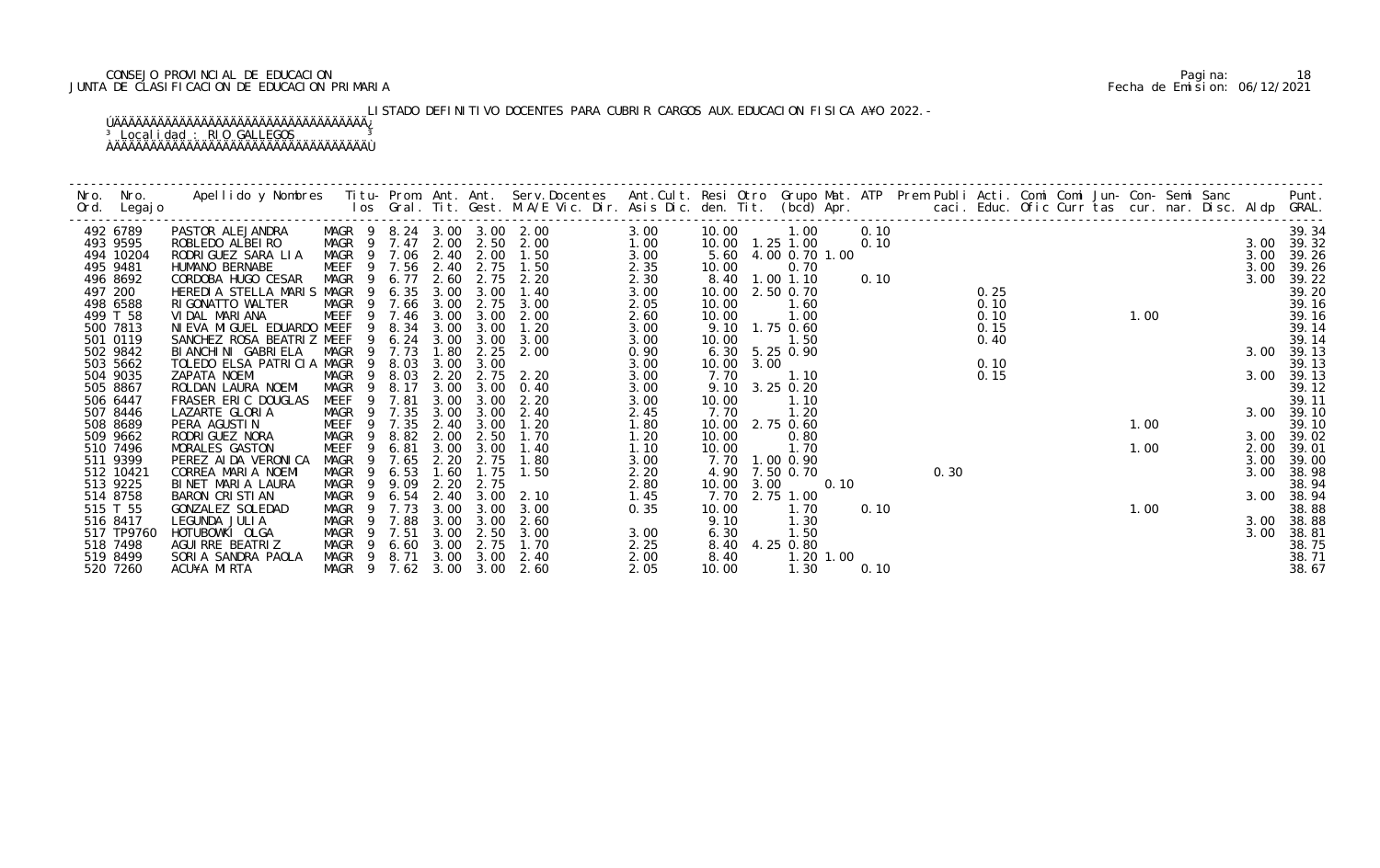# CONSEJO PROVINCIAL DE EDUCACION Pagina: 18 JUNTA DE CLASIFICACION DE EDUCACION PRIMARIA Fecha de Emision: 06/12/2021

# LISTADO DEFINITIVO DOCENTES PARA CUBRIR CARGOS AUX. EDUCACION FISICA A¥O 2022.-

| Nro.    | Nro.<br>Ord. Legajo | Apellido y Nombres Titu- Prom. Ant. Ant. Serv.Docentes Ant.Cult. Resi Otro Grupo Mat. ATP Prem Publi Acti. Comi Comi Jun- Con- Semi Sanc Punt.<br>Ios Gral. Tit. Gest. M.A/E Vic. Dir. Asis Dic. den. Tit. (bcd) Apr. |                  |                |        |      |           |                                                                                     |      |            |                   |      |      |                |      |  |      |      |  |      |            |
|---------|---------------------|-----------------------------------------------------------------------------------------------------------------------------------------------------------------------------------------------------------------------|------------------|----------------|--------|------|-----------|-------------------------------------------------------------------------------------|------|------------|-------------------|------|------|----------------|------|--|------|------|--|------|------------|
|         |                     |                                                                                                                                                                                                                       |                  |                |        |      |           |                                                                                     |      |            |                   |      |      |                |      |  |      |      |  |      |            |
|         | 492 6789            | PASTOR ALEJANDRA                                                                                                                                                                                                      |                  |                |        |      |           |                                                                                     | 3.00 |            |                   |      | 0.10 |                |      |  |      |      |  |      | 39.34      |
|         | 493 9595            | ROBLEDO ALBEIRO                                                                                                                                                                                                       |                  |                |        |      |           | MAGR 9 8.24 3.00 3.00 2.00<br>MAGR 9 7.47 2.00 2.50 2.00<br>3. 00<br>1. 00<br>3. 00 |      |            | 10.00  1.25  1.00 |      | 0.10 | $0.25$<br>0.10 |      |  |      |      |  |      | 3.00 39.32 |
|         | 494 10204           | RODRIGUEZ SARA LIA                                                                                                                                                                                                    | MAGR 9 7.06 2.40 |                |        |      |           | 2.00 1.50                                                                           |      | 5.60       | 4.00 0.70 1.00    |      |      |                |      |  |      |      |  | 3.00 | 39.26      |
|         | 495 9481            | HUMANO BERNABE                                                                                                                                                                                                        |                  |                |        |      |           | MEEF 9 7.56 2.40 2.75 1.50                                                          | 2.35 | 10.00      | 0.70              |      |      |                |      |  |      |      |  | 3.00 | 39.26      |
|         | 496 8692            | CORDOBA HUGO CESAR                                                                                                                                                                                                    | MAGR 9 6.77 2.60 |                |        |      |           | 2.75 2.20                                                                           | 2.30 |            | 8.40 1.00 1.10    |      | 0.10 |                |      |  |      |      |  | 3.00 | 39.22      |
| 497 200 |                     | HEREDIA STELLA MARIS MAGR 9 6.35 3.00                                                                                                                                                                                 |                  |                |        |      | 3.00      | 1.40                                                                                | 3.00 |            | 10.00 2.50 0.70   |      |      |                |      |  |      |      |  |      | 39.20      |
|         | 498 6588            | RIGONATTO WALTER                                                                                                                                                                                                      | MAGR 9 7.66 3.00 |                |        |      | 2.75      | 3.00                                                                                | 2.05 | 10.00      | 1.60              |      |      |                |      |  |      |      |  |      | 39.16      |
|         | 499 T 58            | VIDAL MARIANA                                                                                                                                                                                                         | MEEF 9 7.46 3.00 |                |        |      | 3.00      | 2.00                                                                                | 2.60 | 10.00      | 1.00              |      |      |                | 0.10 |  | 1.00 |      |  |      | 39.16      |
|         | 500 7813            | NI EVA MI GUEL EDUARDO MEEF 9 8.34                                                                                                                                                                                    |                  |                |        | 3.00 | 3.00      | 1.20                                                                                | 3.00 |            | 9.10 1.75 0.60    |      |      |                | 0.15 |  |      |      |  |      | 39.14      |
|         | 501 0119            | SANCHEZ ROSA BEATRIZ MEEF 9 6.24                                                                                                                                                                                      |                  |                |        | 3.00 | 3.00      | 3.00                                                                                | 3.00 | 10.00      | 1.50              |      |      |                | 0.40 |  |      |      |  |      | 39.14      |
|         | 502 9842            | BI ANCHI NI GABRI ELA                                                                                                                                                                                                 | MAGR             |                | 9 7.73 | 1.80 | 2.25      | 2.00                                                                                | 0.90 |            | 6.30 5.25 0.90    |      |      |                |      |  |      |      |  |      | 3.00 39.13 |
|         | 503 5662            | TOLEDO ELSA PATRICIA MAGR                                                                                                                                                                                             |                  |                | 9 8.03 | 3.00 | 3.00      |                                                                                     | 3.00 | 10.00 3.00 |                   |      |      |                | 0.10 |  |      |      |  |      | 39.13      |
|         | 504 9035            | ZAPATA NOEMI                                                                                                                                                                                                          | MAGR 9 8.03      |                |        | 2.20 |           | 2.75 2.20                                                                           | 3.00 | 7.70       | 1.10              |      |      |                | 0.15 |  |      |      |  |      | 3.00 39.13 |
|         | 505 8867            | ROLDAN LAURA NOEMI                                                                                                                                                                                                    | MAGR 9 8.17      |                |        | 3.00 | 3.00      | 0.40                                                                                | 3.00 |            | 9.10 3.25 0.20    |      |      |                |      |  |      |      |  |      | 39.12      |
|         | 506 6447            | FRASER ERIC DOUGLAS                                                                                                                                                                                                   | MEEF 9 7.81      |                |        | 3.00 | 3.00      | 2.20                                                                                | 3.00 | 10.00      | 1.10              |      |      |                |      |  |      |      |  |      | 39.11      |
|         | 507 8446            | LAZARTE GLORIA                                                                                                                                                                                                        | MAGR 9 7.35      |                |        | 3.00 | 3.00      | 2.40                                                                                | 2.45 | 7.70       | 1.20              |      |      |                |      |  |      |      |  |      | 3.00 39.10 |
|         | 508 8689            | PERA AGUSTIN                                                                                                                                                                                                          | MEEF 9 7.35      |                |        | 2.40 | 3.00      | 1.20                                                                                | 1.80 |            | 10.00 2.75 0.60   |      |      |                |      |  |      | 1.00 |  |      | 39.10      |
|         | 509 9662            | RODRI GUEZ NORA                                                                                                                                                                                                       | MAGR 9 8.82      |                |        | 2.00 | 2.50      | 1.70                                                                                | 1.20 | 10.00      | 0.80              |      |      |                |      |  |      |      |  |      | 3.00 39.02 |
|         | 510 7496            | MORALES GASTON                                                                                                                                                                                                        | MEEF             | 9              | 6.81   | 3.00 | 3.00      | 1.40                                                                                | 1.10 | 10.00      | 1.70              |      |      |                |      |  |      | 1.00 |  | 2.00 | 39.01      |
|         | 511 9399            | PEREZ AI DA VERONI CA                                                                                                                                                                                                 | MAGR             | $\overline{9}$ | 7.65   | 2.20 | 2.75      | 1.80                                                                                | 3.00 |            | 7.70 1.00 0.90    |      |      |                |      |  |      |      |  | 3.00 | 39.00      |
|         | 512 10421           | CORREA MARIA NOEMI                                                                                                                                                                                                    | MAGR             | -9             | 6.53   | 1.60 | 1.75      | 1.50                                                                                | 2.20 | 4.90       | 7.50 0.70         |      |      | 0.30           |      |  |      |      |  | 3.00 | 38.98      |
|         | 513 9225            | BINET MARIA LAURA                                                                                                                                                                                                     | MAGR             |                | 9 9.09 | 2.20 | 2.75      |                                                                                     | 2.80 | 10.00 3.00 |                   | 0.10 |      |                |      |  |      |      |  |      | 38.94      |
|         | 514 8758            | BARON CRISTIAN                                                                                                                                                                                                        | MAGR 9 6.54      |                |        | 2.40 |           | $3.00$ $2.10$                                                                       | 1.45 | 7.70       | 2.75 1.00         |      |      |                |      |  |      |      |  |      | 3.00 38.94 |
|         | 515 T 55            | GONZALEZ SOLEDAD                                                                                                                                                                                                      | MAGR 9 7.73      |                |        | 3.00 | 3.00      | 3.00                                                                                | 0.35 | 10.00      | 1.70              |      | 0.10 |                |      |  |      | 1.00 |  |      | 38.88      |
|         | 516 8417            | LEGUNDA JULIA                                                                                                                                                                                                         | MAGR 9           |                | 7.88   | 3.00 | 3.00      | 2.60                                                                                |      | 9.10       | 1.30              |      |      |                |      |  |      |      |  |      | 3.00 38.88 |
|         | 517 TP9760          | HOTUBOWKI OLGA                                                                                                                                                                                                        | MAGR 9 7.51      |                |        | 3.00 | 2.50      | 3.00                                                                                | 3.00 | 6.30       | 1.50              |      |      |                |      |  |      |      |  | 3.00 | 38.81      |
|         | 518 7498            | AGUI RRE BEATRI Z                                                                                                                                                                                                     | MAGR 9 6.60      |                |        | 3.00 | 2.75      | 1.70                                                                                | 2.25 |            | 8.40 4.25 0.80    |      |      |                |      |  |      |      |  |      | 38.75      |
|         | 519 8499            | SORIA SANDRA PAOLA                                                                                                                                                                                                    | MAGR 9 8.71      |                |        |      | 3.00 3.00 | 2.40                                                                                | 2.00 | 8.40       | $1.20$ $1.00$     |      |      |                |      |  |      |      |  |      | 38.71      |
|         | 520 7260            | ACU¥A MIRTA                                                                                                                                                                                                           | <b>MAGR</b>      | $\overline{9}$ | 7.62   | 3.00 | 3.00      | 2.60                                                                                | 2.05 | 10.00      | 1.30              |      | 0.10 |                |      |  |      |      |  |      | 38.67      |
|         |                     |                                                                                                                                                                                                                       |                  |                |        |      |           |                                                                                     |      |            |                   |      |      |                |      |  |      |      |  |      |            |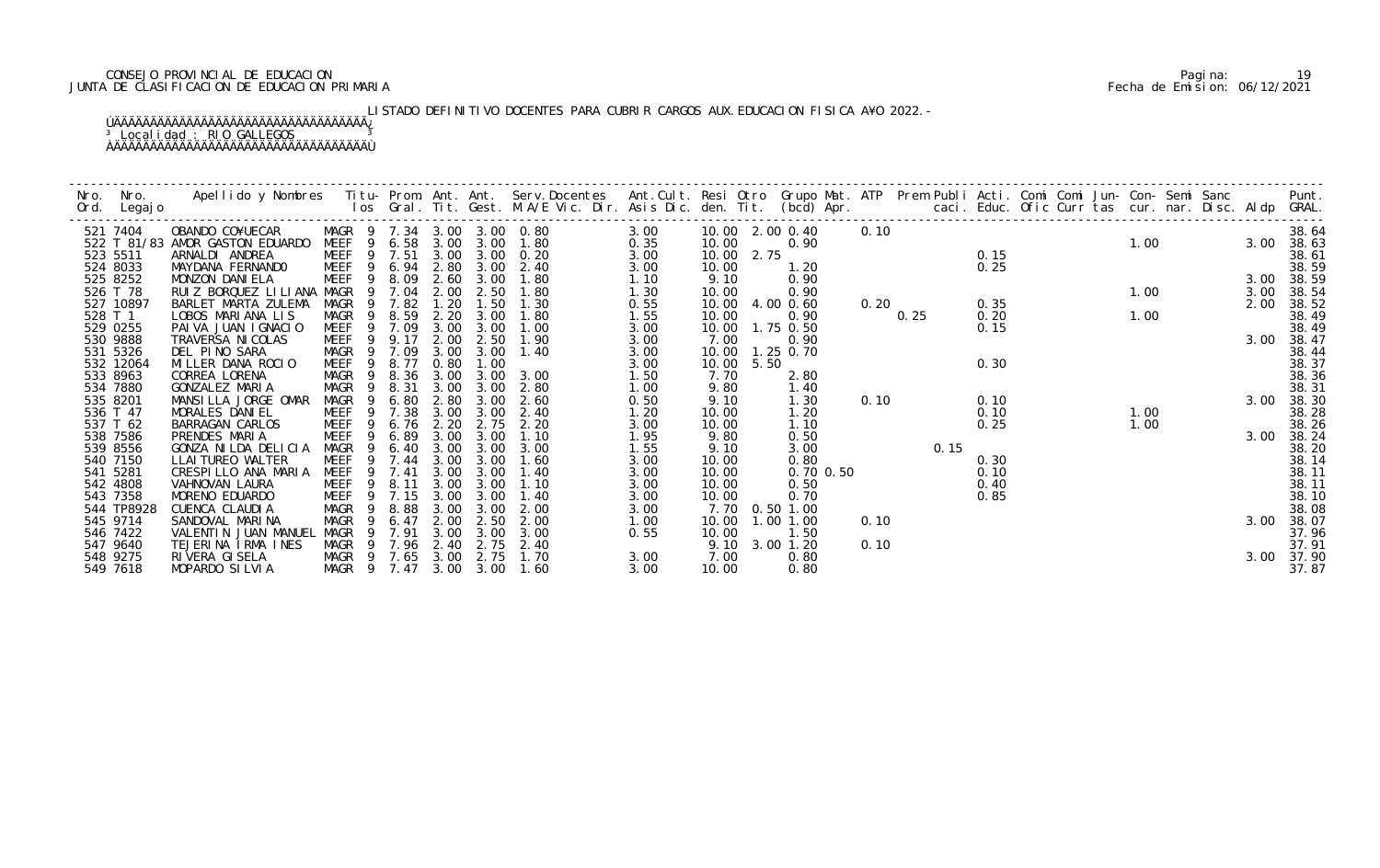# CONSEJO PROVINCIAL DE EDUCACION Pagina: 19 JUNTA DE CLASIFICACION DE EDUCACION PRIMARIA Fecha de Emision: 06/12/2021

# LISTADO DEFINITIVO DOCENTES PARA CUBRIR CARGOS AUX. EDUCACION FISICA A¥O 2022.-

| Nro.    | Nro.<br>Ord. Legajo  | Apellido y Nombres Titu-Prom. Ant. Ant. Serv.Docentes Ant.Cult. Resi Otro Grupo Mat. ATP Prem Publi Acti. Comi Comi Jun-Con-Semi Sanc Punt.<br>Ios Gral. Tit. Gest. M.A/E Vic. Dir. Asis Dic. den. Tit. (bcd) Apr. |                   |                |                     |              |                   |                            |              |                |      |                   |           |      |      |      |              |  |                |  |      |                |
|---------|----------------------|--------------------------------------------------------------------------------------------------------------------------------------------------------------------------------------------------------------------|-------------------|----------------|---------------------|--------------|-------------------|----------------------------|--------------|----------------|------|-------------------|-----------|------|------|------|--------------|--|----------------|--|------|----------------|
|         | 521 7404             | OBANDO CO¥UECAR                                                                                                                                                                                                    |                   |                |                     |              |                   | MAGR 9 7.34 3.00 3.00 0.80 | 3.00         |                |      | 10.00 2.00 0.40   |           | 0.10 |      |      |              |  |                |  |      | 38.64          |
|         |                      | 522 T 81/83 AMOR GASTON EDUARDO MEEF 9 6.58 3.00 3.00 1.80                                                                                                                                                         |                   |                |                     |              |                   |                            | 0.35         | 10.00          |      | 0.90              |           |      |      |      |              |  | $0.15$<br>0.25 |  |      | 3.00 38.63     |
|         | 523 5511<br>524 8033 | ARNALDI ANDREA<br>MAYDANA FERNANDO                                                                                                                                                                                 | MEEF <sub>9</sub> |                | MEEF 9 7.51<br>6.94 |              | 2.80 3.00         | 3.00 3.00 0.20<br>2.40     | 3.00         | 10.00 2.75     |      | 1.20              |           |      |      |      |              |  |                |  |      | 38.61<br>38.59 |
|         | 525 8252             | MONZON DANIELA                                                                                                                                                                                                     | <b>MEEF</b>       | 9              | 8.09                |              | 2.60 3.00         | 1.80                       | 3.00<br>1.10 | 10.00<br>9.10  |      | 0.90              |           |      |      |      |              |  |                |  |      | 3.00 38.59     |
|         | 526 T 78             | RUIZ BORQUEZ LILIANA MAGR 9                                                                                                                                                                                        |                   |                | 7.04                | 2.00         | 2.50              | 1.80                       | 1.30         | 10.00          |      | 0.90              |           |      |      |      |              |  | 1.00           |  | 3.00 | 38.54          |
|         | 527 10897            | BARLET MARTA ZULEMA                                                                                                                                                                                                | MAGR              | - 9            | 7.82                | 1.20         | 1.50              | 1.30                       | 0.55         |                |      | 10.00 4.00 0.60   |           | 0.20 |      |      | 0.35         |  |                |  | 2.00 | 38.52          |
| 528 T 1 |                      | LOBOS MARIANA LIS                                                                                                                                                                                                  | MAGR 9            |                | 8.59                | 2.20         | 3.00              | 1.80                       | 1.55         | 10.00          |      | 0.90              |           |      | 0.25 |      | 0.20         |  | 1.00           |  |      | 38.49          |
|         | 529 0255             | PAIVA JUAN IGNACIO                                                                                                                                                                                                 | MEEF              | $\overline{9}$ | 7.09                | 3.00         | 3.00              | 1.00                       | 3.00         |                |      | 10.00  1.75  0.50 |           |      |      |      | 0.15         |  |                |  |      | 38.49          |
|         | 530 9888             | TRAVERSA NI COLAS                                                                                                                                                                                                  | MEEF              | -9             | 9.17                | 2.00         | 2.50              | 1.90                       | 3.00         | 7.00           |      | 0.90              |           |      |      |      |              |  |                |  | 3.00 | 38.47          |
|         | 531 5326             | DEL PINO SARA                                                                                                                                                                                                      | MAGR 9            |                | 7.09                | 3.00         | 3.00              | 1.40                       | 3.00         |                |      | 10.00  1.25  0.70 |           |      |      |      |              |  |                |  |      | 38.44          |
|         | 532 12064            | MILLER DANA ROCIO                                                                                                                                                                                                  | MEEF <sub>9</sub> |                | 8.77                | 0.80         | 1.00              |                            | 3.00         | 10.00          | 5.50 |                   |           |      |      |      | 0.30         |  |                |  |      | 38.37          |
|         | 533 8963             | CORREA LORENA                                                                                                                                                                                                      | MAGR              | 9              | 8.36                | 3.00         | 3.00              | 3.00                       | 1.50         | 7.70           |      | 2.80              |           |      |      |      |              |  |                |  |      | 38.36          |
|         | 534 7880             | GONZALEZ MARIA                                                                                                                                                                                                     | MAGR              |                | 8.31                | 3.00         | 3.00              | 2.80                       | 1.00         | 9.80           |      | 1.40              |           |      |      |      |              |  |                |  |      | 38.31          |
|         | 535 8201             | MANSILLA JORGE OMAR                                                                                                                                                                                                | MAGR              | - 9            | 6.80                | 2.80         | 3.00              | 2.60                       | 0.50         | 9.10           |      | 1.30              |           | 0.10 |      |      | 0.10         |  |                |  | 3.00 | 38.30          |
|         | 536 T 47             | MORALES DANIEL                                                                                                                                                                                                     | MEEF              | -9             | 7.38                | 3.00         | 3.00              | 2.40                       | 1.20         | 10.00          |      | 1.20              |           |      |      |      | 0.10         |  | 1.00           |  |      | 38.28          |
|         | 537 T 62             | BARRAGAN CARLOS                                                                                                                                                                                                    | MEEF              | 9              | 6.76                | 2.20         | 2.75              | 2.20                       | 3.00         | 10.00          |      | 1.10              |           |      |      |      | 0.25         |  | 1.00           |  |      | 38.26          |
|         | 538 7586             | PRENDES MARIA                                                                                                                                                                                                      | MEEF              | 9              | 6.89                | 3.00         | 3.00              | 1.10                       | 1.95         | 9.80           |      | 0.50              |           |      |      |      |              |  |                |  | 3.00 | 38.24          |
|         | 539 8556             | GONZA NI LDA DELI CI A                                                                                                                                                                                             | MAGR              | - 9            | 6.40                | 3.00         | 3.00              | 3.00                       | 1.55         | 9.10           |      | 3.00              |           |      |      | 0.15 |              |  |                |  |      | 38.20          |
|         | 540 7150<br>541 5281 | LLAI TUREO WALTER<br>CRESPILLO ANA MARIA                                                                                                                                                                           | MEEF<br>MEEF      | 9              | 9 7.44<br>7.41      | 3.00<br>3.00 | 3.00<br>3.00      | 1.60<br>1.40               | 3.00<br>3.00 | 10.00<br>10.00 |      | 0.80              | 0.70 0.50 |      |      |      | 0.30<br>0.10 |  |                |  |      | 38.14<br>38.11 |
|         | 542 4808             | VAHNOVAN LAURA                                                                                                                                                                                                     | MEEF              |                | 8.11                | 3.00         | 3.00              | 1.10                       | 3.00         | 10.00          |      | 0.50              |           |      |      |      | 0.40         |  |                |  |      | 38.11          |
|         | 543 7358             | MORENO EDUARDO                                                                                                                                                                                                     |                   |                | MEEF 9 7.15         | 3.00         | 3.00              | 1.40                       | 3.00         | 10.00          |      | 0.70              |           |      |      |      | 0.85         |  |                |  |      | 38.10          |
|         | 544 TP8928           | CUENCA CLAUDIA                                                                                                                                                                                                     | MAGR              | - 9            | 8.88                | 3.00         | 3.00              | 2.00                       | 3.00         |                |      | 7.70 0.50 1.00    |           |      |      |      |              |  |                |  |      | 38.08          |
|         | 545 9714             | SANDOVAL MARINA                                                                                                                                                                                                    | MAGR              | 9              | 6.47                | 2.00         | 2.50              | 2.00                       | 1.00         | 10.00          |      | 1.00 1.00         |           | 0.10 |      |      |              |  |                |  | 3.00 | 38.07          |
|         | 546 7422             | VALENTIN JUAN MANUEL                                                                                                                                                                                               | MAGR              |                | 7.91                | 3.00         | 3.00              | 3.00                       | 0.55         | 10.00          |      | 1.50              |           |      |      |      |              |  |                |  |      | 37.96          |
|         | 547 9640             | TEJERINA IRMA INES                                                                                                                                                                                                 |                   |                | MAGR 9 7.96         |              | 2.40 2.75         | 2.40                       |              |                |      | 9.10 3.00 1.20    |           | 0.10 |      |      |              |  |                |  |      | 37.91          |
|         | 548 9275             | RI VERA GI SELA                                                                                                                                                                                                    |                   |                | MAGR 9 7.65         |              | 3.00 2.75         | 1.70                       | 3.00         | 7.00           |      | 0.80              |           |      |      |      |              |  |                |  |      | 3.00 37.90     |
|         | 549 7618             | MOPARDO SILVIA                                                                                                                                                                                                     |                   |                | MAGR 9 7.47         |              | $3.00 \quad 3.00$ | 1.60                       | 3.00         | 10.00          |      | 0.80              |           |      |      |      |              |  |                |  |      | 37.87          |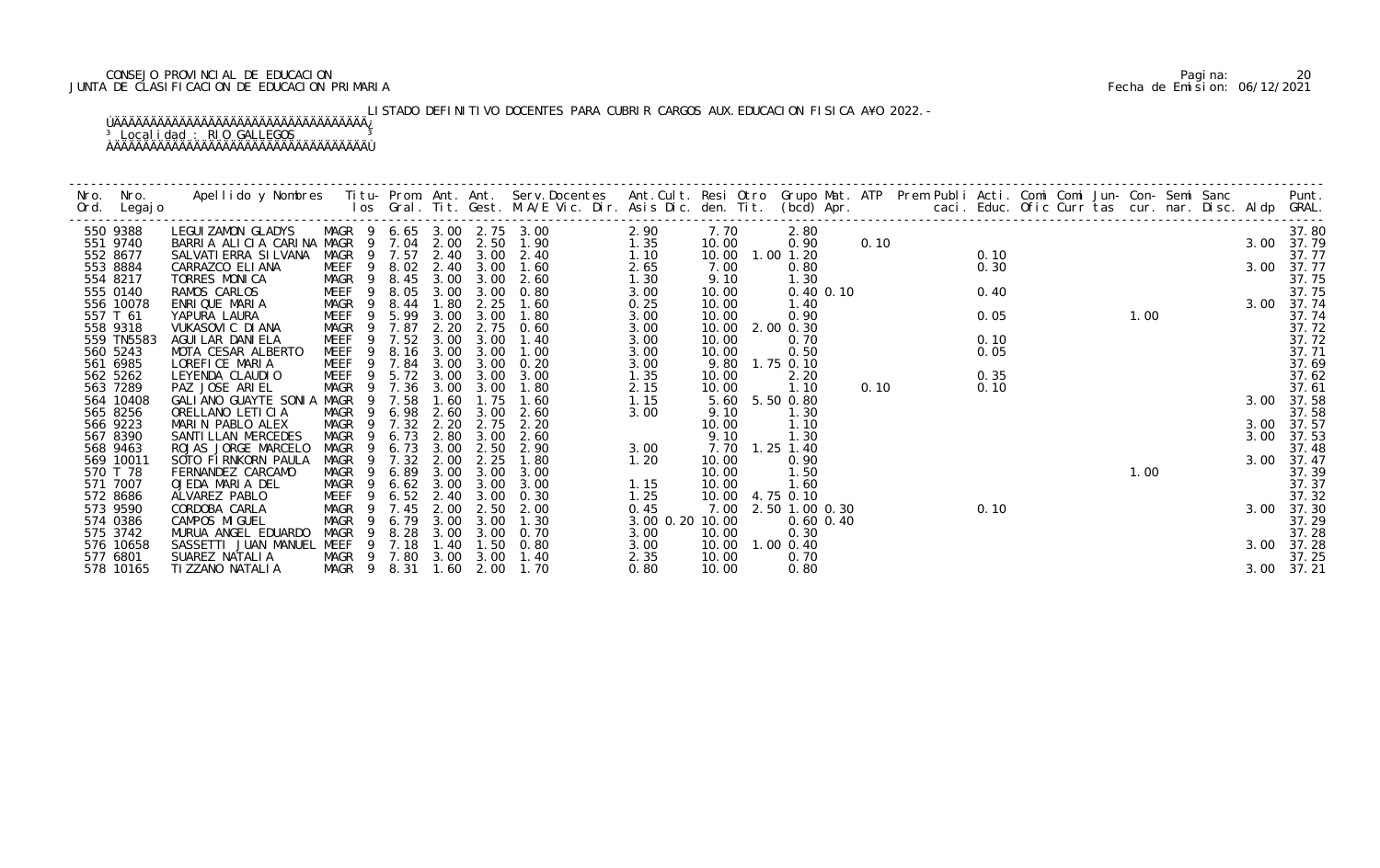# CONSEJO PROVINCIAL DE EDUCACION Pagina: 20 JUNTA DE CLASIFICACION DE EDUCACION PRIMARIA Fecha de Emision: 06/12/2021

# LISTADO DEFINITIVO DOCENTES PARA CUBRIR CARGOS AUX. EDUCACION FISICA A¥O 2022.-

| Nro. | Nro.<br>Ord. Legajo | Apellido y Nombres  Titu- Prom. Ant. Ant. Serv.Docentes  Ant.Cult. Resi Otro Grupo Mat. ATP Prem Publi Acti. Comi Comi Jun- Con- Semi Sanc         Punt.<br>Ios Gral. Tit. Gest. M.A/E Vic. Dir. Asis Dic. den. Tit. (bcd) Apr. |                        |             |      |               |      |                 |                   |                |      |      |  |      |  |      |            |
|------|---------------------|---------------------------------------------------------------------------------------------------------------------------------------------------------------------------------------------------------------------------------|------------------------|-------------|------|---------------|------|-----------------|-------------------|----------------|------|------|--|------|--|------|------------|
|      | 550 9388            | LEGUIZAMON GLADYS MAGR 9 6.65 3.00 2.75 3.00<br>BARRIA ALICIA CARINA MAGR 9 7.04 2.00 2.50 1.90                                                                                                                                 |                        |             |      |               |      | 2.90            | 7.70              | 2.80           |      |      |  |      |  |      | 37.80      |
|      | 551 9740            |                                                                                                                                                                                                                                 |                        |             |      |               |      | 1.35            | 10.00             | 0.90           | 0.10 |      |  |      |  |      | 3.00 37.79 |
|      | 552 8677            | SALVATI ERRA SI LVANA                                                                                                                                                                                                           | MAGR                   | 9 7.57      | 2.40 | 3.00          | 2.40 | 1.10            | 10.00  1.00  1.20 |                |      | 0.10 |  |      |  |      | 37.77      |
|      | 553 8884            | CARRAZCO ELIANA                                                                                                                                                                                                                 | MEEF 9 8.02            |             | 2.40 | 3.00          | 1.60 | 2.65            | 7.00              | 0.80           |      | 0.30 |  |      |  |      | 3.00 37.77 |
|      | 554 8217            | TORRES MONICA                                                                                                                                                                                                                   | MAGR 9 8.45            |             | 3.00 | 3.00          | 2.60 | 1.30            | 9.10              | 1.30           |      |      |  |      |  |      | 37.75      |
|      | 555 0140            | RAMOS CARLOS                                                                                                                                                                                                                    | MEEF 9 8.05            |             | 3.00 | 3.00          | 0.80 | 3.00            | 10.00             | $0.40$ $0.10$  |      | 0.40 |  |      |  |      | 37.75      |
|      | 556 10078           | ENRIQUE MARIA                                                                                                                                                                                                                   | MAGR<br>9              | 8.44        | 1.80 | 2.25          | 1.60 | 0.25            | 10.00             | 1.40           |      |      |  |      |  |      | 3.00 37.74 |
|      | 557 T 61            | YAPURA LAURA                                                                                                                                                                                                                    | MEEF                   | 9 5.99      | 3.00 | 3.00          | 1.80 | 3.00            | 10.00             | 0.90           |      | 0.05 |  | 1.00 |  |      | 37.74      |
|      | 558 9318            | VUKASOVI C DI ANA                                                                                                                                                                                                               | MAGR                   | 9 7.87      | 2.20 | 2.75          | 0.60 | 3.00            | 10.00 2.00 0.30   |                |      |      |  |      |  |      | 37.72      |
|      | 559 TN5583          | AGUI LAR DANI ELA                                                                                                                                                                                                               | MEEF                   | 9 7.52      | 3.00 | 3.00          | 1.40 | 3.00            | 10.00             | 0.70           |      | 0.10 |  |      |  |      | 37.72      |
|      | 560 5243            | MOTA CESAR ALBERTO                                                                                                                                                                                                              | <b>MEEF</b><br>9       | 8.16        | 3.00 | 3.00          | 1.00 | 3.00            | 10.00             | 0.50           |      | 0.05 |  |      |  |      | 37.71      |
|      | 561 6985            | LOREFICE MARIA                                                                                                                                                                                                                  | MEEF                   | 9 7.84      | 3.00 | 3.00          | 0.20 | 3.00            | 9.80              | 1.75 0.10      |      |      |  |      |  |      | 37.69      |
|      | 562 5262            | LEYENDA CLAUDIO                                                                                                                                                                                                                 | MEEF                   | 9 5.72 3.00 |      | 3.00          | 3.00 | 1.35            | 10.00             | 2.20           |      | 0.35 |  |      |  |      | 37.62      |
|      | 563 7289            | PAZ JOSE ARIEL                                                                                                                                                                                                                  | MAGR                   | 9 7.36      | 3.00 | 3.00          | 1.80 | 2.15            | 10.00             | 1.10           | 0.10 | 0.10 |  |      |  |      | 37.61      |
|      | 564 10408           | GALIANO GUAYTE SONIA MAGR                                                                                                                                                                                                       | $\overline{9}$         | 7.58        | 1.60 | 1.75          | 1.60 | 1.15            | 5.60              | 5.50 0.80      |      |      |  |      |  |      | 3.00 37.58 |
|      | 565 8256            | ORELLANO LETICIA                                                                                                                                                                                                                | MAGR<br>- 9            | 6.98        | 2.60 | 3.00          | 2.60 | 3.00            | 9.10              | 1.30           |      |      |  |      |  |      | 37.58      |
|      | 566 9223            | MARIN PABLO ALEX                                                                                                                                                                                                                | MAGR 9 7.32            |             | 2.20 | 2.75          | 2.20 |                 | 10.00             | 1.10           |      |      |  |      |  |      | 3.00 37.57 |
|      | 567 8390            | SANTI LLAN MERCEDES                                                                                                                                                                                                             | MAGR                   | 9 6.73      | 2.80 | 3.00          | 2.60 |                 | 9.10              | 1.30           |      |      |  |      |  |      | 3.00 37.53 |
|      | 568 9463            | ROJAS JORGE MARCELO                                                                                                                                                                                                             | <b>MAGR</b><br>-9      | 6.73        | 3.00 | 2.50          | 2.90 | 3.00            | 7.70 1.25 1.40    |                |      |      |  |      |  |      | 37.48      |
|      | 569 10011           | SOTO FIRNKORN PAULA                                                                                                                                                                                                             | MAGR                   | 7.32        | 2.00 | 2.25          | 1.80 | 1.20            | 10.00             | 0.90           |      |      |  |      |  | 3.00 | 37.47      |
|      | 570 T 78            | FERNANDEZ CARCAMO                                                                                                                                                                                                               | MAGR<br>$\overline{9}$ | 6.89        | 3.00 | 3.00          | 3.00 |                 | 10.00             | 1.50           |      |      |  | 1.00 |  |      | 37.39      |
|      | 571 7007            | OJEDA MARIA DEL                                                                                                                                                                                                                 | MAGR 9 6.62            |             | 3.00 | 3.00          | 3.00 | 1.15            | 10.00             | 1.60           |      |      |  |      |  |      | 37.37      |
|      | 572 8686            | ALVAREZ PABLO                                                                                                                                                                                                                   | MEEF 9 6.52            |             | 2.40 | 3.00          | 0.30 | 1.25            | 10.00             | 4.75 0.10      |      |      |  |      |  |      | 37.32      |
|      | 573 9590            | CORDOBA CARLA                                                                                                                                                                                                                   | MAGR<br>- 9            | 7.45        | 2.00 | 2.50          | 2.00 | 0.45            | 7.00              | 2.50 1.00 0.30 |      | 0.10 |  |      |  |      | 3.00 37.30 |
|      | 574 0386            | <b>CAMPOS MIGUEL</b>                                                                                                                                                                                                            | MAGR<br>- 9            | 6.79        | 3.00 | 3.00          | 1.30 | 3.00 0.20 10.00 |                   | $0.60$ $0.40$  |      |      |  |      |  |      | 37.29      |
|      | 575 3742            | MURUA ANGEL EDUARDO                                                                                                                                                                                                             | MAGR                   | 9 8.28      | 3.00 | 3.00          | 0.70 | 3.00            | 10.00             | 0.30           |      |      |  |      |  |      | 37.28      |
|      | 576 10658           | SASSETTI JUAN MANUEL                                                                                                                                                                                                            | MEEF                   | 9 7.18      | 1.40 | 1.50          | 0.80 | 3.00            | 10.00             | 1.00 0.40      |      |      |  |      |  |      | 3.00 37.28 |
|      | 577 6801            | SUAREZ NATALIA                                                                                                                                                                                                                  | MAGR 9 7.80            |             | 3.00 | 3.00          | 1.40 | 2.35            | 10.00             | 0.70           |      |      |  |      |  |      | 37.25      |
|      | 578 10165           | TI ZZANO NATALI A                                                                                                                                                                                                               | MAGR 9 8.31            |             |      | $1.60$ $2.00$ | 1.70 | 0.80            | 10.00             | 0.80           |      |      |  |      |  |      | 3.00 37.21 |
|      |                     |                                                                                                                                                                                                                                 |                        |             |      |               |      |                 |                   |                |      |      |  |      |  |      |            |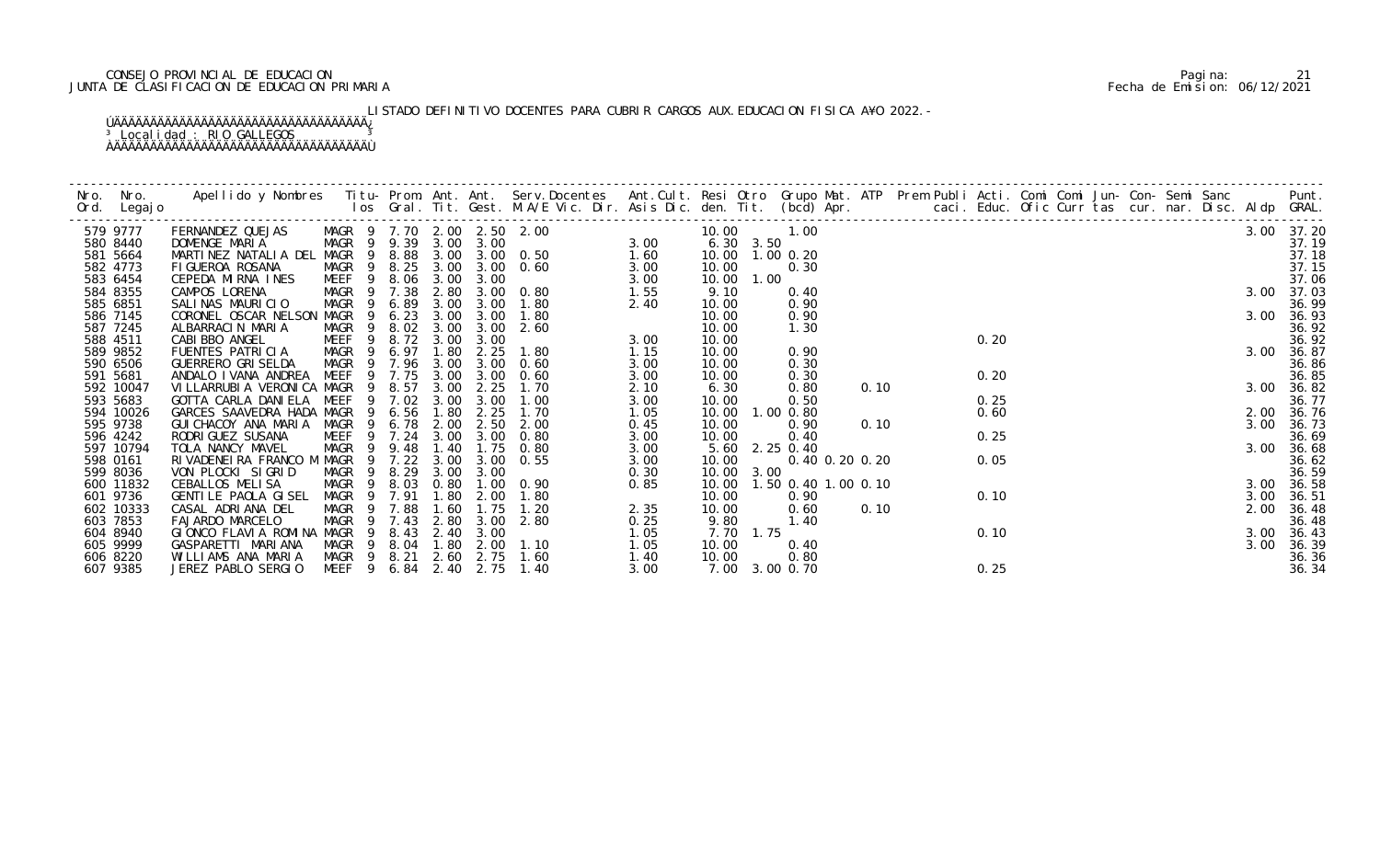# CONSEJO PROVINCIAL DE EDUCACION Pagina: 21 JUNTA DE CLASIFICACION DE EDUCACION PRIMARIA Fecha de Emision: 06/12/2021

# LISTADO DEFINITIVO DOCENTES PARA CUBRIR CARGOS AUX. EDUCACION FISICA A¥O 2022.-

| Nro. | Nro.<br>Ord. Legajo   | Apellido y Nombres Iitu-Prom. Ant. Ant. Serv.Docentes Ant.Cult. Resi Otro Grupo Mat. ATP Prem Publi Acti. Comi Comi Jun-Con-Semi Sanc Punt.<br>Ios Gral. Tit. Gest. M.A/E Vic. Dir. Asis Dic. den. Tit. (bcd) Apr. |             |                        |                                                |           |                                                     |              |               |           |                               |                |  |      |  |  |  |      |                     |
|------|-----------------------|--------------------------------------------------------------------------------------------------------------------------------------------------------------------------------------------------------------------|-------------|------------------------|------------------------------------------------|-----------|-----------------------------------------------------|--------------|---------------|-----------|-------------------------------|----------------|--|------|--|--|--|------|---------------------|
|      | 579 9777              | FERNANDEZ QUEJAS                                                                                                                                                                                                   |             |                        |                                                |           | MAGR 9 7.70 2.00 2.50 2.00<br>MAGR 9 9.39 3.00 3.00 |              | 10.00         |           | 1.00                          |                |  |      |  |  |  |      | 3.00 37.20          |
|      | 580 8440<br>581 5664  |                                                                                                                                                                                                                    |             |                        |                                                |           |                                                     |              |               | 6.30 3.50 | 10.00 1.00 0.20               |                |  |      |  |  |  |      | 37.19<br>37.18      |
|      | 582 4773              | FIGUEROA ROSANA                                                                                                                                                                                                    |             |                        |                                                |           | MAGR 9 8.25 3.00 3.00 0.60                          | 3.00         | 10.00         |           | 0.30                          |                |  |      |  |  |  |      | 37.15               |
|      | 583 6454              | CEPEDA MIRNA INES                                                                                                                                                                                                  |             |                        |                                                |           |                                                     | 3.00         | 10.00         | 1.00      |                               |                |  |      |  |  |  |      | 37.06               |
|      | 584 8355              | CAMPOS LORENA                                                                                                                                                                                                      |             |                        | MEEF 9 8.06 3.00 3.00<br>MAGR 9 7.38 2.80 3.00 |           | 3.00 0.80                                           | 1.55         | 9.10          |           | 0.40                          |                |  |      |  |  |  |      | 3.00 37.03          |
|      | 585 6851              | SALINAS MAURICIO                                                                                                                                                                                                   | MAGR 9 6.89 |                        | 3.00                                           | 3.00      | 1.80                                                | 2.40         | 10.00         |           | 0.90                          |                |  |      |  |  |  |      | 36.99               |
|      | 586 7145              | CORONEL OSCAR NELSON MAGR 9 6.23                                                                                                                                                                                   |             |                        | 3.00                                           | 3.00      | 1.80                                                |              | 10.00         |           | 0.90                          |                |  |      |  |  |  |      | 3.00 36.93          |
|      | 587 7245              | ALBARRACIN MARIA                                                                                                                                                                                                   | MAGR        | 8.02<br>9              | 3.00                                           | 3.00      | 2.60                                                |              | 10.00         |           | 1.30                          |                |  |      |  |  |  |      | 36.92               |
|      | 588 4511              | CABI BBO ANGEL                                                                                                                                                                                                     | MEEF        |                        | 9 8.72 3.00                                    | 3.00      |                                                     | 3.00         | 10.00         |           |                               |                |  | 0.20 |  |  |  |      | 36.92               |
|      | 589 9852              | FUENTES PATRICIA                                                                                                                                                                                                   | MAGR 9 6.97 |                        | 1.80                                           | 2.25      | 1.80                                                | 1.15         | 10.00         |           | 0.90                          |                |  |      |  |  |  | 3.00 | 36.87               |
|      | 590 6506              | GUERRERO GRI SELDA                                                                                                                                                                                                 | MAGR 9 7.96 |                        | 3.00                                           | 3.00      | 0.60                                                | 3.00         | 10.00         |           | 0.30                          |                |  |      |  |  |  |      | 36.86               |
|      | 591 5681              | ANDALO I VANA ANDREA                                                                                                                                                                                               | MEEF 9 7.75 |                        | 3.00                                           | 3.00      | 0.60                                                | 3.00         | 10.00         |           | 0.30                          |                |  | 0.20 |  |  |  |      | 36.85<br>3.00 36.82 |
|      | 592 10047             | VI LLARRUBI A VERONI CA MAGR                                                                                                                                                                                       |             | 8.57<br>9              | 3.00                                           | 2.25      | 1.70                                                | 2.10         | 6.30          |           | 0.80                          | 0.10           |  |      |  |  |  |      |                     |
|      | 593 5683              | GOTTA CARLA DANIELA MEEF                                                                                                                                                                                           |             | 9<br>7.02              | 3.00                                           | 3.00      | 1.00                                                | 3.00         | 10.00         |           | 0.50                          |                |  | 0.25 |  |  |  |      | 36.77               |
|      | 594 10026             | GARCES SAAVEDRA HADA MAGR                                                                                                                                                                                          |             | 9 6.56                 | 1.80                                           | 2.25      | 1.70                                                | 1.05         |               |           | 10.00  1.00  0.80             |                |  | 0.60 |  |  |  |      | 2.00 36.76          |
|      | 595 9738              | GUI CHACOY ANA MARIA                                                                                                                                                                                               | MAGR        | 9 6.78                 | 2.00                                           | 2.50      | 2.00                                                | 0.45         | 10.00         |           | 0.90                          | 0.10           |  |      |  |  |  | 3.00 | 36.73               |
|      | 596 4242              | RODRI GUEZ SUSANA                                                                                                                                                                                                  | MEEF        | 9 7.24                 | 3.00                                           | 3.00      | 0.80                                                | 3.00         | 10.00         |           | 0.40                          |                |  | 0.25 |  |  |  |      | 36.69               |
|      | 597 10794<br>598 0161 | TOLA NANCY MAVEL<br>RIVADENEIRA FRANCO M MAGR 9 7.22                                                                                                                                                               | MAGR        | $\overline{9}$<br>9.48 | 1.40<br>3.00                                   |           | 1.75 0.80                                           | 3.00         | 5.60<br>10.00 |           | 2.25 0.40                     | 0.40 0.20 0.20 |  | 0.05 |  |  |  | 3.00 | 36.68<br>36.62      |
|      | 599 8036              | VON PLOCKI SIGRID                                                                                                                                                                                                  | MAGR 9 8.29 |                        |                                                | 3.00 3.00 | $3.00 \quad 0.55$                                   | 3.00<br>0.30 | 10.00 3.00    |           |                               |                |  |      |  |  |  |      | 36.59               |
|      | 600 11832             | CEBALLOS MELISA                                                                                                                                                                                                    | MAGR        | 9 8.03                 | 0.80                                           |           | $1.00 \quad 0.90$                                   | 0.85         |               |           | 10.00  1.50  0.40  1.00  0.10 |                |  |      |  |  |  | 3.00 | 36.58               |
|      | 601 9736              | GENTILE PAOLA GISEL                                                                                                                                                                                                | MAGR 9 7.91 |                        | 1.80                                           | 2.00      | 1.80                                                |              | 10.00         |           | 0.90                          |                |  | 0.10 |  |  |  | 3.00 | 36.51               |
|      | 602 10333             | CASAL ADRIANA DEL                                                                                                                                                                                                  | MAGR 9 7.88 |                        | 1.60                                           | 1.75      | 1.20                                                | 2.35         | 10.00         |           | 0.60                          | 0.10           |  |      |  |  |  | 2.00 | 36.48               |
|      | 603 7853              | FAJARDO MARCELO                                                                                                                                                                                                    | MAGR 9 7.43 |                        | 2.80                                           | 3.00      | 2.80                                                | 0.25         | 9.80          |           | 1.40                          |                |  |      |  |  |  |      | 36.48               |
|      | 604 8940              | GIONCO FLAVIA ROMINA MAGR                                                                                                                                                                                          |             | 8.43<br>9              |                                                | 2.40 3.00 |                                                     | 1.05         |               | 7.70 1.75 |                               |                |  | 0.10 |  |  |  | 3.00 | 36.43               |
|      | 605 9999              | GASPARETTI MARIANA                                                                                                                                                                                                 | MAGR 9 8.04 |                        | 1.80                                           | 2.00      | 1.10                                                | 1.05         | 10.00         |           | 0.40                          |                |  |      |  |  |  | 3.00 | 36.39               |
|      | 606 8220              | WILLIAMS ANA MARIA                                                                                                                                                                                                 | MAGR 9 8.21 |                        |                                                |           | 2.60 2.75 1.60                                      | 1.40         | 10.00         |           | 0.80                          |                |  |      |  |  |  |      | 36.36               |
|      | 607 9385              | JEREZ PABLO SERGIO                                                                                                                                                                                                 |             |                        | MEEF 9 6.84 2.40 2.75                          |           | 1.40                                                | 3.00         |               |           | 7.00 3.00 0.70                |                |  | 0.25 |  |  |  |      | 36.34               |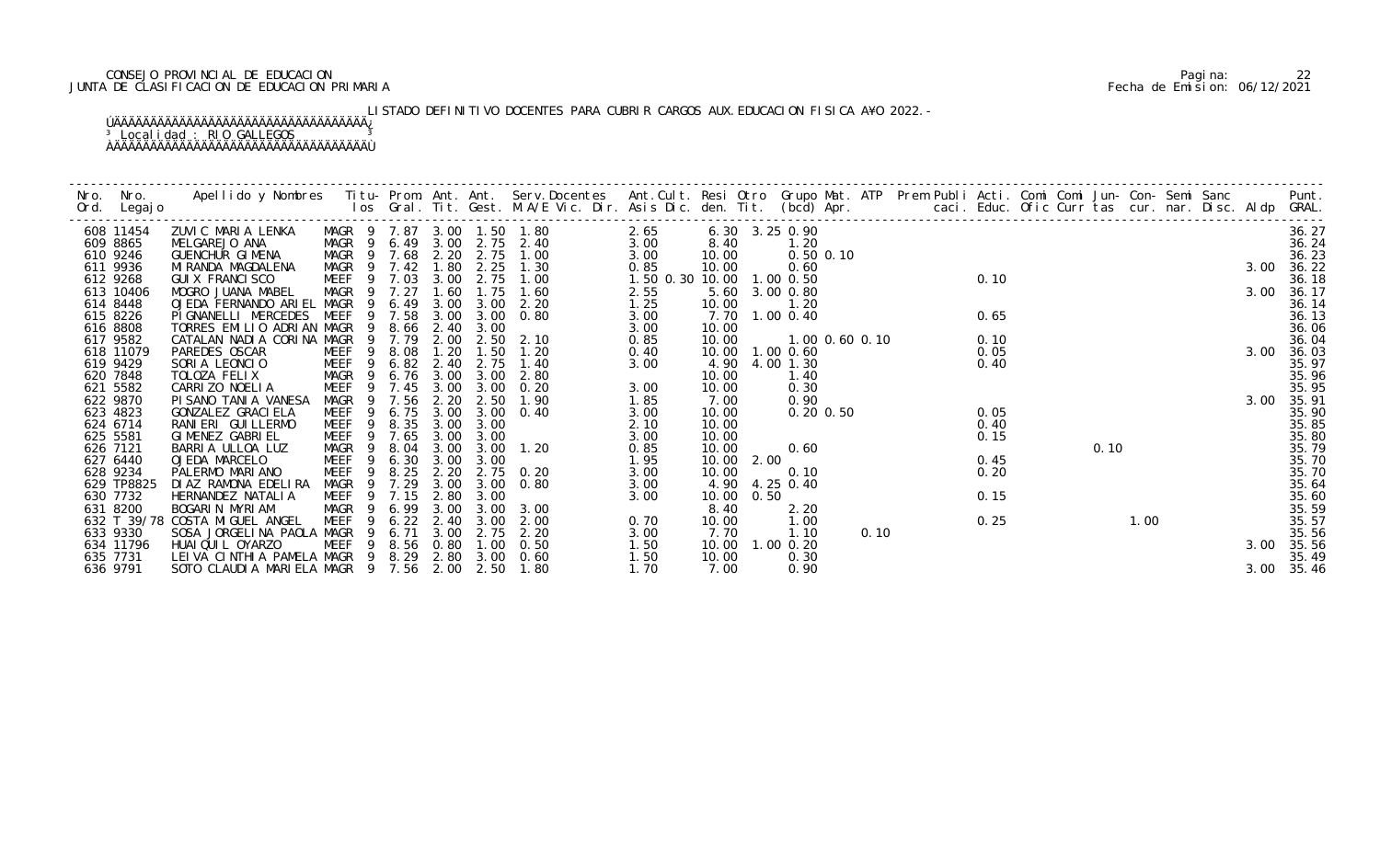# CONSEJO PROVINCIAL DE EDUCACION Pagina: 22 JUNTA DE CLASIFICACION DE EDUCACION PRIMARIA Fecha de Emision: 06/12/2021

LISTADO DEFINITIVO DOCENTES PARA CUBRIR CARGOS AUX. EDUCACION FISICA A¥O 2022.-

| Nro. | Nro.<br>Ord. Legajo | Apellido y Nombres Titu- Prom. Ant. Ant. Serv.Docentes Ant.Cult. Resi Otro Grupo Mat. ATP Prem Publi Acti. Comi Comi Jun- Con- Semi Sanc Punt.<br>Ios Gral. Tit. Gest. M.A/E Vic. Dir. Asis Dic. den. Tit. (bcd) Apr. |                                                          |                  |      |      |               |                           |                   |                |               |                |      |      |      |      |  |      |       |
|------|---------------------|-----------------------------------------------------------------------------------------------------------------------------------------------------------------------------------------------------------------------|----------------------------------------------------------|------------------|------|------|---------------|---------------------------|-------------------|----------------|---------------|----------------|------|------|------|------|--|------|-------|
|      | 608 11454           | ZUVIC MARIA LENKA                                                                                                                                                                                                     | MAGR 9 7.87 3.00 1.50 1.80<br>MAGR 9 6.49 3.00 2.75 2.40 |                  |      |      |               | 2.65                      | 6.30 3.25 0.90    |                |               |                |      |      |      |      |  |      | 36.27 |
|      | 609 8865            | MELGAREJO ANA                                                                                                                                                                                                         |                                                          |                  |      |      |               | 3.00                      | 8.40              |                | 1.20          |                |      |      |      |      |  |      | 36.24 |
|      | 610 9246            | GUENCHUR GIMENA                                                                                                                                                                                                       | MAGR 9 7.68 2.20                                         |                  |      |      | 2.75 1.00     | 3.00                      | 10.00             |                | $0.50$ $0.10$ |                |      |      |      |      |  |      | 36.23 |
|      | 611 9936            | MI RANDA MAGDALENA                                                                                                                                                                                                    | MAGR 9 7.42                                              |                  | 1.80 | 2.25 | 1.30          | 0.85                      | 10.00             |                | 0.60          |                |      |      |      |      |  | 3.00 | 36.22 |
|      | 612 9268            | GUI X FRANCI SCO                                                                                                                                                                                                      | MEEF 9 7.03 3.00                                         |                  |      |      | 2.75 1.00     | 1.50 0.30 10.00 1.00 0.50 |                   |                |               |                |      | 0.10 |      |      |  |      | 36.18 |
|      | 613 10406           | MOGRO JUANA MABEL                                                                                                                                                                                                     | MAGR 9 7.27                                              |                  | 1.60 | 1.75 | 1.60          | 2.55                      |                   | 5.60 3.00 0.80 |               |                |      |      |      |      |  | 3.00 | 36.17 |
|      | 614 8448            | OJEDA FERNANDO ARIEL MAGR 9                                                                                                                                                                                           |                                                          | 6.49             | 3.00 | 3.00 | 2.20          | 1.25                      | 10.00             |                | 1.20          |                |      |      |      |      |  |      | 36.14 |
|      | 615 8226            | PIGNANELLI MERCEDES                                                                                                                                                                                                   | MEEF                                                     | 9 7.58           | 3.00 | 3.00 | 0.80          | 3.00                      | 7.70 1.00 0.40    |                |               |                |      | 0.65 |      |      |  |      | 36.13 |
|      | 616 8808            | TORRES EMILIO ADRIAN MAGR                                                                                                                                                                                             |                                                          | 9 8.66           | 2.40 | 3.00 |               | 3.00                      | 10.00             |                |               |                |      |      |      |      |  |      | 36.06 |
|      | 617 9582            | CATALAN NADIA CORINA MAGR                                                                                                                                                                                             |                                                          | 9 7.79           | 2.00 |      | $2.50$ $2.10$ | 0.85                      | 10.00             |                |               | 1.00 0.60 0.10 |      | 0.10 |      |      |  |      | 36.04 |
|      | 618 11079           | PAREDES OSCAR                                                                                                                                                                                                         | MEEF                                                     | 9 8.08           | 1.20 | 1.50 | 1.20          | 0.40                      | 10.00  1.00  0.60 |                |               |                |      | 0.05 |      |      |  | 3.00 | 36.03 |
|      | 619 9429            | SORIA LEONCIO                                                                                                                                                                                                         | MEEF 9 6.82 2.40                                         |                  |      | 2.75 | 1.40          | 3.00                      | 4.90              | 4.00 1.30      |               |                |      | 0.40 |      |      |  |      | 35.97 |
|      | 620 7848            | TOLOZA FELIX                                                                                                                                                                                                          | MAGR                                                     | 9 6.76           | 3.00 | 3.00 | 2.80          |                           | 10.00             |                | 1.40          |                |      |      |      |      |  |      | 35.96 |
|      | 621 5582            | CARRIZO NOELIA                                                                                                                                                                                                        | MEEF                                                     | 9 7.45           | 3.00 | 3.00 | 0.20          | 3.00                      | 10.00             |                | 0.30          |                |      |      |      |      |  |      | 35.95 |
|      | 622 9870            | PISANO TANIA VANESA                                                                                                                                                                                                   | MAGR                                                     | 9 7.56           | 2.20 | 2.50 | 1.90          | 1.85                      | 7.00              |                | 0.90          |                |      |      |      |      |  | 3.00 | 35.91 |
|      | 623 4823            | GONZALEZ GRACI ELA                                                                                                                                                                                                    | MEEF <sub>9</sub>                                        | 6.75             | 3.00 | 3.00 | 0.40          | 3.00                      | 10.00             |                | $0.20$ $0.50$ |                |      | 0.05 |      |      |  |      | 35.90 |
|      | 624 6714            | RANIERI GUILLERMO                                                                                                                                                                                                     | MEEF 9 8.35                                              |                  | 3.00 | 3.00 |               | 2.10                      | 10.00             |                |               |                |      | 0.40 |      |      |  |      | 35.85 |
|      | 625 5581            | GIMENEZ GABRIEL                                                                                                                                                                                                       | MEEF 9 7.65                                              |                  | 3.00 | 3.00 |               | 3.00                      | 10.00             |                |               |                |      | 0.15 |      |      |  |      | 35.80 |
|      | 626 7121            | BARRIA ULLOA LUZ                                                                                                                                                                                                      | MAGR<br>9                                                | 8.04             | 3.00 |      | $3.00$ 1.20   | 0.85                      | 10.00             |                | 0.60          |                |      |      | 0.10 |      |  |      | 35.79 |
|      | 627 6440            | OJEDA MARCELO                                                                                                                                                                                                         | MEEF                                                     | 9 6.30           | 3.00 | 3.00 |               | 1.95                      | 10.00             | 2.00           |               |                |      | 0.45 |      |      |  |      | 35.70 |
|      | 628 9234            | PALERMO MARIANO                                                                                                                                                                                                       | MEEF                                                     | 9 8.25           | 2.20 |      | 2.75 0.20     | 3.00                      | 10.00             |                | 0.10          |                |      | 0.20 |      |      |  |      | 35.70 |
|      | 629 TP8825          | DI AZ RAMONA EDELIRA                                                                                                                                                                                                  | MAGR 9 7.29                                              |                  | 3.00 | 3.00 | 0.80          | 3.00                      | 4.90 4.25 0.40    |                |               |                |      |      |      |      |  |      | 35.64 |
|      | 630 7732            | HERNANDEZ NATALIA                                                                                                                                                                                                     | MEEF 9 7.15 2.80                                         |                  |      | 3.00 |               | 3.00                      | 10.00             | 0.50           |               |                |      | 0.15 |      |      |  |      | 35.60 |
|      | 631 8200            | BOGARIN MYRIAM                                                                                                                                                                                                        | MAGR 9 6.99 3.00                                         |                  |      | 3.00 | 3.00          |                           | 8.40              |                | 2.20          |                |      |      |      |      |  |      | 35.59 |
|      |                     | 632 T 39/78 COSTA MIGUEL ANGEL                                                                                                                                                                                        | MEEF                                                     | 9 6.22 2.40      |      | 3.00 | 2.00          | 0.70                      | 10.00             |                | 1.00          |                |      | 0.25 |      | 1.00 |  |      | 35.57 |
|      | 633 9330            | SOSA JORGELINA PAOLA MAGR                                                                                                                                                                                             |                                                          | 9 6.71           | 3.00 | 2.75 | 2.20          | 3.00                      | 7.70              |                | 1.10          |                | 0.10 |      |      |      |  |      | 35.56 |
|      | 634 11796           | HUAI QUI L OYARZO                                                                                                                                                                                                     | MEEF                                                     | 9 8.56 0.80 1.00 |      |      | 0.50          | 1.50                      | 10.00             | $1.00 \, 0.20$ |               |                |      |      |      |      |  | 3.00 | 35.56 |
|      | 635 7731            | LEIVA CINTHIA PAMELA MAGR 9 8.29 2.80 3.00 0.60                                                                                                                                                                       |                                                          |                  |      |      |               | 1.50                      | 10.00             |                | 0.30          |                |      |      |      |      |  |      | 35.49 |
|      | 636 9791            | SOTO CLAUDIA MARIELA MAGR 9 7.56                                                                                                                                                                                      |                                                          |                  | 2.00 | 2.50 | 1.80          | 1.70                      | 7.00              |                | 0.90          |                |      |      |      |      |  | 3.00 | 35.46 |
|      |                     |                                                                                                                                                                                                                       |                                                          |                  |      |      |               |                           |                   |                |               |                |      |      |      |      |  |      |       |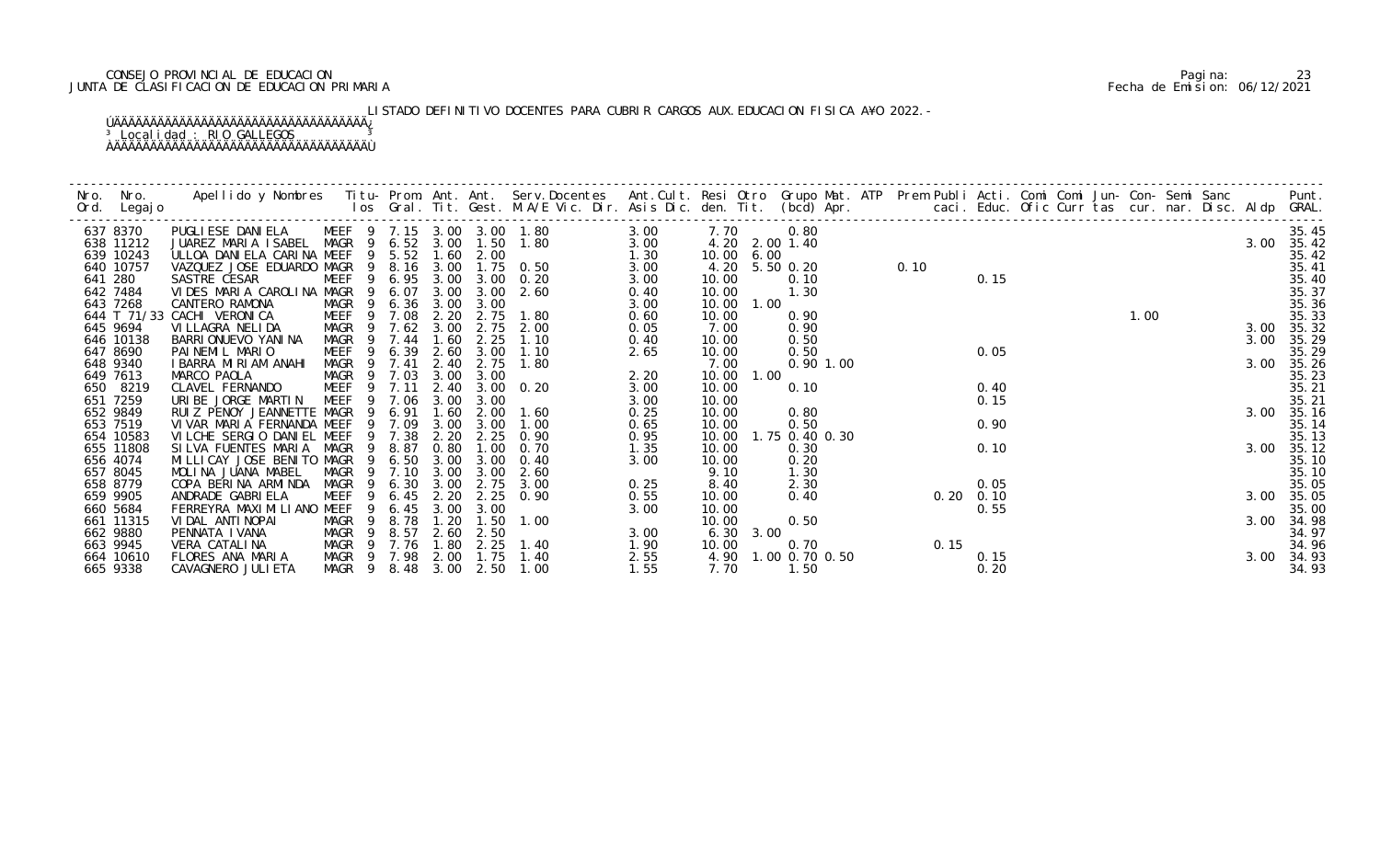# CONSEJO PROVINCIAL DE EDUCACION Pagina: 23 JUNTA DE CLASIFICACION DE EDUCACION PRIMARIA Fecha de Emision: 06/12/2021

# LISTADO DEFINITIVO DOCENTES PARA CUBRIR CARGOS AUX. EDUCACION FISICA A¥O 2022.-

| Nro. | Nro.<br>Ord. Legajo   | Apellido y Nombres  Titu- Prom. Ant. Ant. Serv.Docentes  Ant.Cult. Resi Otro Grupo Mat. ATP  Prem Publi Acti. Comi Comi Jun- Con- Semi Sanc                     Punt.<br>Ios  Gral. Tit. Gest. M.A/E Vic. Dir. Asis Dic. den. Tit |                            |                |              |              |                  |              |              |                                 |              |                |      |                   |      |  |      |  |      |                |
|------|-----------------------|-----------------------------------------------------------------------------------------------------------------------------------------------------------------------------------------------------------------------------------|----------------------------|----------------|--------------|--------------|------------------|--------------|--------------|---------------------------------|--------------|----------------|------|-------------------|------|--|------|--|------|----------------|
|      | 637 8370<br>638 11212 | PUGLI ESE DANI ELA                                                                                                                                                                                                                | MEEF 9 7.15 3.00 3.00 1.80 |                |              |              |                  |              | 3.00         | 7.70                            | 0.80         |                |      |                   |      |  |      |  |      | 35.45          |
|      | 639 10243             | JUAREZ MARIA ISABEL MAGR 9 6.52 3.00<br>ULLOA DANIELA CARINA MEEF                                                                                                                                                                 |                            |                |              |              | 9 5.52 1.60 2.00 | 1.50 1.80    | 3.00<br>1.30 | 4.20 2.00 1.40<br>10.00<br>6.00 |              |                |      |                   |      |  |      |  | 3.00 | 35.42<br>35.42 |
|      | 640 10757             | VAZQUEZ JOSE EDUARDO MAGR                                                                                                                                                                                                         |                            |                | 9 8.16       | 3.00         |                  | 1.75 0.50    | 3.00         | 4.20 5.50 0.20                  |              |                | 0.10 |                   |      |  |      |  |      | 35.41          |
|      | 641 280               | SASTRE CESAR                                                                                                                                                                                                                      | <b>MEEF</b>                |                | 9 6.95       | 3.00         | 3.00             | 0.20         | 3.00         | 10.00                           | 0.10         |                |      |                   | 0.15 |  |      |  |      | 35.40          |
|      | 642 7484              | VIDES MARIA CAROLINA MAGR                                                                                                                                                                                                         |                            | $\overline{9}$ | 6.07         | 3.00         | 3.00             | 2.60         | 0.40         | 10.00                           | 1.30         |                |      |                   |      |  |      |  |      | 35.37          |
|      | 643 7268              | CANTERO RAMONA                                                                                                                                                                                                                    | MAGR                       | - 9            | 6.36         | 3.00         | 3.00             |              | 3.00         | 10.00 1.00                      |              |                |      |                   |      |  |      |  |      | 35.36          |
|      |                       | 644 T 71/33 CACHI VERONICA                                                                                                                                                                                                        | MEEF                       | - 9            | 7.08         | 2.20         | 2.75             | 1.80         | 0.60         | 10.00                           | 0.90         |                |      |                   |      |  | 1.00 |  |      | 35.33          |
|      | 645 9694              | VI LLAGRA NELI DA                                                                                                                                                                                                                 | MAGR                       | -9             | 7.62         | 3.00         | 2.75             | 2.00         | 0.05         | 7.00                            | 0.90         |                |      |                   |      |  |      |  | 3.00 | 35.32          |
|      | 646 10138<br>647 8690 | BARRI ONUEVO YANI NA<br>PAINEMIL MARIO                                                                                                                                                                                            | MAGR<br>MEEF               | -9<br>- 9      | 7.44         | 1.60         | 2.25             | 1.10<br>1.10 | 0.40<br>2.65 | 10.00<br>10.00                  | 0.50<br>0.50 |                |      |                   | 0.05 |  |      |  | 3.00 | 35.29<br>35.29 |
|      | 648 9340              | I BARRA MIRIAM ANAHI                                                                                                                                                                                                              | MAGR                       | - 9            | 6.39<br>7.41 | 2.60<br>2.40 | 3.00<br>2.75     | 1.80         |              | 7.00                            |              | $0.90$ 1.00    |      |                   |      |  |      |  | 3.00 | 35.26          |
|      | 649 7613              | MARCO PAOLA                                                                                                                                                                                                                       | MAGR                       | $\overline{9}$ | 7.03         | 3.00         | 3.00             |              | 2.20         | 10.00<br>1.00                   |              |                |      |                   |      |  |      |  |      | 35.23          |
|      | 650 8219              | CLAVEL FERNANDO                                                                                                                                                                                                                   | MEEF                       |                | 7.11         | 2.40         | 3.00             | 0.20         | 3.00         | 10.00                           | 0.10         |                |      |                   | 0.40 |  |      |  |      | 35.21          |
|      | 651 7259              | URIBE JORGE MARTIN                                                                                                                                                                                                                | MEEF 9 7.06                |                |              | 3.00         | 3.00             |              | 3.00         | 10.00                           |              |                |      |                   | 0.15 |  |      |  |      | 35.21          |
|      | 652 9849              | RUIZ PENOY JEANNETTE MAGR                                                                                                                                                                                                         |                            | -9             | 6.91         | 1.60         | 2.00             | 1.60         | 0.25         | 10.00                           | 0.80         |                |      |                   |      |  |      |  | 3.00 | 35.16          |
|      | 653 7519              | VIVAR MARIA FERNANDA MEEF                                                                                                                                                                                                         |                            | 9              | 7.09         | 3.00         | 3.00             | 1.00         | 0.65         | 10.00                           | 0.50         |                |      |                   | 0.90 |  |      |  |      | 35.14          |
|      | 654 10583             | VILCHE SERGIO DANIEL MEEF                                                                                                                                                                                                         |                            |                | 7.38         | 2.20         | 2.25             | 0.90         | 0.95         | 10.00                           |              | 1.75 0.40 0.30 |      |                   |      |  |      |  |      | 35.13          |
|      | 655 11808             | SILVA FUENTES MARIA                                                                                                                                                                                                               | MAGR                       |                | 8.87         | 0.80         | 1.00             | 0.70         | 1.35         | 10.00                           | 0.30         |                |      |                   | 0.10 |  |      |  | 3.00 | 35.12          |
|      | 656 4074              | MILLICAY JOSE BENITO MAGR                                                                                                                                                                                                         |                            | -9             | 6.50         | 3.00         | 3.00<br>3.00     | 0.40         | 3.00         | 10.00                           | 0.20         |                |      |                   |      |  |      |  |      | 35.10          |
|      | 657 8045<br>658 8779  | MOLINA JUANA MABEL<br>COPA BERINA ARMINDA                                                                                                                                                                                         | MAGR<br>MAGR               | -9             | 7.10<br>6.30 | 3.00<br>3.00 | 2.75             | 2.60<br>3.00 |              | 9.10<br>8.40                    | 1.30         |                |      |                   | 0.05 |  |      |  |      | 35.10<br>35.05 |
|      | 659 9905              | ANDRADE GABRIELA                                                                                                                                                                                                                  | MEEF                       | -9             | 6.45         | 2.20         | 2.25             | 0.90         | 0.25<br>0.55 | 10.00                           | 2.30<br>0.40 |                |      | $0.20 \quad 0.10$ |      |  |      |  | 3.00 | 35.05          |
|      | 660 5684              | FERREYRA MAXIMILIANO MEEF                                                                                                                                                                                                         |                            | 9              | 6.45         | 3.00         | 3.00             |              | 3.00         | 10.00                           |              |                |      |                   | 0.55 |  |      |  |      | 35.00          |
|      | 661 11315             | VIDAL ANTINOPAI                                                                                                                                                                                                                   | MAGR                       | -9             | 8.78         | 1.20         | 1.50             | 1.00         |              | 10.00                           | 0.50         |                |      |                   |      |  |      |  | 3.00 | 34.98          |
|      | 662 9880              | PENNATA IVANA                                                                                                                                                                                                                     | MAGR                       | 9              | 8.57         | 2.60         | 2.50             |              | 3.00         | 6.30<br>3.00                    |              |                |      |                   |      |  |      |  |      | 34.97          |
|      | 663 9945              | VERA CATALINA                                                                                                                                                                                                                     | MAGR 9 7.76                |                |              | 1.80         | 2.25             | 1.40         | 1.90         | 10.00                           | 0.70         |                |      | 0.15              |      |  |      |  |      | 34.96          |
|      | 664 10610             | FLORES ANA MARIA                                                                                                                                                                                                                  | MAGR 9 7.98                |                |              | 2.00         | 1.75             | 1.40         | 2.55         | 4.90                            |              | 1.00 0.70 0.50 |      |                   | 0.15 |  |      |  |      | 3.00 34.93     |
|      | 665 9338              | CAVAGNERO JULI ETA                                                                                                                                                                                                                | MAGR 9                     |                | 8.48         | 3.00         | 2.50             | 1.00         | 1.55         | 7.70                            | 1.50         |                |      |                   | 0.20 |  |      |  |      | 34.93          |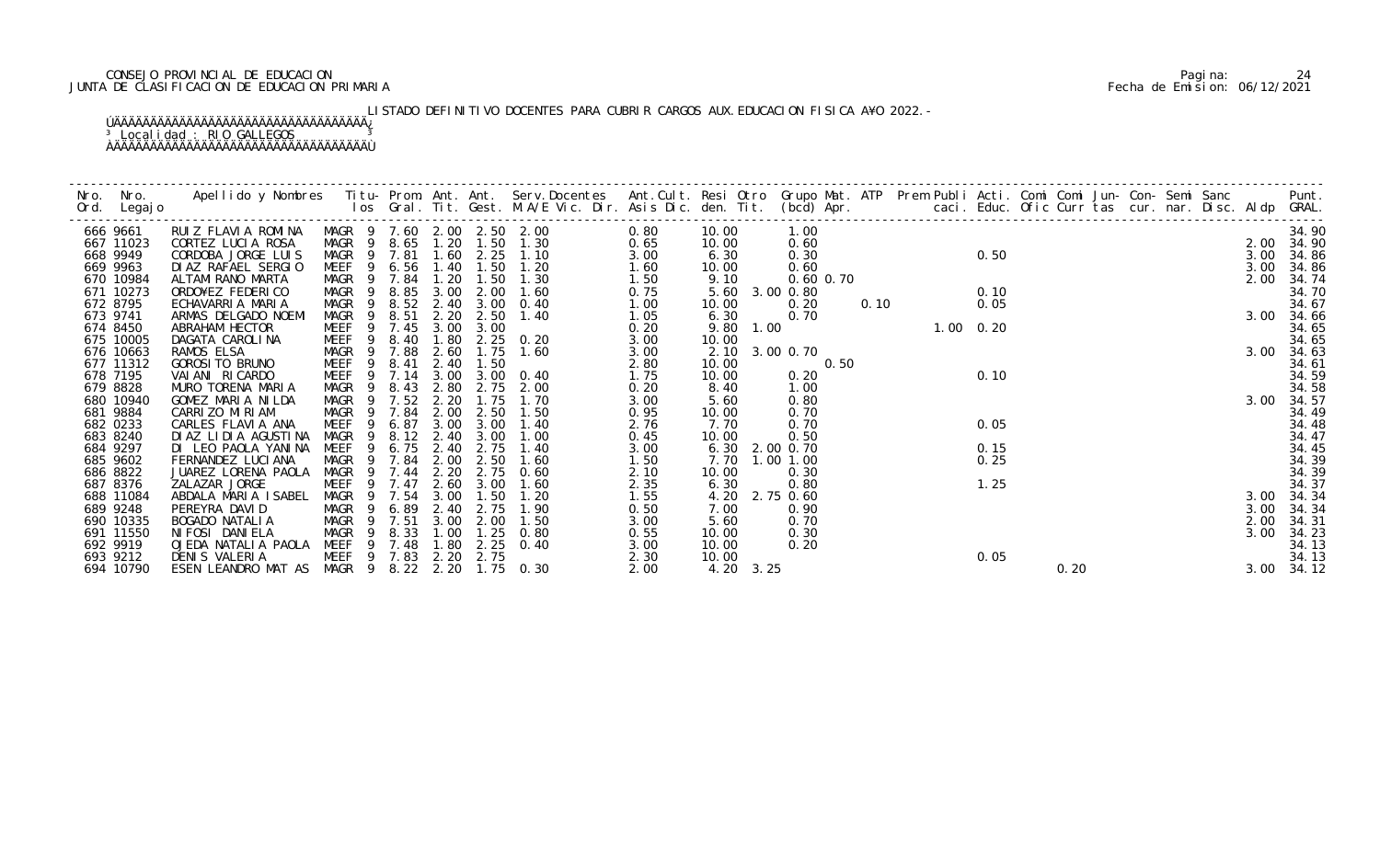# CONSEJO PROVINCIAL DE EDUCACION Pagina: 24 JUNTA DE CLASIFICACION DE EDUCACION PRIMARIA Fecha de Emision: 06/12/2021

# LISTADO DEFINITIVO DOCENTES PARA CUBRIR CARGOS AUX. EDUCACION FISICA A¥O 2022.-

| 666 9661  | RUIZ FLAVIA ROMINA                             |                       |                |             |      |      | MAGR 9 7.60 2.00 2.50 2.00 | 0.80 | 10.00 |           | 1.00           |           |      |  |                |      |  |  |      | 34.90          |
|-----------|------------------------------------------------|-----------------------|----------------|-------------|------|------|----------------------------|------|-------|-----------|----------------|-----------|------|--|----------------|------|--|--|------|----------------|
| 667 11023 | CORTEZ LUCIA ROSA                              |                       |                |             |      |      | MAGR 9 8.65 1.20 1.50 1.30 | 0.65 | 10.00 |           | 0.60           |           |      |  |                |      |  |  |      | 2.00 34.90     |
| 668 9949  | CORDOBA JORGE LUIS                             |                       |                |             |      |      | MAGR 9 7.81 1.60 2.25 1.10 | 3.00 | 6.30  |           | 0.30           |           |      |  | 0.50           |      |  |  |      | 3.00 34.86     |
| 669 9963  | DIAZ RAFAEL SERGIO                             | MEEF 9 6.56 1.40 1.50 |                |             |      |      | 1.20                       | 1.60 | 10.00 |           | 0.60           |           |      |  |                |      |  |  | 3.00 | 34.86          |
| 670 10984 | ALTAMI RANO MARTA                              | MAGR 9 7.84           |                |             | 1.20 | 1.50 | 1.30                       | 1.50 | 9.10  |           |                | 0.60 0.70 |      |  | 0.10           |      |  |  | 2.00 | 34.74          |
| 671 10273 | ORDO¥EZ FEDERICO                               | MAGR 9                |                | 8.85 3.00   |      | 2.00 | 1.60                       | 0.75 |       |           | 5.60 3.00 0.80 |           |      |  |                |      |  |  |      | 34.70          |
| 672 8795  | ECHAVARRIA MARIA                               | MAGR 9 8.52           |                |             | 2.40 | 3.00 | 0.40                       | 1.00 | 10.00 |           | 0.20           |           | 0.10 |  | 0.05           |      |  |  |      | 34.67          |
| 673 9741  | ARMAS DELGADO NOEMI                            | MAGR                  | 9              | 8.51        | 2.20 | 2.50 | 1.40                       | 1.05 | 6.30  |           | 0.70           |           |      |  | $1.00 \t 0.20$ |      |  |  |      | 3.00 34.66     |
| 674 8450  | ABRAHAM HECTOR                                 | MEEF                  | $\overline{9}$ | 7.45        | 3.00 | 3.00 |                            | 0.20 | 9.80  | 1.00      |                |           |      |  |                |      |  |  |      | 34.65          |
| 675 10005 | DAGATA CAROLINA                                | MEEF <sub>9</sub>     |                | 8.40        | 1.80 |      | 2.25 0.20                  | 3.00 | 10.00 |           |                |           |      |  |                |      |  |  |      | 34.65          |
| 676 10663 | RAMOS ELSA                                     | MAGR 9 7.88           |                |             | 2.60 | 1.75 | 1.60                       | 3.00 |       |           | 2.10 3.00 0.70 |           |      |  |                |      |  |  | 3.00 | 34.63          |
| 677 11312 | <b>GOROSI TO BRUNO</b>                         | <b>MEEF</b>           |                | 9 8.41      | 2.40 | 1.50 |                            | 2.80 | 10.00 |           |                | 0.50      |      |  |                |      |  |  |      | 34.61          |
| 678 7195  | VAI ANI RI CARDO                               | MEEF 9 7.14           |                |             | 3.00 | 3.00 | 0.40                       | 1.75 | 10.00 |           | 0.20           |           |      |  | 0.10           |      |  |  |      | 34.59          |
| 679 8828  | MURO TORENA MARIA                              | MAGR 9 8.43 2.80      |                |             |      | 2.75 | 2.00                       | 0.20 | 8.40  |           | 1.00           |           |      |  |                |      |  |  |      | 34.58          |
| 680 10940 | GOMEZ MARIA NILDA                              | MAGR 9 7.52           |                |             | 2.20 | 1.75 | 1.70                       | 3.00 | 5.60  |           | 0.80           |           |      |  |                |      |  |  |      | 3.00 34.57     |
| 681 9884  | CARRIZO MIRIAM                                 | MAGR                  |                | 9 7.84      | 2.00 | 2.50 | 1.50                       | 0.95 | 10.00 |           | 0.70           |           |      |  |                |      |  |  |      | 34.49          |
| 682 0233  | CARLES FLAVIA ANA                              | MEEF                  |                | 9 6.87      | 3.00 | 3.00 | 1.40                       | 2.76 | 7.70  |           | 0.70           |           |      |  | 0.05           |      |  |  |      | 34.48          |
| 683 8240  | DIAZ LIDIA AGUSTINA                            | MAGR                  |                | 9 8.12 2.40 |      | 3.00 | 1.00                       | 0.45 | 10.00 |           | 0.50           |           |      |  |                |      |  |  |      | 34.47          |
| 684 9297  | DI LEO PAOLA YANINA                            | MEEF 9 6.75 2.40      |                |             |      | 2.75 | 1.40                       | 3.00 |       |           | 6.30 2.00 0.70 |           |      |  | 0.15           |      |  |  |      | 34.45<br>34.39 |
| 685 9602  | FERNANDEZ LUCI ANA                             | MAGR                  |                | 9 7.84      | 2.00 | 2.50 | 1.60                       | 1.50 |       |           | 7.70 1.00 1.00 |           |      |  | 0.25           |      |  |  |      |                |
| 686 8822  | JUAREZ LORENA PAOLA                            | MAGR 9 7.44           |                |             | 2.20 | 2.75 | 0.60                       | 2.10 | 10.00 |           | 0.30           |           |      |  |                |      |  |  |      | 34.39          |
| 687 8376  | ZALAZAR JORGE                                  | MEEF 9 7.47 2.60      |                |             |      | 3.00 | 1.60                       | 2.35 | 6.30  |           | 0.80           |           |      |  | 1.25           |      |  |  |      | 34.37          |
| 688 11084 | ABDALA MARIA ISABEL                            | MAGR 9 7.54           |                |             | 3.00 | 1.50 | 1. 20                      | 1.55 |       |           | 4.20 2.75 0.60 |           |      |  |                |      |  |  |      | 3.00 34.34     |
| 689 9248  | PEREYRA DAVID                                  | MAGR 9                |                | 6.89        | 2.40 | 2.75 | 1.90                       | 0.50 | 7.00  |           | 0.90           |           |      |  |                |      |  |  | 3.00 | 34.34          |
| 690 10335 | BOGADO NATALIA                                 | MAGR 9 7.51           |                |             | 3.00 | 2.00 | 1.50                       | 3.00 | 5.60  |           | 0.70           |           |      |  |                |      |  |  | 2.00 | 34.31          |
| 691 11550 | NI FOSI DANI ELA                               | MAGR 9 8.33           |                |             | 1.00 | 1.25 | 0.80                       | 0.55 | 10.00 |           | 0.30           |           |      |  |                |      |  |  | 3.00 | 34.23          |
| 692 9919  | OJEDA NATALIA PAOLA MEEF 9 7.48 1.80           |                       |                |             |      |      | 2.25 0.40                  | 3.00 | 10.00 |           | 0.20           |           |      |  |                |      |  |  |      | 34.13          |
| 693 9212  | DENIS VALERIA                                  | MEEF 9 7.83 2.20      |                |             |      | 2.75 |                            | 2.30 | 10.00 |           |                |           |      |  | 0.05           |      |  |  |      | 34.13          |
| 694 10790 | ESEN LEANDRO MAT AS MAGR 9 8.22 2.20 1.75 0.30 |                       |                |             |      |      |                            | 2.00 |       | 4.20 3.25 |                |           |      |  |                | 0.20 |  |  |      | 3.00 34.12     |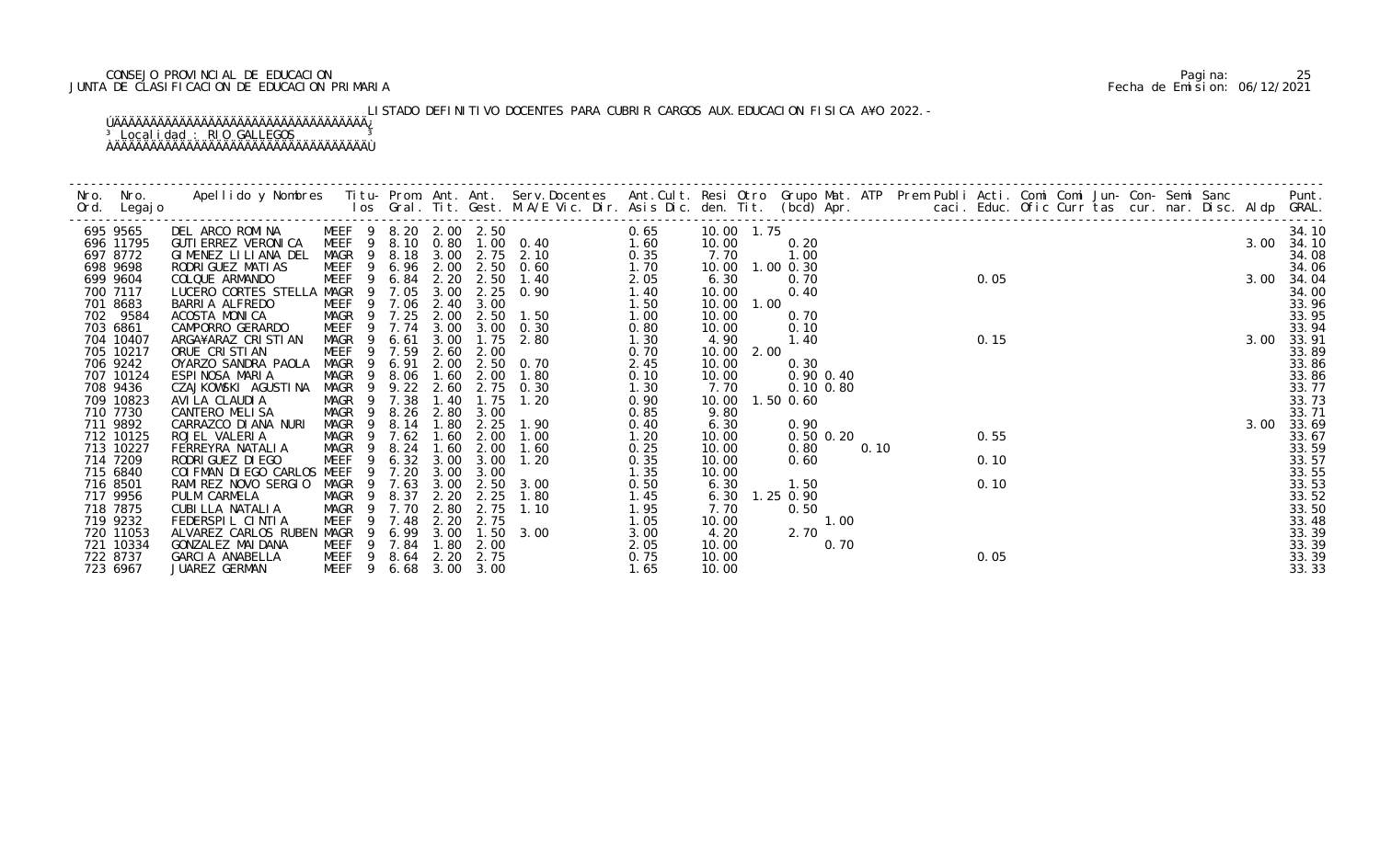# CONSEJO PROVINCIAL DE EDUCACION Pagina: 25 JUNTA DE CLASIFICACION DE EDUCACION PRIMARIA Fecha de Emision: 06/12/2021

# LISTADO DEFINITIVO DOCENTES PARA CUBRIR CARGOS AUX. EDUCACION FISICA A¥O 2022.-

|                       |                                       |                       |                |              |                            |              |                            |              |                |                       |               |      |  |      |  |  |  |      | Punt.          |
|-----------------------|---------------------------------------|-----------------------|----------------|--------------|----------------------------|--------------|----------------------------|--------------|----------------|-----------------------|---------------|------|--|------|--|--|--|------|----------------|
| 695 9565              | DEL ARCO ROMINA                       | MEEF 9 8.20 2.00 2.50 |                |              |                            |              |                            | 0.65         | 10.00 1.75     |                       |               |      |  |      |  |  |  |      | 34.10          |
| 696 11795             | GUTI ERREZ VERONI CA                  |                       |                |              |                            |              | MEEF 9 8.10 0.80 1.00 0.40 | 1.60         | 10.00          | 0.20                  |               |      |  |      |  |  |  |      | 3.00 34.10     |
| 697 8772              | GIMENEZ LILIANA DEL                   | MAGR                  |                |              |                            |              | 9 8.18 3.00 2.75 2.10      | 0.35         | 7.70           | 1.00                  |               |      |  |      |  |  |  |      | 34.08          |
| 698 9698<br>699 9604  | RODRI GUEZ MATI AS<br>COLQUE ARMANDO  | MEEF<br><b>MEEF</b>   |                |              | 9 6.96 2.00<br>9 6.84 2.20 | 2.50         | $2.50\quad 0.60$<br>1.40   | 1.70<br>2.05 | 10.00<br>6.30  | $1.00$ $0.30$<br>0.70 |               |      |  | 0.05 |  |  |  | 3.00 | 34.06<br>34.04 |
| 700 7117              | LUCERO CORTES STELLA MAGR 9           |                       |                | 7.05         | 3.00                       |              | 2.25 0.90                  | 1.40         | 10.00          | 0.40                  |               |      |  |      |  |  |  |      | 34.00          |
| 701 8683              | BARRIA ALFREDO                        | <b>MEEF</b>           | 9 7.06         |              | 2.40                       | 3.00         |                            | 1.50         | 10.00 1.00     |                       |               |      |  |      |  |  |  |      | 33.96          |
| 702 9584              | ACOSTA MONICA                         | MAGR 9 7.25           |                |              | 2.00                       |              | 2.50 1.50                  | 1.00         | 10.00          | 0.70                  |               |      |  |      |  |  |  |      | 33.95          |
| 703 6861              | CAMPORRO GERARDO                      | MEEF                  | 9              | 7.74         | 3.00                       | 3.00         | 0.30                       | 0.80         | 10.00          | 0.10                  |               |      |  |      |  |  |  |      | 33.94          |
| 704 10407             | ARGA¥ARAZ CRISTIAN                    | MAGR                  | 9              | 6.61         | 3.00                       | 1.75         | 2.80                       | 1.30         | 4.90           | 1.40                  |               |      |  | 0.15 |  |  |  | 3.00 | 33.91          |
| 705 10217             | ORUE CRISTIAN                         | MEEF                  | 9 7.59         |              | 2.60                       | 2.00         |                            | 0.70         | 10.00 2.00     |                       |               |      |  |      |  |  |  |      | 33.89          |
| 706 9242              | OYARZO SANDRA PAOLA                   | MAGR                  | 9 6.91         |              | 2.00                       |              | 2.50 0.70                  | 2.45         | 10.00          | 0.30                  |               |      |  |      |  |  |  |      | 33.86          |
| 707 10124             | ESPINOSA MARIA                        | MAGR 9                |                | 8.06         | 1.60                       | 2.00         | 1.80                       | 0.10         | 10.00          |                       | 0.90 0.40     |      |  |      |  |  |  |      | 33.86          |
| 708 9436              | CZAJKOWSKI AGUSTINA                   | MAGR 9                |                |              | 9.22 2.60                  |              | 2.75 0.30                  | 1.30         | 7.70           |                       | $0.10$ $0.80$ |      |  |      |  |  |  |      | 33.77          |
| 709 10823             | AVILA CLAUDIA                         | MAGR                  | 9 7.38         |              | 1.40                       | 1.75         | 1.20                       | 0.90         |                | 10.00  1.50  0.60     |               |      |  |      |  |  |  |      | 33.73          |
| 710 7730              | CANTERO MELISA                        | MAGR                  | - 9            | 8.26         | 2.80                       | 3.00         |                            | 0.85         | 9.80           |                       |               |      |  |      |  |  |  |      | 33.71          |
| 711 9892              | CARRAZCO DI ANA NURI                  | MAGR                  | - 9            | 8.14         | 1.80                       | 2.25         | 1.90                       | 0.40         | 6.30           | 0.90                  |               |      |  |      |  |  |  | 3.00 | 33.69          |
| 712 10125             | ROJEL VALERIA                         | MAGR                  | $\overline{9}$ | 7.62         | 1.60                       | 2.00         | 1.00                       | 1.20         | 10.00          |                       | $0.50$ $0.20$ |      |  | 0.55 |  |  |  |      | 33.67          |
| 713 10227<br>714 7209 | FERREYRA NATALIA<br>RODRI GUEZ DI EGO | MAGR<br><b>MEEF</b>   | - 9<br>9       | 8.24<br>6.32 | 1.60<br>3.00               | 2.00<br>3.00 | 1.60<br>1.20               | 0.25         | 10.00<br>10.00 | 0.80<br>0.60          |               | 0.10 |  | 0.10 |  |  |  |      | 33.59<br>33.57 |
| 715 6840              | COI FMAN DI EGO CARLOS MEEF           |                       | 9              | 7.20         | 3.00                       | 3.00         |                            | 0.35<br>1.35 | 10.00          |                       |               |      |  |      |  |  |  |      | 33.55          |
| 716 8501              | RAMIREZ NOVO SERGIO                   | MAGR                  | 9 7.63         |              | 3.00                       |              | 2.50 3.00                  | 0.50         | 6.30           | 1.50                  |               |      |  | 0.10 |  |  |  |      | 33.53          |
| 717 9956              | PULM CARMELA                          | MAGR 9 8.37           |                |              | 2.20                       | 2.25         | 1.80                       | 1.45         |                | 6.30 1.25 0.90        |               |      |  |      |  |  |  |      | 33.52          |
| 718 7875              | CUBILLA NATALIA                       | MAGR                  | $\overline{9}$ | 7.70         | 2.80                       | 2.75         | 1.10                       | 1.95         | 7.70           | 0.50                  |               |      |  |      |  |  |  |      | 33.50          |
| 719 9232              | FEDERSPIL CINTIA                      | MEEF                  | 9              | 7.48         | 2.20                       | 2.75         |                            | 1.05         | 10.00          |                       | 1.00          |      |  |      |  |  |  |      | 33.48          |
| 720 11053             | ALVAREZ CARLOS RUBEN MAGR             |                       | - 9            | 6.99         | 3.00                       |              | $1.50 \quad 3.00$          | 3.00         | 4.20           | 2.70                  |               |      |  |      |  |  |  |      | 33.39          |
| 721 10334             | GONZALEZ MAI DANA                     | MEEF 9 7.84           |                |              | 1.80                       | 2.00         |                            | 2.05         | 10.00          |                       | 0.70          |      |  |      |  |  |  |      | 33.39          |
| 722 8737              | GARCIA ANABELLA                       | MEEF 9 8.64 2.20 2.75 |                |              |                            |              |                            | 0.75         | 10.00          |                       |               |      |  | 0.05 |  |  |  |      | 33.39          |
| 723 6967              | JUAREZ GERMAN                         | MEEF 9 6.68 3.00 3.00 |                |              |                            |              |                            | 1.65         | 10.00          |                       |               |      |  |      |  |  |  |      | 33.33          |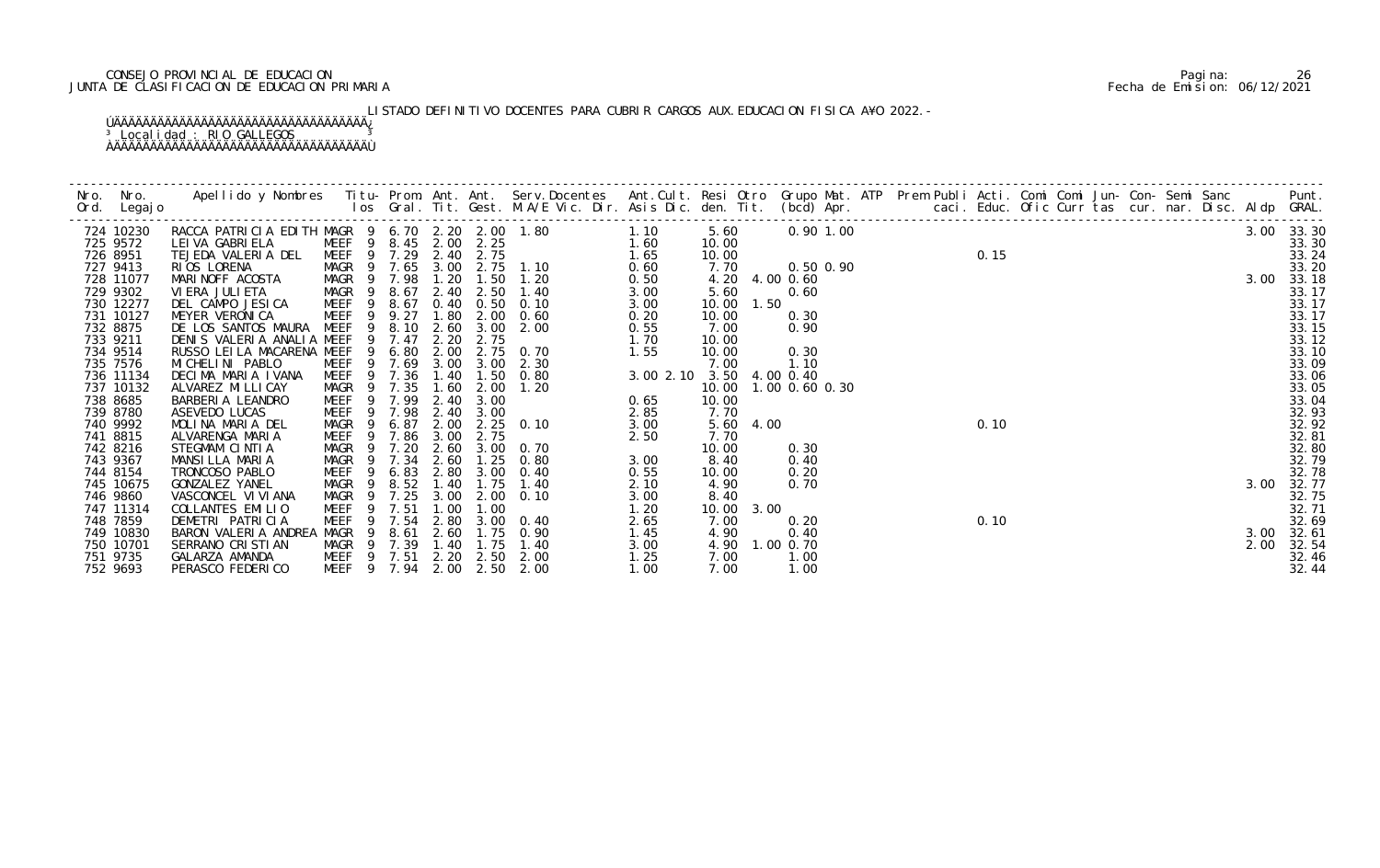# CONSEJO PROVINCIAL DE EDUCACION Pagina: 26 JUNTA DE CLASIFICACION DE EDUCACION PRIMARIA Fecha de Emision: 06/12/2021

# LISTADO DEFINITIVO DOCENTES PARA CUBRIR CARGOS AUX. EDUCACION FISICA A¥O 2022.-

| Nro. | Nro.<br>Ord. Legajo  | Apellido y Nombres Iitu-Prom. Ant. Ant. Serv.Docentes Ant.Cult. Resi Otro Grupo Mat. ATP Prem Publi Acti. Comi Comi Jun-Con-Semi Sanc Punt.<br>Ios Gral. Tit. Gest. M.A/E Vic. Dir. Asis Dic. den. Tit. (bcd) Apr. |                            |              |              |           |                                                                                                                                                              |                          |                      |           |  |      |  |  |  |      |                |
|------|----------------------|--------------------------------------------------------------------------------------------------------------------------------------------------------------------------------------------------------------------|----------------------------|--------------|--------------|-----------|--------------------------------------------------------------------------------------------------------------------------------------------------------------|--------------------------|----------------------|-----------|--|------|--|--|--|------|----------------|
|      | 724 10230            | RACCA PATRICIA EDITH MAGR 9 6.70 2.20 2.00 1.80<br>LEIVA GABRIELA MEEF 9 8.45 2.00 2.25                                                                                                                            |                            |              |              |           | 1.10                                                                                                                                                         |                          | 5.60                 | 0.90 1.00 |  | 0.15 |  |  |  |      | 3.00 33.30     |
|      | 725 9572             |                                                                                                                                                                                                                    |                            |              |              |           | MEEF 9 8.45 2.00 2.25<br>MEEF 9 7.29 2.40 2.75 1.65<br>MAGR 9 7.65 3.00 2.75 1.10 0.60<br>MAGR 9 7.98 1.20 1.50 1.20 0.50<br>MAGR 9 8.47 2.40 2.50 1.40 0.50 |                          | 10.00                |           |  |      |  |  |  |      | 33.30          |
|      | 726 8951             | TEJEDA VALERIA DEL                                                                                                                                                                                                 |                            |              |              |           |                                                                                                                                                              |                          | 10.00                |           |  |      |  |  |  |      | 33.24          |
|      | 727 9413             | RIOS LORENA                                                                                                                                                                                                        |                            |              |              |           |                                                                                                                                                              |                          | 7.70                 | 0.50 0.90 |  |      |  |  |  |      | 33.20          |
|      | 728 11077            | MARINOFF ACOSTA                                                                                                                                                                                                    |                            |              |              |           |                                                                                                                                                              |                          | 4.20 4.00 0.60       |           |  |      |  |  |  |      | 3.00 33.18     |
|      | 729 9302             | VI ERA JULI ETA                                                                                                                                                                                                    | MAGR <sub>9</sub>          | 8.67         | 2.40         | 2.50      | 1.40                                                                                                                                                         | 3.00                     | 5.60                 | 0.60      |  |      |  |  |  |      | 33.17          |
|      | 730 12277            | DEL CAMPO JESICA                                                                                                                                                                                                   | MEEF <sub>9</sub>          | 8.67         |              |           | 0.40 0.50 0.10                                                                                                                                               | 3.00                     | 10.00 1.50           |           |  |      |  |  |  |      | 33.17          |
|      | 731 10127            | MEYER VERONICA                                                                                                                                                                                                     | MEEF 9 9.27                |              |              |           | 1.80 2.00 0.60                                                                                                                                               | 0.20                     | 10.00                | 0.30      |  |      |  |  |  |      | 33.17          |
|      | 732 8875             | DE LOS SANTOS MAURA MEEF                                                                                                                                                                                           | $\overline{9}$             | 8.10         | 2.60         | 3.00      | 2.00                                                                                                                                                         | 0.55                     | 7.00                 | 0.90      |  |      |  |  |  |      | 33.15          |
|      | 733 9211<br>734 9514 | DENIS VALERIA ANALIA MEEF<br>RUSSO LEILA MACARENA MEEF                                                                                                                                                             | -9<br>-9                   | 7.47<br>6.80 | 2.20<br>2.00 | 2.75      | 2.75 0.70                                                                                                                                                    | 1.70<br>1.55             | 10.00<br>10.00       | 0.30      |  |      |  |  |  |      | 33.12<br>33.10 |
|      | 735 7576             | MI CHELINI PABLO                                                                                                                                                                                                   | MEEF 9 7.69                |              |              | 3.00 3.00 | 2.30                                                                                                                                                         |                          | 7.00                 | 1.10      |  |      |  |  |  |      | 33.09          |
|      | 736 11134            | DECIMA MARIA IVANA                                                                                                                                                                                                 | MEEF 9 7.36                |              | 1.40         | 1.50      | 0.80                                                                                                                                                         | 3.00 2.10 3.50 4.00 0.40 |                      |           |  |      |  |  |  |      | 33.06          |
|      | 737 10132            | ALVAREZ MI LLI CAY                                                                                                                                                                                                 | MAGR 9                     | 7.35         | 1.60         | 2.00      | 1.20                                                                                                                                                         |                          | 10.00 1.00 0.60 0.30 |           |  |      |  |  |  |      | 33.05          |
|      | 738 8685             | BARBERIA LEANDRO                                                                                                                                                                                                   | MEEF 9 7.99                |              | 2.40         | 3.00      |                                                                                                                                                              | 0.65                     | 10.00                |           |  |      |  |  |  |      | 33.04          |
|      | 739 8780             | ASEVEDO LUCAS                                                                                                                                                                                                      | MEEF 9                     | 7.98         |              | 2.40 3.00 |                                                                                                                                                              | 2.85                     | 7.70                 |           |  |      |  |  |  |      | 32.93          |
|      | 740 9992             | MOLINA MARIA DEL                                                                                                                                                                                                   | MAGR<br>-9                 | 6.87         | 2.00         |           | $2.25$ 0.10                                                                                                                                                  | 3.00                     | 5.60 4.00            |           |  | 0.10 |  |  |  |      | 32.92          |
|      | 741 8815             | ALVARENGA MARIA                                                                                                                                                                                                    | MEEF<br>-9                 | 7.86         | 3.00         | 2.75      |                                                                                                                                                              | 2.50                     | 7.70                 |           |  |      |  |  |  |      | 32.81          |
|      | 742 8216             | STEGMAM CINTIA                                                                                                                                                                                                     | MAGR                       | 7.20         | 2.60         |           | 3.00 0.70                                                                                                                                                    |                          | 10.00                | 0.30      |  |      |  |  |  |      | 32.80          |
|      | 743 9367             | MANSILLA MARIA                                                                                                                                                                                                     | MAGR                       | 9 7.34       | 2.60         |           | $1.25 \quad 0.80$                                                                                                                                            | 3.00                     | 8.40                 | 0.40      |  |      |  |  |  |      | 32.79          |
|      | 744 8154             | TRONCOSO PABLO                                                                                                                                                                                                     | MEEF<br>- 9                | 6.83         | 2.80         | 3.00      | 0.40                                                                                                                                                         | 0.55                     | 10.00                | 0.20      |  |      |  |  |  |      | 32.78          |
|      | 745 10675            | GONZALEZ YANEL                                                                                                                                                                                                     | MAGR                       | 8.52         | 1.40         | 1.75      | 1.40                                                                                                                                                         | 2.10                     | 4.90                 | 0.70      |  |      |  |  |  | 3.00 | 32.77          |
|      | 746 9860             | VASCONCEL VI VI ANA                                                                                                                                                                                                | MAGR<br>$\overline{9}$     | 7.25         | 3.00         | 2.00      | 0.10                                                                                                                                                         | 3.00                     | 8.40                 |           |  |      |  |  |  |      | 32.75          |
|      | 747 11314            | COLLANTES EMILIO                                                                                                                                                                                                   | MEEF<br>9                  | 7.51         | 1.00         | 1.00      |                                                                                                                                                              | 1.20                     | 10.00 3.00           |           |  |      |  |  |  |      | 32.71          |
|      | 748 7859             | DEMETRI PATRICIA                                                                                                                                                                                                   | <b>MEEF</b><br>- 9         | 7.54         | 2.80         |           | $3.00 \quad 0.40$                                                                                                                                            | 2.65                     | 7.00                 | 0.20      |  | 0.10 |  |  |  |      | 32.69          |
|      | 749 10830            | BARON VALERIA ANDREA                                                                                                                                                                                               | MAGR                       | 8.61         | 2.60         |           | $1.75 \quad 0.90$                                                                                                                                            | 1.45                     | 4.90                 | 0.40      |  |      |  |  |  | 3.00 | 32.61          |
|      | 750 10701            | SERRANO CRISTIAN                                                                                                                                                                                                   | MAGR 9 7.39                |              | 1.40         | 1.75      | 1.40                                                                                                                                                         | 3.00                     | 4.90 1.00 0.70       |           |  |      |  |  |  | 2.00 | 32.54          |
|      | 751 9735             | GALARZA AMANDA                                                                                                                                                                                                     | MEEF 9 7.51                |              |              | 2.20 2.50 | 2.00                                                                                                                                                         | 1.25                     | 7.00                 | 1.00      |  |      |  |  |  |      | 32.46          |
|      | 752 9693             | PERASCO FEDERICO                                                                                                                                                                                                   | MEEF 9 7.94 2.00 2.50 2.00 |              |              |           |                                                                                                                                                              | 1.00                     | 7.00                 | 1.00      |  |      |  |  |  |      | 32.44          |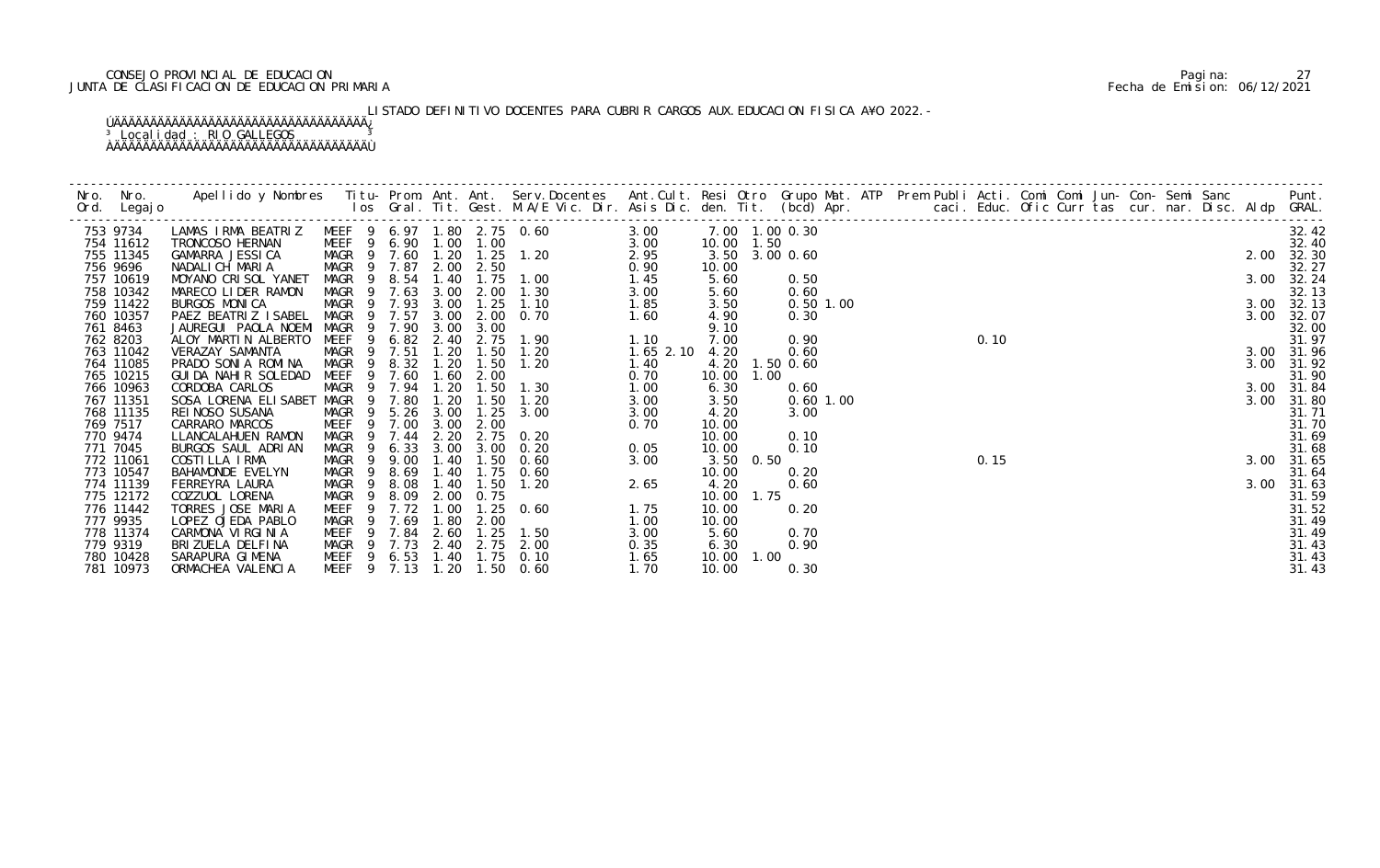# CONSEJO PROVINCIAL DE EDUCACION Pagina: 27 JUNTA DE CLASIFICACION DE EDUCACION PRIMARIA Fecha de Emision: 06/12/2021

# LISTADO DEFINITIVO DOCENTES PARA CUBRIR CARGOS AUX. EDUCACION FISICA A¥O 2022.-

| Nro. Nro.<br>Ord. Legajo | Apellido y Nombres Iitu-Prom. Ant. Ant. Serv.Docentes Ant.Cult. Resi Otro Grupo Mat. ATP Prem Publi Acti. Comi Comi Jun-Con-Semi Sanc Punt.<br>Ios Gral. Tit. Gest. M.A/E Vic. Dir. Asis Dic. den. Tit. (bcd) Apr. |                  |                |                  |      |      |                                                          |               |                     |                |      |             |      |      |  |  |  |      |            |
|--------------------------|--------------------------------------------------------------------------------------------------------------------------------------------------------------------------------------------------------------------|------------------|----------------|------------------|------|------|----------------------------------------------------------|---------------|---------------------|----------------|------|-------------|------|------|--|--|--|------|------------|
| 753 9734                 | LAMAS IRMA BEATRIZ                                                                                                                                                                                                 |                  |                |                  |      |      |                                                          | 3.00          | 7.00 1.00 0.30      |                |      |             |      |      |  |  |  |      | 32.42      |
| 754 11612                | TRONCOSO HERNAN                                                                                                                                                                                                    |                  |                |                  |      |      | MEEF 9 6.97 1.80 2.75 0.60<br>MEEF 9 6.90 1.00 1.00      | 3.00          | 10.00 1.50          |                |      |             |      |      |  |  |  |      | 32.40      |
| 755 11345                | GAMARRA JESSICA                                                                                                                                                                                                    | MAGR 9 7.60 1.20 |                |                  |      |      | $1.25$ $1.20$                                            | 2.95          |                     | 3.50 3.00 0.60 |      |             |      |      |  |  |  |      | 2.00 32.30 |
| 756 9696                 | NADALICH MARIA                                                                                                                                                                                                     | MAGR 9 7.87      |                |                  | 2.00 | 2.50 |                                                          | 0.90          | 10.00               |                |      |             |      |      |  |  |  |      | 32.27      |
| 757 10619                | MOYANO CRISOL YANET                                                                                                                                                                                                | MAGR 9 8.54      |                |                  | 1.40 |      | 1.75 1.00                                                | 1.45          | 5.60                |                | 0.50 |             |      |      |  |  |  |      | 3.00 32.24 |
| 758 10342                | MARECO LIDER RAMON                                                                                                                                                                                                 |                  |                | MAGR 9 7.63 3.00 |      | 2.00 | 1.30                                                     | 3.00          | 5.60                |                | 0.60 |             |      |      |  |  |  |      | 32.13      |
| 759 11422                | BURGOS MONICA                                                                                                                                                                                                      | MAGR 9 7.93 3.00 |                |                  |      | 1.25 | 1.10                                                     | 1.85          | 3.50                |                |      | $0.50$ 1.00 |      |      |  |  |  |      | 3.00 32.13 |
| 760 10357                | PAEZ BEATRIZ ISABEL                                                                                                                                                                                                | MAGR 9 7.57      |                |                  | 3.00 | 2.00 | 0. 70                                                    | 1.60          | 4.90                |                | 0.30 |             |      |      |  |  |  |      | 3.00 32.07 |
| 761 8463                 | JAUREGUI PAOLA NOEMI MAGR 9 7.90                                                                                                                                                                                   |                  |                |                  | 3.00 | 3.00 |                                                          |               | 9.10                |                |      |             |      |      |  |  |  |      | 32.00      |
| 762 8203                 | ALOY MARTIN ALBERTO                                                                                                                                                                                                | MEEF             | 9              | 6.82             | 2.40 | 2.75 | 1.90                                                     | 1.10          | 7.00                |                | 0.90 |             | 0.15 | 0.10 |  |  |  |      | 31.97      |
| 763 11042                | VERAZAY SAMANTA                                                                                                                                                                                                    | MAGR 9 7.51      |                |                  | 1.20 | 1.50 | 1.20                                                     | $1.65$ $2.10$ | 4.20                |                | 0.60 |             |      |      |  |  |  |      | 3.00 31.96 |
| 764 11085                | PRADO SONIA ROMINA                                                                                                                                                                                                 | MAGR             |                | 9 8.32 1.20      |      | 1.50 | 1.20                                                     | 1.40          |                     | 4.20 1.50 0.60 |      |             |      |      |  |  |  |      | 3.00 31.92 |
| 765 10215                | GUI DA NAHIR SOLEDAD                                                                                                                                                                                               | MEEF 9 7.60      |                |                  | 1.60 | 2.00 |                                                          | 0.70          | 10.00               | 1.00           |      |             |      |      |  |  |  |      | 31.90      |
| 766 10963                | CORDOBA CARLOS                                                                                                                                                                                                     |                  |                | MAGR 9 7.94 1.20 |      | 1.50 | 1.30                                                     | 1.00          | 6.30                |                | 0.60 |             |      |      |  |  |  |      | 3.00 31.84 |
| 767 11351                | SOSA LORENA ELISABET MAGR 9                                                                                                                                                                                        |                  |                | 7.80             | 1.20 | 1.50 | 1.20                                                     | 3.00          | 3.50                |                |      | $0.60$ 1.00 |      |      |  |  |  |      | 3.00 31.80 |
| 768 11135                | REI NOSO SUSANA                                                                                                                                                                                                    | MAGR 9 5.26 3.00 |                |                  |      | 1.25 | 3.00                                                     | 3.00          | 4.20                |                | 3.00 |             |      |      |  |  |  |      | 31.71      |
| 769 7517                 | CARRARO MARCOS                                                                                                                                                                                                     | MEEF 9 7.00      |                |                  | 3.00 | 2.00 |                                                          | 0.70          | 10.00               |                |      |             |      |      |  |  |  |      | 31.70      |
| 770 9474                 | LLANCALAHUEN RAMON                                                                                                                                                                                                 | MAGR             | - 9            | 7.44             | 2.20 | 2.75 | 0. 20                                                    |               | 10.00               |                | 0.10 |             |      |      |  |  |  |      | 31.69      |
| 771 7045                 | BURGOS SAUL ADRIAN                                                                                                                                                                                                 | MAGR             |                | 6.33             | 3.00 | 3.00 | 0.20                                                     | 0.05          | 10.00               |                | 0.10 |             |      |      |  |  |  |      | 31.68      |
| 772 11061                | COSTILLA IRMA                                                                                                                                                                                                      | MAGR             | - 9            | 9.00             | 1.40 | 1.50 | 0.60                                                     | 3.00          | 3.50                | 0.50           |      |             |      | 0.15 |  |  |  | 3.00 | 31.65      |
| 773 10547                | BAHAMONDE EVELYN                                                                                                                                                                                                   | MAGR 9           |                | 8.69             | 1.40 | 1.75 | 0.60                                                     |               | 10.00               |                | 0.20 |             |      |      |  |  |  |      | 31.64      |
| 774 11139                | FERREYRA LAURA                                                                                                                                                                                                     | MAGR             | - 9            | 8.08             | 1.40 | 1.50 | 1.20                                                     | 2.65          | 4.20                |                | 0.60 |             |      |      |  |  |  |      | 3.00 31.63 |
| 775 12172                | COZZUOL LORENA                                                                                                                                                                                                     | MAGR             | $\overline{9}$ | 8.09             | 2.00 | 0.75 |                                                          |               | 10.00               | 1.75           |      |             |      |      |  |  |  |      | 31.59      |
| 776 11442                | TORRES JOSE MARIA                                                                                                                                                                                                  | MEEF             | - 9            | 7.72             | 1.00 |      | $1.25 \quad 0.60$                                        | 1.75          | 10.00               |                | 0.20 |             |      |      |  |  |  |      | 31.52      |
| 777 9935                 | LOPEZ OJEDA PABLO                                                                                                                                                                                                  | MAGR             |                | 9 7.69           | 1.80 | 2.00 |                                                          | 1.00          | 10.00               |                |      |             |      |      |  |  |  |      | 31.49      |
| 778 11374                | CARMONA VIRGINIA                                                                                                                                                                                                   | MEEF             |                | 9 7.84           | 2.60 | 1.25 | 1.50                                                     | 3.00          | 5.60                |                | 0.70 |             |      |      |  |  |  |      | 31.49      |
| 779 9319                 | BRIZUELA DELFINA                                                                                                                                                                                                   | MAGR 9 7.73 2.40 |                |                  |      | 2.75 | 2.00                                                     | 0.35          | 6.30                |                | 0.90 |             |      |      |  |  |  |      | 31.43      |
| 780 10428                | SARAPURA GIMENA<br>ORMACHEA VALENCIA                                                                                                                                                                               |                  |                |                  |      |      | MEEF 9 6.53 1.40 1.75 0.10<br>MEEF 9 7.13 1.20 1.50 0.60 | 1.65<br>1.70  | 10.00 1.00<br>10.00 |                |      |             |      |      |  |  |  |      | 31.43      |
| 781 10973                |                                                                                                                                                                                                                    |                  |                |                  |      |      |                                                          |               |                     |                | 0.30 |             |      |      |  |  |  |      | 31.43      |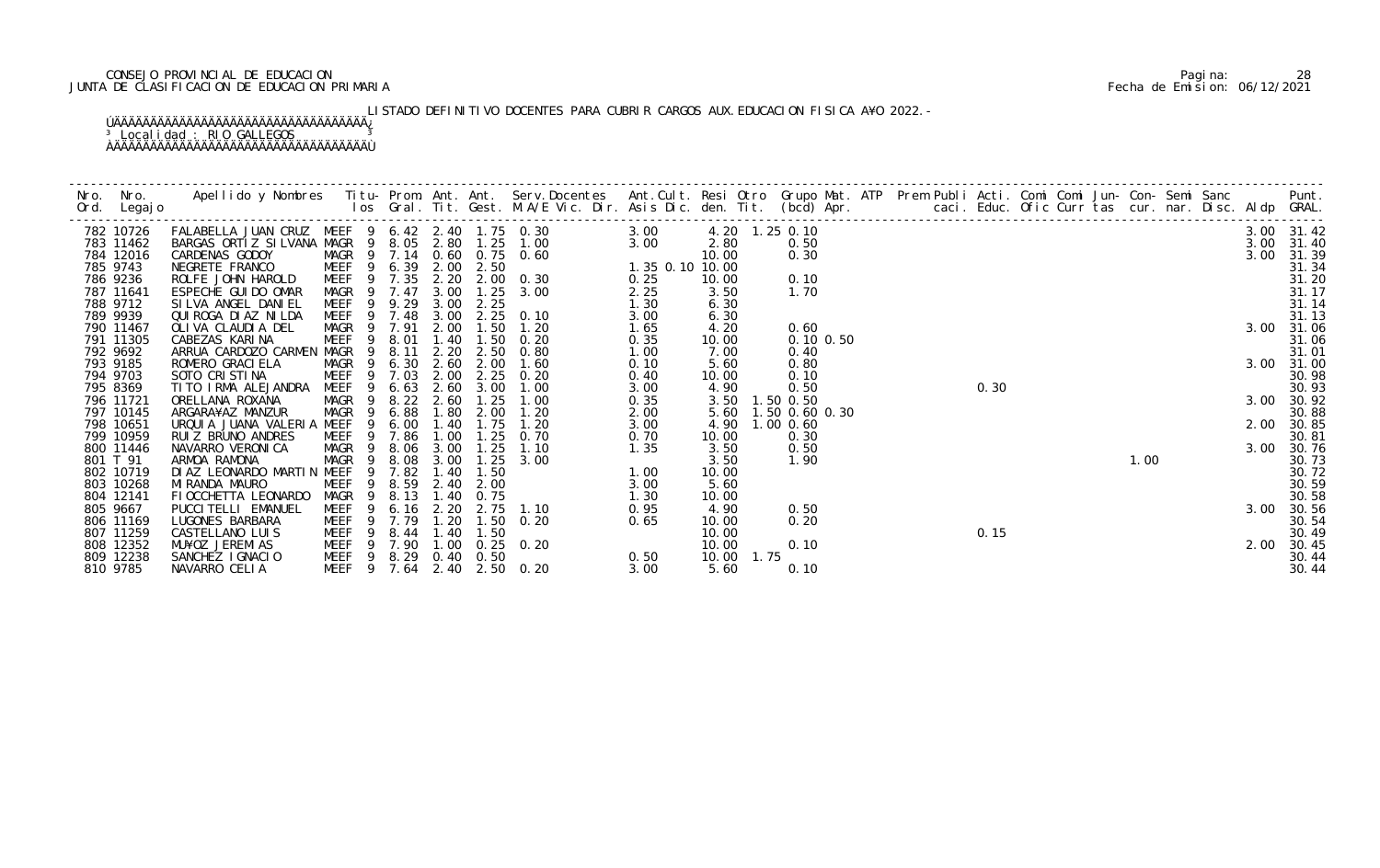# CONSEJO PROVINCIAL DE EDUCACION Pagina: 28 JUNTA DE CLASIFICACION DE EDUCACION PRIMARIA Fecha de Emision: 06/12/2021

LISTADO DEFINITIVO DOCENTES PARA CUBRIR CARGOS AUX. EDUCACION FISICA A¥O 2022.-

|          | 782 10726             | FALABELLA JUAN CRUZ MEEF 9 6.42 2.40 1.75 0.30<br>BARGAS ORTIZ SILVANA MAGR 9 8.05 2.80 1.25 1.00 |             |                |           |      |                       |                                    | $\begin{array}{cccccc} 3.00 & & 4.20 \\ 3.00 & & 2.80 \\ 10.00 & & & \\ 1.35 & 0.10 & 10.00 \\ 0.25 & & 10.00 \\ 2.25 & & 3.50 \\ 1.30 & & & \\ \end{array}$ | 4.20 1.25 0.10 |                |  |      |  |      |  |      | 3.00 31.42     |
|----------|-----------------------|---------------------------------------------------------------------------------------------------|-------------|----------------|-----------|------|-----------------------|------------------------------------|--------------------------------------------------------------------------------------------------------------------------------------------------------------|----------------|----------------|--|------|--|------|--|------|----------------|
|          | 783 11462             |                                                                                                   |             |                |           |      |                       |                                    |                                                                                                                                                              |                | 0.50           |  |      |  |      |  |      | 31.40          |
|          | 784 12016             | CARDENAS GODOY                                                                                    |             |                |           |      |                       | MAGR 9 7.14 0.60 0.75 0.60         |                                                                                                                                                              |                | 0.30           |  |      |  |      |  |      | 31.39          |
|          | 785 9743              | NEGRETE FRANCO                                                                                    |             |                |           |      | MEEF 9 6.39 2.00 2.50 |                                    |                                                                                                                                                              |                |                |  |      |  |      |  |      | 31.34          |
|          | 786 9236<br>787 11641 | ROLFE JOHN HAROLD                                                                                 | MAGR 9 7.47 |                |           | 3.00 |                       | MEEF 9 7.35 2.20 2.00 0.30<br>3.00 |                                                                                                                                                              |                | 0.10<br>1.70   |  |      |  |      |  |      | 31.20<br>31.17 |
|          | 788 9712              | ESPECHE GUI DO OMAR<br>SI LVA ANGEL DANI EL                                                       | MEEF 9 9.29 |                |           | 3.00 | 1.25                  |                                    | 1.30                                                                                                                                                         | 6.30           |                |  |      |  |      |  |      | 31.14          |
|          | 789 9939              | QUI ROGA DI AZ NI LDA                                                                             | MEEF 9 7.48 |                |           |      | 2.25                  | 3.00 2.25 0.10                     | 3.00                                                                                                                                                         | 6.30           |                |  |      |  |      |  |      | 31.13          |
|          | 790 11467             | OLIVA CLAUDIA DEL                                                                                 | MAGR        |                | 9 7.91    | 2.00 | 1.50                  | 1.20                               | 1.65                                                                                                                                                         | 4.20           | 0.60           |  |      |  |      |  |      | 3.00 31.06     |
|          | 791 11305             | CABEZAS KARINA                                                                                    | MEEF        | 9              | 8.01      | 1.40 | 1.50                  | 0.20                               | 0.35                                                                                                                                                         | 10.00          | $0.10$ $0.50$  |  |      |  |      |  |      | 31.06          |
|          | 792 9692              | ARRUA CARDOZO CARMEN MAGR                                                                         |             | 9              | 8.11      | 2.20 |                       | $2.50\quad 0.80$                   | 1.00                                                                                                                                                         | 7.00           | 0.40           |  |      |  |      |  |      | 31.01          |
| 793 9185 |                       | ROMERO GRACI ELA                                                                                  | MAGR 9 6.30 |                |           | 2.60 | 2.00                  | 1.60                               | 0.10                                                                                                                                                         | 5.60           | 0.80           |  |      |  |      |  |      | 3.00 31.00     |
|          | 794 9703              | SOTO CRISTINA                                                                                     | <b>MEEF</b> |                | 9 7.03    | 2.00 | 2.25                  | 0.20                               | 0.40                                                                                                                                                         | 10.00          | 0.10           |  |      |  |      |  |      | 30.98          |
|          | 795 8369              | TI TO I RMA ALEJANDRA MEEF                                                                        |             | $\overline{9}$ | 6.63      | 2.60 | 3.00                  | 1.00                               | 3.00                                                                                                                                                         | 4.90           | 0.50           |  | 0.30 |  |      |  |      | 30.93          |
|          | 796 11721             | ORELLANA ROXANA                                                                                   | MAGR 9      |                | 8.22 2.60 |      | 1.25                  | 1.00                               | 0.35                                                                                                                                                         | 3.50           | 1.50 0.50      |  |      |  |      |  |      | 3.00 30.92     |
|          | 797 10145             | ARGARA¥AZ MANZUR                                                                                  | MAGR        | - 9            | 6.88      | 1.80 | 2.00                  | 1.20                               | 2.00                                                                                                                                                         | 5.60           | 1.50 0.60 0.30 |  |      |  |      |  |      | 30.88          |
|          | 798 10651             | URQUIA JUANA VALERIA MEEF                                                                         |             | 9              | 6.00      | 1.40 | 1.75                  | 1.20                               | 3.00                                                                                                                                                         | 4.90           | $1.00$ 0.60    |  |      |  |      |  |      | 2.00 30.85     |
|          | 799 10959             | RUIZ BRUNO ANDRES                                                                                 | MEEF        | -9             | 7.86      | 1.00 | 1.25                  | 0.70                               | 0.70                                                                                                                                                         | 10.00          | 0.30           |  |      |  |      |  |      | 30.81          |
|          | 800 11446             | NAVARRO VERONICA                                                                                  | MAGR 9      |                | 8.06      | 3.00 | 1.25                  | 1.10                               | 1.35                                                                                                                                                         | 3.50           | 0.50           |  |      |  |      |  | 3.00 | 30.76          |
|          | 801 T 91              | ARMOA RAMONA                                                                                      | MAGR 9 8.08 |                |           | 3.00 | 1.25                  | 3.00                               |                                                                                                                                                              | 3.50           | 1.90           |  |      |  | 1.00 |  |      | 30.73          |
|          | 802 10719             | DIAZ LEONARDO MARTIN MEEF                                                                         |             |                | 9 7.82    | 1.40 | 1.50                  |                                    | $\frac{1.00}{3.00}$                                                                                                                                          | 10.00          |                |  |      |  |      |  |      | 30.72          |
|          | 803 10268             | MI RANDA MAURO                                                                                    | <b>MEEF</b> | 9              | 8.59      |      | 2.40 2.00             |                                    |                                                                                                                                                              | 5.60           |                |  |      |  |      |  |      | 30.59          |
|          | 804 12141             | FI OCCHETTA LEONARDO                                                                              | MAGR        | - 9            | 8.13      | 1.40 | 0.75                  |                                    | 1.30                                                                                                                                                         | 10.00          |                |  |      |  |      |  |      | 30.58          |
|          | 805 9667              | PUCCI TELLI EMANUEL                                                                               | MEEF        | $\overline{9}$ | 6.16      | 2.20 | 2.75                  | 1.10                               | 0.95                                                                                                                                                         | 4.90           | 0.50           |  |      |  |      |  | 3.00 | 30.56          |
|          | 806 11169             | LUGONES BARBARA                                                                                   | MEEF        |                | 9 7.79    | 1.20 |                       | $1.50 \t 0.20$                     | 0.65                                                                                                                                                         | 10.00          | 0.20           |  |      |  |      |  |      | 30.54          |
|          | 807 11259             | CASTELLANO LUIS                                                                                   | MEEF        | $\overline{9}$ | 8.44 1.40 |      | 1.50                  |                                    |                                                                                                                                                              | 10.00          |                |  | 0.15 |  |      |  |      | 30.49          |
|          | 808 12352             | MU¥OZ JEREMIAS                                                                                    | MEEF        | 9              | 7.90      | 1.00 |                       | $0.25$ 0.20                        |                                                                                                                                                              | 10.00          | 0.10           |  |      |  |      |  | 2.00 | 30.45          |
|          | 809 12238             | SANCHEZ IGNACIO                                                                                   |             |                |           |      | MEEF 9 8.29 0.40 0.50 | 0.50                               |                                                                                                                                                              | 10.00 1.75     |                |  |      |  |      |  |      | 30.44          |
|          | 810 9785              | NAVARRO CELIA                                                                                     |             |                |           |      |                       | MEEF 9 7.64 2.40 2.50 0.20         | 3.00                                                                                                                                                         | 5.60           | 0.10           |  |      |  |      |  |      | 30.44          |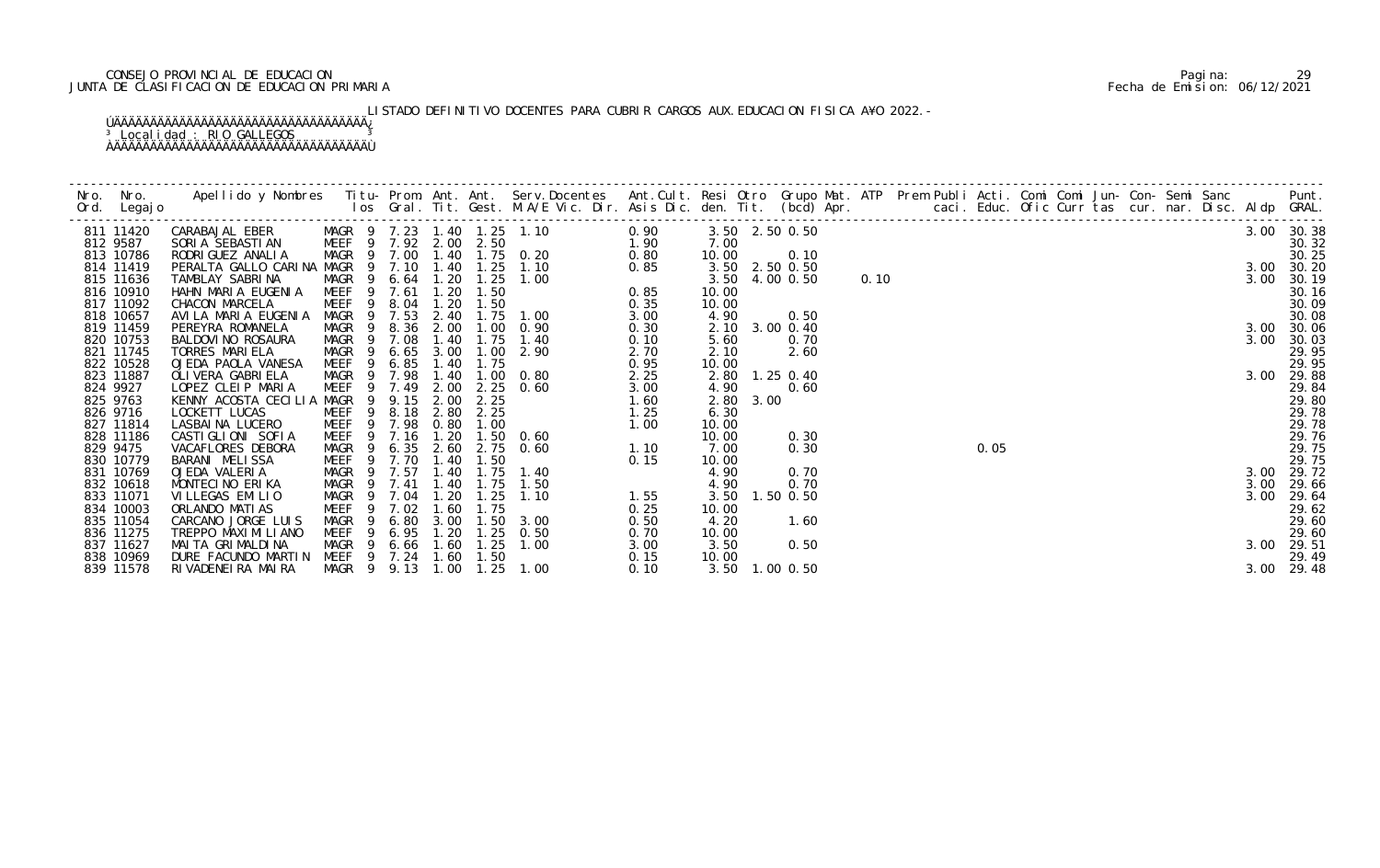# CONSEJO PROVINCIAL DE EDUCACION Pagina: 29 JUNTA DE CLASIFICACION DE EDUCACION PRIMARIA Fecha de Emision: 06/12/2021

# LISTADO DEFINITIVO DOCENTES PARA CUBRIR CARGOS AUX. EDUCACION FISICA A¥O 2022.-

| 811 11420              | CARABAJAL EBER MACR 9 7.23 1.40 1.25 1.10 0.90 3.50 2.50 0.50<br>SORIA SEBASTIAN MEGR 9 7.92 2.00 2.50 0.50 1.90 3.50 2.50 0.50<br>NORIGUEZ ANALIA MAGR 9 7.00 1.40 1.25 1.10 0.80 10.00 0.10<br>PERALTA GALLO CARINA MAGR 9 7.10 1. |                                      |      |      |      |                                                                                                                                                                                                    |      |               |      |                |  |  | Apr. cacil Educ. Of ic Curr tas cur. nar. Disc.<br>0.10<br>0.05<br>3<br>3.<br>3.<br>3. |  |  |  |      | 3.00 30.38     |
|------------------------|--------------------------------------------------------------------------------------------------------------------------------------------------------------------------------------------------------------------------------------|--------------------------------------|------|------|------|----------------------------------------------------------------------------------------------------------------------------------------------------------------------------------------------------|------|---------------|------|----------------|--|--|----------------------------------------------------------------------------------------|--|--|--|------|----------------|
| 812 9587<br>813 10786  |                                                                                                                                                                                                                                      |                                      |      |      |      |                                                                                                                                                                                                    |      |               |      |                |  |  |                                                                                        |  |  |  |      | 30.32<br>30.25 |
| 814 11419              |                                                                                                                                                                                                                                      |                                      |      |      |      |                                                                                                                                                                                                    |      |               |      |                |  |  |                                                                                        |  |  |  |      | 3.00 30.20     |
| 815 11636              |                                                                                                                                                                                                                                      |                                      |      |      |      |                                                                                                                                                                                                    |      |               |      |                |  |  |                                                                                        |  |  |  | 3.00 | 30.19          |
| 816 10910              |                                                                                                                                                                                                                                      |                                      |      |      |      |                                                                                                                                                                                                    |      |               |      |                |  |  |                                                                                        |  |  |  |      | 30.16          |
| 817 11092              |                                                                                                                                                                                                                                      |                                      |      |      |      |                                                                                                                                                                                                    |      |               |      |                |  |  |                                                                                        |  |  |  |      | 30.09          |
| 818 10657              |                                                                                                                                                                                                                                      |                                      |      |      |      |                                                                                                                                                                                                    |      |               |      |                |  |  |                                                                                        |  |  |  |      | 30.08          |
| 819 11459              |                                                                                                                                                                                                                                      |                                      |      |      |      |                                                                                                                                                                                                    |      |               |      |                |  |  |                                                                                        |  |  |  |      | 3.00 30.06     |
| 820 10753              |                                                                                                                                                                                                                                      |                                      |      |      |      |                                                                                                                                                                                                    |      |               |      |                |  |  |                                                                                        |  |  |  | 3.00 | 30.03          |
| 821 11745              | TORRES MARIELA                                                                                                                                                                                                                       | MAGR 9 6.65                          |      | 3.00 |      | $1.00 \quad 2.90$                                                                                                                                                                                  | 2.70 | 2.10          |      | 2.60           |  |  |                                                                                        |  |  |  |      | 29.95          |
| 822 10528              | OJEDA PAOLA VANESA                                                                                                                                                                                                                   | MEEF 9 6.85                          |      | 1.40 | 1.75 |                                                                                                                                                                                                    |      | 10.00         |      |                |  |  |                                                                                        |  |  |  |      | 29.95          |
| 823 11887              | OLI VERA GABRI ELA                                                                                                                                                                                                                   | MAGR 9 7.98                          |      |      |      | 1.40 1.00 0.80                                                                                                                                                                                     |      |               |      | 2.80 1.25 0.40 |  |  |                                                                                        |  |  |  |      | 3.00 29.88     |
| 824 9927               | LOPEZ CLEIP MARIA                                                                                                                                                                                                                    | MEEF 9 7.49 2.00                     |      |      |      | 2.25 0.60                                                                                                                                                                                          |      | 4.90          |      | 0.60           |  |  |                                                                                        |  |  |  |      | 29.84          |
| 825 9763               | KENNY ACOSTA CECILIA MAGR 9 9.15                                                                                                                                                                                                     |                                      |      | 2.00 | 2.25 |                                                                                                                                                                                                    |      | 2.80          | 3.00 |                |  |  |                                                                                        |  |  |  |      | 29.80          |
| 826 9716               | LOCKETT LUCAS                                                                                                                                                                                                                        | MEEF 9 8.18 2.80                     |      |      | 2.25 |                                                                                                                                                                                                    |      | 6.30<br>10.00 |      |                |  |  |                                                                                        |  |  |  |      | 29.78          |
| 827 11814<br>828 11186 | LASBAINA LUCERO<br>CASTIGLIONI SOFIA                                                                                                                                                                                                 | MEEF 9 7.98 0.80<br>MEEF 9 7.16 1.20 |      |      | 1.00 | 1.50 0.60                                                                                                                                                                                          |      | 10.00         |      | 0.30           |  |  |                                                                                        |  |  |  |      | 29.78<br>29.76 |
| 829 9475               | VACAFLORES DEBORA                                                                                                                                                                                                                    | MAGR 9                               | 6.35 | 2.60 |      | 2.75 0.60                                                                                                                                                                                          |      | 7.00          |      | 0.30           |  |  |                                                                                        |  |  |  |      | 29.75          |
| 830 10779              | BARANI MELISSA                                                                                                                                                                                                                       | MEEF 9 7.70 1.40                     |      |      | 1.50 | 2. 90<br>0. 80<br>0. 95<br>2. 25<br>0. 95<br>2. 25<br>3. 00<br>1. 60<br>1. 25<br>1. 25<br>1. 00<br>0. 60<br>0. 60<br>1. 10<br>0. 15<br>1. 50<br>1. 55<br>0. 25<br>1. 50<br>1. 50<br>1. 50<br>1. 50 |      | 10.00         |      |                |  |  |                                                                                        |  |  |  |      | 29.75          |
| 831 10769              | OJEDA VALERIA                                                                                                                                                                                                                        | MAGR 9 7.57                          |      |      |      | 1.40 1.75 1.40                                                                                                                                                                                     |      | 4.90          |      | 0.70           |  |  |                                                                                        |  |  |  |      | 3.00 29.72     |
| 832 10618              | MONTECINO ERIKA                                                                                                                                                                                                                      | MAGR 9 7.41                          |      |      |      | 1.40  1.75  1.50                                                                                                                                                                                   |      | 4.90          |      | 0.70           |  |  |                                                                                        |  |  |  | 3.00 | 29.66          |
| 833 11071              | VILLEGAS EMILIO                                                                                                                                                                                                                      | MAGR 9                               | 7.04 | 1.20 | 1.25 | 1.10                                                                                                                                                                                               |      | 3.50          |      | 1.50 0.50      |  |  |                                                                                        |  |  |  | 3.00 | 29.64          |
| 834 10003              | ORLANDO MATIAS                                                                                                                                                                                                                       | MEEF 9 7.02                          |      | 1.60 | 1.75 |                                                                                                                                                                                                    | 0.25 | 10.00         |      |                |  |  |                                                                                        |  |  |  |      | 29.62          |
| 835 11054              | CARCANO JORGE LUIS                                                                                                                                                                                                                   | MAGR 9 6.80                          |      |      |      | 3.00 1.50 3.00                                                                                                                                                                                     | 0.50 | 4.20          |      | 1.60           |  |  |                                                                                        |  |  |  |      | 29.60          |
| 836 11275              | TREPPO MAXIMILIANO                                                                                                                                                                                                                   | MEEF                                 | 9    |      |      | 6.95 1.20 1.25 0.50                                                                                                                                                                                | 0.70 | 10.00         |      |                |  |  |                                                                                        |  |  |  |      | 29.60          |
| 837 11627              | MAITA GRIMALDINA                                                                                                                                                                                                                     | MAGR 9                               | 6.66 | 1.60 | 1.25 | 1.00                                                                                                                                                                                               | 3.00 | 3.50          |      | 0.50           |  |  |                                                                                        |  |  |  | 3.00 | 29.51          |
| 838 10969              | DURE FACUNDO MARTIN                                                                                                                                                                                                                  | MEEF 9 7.24 1.60                     |      |      | 1.50 |                                                                                                                                                                                                    | 0.15 | 10.00         |      |                |  |  |                                                                                        |  |  |  |      | 29.49          |
| 839 11578              | RIVADENEIRA MAIRA                                                                                                                                                                                                                    | MAGR 9 9.13                          |      | 1.00 |      | 1.25 1.00                                                                                                                                                                                          | 0.10 |               |      | 3.50 1.00 0.50 |  |  |                                                                                        |  |  |  |      | 3.00 29.48     |
|                        |                                                                                                                                                                                                                                      |                                      |      |      |      |                                                                                                                                                                                                    |      |               |      |                |  |  |                                                                                        |  |  |  |      |                |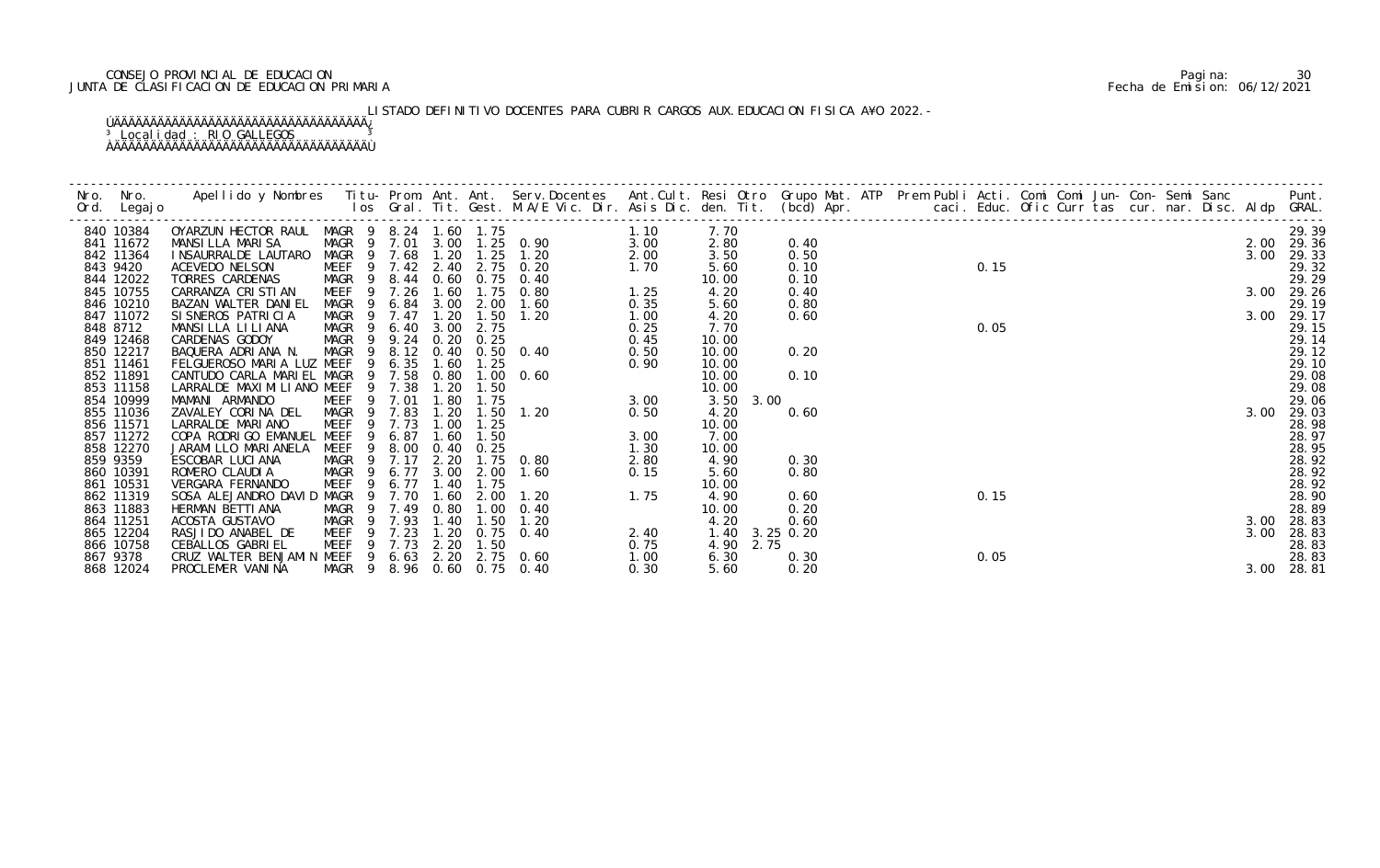# CONSEJO PROVINCIAL DE EDUCACION Pagina: 30 JUNTA DE CLASIFICACION DE EDUCACION PRIMARIA Fecha de Emision: 06/12/2021

# LISTADO DEFINITIVO DOCENTES PARA CUBRIR CARGOS AUX. EDUCACION FISICA A¥O 2022.-

| 840 10384              | OYARZUN HECTOR RAUL MAGR 9 8.24 1.60 1.75                           |                        |                            |              |      | 0. 90 1. 10<br>3. 00       |      | 7.70                 |           |  |      |  |  |  |      | 29.39          |
|------------------------|---------------------------------------------------------------------|------------------------|----------------------------|--------------|------|----------------------------|------|----------------------|-----------|--|------|--|--|--|------|----------------|
| 841 11672              | MANSILLA MARISA                                                     |                        |                            |              |      | MAGR 9 7.01 3.00 1.25 0.90 |      | 2.80                 | 0.40      |  |      |  |  |  |      | 2.00 29.36     |
| 842 11364              | I NSAURRALDE LAUTARO                                                |                        | MAGR 9 7.68                | 1.20         |      | $1.25$ $1.20$              | 2.00 | 3.50                 | 0.50      |  |      |  |  |  | 3.00 | 29.33          |
| 843 9420               | ACEVEDO NELSON                                                      |                        | MEEF 9 7.42 2.40           |              |      | 2.75 0.20                  | 1.70 | 5.60                 | 0.10      |  | 0.15 |  |  |  |      | 29.32          |
| 844 12022              | TORRES CARDENAS                                                     | MAGR<br>9              |                            |              |      | 8.44 0.60 0.75 0.40        |      | 10.00                | 0.10      |  |      |  |  |  |      | 29.29          |
| 845 10755              | CARRANZA CRISTIAN                                                   | $\overline{9}$<br>MEEF | 7.26                       | 1.60         |      | 1.25<br>$1.75 \t 0.80$     |      | 4.20                 | 0.40      |  |      |  |  |  |      | 3.00 29.26     |
| 846 10210              | BAZAN WALTER DANIEL                                                 | MAGR <sub>9</sub>      | 6.84                       | 3.00         | 2.00 | 1.60                       | 0.35 | 5.60                 | 0.80      |  |      |  |  |  |      | 29.19          |
| 847 11072              | SI SNEROS PATRICIA                                                  | MAGR<br>$\overline{9}$ | 7.47                       | 1.20         |      | $1.50$ $1.20$              | 1.00 | 4.20                 | 0.60      |  |      |  |  |  | 3.00 | 29.17          |
| 848 8712               | MANSILLA LILIANA                                                    | MAGR 9                 | 6.40                       | 3.00         | 2.75 |                            | 0.25 | 7.70                 |           |  | 0.05 |  |  |  |      | 29.15          |
| 849 12468              | CARDENAS GODOY                                                      |                        | MAGR 9 9.24 0.20           |              | 0.25 |                            | 0.45 | 10.00                |           |  |      |  |  |  |      | 29.14          |
| 850 12217              | BAQUERA ADRIANA N.                                                  |                        |                            |              |      | MAGR 9 8.12 0.40 0.50 0.40 | 0.50 | 10.00                | 0.20      |  |      |  |  |  |      | 29.12          |
| 851 11461              | FELGUEROSO MARIA LUZ MEEF 9 6.35                                    |                        |                            | 1.60         | 1.25 | $0.90$<br>$3.00$           |      | 10.00                |           |  |      |  |  |  |      | 29.10          |
| 852 11891              | CANTUDO CARLA MARIEL MAGR                                           |                        | 9 7.58                     | 0.80         |      | $1.00 \quad 0.60$          |      | 10.00                | 0.10      |  |      |  |  |  |      | 29.08          |
| 853 11158              | LARRALDE MAXIMILIANO MEEF                                           | 9                      | 7.38                       | 1.20         | 1.50 |                            |      | 10.00                |           |  |      |  |  |  |      | 29.08          |
| 854 10999              | MAMANI ARMANDO                                                      | MEEF 9 7.01            |                            | 1.80         | 1.75 |                            |      | 3.50<br>3.00         |           |  |      |  |  |  |      | 29.06          |
| 855 11036              | ZAVALEY CORINA DEL MAGR                                             |                        | 9 7.83                     | 1.20         |      | 1.50 1.20                  | 0.50 | 4.20                 | 0.60      |  |      |  |  |  | 3.00 | 29.03          |
| 856 11571              | LARRALDE MARIANO                                                    | MEEF<br>9              | 7.73                       | 1.00         | 1.25 |                            |      | 10.00                |           |  |      |  |  |  |      | 28.98          |
| 857 11272              | COPA RODRI GO EMANUEL                                               | . MEEF<br>9            | 6.87                       | 1.60         | 1.50 |                            | 3.00 | 7.00                 |           |  |      |  |  |  |      | 28.97          |
| 858 12270              | JARAMI LLO MARI ANELA                                               | MEEF                   | 9 8.00                     | 0.40         | 0.25 |                            | 1.30 | 10.00                |           |  |      |  |  |  |      | 28.95          |
| 859 9359               | ESCOBAR LUCI ANA                                                    |                        | MAGR 9 7.17                | 2.20         |      | 1.75 0.80                  | 2.80 | 4.90                 | 0.30      |  |      |  |  |  |      | 28.92<br>28.92 |
| 860 10391              | ROMERO CLAUDIA                                                      | MAGR<br>9              | 6.77                       | 3.00         | 2.00 | 1.60                       | 0.15 | 5.60                 | 0.80      |  |      |  |  |  |      |                |
| 861 10531              | VERGARA FERNANDO                                                    | MEEF<br>- 9            | 6.77                       | 1.40         | 1.75 |                            |      | 10.00                |           |  |      |  |  |  |      | 28.92          |
| 862 11319              | SOSA ALEJANDRO DAVID MAGR                                           | $\overline{9}$         | 7.70                       | 1.60         | 2.00 | 1.20                       | 1.75 | 4.90                 | 0.60      |  | 0.15 |  |  |  |      | 28.90          |
| 863 11883              | HERMAN BETTI ANA                                                    | MAGR<br>9              | 7.49                       | 0.80         | 1.00 | 0.40                       |      | 10.00                | 0.20      |  |      |  |  |  |      | 28.89          |
| 864 11251              | ACOSTA GUSTAVO                                                      | MAGR<br>- 9            | 7.93                       | 1.40         | 1.50 | 1.20                       |      | 4.20                 | 0.60      |  |      |  |  |  | 3.00 | 28.83          |
| 865 12204<br>866 10758 | RASJIDO ANABEL DE                                                   | MEEF<br><b>MEEF</b>    | $9$ 7.23<br>9 7.73         | 1.20<br>2.20 |      | $0.75$ 0.40                | 2.40 | 1.40<br>4.90<br>2.75 | 3.25 0.20 |  |      |  |  |  | 3.00 | 28.83          |
|                        | CEBALLOS GABRIEL<br>CRUZ WALTER BENJAMIN MEEF 9 6.63 2.20 2.75 0.60 |                        |                            |              | 1.50 |                            | 0.75 |                      |           |  |      |  |  |  |      | 28.83          |
| 867 9378               |                                                                     |                        |                            |              |      |                            | 1.00 | 6.30<br>5.60         | 0.30      |  | 0.05 |  |  |  |      | 28.83          |
| 868 12024              | PROCLEMER VANINA                                                    |                        | MAGR 9 8.96 0.60 0.75 0.40 |              |      |                            | 0.30 |                      | 0.20      |  |      |  |  |  |      | 3.00 28.81     |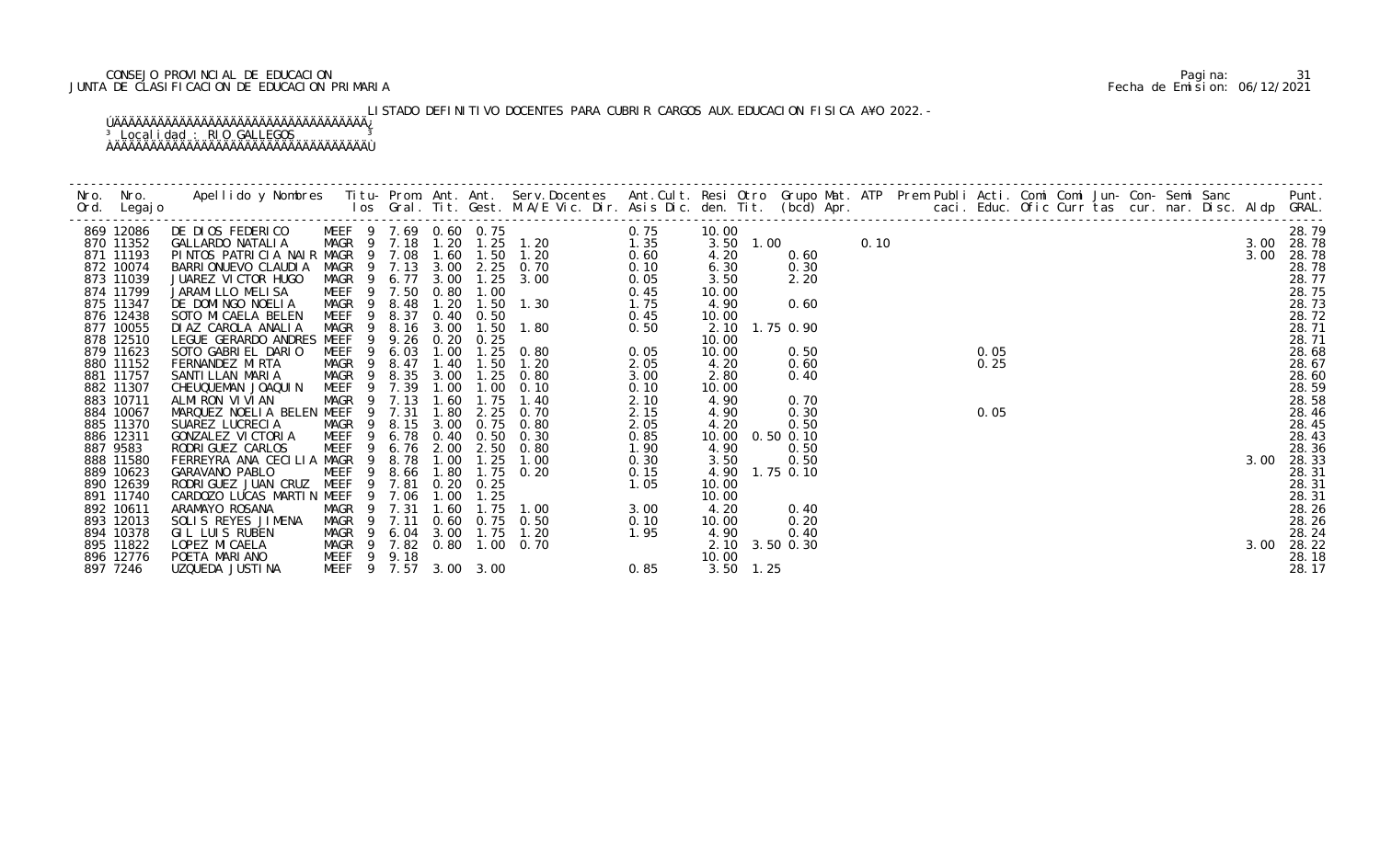# CONSEJO PROVINCIAL DE EDUCACION Pagina: 31 JUNTA DE CLASIFICACION DE EDUCACION PRIMARIA Fecha de Emision: 06/12/2021

# LISTADO DEFINITIVO DOCENTES PARA CUBRIR CARGOS AUX. EDUCACION FISICA A¥O 2022.-

| 869 12086<br>870 11352 |                                      |                            |        |              |                   |                                                                                |      | 10.00             | $10.00$<br>3.50 1.00 0.10 |  | $\begin{array}{c} 0 & 0 \\ 0 & 0 \end{array}$ |      |  |  |  |      | 28.79<br>3.00 28.78 |
|------------------------|--------------------------------------|----------------------------|--------|--------------|-------------------|--------------------------------------------------------------------------------|------|-------------------|---------------------------|--|-----------------------------------------------|------|--|--|--|------|---------------------|
| 871 11193              |                                      |                            |        |              |                   |                                                                                |      | 4.20              | 0.60                      |  |                                               |      |  |  |  | 3.00 | 28.78               |
| 872 10074              |                                      |                            |        |              |                   |                                                                                |      | 6.30              | 0.30                      |  |                                               |      |  |  |  |      | 28.78               |
| 873 11039              |                                      |                            |        |              |                   |                                                                                |      | 3.50              | 2.20                      |  |                                               |      |  |  |  |      | 28.77               |
| 874 11799              |                                      |                            |        |              |                   |                                                                                |      | 10.00             |                           |  |                                               |      |  |  |  |      | 28.75               |
| 875 11347              |                                      |                            |        |              |                   |                                                                                |      | 4.90              | 0.60                      |  |                                               |      |  |  |  |      | 28.73               |
| 876 12438              |                                      |                            |        |              |                   |                                                                                |      | 10.00             |                           |  |                                               |      |  |  |  |      | 28.72               |
| 877 10055              |                                      |                            |        |              |                   |                                                                                |      | 2.10 1.75 0.90    |                           |  |                                               |      |  |  |  |      | 28.71               |
| 878 12510              |                                      |                            |        |              |                   |                                                                                |      | 10.00             |                           |  |                                               |      |  |  |  |      | 28.71               |
| 879 11623              |                                      |                            |        |              |                   |                                                                                |      | 10.00             | 0.50                      |  |                                               | 0.05 |  |  |  |      | 28.68               |
| 880 11152              | FERNANDEZ MIRTA                      | MAGR 9 8.47                |        | 1.40         | 1.50              | $2.05$<br>$3.00$<br>1. 20                                                      |      | 4.20              | 0.60                      |  |                                               | 0.25 |  |  |  |      | 28.67               |
| 881 11757              | SANTI LLAN MARIA                     | MAGR 9 8.35 3.00 1.25 0.80 |        |              |                   |                                                                                |      | 2.80              | 0.40                      |  |                                               |      |  |  |  |      | 28.60               |
| 882 11307              | CHEUQUEMAN JOAQUIN                   | MEEF 9 7.39 1.00           |        |              |                   | $1.00 \t 0.10$                                                                 | 0.10 | 10.00             |                           |  |                                               |      |  |  |  |      | 28.59               |
| 883 10711              | ALMIRON VIVIAN                       | MAGR 9 7.13                |        | 1.60         | 1.75              | 1.40                                                                           | 2.10 | 4.90              | 0.70                      |  |                                               |      |  |  |  |      | 28.58               |
| 884 10067              | MARQUEZ NOELIA BELEN MEEF 9 7.31     |                            |        | 1.80         | 2.25              | 0. 70                                                                          | 2.15 | 4.90              | 0.30                      |  |                                               | 0.05 |  |  |  |      | 28.46               |
| 885 11370              | SUAREZ LUCRECIA                      | MAGR 9 8.15 3.00 0.75 0.80 |        |              |                   |                                                                                | 2.05 | 4.20              | 0.50                      |  |                                               |      |  |  |  |      | 28.45               |
| 886 12311              | GONZALEZ VICTORIA                    | MEEF 9 6.78 0.40 0.50 0.30 |        |              |                   |                                                                                | 0.85 | 10.00  0.50  0.10 |                           |  |                                               |      |  |  |  |      | 28.43               |
| 887 9583               | RODRI GUEZ CARLOS                    | MEEF 9 6.76 2.00           |        |              |                   | 2.50 0.80                                                                      | 1.90 | 4.90              | 0.50                      |  |                                               |      |  |  |  |      | 28.36               |
| 888 11580              | FERREYRA ANA CECILIA MAGR            |                            | 9 8.78 | 1.00         |                   | 1.25 1.00                                                                      | 0.30 | 3.50              | 0.50                      |  |                                               |      |  |  |  | 3.00 | 28.33               |
| 889 10623              | GARAVANO PABLO                       | MEEF 9 8.66 1.80 1.75 0.20 |        |              |                   | $\begin{array}{ccc} 0.20 & 0.15 \\ 1.05 & 1.05 \end{array}$<br>1.00 3.00       |      | 4.90 1.75 0.10    |                           |  |                                               |      |  |  |  |      | 28.31               |
| 890 12639              | RODRI GUEZ JUAN CRUZ MEEF            |                            | 9 7.81 |              | $0.20 \quad 0.25$ |                                                                                |      | 10.00             |                           |  |                                               |      |  |  |  |      | 28.31               |
| 891 11740              | CARDOZO LUCAS MARTIN MEEF 9 7.06     |                            |        | 1.00<br>1.60 | 1.25              | 1.75 1.00                                                                      |      | 10.00<br>4.20     | 0.40                      |  |                                               |      |  |  |  |      | 28.31<br>28.26      |
| 892 10611              | ARAMAYO ROSANA                       | MAGR 9 7.31<br>MAGR 9 7.11 |        |              |                   | 0.60 0.75 0.50                                                                 |      |                   |                           |  |                                               |      |  |  |  |      | 28.26               |
| 893 12013<br>894 10378 | SOLIS REYES JIMENA<br>GIL LUIS RUBEN | MAGR 9 6.04 3.00 1.75 1.20 |        |              |                   |                                                                                |      | 10.00<br>4.90     | 0.20<br>0.40              |  |                                               |      |  |  |  |      | 28.24               |
| 895 11822              | LOPEZ MI CAELA                       |                            |        |              |                   | MAGR 9 7.82 0.80 1.00 0.70                                                     |      | 2.10 3.50 0.30    |                           |  |                                               |      |  |  |  | 3.00 | 28.22               |
| 896 12776              | MEEF 9 9.18<br>POETA MARIANO         |                            |        |              |                   |                                                                                |      | 10.00             |                           |  |                                               |      |  |  |  |      | 28.18               |
| 897 7246               | UZQUEDA JUSTINA                      | MEEF 9 7.57 3.00 3.00      |        |              |                   | 0.60 0.75 0.50 0.10<br>3.00 1.75 1.20 1.95<br>0.80 1.00 0.70<br>3.00 3.00 0.70 |      | $3.50$ 1.25       |                           |  |                                               |      |  |  |  |      | 28.17               |
|                        |                                      |                            |        |              |                   |                                                                                |      |                   |                           |  |                                               |      |  |  |  |      |                     |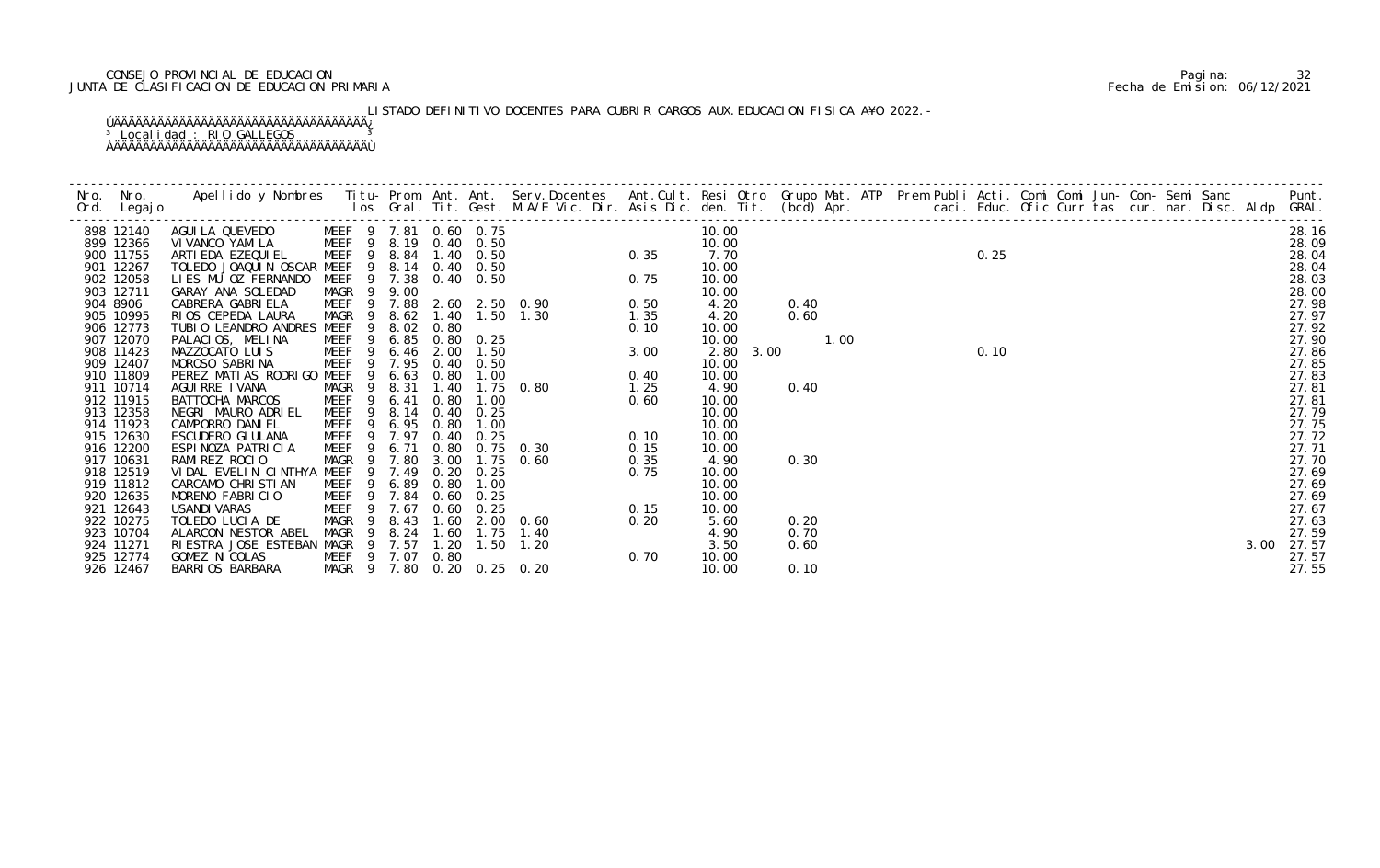# CONSEJO PROVINCIAL DE EDUCACION Pagina: 32 JUNTA DE CLASIFICACION DE EDUCACION PRIMARIA Fecha de Emision: 06/12/2021

LISTADO DEFINITIVO DOCENTES PARA CUBRIR CARGOS AUX. EDUCACION FISICA A¥O 2022.-

| Nro. Nro.<br>Ord. Legajo | Apellido y Nombres Titu- Prom. Ant. Ant. Serv.Docentes Ant.Cult. Resi Otro Grupo Mat. ATP Prem Publi Acti. Comi Comi Jun- Con- Semi Sanc Punt.<br>Ios Gral. Tit. Gest. M.A/E Vic. Dir. Asis Dic. den. Tit. (bcd) Apr. |                               |                  |      |                   |                                        |      |           |      |      |  |      |  |  |  |      |       |
|--------------------------|-----------------------------------------------------------------------------------------------------------------------------------------------------------------------------------------------------------------------|-------------------------------|------------------|------|-------------------|----------------------------------------|------|-----------|------|------|--|------|--|--|--|------|-------|
| 898 12140                | AGUILA QUEVEDO MEEF 9 7.81 0.60 0.75<br>VIVANCO YAMILA MEEF 9 8.19 0.40 0.50                                                                                                                                          |                               |                  |      |                   | $0.35$<br>0.90<br>0.90<br>1.30<br>1.30 |      | 10.00     |      |      |  |      |  |  |  |      | 28.16 |
| 899 12366                |                                                                                                                                                                                                                       |                               |                  |      |                   |                                        |      | 10.00     |      |      |  |      |  |  |  |      | 28.09 |
| 900 11755                | ARTI EDA EZEQUI EL                                                                                                                                                                                                    | 9<br>MEEF                     | 8.84             |      | 1.40 0.50         |                                        |      | 7.70      |      |      |  | 0.25 |  |  |  |      | 28.04 |
| 901 12267                | TOLEDO JOAQUIN OSCAR MEEF                                                                                                                                                                                             |                               | 9 8.14 0.40 0.50 |      |                   |                                        |      | 10.00     |      |      |  |      |  |  |  |      | 28.04 |
| 902 12058                | LIES MU OZ FERNANDO                                                                                                                                                                                                   | MEEF 9 7.38                   |                  |      | $0.40 \quad 0.50$ |                                        |      | 10.00     |      |      |  |      |  |  |  |      | 28.03 |
| 903 12711                | GARAY ANA SOLEDAD                                                                                                                                                                                                     | MAGR 9                        | 9.00             |      |                   |                                        |      | 10.00     |      |      |  |      |  |  |  |      | 28.00 |
| 904 8906                 | CABRERA GABRI ELA                                                                                                                                                                                                     | MEEF 9 7.88 2.60 2.50 0.90    |                  |      |                   |                                        |      | 4.20      | 0.40 |      |  |      |  |  |  |      | 27.98 |
| 905 10995                | RIOS CEPEDA LAURA                                                                                                                                                                                                     | MAGR 9                        | 8.62             | 1.40 |                   | 1.35<br>1.50 1.30                      |      | 4.20      | 0.60 |      |  |      |  |  |  |      | 27.97 |
| 906 12773                | TUBIO LEANDRO ANDRES MEEF                                                                                                                                                                                             | $\overline{9}$                | 8.02             | 0.80 |                   |                                        |      | 10.00     |      |      |  |      |  |  |  |      | 27.92 |
| 907 12070                | PALACIOS, MELINA                                                                                                                                                                                                      | MEEF<br>9                     | 6.85             |      | $0.80 \quad 0.25$ | $0.10$<br>3.00<br>0.40                 |      | 10.00     |      | 1.00 |  |      |  |  |  |      | 27.90 |
| 908 11423                | MAZZOCATO LUIS                                                                                                                                                                                                        | MEEF<br>9                     | 6.46             | 2.00 | 1.50              |                                        |      | 2.80 3.00 |      |      |  | 0.10 |  |  |  |      | 27.86 |
| 909 12407                | MOROSO SABRINA                                                                                                                                                                                                        | -9<br>MEEF                    | 7.95             |      | $0.40 \quad 0.50$ |                                        |      | 10.00     |      |      |  |      |  |  |  |      | 27.85 |
| 910 11809                | PEREZ MATIAS RODRIGO MEEF                                                                                                                                                                                             | - 9                           | 6.63             | 0.80 | 1.00              |                                        | 0.40 | 10.00     |      |      |  |      |  |  |  |      | 27.83 |
| 911 10714                | AGUI RRE I VANA                                                                                                                                                                                                       | MAGR 9                        | 8.31             |      |                   | 1.40 1.75 0.80                         | 1.25 | 4.90      | 0.40 |      |  |      |  |  |  |      | 27.81 |
| 912 11915                | BATTOCHA MARCOS                                                                                                                                                                                                       | 9<br>MEEF                     | 6.41             | 0.80 | 1.00              |                                        | 0.60 | 10.00     |      |      |  |      |  |  |  |      | 27.81 |
| 913 12358                | NEGRI MAURO ADRIEL                                                                                                                                                                                                    | $\overline{9}$<br><b>MEEF</b> | 8.14             |      | $0.40 \quad 0.25$ |                                        |      | 10.00     |      |      |  |      |  |  |  |      | 27.79 |
| 914 11923                | CAMPORRO DANI EL                                                                                                                                                                                                      | 9<br>MEEF                     | 6.95             | 0.80 | 1.00              |                                        |      | 10.00     |      |      |  |      |  |  |  |      | 27.75 |
| 915 12630                | ESCUDERO GI ULANA                                                                                                                                                                                                     | MEEF 9 7.97                   |                  | 0.40 | 0.25              |                                        | 0.10 | 10.00     |      |      |  |      |  |  |  |      | 27.72 |
| 916 12200                | ESPINOZA PATRICIA                                                                                                                                                                                                     | MEEF<br>- 9                   | 6.71             |      |                   | 0.80 0.75 0.30                         | 0.15 | 10.00     |      |      |  |      |  |  |  |      | 27.71 |
| 917 10631                | RAMIREZ ROCIO                                                                                                                                                                                                         | MAGR <sub>9</sub>             | 7.80             | 3.00 |                   | 1.75 0.60                              | 0.35 | 4.90      | 0.30 |      |  |      |  |  |  |      | 27.70 |
| 918 12519                | VIDAL EVELIN CINTHYA MEEF                                                                                                                                                                                             | - 9                           | 7.49             | 0.20 | 0.25              |                                        | 0.75 | 10.00     |      |      |  |      |  |  |  |      | 27.69 |
| 919 11812                | CARCAMO CHRISTIAN                                                                                                                                                                                                     | MEEF <sub>9</sub>             | 6.89             | 0.80 | 1.00              |                                        |      | 10.00     |      |      |  |      |  |  |  |      | 27.69 |
| 920 12635                | MORENO FABRICIO                                                                                                                                                                                                       | MEEF 9 7.84                   |                  |      | $0.60 \quad 0.25$ |                                        |      | 10.00     |      |      |  |      |  |  |  |      | 27.69 |
| 921 12643                | <b>USANDI VARAS</b>                                                                                                                                                                                                   | <b>MEEF</b><br>9              | 7.67             | 0.60 | 0.25              |                                        | 0.15 | 10.00     |      |      |  |      |  |  |  |      | 27.67 |
| 922 10275                | TOLEDO LUCIA DE                                                                                                                                                                                                       | - 9<br>MAGR                   | 8.43             | 1.60 |                   | $2.00 \quad 0.60$                      | 0.20 | 5.60      | 0.20 |      |  |      |  |  |  |      | 27.63 |
| 923 10704                | ALARCON NESTOR ABEL                                                                                                                                                                                                   | MAGR<br>- 9                   | 8.24             | 1.60 | 1.75              | 1.40                                   |      | 4.90      | 0.70 |      |  |      |  |  |  |      | 27.59 |
| 924 11271                | RIESTRA JOSE ESTEBAN MAGR                                                                                                                                                                                             |                               | 9 7.57           | 1.20 |                   | $1.50$ $1.20$                          |      | 3.50      | 0.60 |      |  |      |  |  |  | 3.00 | 27.57 |
| 925 12774                | GOMEZ NI COLAS                                                                                                                                                                                                        | MEEF 9 7.07                   |                  | 0.80 |                   |                                        | 0.70 | 10.00     |      |      |  |      |  |  |  |      | 27.57 |
| 926 12467                | BARRIOS BARBARA                                                                                                                                                                                                       | MAGR 9                        | 7.80             | 0.20 |                   | $0.25 \quad 0.20$                      |      | 10.00     | 0.10 |      |  |      |  |  |  |      | 27.55 |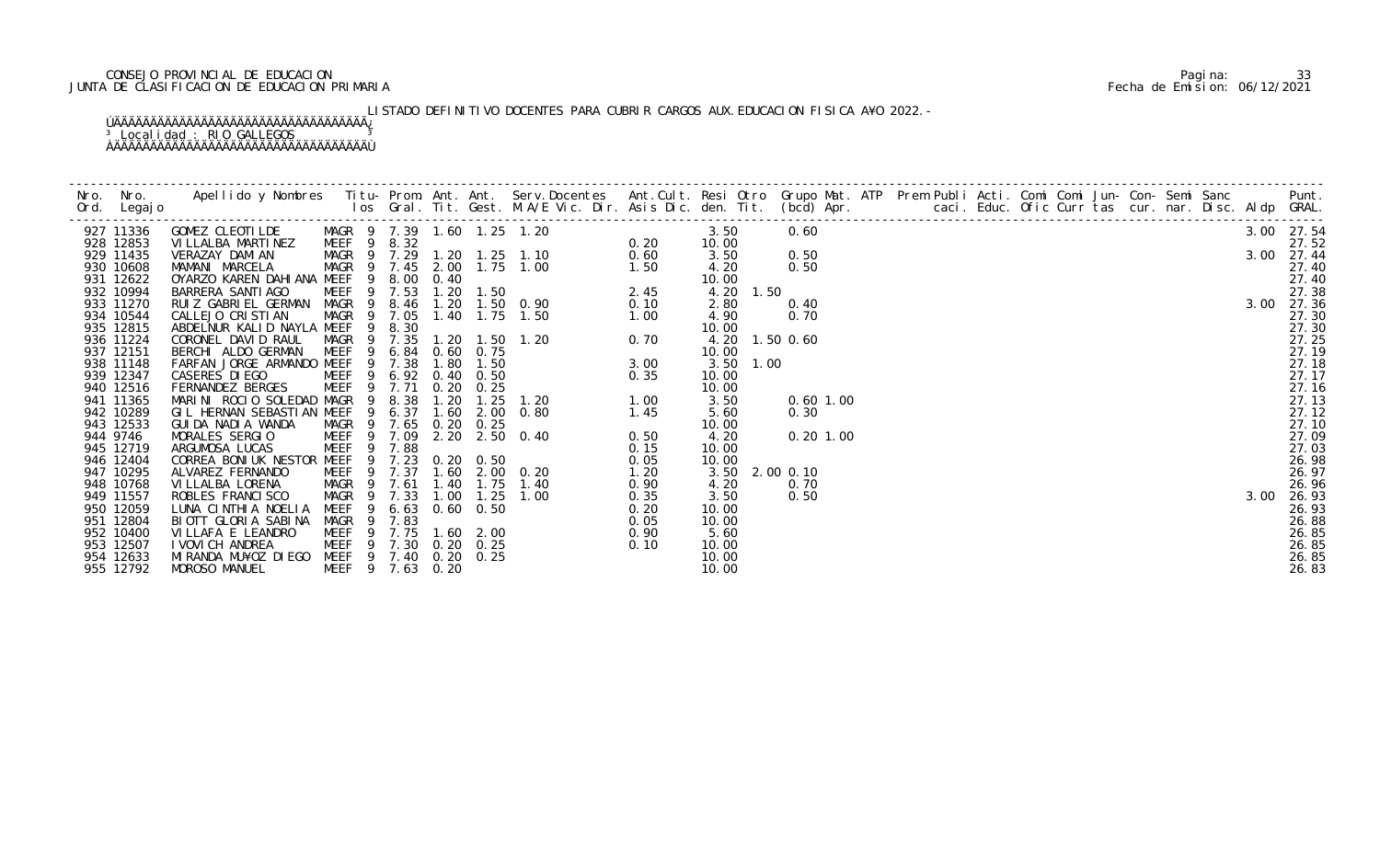# CONSEJO PROVINCIAL DE EDUCACION Pagina: 33 JUNTA DE CLASIFICACION DE EDUCACION PRIMARIA Fecha de Emision: 06/12/2021

# LISTADO DEFINITIVO DOCENTES PARA CUBRIR CARGOS AUX. EDUCACION FISICA A¥O 2022.-

| 927 11336              | CONCE CLEOTILIDE MAGR 9 7.39 1.60 1.25 1.20<br>VILLALBA MARTINEZ MEEF 9 8.32 0.20<br>VERAZAY DAMIAN MAGR 9 7.45 2.00 1.75 1.00 0.60<br>MAMANI MARCELA MAGR 9 7.45 2.00 1.75 1.00 1.50<br>OXARZERA SANTIAGO MEEF 9 8.30 0.40<br>DARRERA S |             |  |                                                                                                                                                                                                                                           | 3.50           | 0.60           |             |  | $\frac{1}{2}$ |  |  |  | 3.00 27.54     |
|------------------------|------------------------------------------------------------------------------------------------------------------------------------------------------------------------------------------------------------------------------------------|-------------|--|-------------------------------------------------------------------------------------------------------------------------------------------------------------------------------------------------------------------------------------------|----------------|----------------|-------------|--|---------------|--|--|--|----------------|
| 928 12853              |                                                                                                                                                                                                                                          |             |  |                                                                                                                                                                                                                                           | 10.00          |                |             |  |               |  |  |  | 27.52          |
| 929 11435              |                                                                                                                                                                                                                                          |             |  |                                                                                                                                                                                                                                           | 3.50           | 0.50           |             |  |               |  |  |  | 3.00 27.44     |
| 930 10608              |                                                                                                                                                                                                                                          |             |  |                                                                                                                                                                                                                                           | 4.20           | 0.50           |             |  |               |  |  |  | 27.40          |
| 931 12622              |                                                                                                                                                                                                                                          |             |  |                                                                                                                                                                                                                                           | 10.00          |                |             |  |               |  |  |  | 27.40          |
| 932 10994              |                                                                                                                                                                                                                                          |             |  |                                                                                                                                                                                                                                           | 4.20           | 1.50           |             |  |               |  |  |  | 27.38          |
| 933 11270              |                                                                                                                                                                                                                                          |             |  |                                                                                                                                                                                                                                           | 2.80           | 0.40           |             |  |               |  |  |  | 3.00 27.36     |
| 934 10544              |                                                                                                                                                                                                                                          |             |  |                                                                                                                                                                                                                                           | 4.90           | 0.70           |             |  |               |  |  |  | 27.30          |
| 935 12815              |                                                                                                                                                                                                                                          |             |  |                                                                                                                                                                                                                                           | 10.00          |                |             |  |               |  |  |  | 27.30          |
| 936 11224              |                                                                                                                                                                                                                                          |             |  |                                                                                                                                                                                                                                           |                | 4.20 1.50 0.60 |             |  |               |  |  |  | 27.25          |
| 937 12151              |                                                                                                                                                                                                                                          |             |  |                                                                                                                                                                                                                                           | 10.00          |                |             |  |               |  |  |  | 27.19          |
| 938 11148              |                                                                                                                                                                                                                                          |             |  |                                                                                                                                                                                                                                           | 3.50 1.00      |                |             |  |               |  |  |  | 27.18          |
| 939 12347<br>940 12516 |                                                                                                                                                                                                                                          |             |  |                                                                                                                                                                                                                                           | 10.00<br>10.00 |                |             |  |               |  |  |  | 27.17<br>27.16 |
| 941 11365              |                                                                                                                                                                                                                                          |             |  |                                                                                                                                                                                                                                           | 3.50           |                | $0.60$ 1.00 |  |               |  |  |  | 27.13          |
| 942 10289              | GIL HERNAN SEBASTIAN MEEF 9 6.37                                                                                                                                                                                                         |             |  | $\frac{1}{1}$ . 45<br>1.60 2.00 0.80                                                                                                                                                                                                      | 5.60           | 0.30           |             |  |               |  |  |  | 27.12          |
| 943 12533              | GUI DA NADI A WANDA                                                                                                                                                                                                                      |             |  |                                                                                                                                                                                                                                           | 10.00          |                |             |  |               |  |  |  | 27.10          |
| 944 9746               | MORALES SERGIO MEEF 9 7.09 2.20 2.50 0.40                                                                                                                                                                                                |             |  |                                                                                                                                                                                                                                           | 4.20           |                | $0.20$ 1.00 |  |               |  |  |  | 27.09          |
| 945 12719              | ARGUMOSA LUCAS                                                                                                                                                                                                                           | MEEF 9 7.88 |  |                                                                                                                                                                                                                                           | 10.00          |                |             |  |               |  |  |  | 27.03          |
| 946 12404              | CORREA BONIUK NESTOR MEEF 9 7.23 0.20 0.50<br>ALVAREZ FERNANDO MEEF 9 7.37 1.60 2.00 0.20                                                                                                                                                |             |  |                                                                                                                                                                                                                                           | 10.00          |                |             |  |               |  |  |  | 26.98          |
| 947 10295              |                                                                                                                                                                                                                                          |             |  |                                                                                                                                                                                                                                           |                | 3.50 2.00 0.10 |             |  |               |  |  |  | 26.97          |
| 948 10768              | VI LLALBA LORENA                                                                                                                                                                                                                         | MAGR 9 7.61 |  |                                                                                                                                                                                                                                           | 4.20           | 0.70           |             |  |               |  |  |  | 26.96          |
| 949 11557              | ROBLES FRANCI SCO                                                                                                                                                                                                                        |             |  |                                                                                                                                                                                                                                           | 3.50           | 0.50           |             |  |               |  |  |  | 26.93          |
| 950 12059              | LUNA CINTHIA NOELIA                                                                                                                                                                                                                      |             |  |                                                                                                                                                                                                                                           | 10.00          |                |             |  |               |  |  |  | 26.93          |
| 951 12804              | BIOTT GLORIA SABINA                                                                                                                                                                                                                      |             |  | 1 MEEF 9 6.37 1.60 2.00 0.80 1.45<br>MAGR 9 7.65 0.20 0.25 0.40 0.50<br>MEEF 9 7.88 0.20 0.50 0.40 0.55<br>MEEF 9 7.33 0.20 0.50 0.20 0.05<br>MEEF 9 7.37 1.60 2.00 0.20 0.05<br>MAGR 9 7.33 1.00 1.75 1.40 0.90<br>MAGR 9 7.33 1.00 1.25 | 10.00          |                |             |  |               |  |  |  | 26.88          |
| 952 10400              | VILLAFA E LEANDRO                                                                                                                                                                                                                        |             |  |                                                                                                                                                                                                                                           | 5.60           |                |             |  |               |  |  |  | 26.85          |
| 953 12507              | I VOVI CH ANDREA                                                                                                                                                                                                                         |             |  |                                                                                                                                                                                                                                           | 10.00          |                |             |  |               |  |  |  | 26.85          |
| 954 12633              | MI RANDA MU¥OZ DI EGO MEEF 9 7.40 0.20 0.25                                                                                                                                                                                              |             |  |                                                                                                                                                                                                                                           | 10.00          |                |             |  |               |  |  |  | 26.85          |
| 955 12792              | MOROSO MANUEL                                                                                                                                                                                                                            |             |  |                                                                                                                                                                                                                                           | 10.00          |                |             |  |               |  |  |  | 26.83          |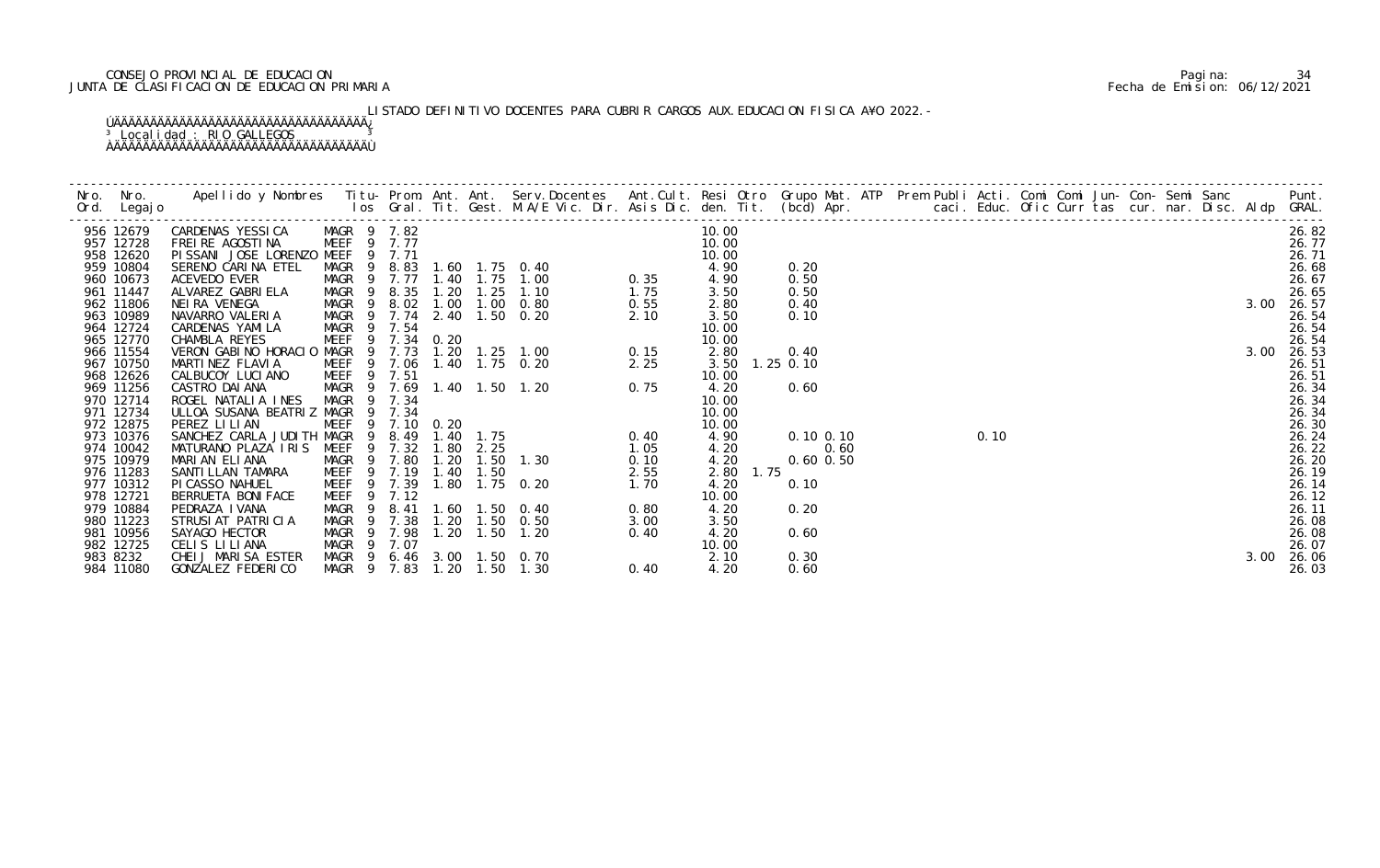# CONSEJO PROVINCIAL DE EDUCACION Pagina: 34 JUNTA DE CLASIFICACION DE EDUCACION PRIMARIA Fecha de Emision: 06/12/2021

LISTADO DEFINITIVO DOCENTES PARA CUBRIR CARGOS AUX. EDUCACION FISICA A¥O 2022.-

| Nro. Nro.<br>Ord. Legajo | o. Nro.   Apellido y Nombres  Titu- Prom. Ant. Ant. Serv.Docentes  Ant.Cult. Resi Otro Grupo Mat. ATP  Prem Publi Acti. Comi Comi Jun- Con- Semi Sanc           Punt.<br>^d.  Legajo                                  Ios  Gral. |                                    |                |      |      |                                                                                                                                                                                                                                                    |      |                |                          |  |  |  |  |      |                |
|--------------------------|----------------------------------------------------------------------------------------------------------------------------------------------------------------------------------------------------------------------------------|------------------------------------|----------------|------|------|----------------------------------------------------------------------------------------------------------------------------------------------------------------------------------------------------------------------------------------------------|------|----------------|--------------------------|--|--|--|--|------|----------------|
| 956 12679                | CARDENAS YESSICA MAGR 9 7.82                                                                                                                                                                                                     |                                    |                |      |      | $\begin{array}{ccccccccc}\n & 3 & 1.60 & 1.75 & 0.40 \\  & 7 & 1.40 & 1.75 & 1.00 \\  & 35 & 1.20 & 1.25 & 1.10 & 1.75 \\  & & & & & & & \\ \end{array}$                                                                                           |      | 10.00          | $0.10$<br>$0.10$<br>3.00 |  |  |  |  |      | 26.82          |
| 957 12728<br>958 12620   | FREIRE AGOSTINA<br>PISSANI JOSE LORENZO MEEF 9 7.71                                                                                                                                                                              | MEEF 9 7.77                        |                |      |      |                                                                                                                                                                                                                                                    |      | 10.00<br>10.00 |                          |  |  |  |  |      | 26.77<br>26.71 |
| 959 10804                | SERENO CARINA ETEL                                                                                                                                                                                                               | MAGR 9 8.83                        |                |      |      |                                                                                                                                                                                                                                                    |      | 4.90           | 0.20                     |  |  |  |  |      | 26.68          |
| 960 10673                | ACEVEDO EVER                                                                                                                                                                                                                     | MAGR 9 7.77 1.40 1.75 1.00         |                |      |      |                                                                                                                                                                                                                                                    |      | 4.90           | 0.50                     |  |  |  |  |      | 26.67          |
| 961 11447                | ALVAREZ GABRI ELA                                                                                                                                                                                                                | MAGR <sub>9</sub>                  | 8.35           |      |      |                                                                                                                                                                                                                                                    |      | 3.50           | 0.50                     |  |  |  |  |      | 26.65          |
| 962 11806                | NEI RA VENEGA                                                                                                                                                                                                                    | MAGR <sub>9</sub>                  | 8.02           |      |      | 1. 20 1. 25 1. 10 1. 75<br>2 1. 00 1. 00 0. 80 0. 55<br>4 2. 40 1. 50 0. 20 2. 10<br>4 0. 20<br>3 1. 20 1. 25 1. 00 0. 15<br>5 1. 20 1. 75 0. 20 2. 25<br>1. 40 1. 50 1. 20 0. 75<br>0. 20<br>1. 40 1. 75 0. 40<br>1. 80 2. 25 1. 30<br>1. 20 1. 5 |      | 2.80           | 0.40                     |  |  |  |  | 3.00 | 26.57          |
| 963 10989                | NAVARRO VALERIA                                                                                                                                                                                                                  | MAGR 9 7.74                        |                |      |      |                                                                                                                                                                                                                                                    |      | 3.50           | 0.10                     |  |  |  |  |      | 26.54          |
| 964 12724                | CARDENAS YAMILA                                                                                                                                                                                                                  | MAGR                               | 9 7.54         |      |      |                                                                                                                                                                                                                                                    |      | 10.00          |                          |  |  |  |  |      | 26.54          |
| 965 12770                | CHAMBLA REYES                                                                                                                                                                                                                    | MEEF 9 7.34 0.20                   |                |      |      |                                                                                                                                                                                                                                                    |      | 10.00          |                          |  |  |  |  |      | 26.54          |
| 966 11554                | VERON GABINO HORACIO MAGR 9 7.73                                                                                                                                                                                                 |                                    |                |      |      |                                                                                                                                                                                                                                                    |      | 2.80           | 0.40                     |  |  |  |  | 3.00 | 26.53          |
| 967 10750                | MARTINEZ FLAVIA                                                                                                                                                                                                                  | MEEF 9 7.06                        |                |      |      |                                                                                                                                                                                                                                                    |      | 3.50           | 1.25 0.10                |  |  |  |  |      | 26.51          |
| 968 12626                | CALBUCOY LUCIANO                                                                                                                                                                                                                 | MEEF 9 7.51<br>MAGR 9 7.69         |                |      |      |                                                                                                                                                                                                                                                    |      | 10.00          | 0.60                     |  |  |  |  |      | 26.51<br>26.34 |
| 969 11256<br>970 12714   | CASTRO DAI ANA<br>ROGEL NATALIA INES                                                                                                                                                                                             | MAGR 9 7.34                        |                |      |      |                                                                                                                                                                                                                                                    |      | 4.20<br>10.00  |                          |  |  |  |  |      | 26.34          |
| 971 12734                | ULLOA SUSANA BEATRIZ MAGR 9 7.34                                                                                                                                                                                                 |                                    |                |      |      |                                                                                                                                                                                                                                                    |      | 10.00          |                          |  |  |  |  |      | 26.34          |
| 972 12875                | PEREZ LILIAN                                                                                                                                                                                                                     | MEEF 9 7.10 0.20                   |                |      |      |                                                                                                                                                                                                                                                    |      | 10.00          |                          |  |  |  |  |      | 26.30          |
| 973 10376                | SANCHEZ CARLA JUDI TH MAGR                                                                                                                                                                                                       | 9                                  | 8.49 1.40 1.75 |      |      |                                                                                                                                                                                                                                                    |      | 4.90           | $0.10$ $0.10$            |  |  |  |  |      | 26.24          |
| 974 10042                | MATURANO PLAZA IRIS                                                                                                                                                                                                              | <b>MEEF</b>                        | 9 7.32 1.80    |      |      |                                                                                                                                                                                                                                                    |      | 4.20           | 0.60                     |  |  |  |  |      | 26.22          |
| 975 10979                | MARIAN ELIANA                                                                                                                                                                                                                    | MAGR 9 7.80 1.20                   |                |      |      | $1.50$ $1.30$                                                                                                                                                                                                                                      | 0.10 | 4.20           | $0.60$ $0.50$            |  |  |  |  |      | 26.20          |
| 976 11283                | SANTI LLAN TAMARA                                                                                                                                                                                                                | MEEF 9 7.19 1.40                   |                |      | 1.50 |                                                                                                                                                                                                                                                    | 2.55 | 2.80<br>1.75   |                          |  |  |  |  |      | 26.19          |
| 977 10312                | PI CASSO NAHUEL                                                                                                                                                                                                                  | MEEF 9 7.39                        |                |      |      | 1.80 1.75 0.20                                                                                                                                                                                                                                     | 1.70 | 4.20           | 0.10                     |  |  |  |  |      | 26.14          |
| 978 12721                | BERRUETA BONI FACE                                                                                                                                                                                                               | 9<br>MEEF                          | 7.12           |      |      |                                                                                                                                                                                                                                                    |      | 10.00          |                          |  |  |  |  |      | 26.12          |
| 979 10884                | PEDRAZA I VANA                                                                                                                                                                                                                   | MAGR 9                             | 8.41           |      |      | 1.60 1.50 0.40                                                                                                                                                                                                                                     | 0.80 | 4.20           | 0.20                     |  |  |  |  |      | 26.11          |
| 980 11223                | STRUSI AT PATRICIA                                                                                                                                                                                                               | MAGR 9 7.38                        |                |      |      | 1.20 1.50 0.50                                                                                                                                                                                                                                     | 3.00 | 3.50           |                          |  |  |  |  |      | 26.08          |
| 981 10956                | SAYAGO HECTOR                                                                                                                                                                                                                    | MAGR<br>$\overline{9}$<br>9        | 7.98           | 1.20 |      | 1.50 1.20                                                                                                                                                                                                                                          | 0.40 | 4.20           | 0.60                     |  |  |  |  |      | 26.08          |
| 982 12725<br>983 8232    | CELIS LILIANA<br>CHEIJ MARISA ESTER                                                                                                                                                                                              | MAGR<br>MAGR 9 6.46 3.00 1.50 0.70 | 7.07           |      |      |                                                                                                                                                                                                                                                    |      | 10.00<br>2.10  | 0.30                     |  |  |  |  | 3.00 | 26.07          |
| 984 11080                | GONZALEZ FEDERICO                                                                                                                                                                                                                | MAGR 9 7.83                        |                |      |      | 1.20 1.50 1.30                                                                                                                                                                                                                                     | 0.40 | 4.20           | 0.60                     |  |  |  |  |      | 26.06<br>26.03 |
|                          |                                                                                                                                                                                                                                  |                                    |                |      |      |                                                                                                                                                                                                                                                    |      |                |                          |  |  |  |  |      |                |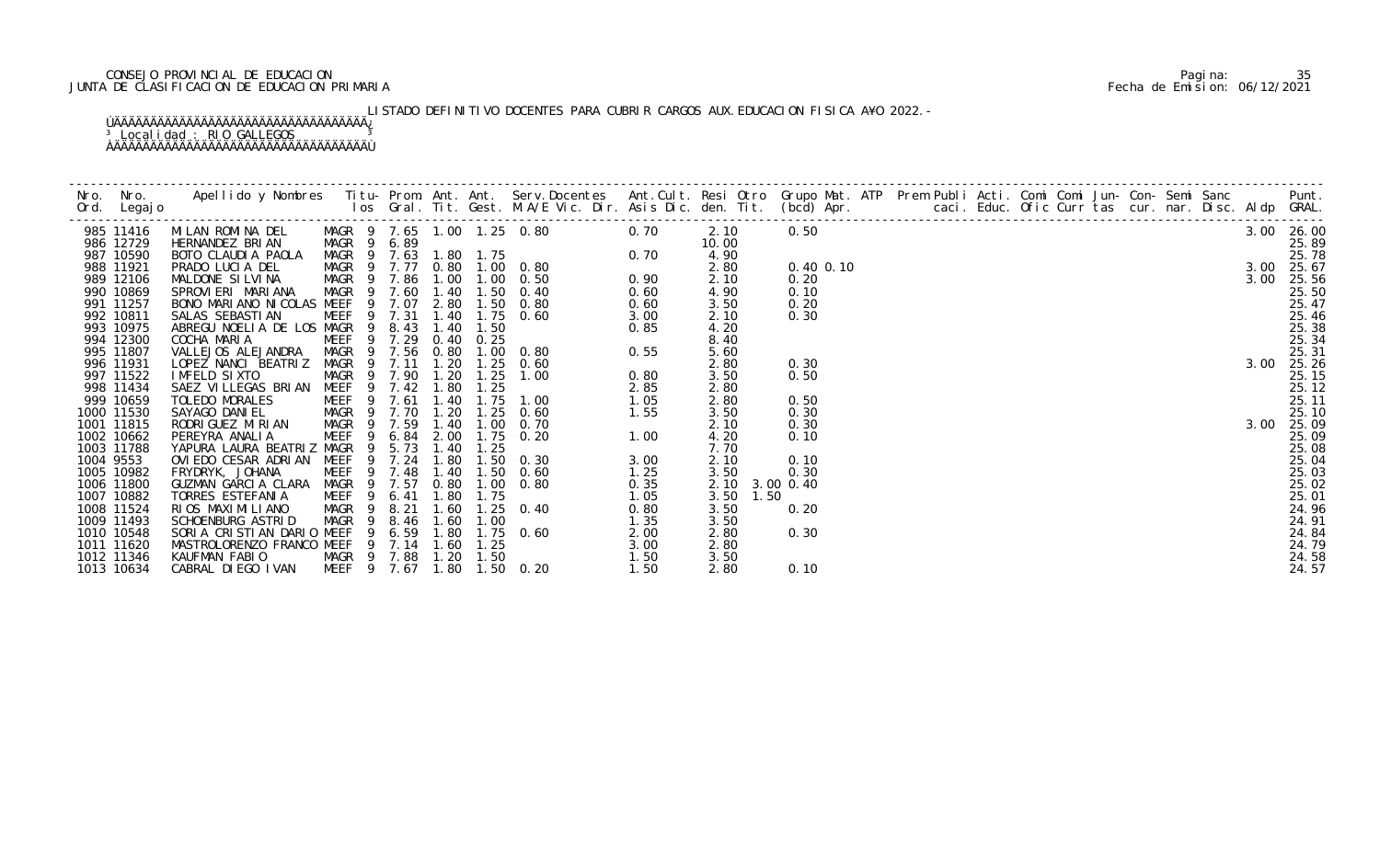# CONSEJO PROVINCIAL DE EDUCACION Pagina: 35 JUNTA DE CLASIFICACION DE EDUCACION PRIMARIA Fecha de Emision: 06/12/2021

# LISTADO DEFINITIVO DOCENTES PARA CUBRIR CARGOS AUX. EDUCACION FISICA A¥O 2022.-

| (bcd) Apr. $\frac{1}{\sqrt{2}}$<br>$\frac{1}{2}$<br>$\frac{40}{2}$<br>$\frac{0.50}{2}$<br>$\frac{40}{2}$<br>$\frac{1}{2}$<br>$\frac{1}{2}$<br>$\frac{1}{2}$<br>$\frac{1}{2}$<br>$\frac{1}{2}$<br>$\frac{1}{2}$<br>$\frac{1}{2}$<br>$\frac{1}{2}$<br>$\frac{1}{2}$<br>$\frac{1}{2}$<br>$\frac{1}{2}$<br>$\frac{1}{2}$<br>$\frac{1}{2}$<br>$\frac{$<br>MILAN ROMINA DEL MAGR 9 7.65 1.00 1.25 0.80 0.70<br>HERNANDEZ BRIAN MAGR 9 6.89<br>BOTO CLAUDIA PAOLA MAGR 9 7.63 1.80 1.75 0.70<br>PRADO LUCIA DEL MAGR 9 7.77 0.80 1.00 0.80<br>MALDONE SILVINA MAGR 9 7.86 1.00 1.00 0.50 0.90<br>SPR<br>2.10<br>985 11416<br>986 12729<br>10.00<br>4.90<br>987 10590<br>988 11921<br>2.80<br>989 12106<br>2.10<br>990 10869<br>4.90<br>3.50<br>991 11257<br>MEEF 9 7.31<br>1.40<br>992 10811<br>SALAS SEBASTI AN<br>1.75 0.60<br>3.00<br>2.10<br>ABREGU NOELIA DE LOS MAGR 9 8.43<br>1.50<br>0.25<br>1.00 0.80 0.55<br>993 10975<br>1.40<br>4.20<br>MEEF 9 7.29<br>994 12300<br>COCHA MARIA<br>$0.40 \quad 0.25$<br>8.40<br>MAGR 9 7.56<br>0.80<br>5.60<br>995 11807<br>VALLEJOS ALEJANDRA<br>7.11<br>1.20<br>2.80<br>996 11931<br>LOPEZ NANCI BEATRIZ<br>MAGR<br>$\overline{9}$<br>1.25<br>0.60<br>MAGR 9 7.90<br>1.20<br>0.80<br>997 11522<br>IMFELD SIXTO<br>1.25<br>3.50<br>1.00<br>SAEZ VILLEGAS BRIAN MEEF 9 7.42<br>998 11434<br>1.80<br>1.25<br>2.85<br>2.80<br>MEEF 9 7.61<br>999 10659<br>TOLEDO MORALES<br>1.40 1.75 1.00<br>1.05<br>2.80<br>MAGR 9 7.70<br>SAYAGO DANI EL<br>1.20<br>1.25<br>3.50<br>1000 11530<br>0.60<br>1.55<br>MAGR 9 7.59<br>2.10<br>1001 11815<br>RODRI GUEZ MI RI AN<br>1.40<br>1.00<br>0. 70<br>$1.00$<br>$3.00$<br>MEEF 9 6.84<br>2.00<br>1.75<br>4.20<br>PEREYRA ANALIA<br>0.20<br>1002 10662<br>YAPURA LAURA BEATRIZ MAGR<br>5.73<br>1003 11788<br>9<br>1.25<br>7.70<br>1.40<br>OVIEDO CESAR ADRIAN<br>7.24<br>MEEF<br>9<br>1.80<br>1004 9553<br>$1.50 \t 0.30$<br>2.10<br>1.25<br>1005 10982<br>MEEF<br>9<br>7.48<br>1.40<br>1.50 0.60<br>3.50<br>FRYDRYK, JOHANA<br>GUZMAN GARCIA CLARA MAGR 9 7.57<br>0.80<br>$1.00 \t 0.80$<br>0.35<br>2.10 3.00 0.40<br>1006 11800<br>MEEF 9 6.41<br>1.05<br>1.80 1.75<br>1.50<br>1007 10882<br>TORRES ESTEFANIA<br>3.50<br>$\begin{array}{r} 1.05 \\ 0.80 \\ 1.35 \\ 2.00 \end{array}$<br>8.21<br>1008 11524<br>RIOS MAXIMILIANO<br>MAGR<br>1.60 1.25 0.40<br>9<br>3.50<br>8.46<br>1.60<br>3.50<br>SCHOENBURG ASTRID<br>MAGR 9<br>1.00<br>1009 11493<br>SORIA CRISTIAN DARIO MEEF<br>1.75 0.60<br>2.80<br>1010 10548<br>-9<br>6.59<br>1.80<br>$3.00$<br>0.20<br>1.50<br>1.50<br>MASTROLORENZO FRANCO MEEF<br>9 7.14<br>1.60<br>1.25<br>2.80<br>1011 11620<br>MAGR 9 7.88 1.20 1.50<br>3.50<br>1012 11346<br>KAUFMAN FABIO<br>7.67<br>1.80<br>CABRAL DIEGO IVAN<br><b>MEEF</b><br>9<br>1013 10634<br>$1.50 \t 0.20$<br>2.80 |  |  |  |  |  |  |  |  |  |  |  |  |
|--------------------------------------------------------------------------------------------------------------------------------------------------------------------------------------------------------------------------------------------------------------------------------------------------------------------------------------------------------------------------------------------------------------------------------------------------------------------------------------------------------------------------------------------------------------------------------------------------------------------------------------------------------------------------------------------------------------------------------------------------------------------------------------------------------------------------------------------------------------------------------------------------------------------------------------------------------------------------------------------------------------------------------------------------------------------------------------------------------------------------------------------------------------------------------------------------------------------------------------------------------------------------------------------------------------------------------------------------------------------------------------------------------------------------------------------------------------------------------------------------------------------------------------------------------------------------------------------------------------------------------------------------------------------------------------------------------------------------------------------------------------------------------------------------------------------------------------------------------------------------------------------------------------------------------------------------------------------------------------------------------------------------------------------------------------------------------------------------------------------------------------------------------------------------------------------------------------------------------------------------------------------------------------------------------------------------------------------------------------------------------------------------------------------------------------------------------------------------------------------------------------------------------------------------------------------------------------------------------------------------------------------------------------------------------------------------------------------------------------------------------------------------------------------------|--|--|--|--|--|--|--|--|--|--|--|--|
|                                                                                                                                                                                                                                                                                                                                                                                                                                                                                                                                                                                                                                                                                                                                                                                                                                                                                                                                                                                                                                                                                                                                                                                                                                                                                                                                                                                                                                                                                                                                                                                                                                                                                                                                                                                                                                                                                                                                                                                                                                                                                                                                                                                                                                                                                                                                                                                                                                                                                                                                                                                                                                                                                                                                                                                                  |  |  |  |  |  |  |  |  |  |  |  |  |
|                                                                                                                                                                                                                                                                                                                                                                                                                                                                                                                                                                                                                                                                                                                                                                                                                                                                                                                                                                                                                                                                                                                                                                                                                                                                                                                                                                                                                                                                                                                                                                                                                                                                                                                                                                                                                                                                                                                                                                                                                                                                                                                                                                                                                                                                                                                                                                                                                                                                                                                                                                                                                                                                                                                                                                                                  |  |  |  |  |  |  |  |  |  |  |  |  |
|                                                                                                                                                                                                                                                                                                                                                                                                                                                                                                                                                                                                                                                                                                                                                                                                                                                                                                                                                                                                                                                                                                                                                                                                                                                                                                                                                                                                                                                                                                                                                                                                                                                                                                                                                                                                                                                                                                                                                                                                                                                                                                                                                                                                                                                                                                                                                                                                                                                                                                                                                                                                                                                                                                                                                                                                  |  |  |  |  |  |  |  |  |  |  |  |  |
|                                                                                                                                                                                                                                                                                                                                                                                                                                                                                                                                                                                                                                                                                                                                                                                                                                                                                                                                                                                                                                                                                                                                                                                                                                                                                                                                                                                                                                                                                                                                                                                                                                                                                                                                                                                                                                                                                                                                                                                                                                                                                                                                                                                                                                                                                                                                                                                                                                                                                                                                                                                                                                                                                                                                                                                                  |  |  |  |  |  |  |  |  |  |  |  |  |
|                                                                                                                                                                                                                                                                                                                                                                                                                                                                                                                                                                                                                                                                                                                                                                                                                                                                                                                                                                                                                                                                                                                                                                                                                                                                                                                                                                                                                                                                                                                                                                                                                                                                                                                                                                                                                                                                                                                                                                                                                                                                                                                                                                                                                                                                                                                                                                                                                                                                                                                                                                                                                                                                                                                                                                                                  |  |  |  |  |  |  |  |  |  |  |  |  |
|                                                                                                                                                                                                                                                                                                                                                                                                                                                                                                                                                                                                                                                                                                                                                                                                                                                                                                                                                                                                                                                                                                                                                                                                                                                                                                                                                                                                                                                                                                                                                                                                                                                                                                                                                                                                                                                                                                                                                                                                                                                                                                                                                                                                                                                                                                                                                                                                                                                                                                                                                                                                                                                                                                                                                                                                  |  |  |  |  |  |  |  |  |  |  |  |  |
|                                                                                                                                                                                                                                                                                                                                                                                                                                                                                                                                                                                                                                                                                                                                                                                                                                                                                                                                                                                                                                                                                                                                                                                                                                                                                                                                                                                                                                                                                                                                                                                                                                                                                                                                                                                                                                                                                                                                                                                                                                                                                                                                                                                                                                                                                                                                                                                                                                                                                                                                                                                                                                                                                                                                                                                                  |  |  |  |  |  |  |  |  |  |  |  |  |
|                                                                                                                                                                                                                                                                                                                                                                                                                                                                                                                                                                                                                                                                                                                                                                                                                                                                                                                                                                                                                                                                                                                                                                                                                                                                                                                                                                                                                                                                                                                                                                                                                                                                                                                                                                                                                                                                                                                                                                                                                                                                                                                                                                                                                                                                                                                                                                                                                                                                                                                                                                                                                                                                                                                                                                                                  |  |  |  |  |  |  |  |  |  |  |  |  |
|                                                                                                                                                                                                                                                                                                                                                                                                                                                                                                                                                                                                                                                                                                                                                                                                                                                                                                                                                                                                                                                                                                                                                                                                                                                                                                                                                                                                                                                                                                                                                                                                                                                                                                                                                                                                                                                                                                                                                                                                                                                                                                                                                                                                                                                                                                                                                                                                                                                                                                                                                                                                                                                                                                                                                                                                  |  |  |  |  |  |  |  |  |  |  |  |  |
|                                                                                                                                                                                                                                                                                                                                                                                                                                                                                                                                                                                                                                                                                                                                                                                                                                                                                                                                                                                                                                                                                                                                                                                                                                                                                                                                                                                                                                                                                                                                                                                                                                                                                                                                                                                                                                                                                                                                                                                                                                                                                                                                                                                                                                                                                                                                                                                                                                                                                                                                                                                                                                                                                                                                                                                                  |  |  |  |  |  |  |  |  |  |  |  |  |
|                                                                                                                                                                                                                                                                                                                                                                                                                                                                                                                                                                                                                                                                                                                                                                                                                                                                                                                                                                                                                                                                                                                                                                                                                                                                                                                                                                                                                                                                                                                                                                                                                                                                                                                                                                                                                                                                                                                                                                                                                                                                                                                                                                                                                                                                                                                                                                                                                                                                                                                                                                                                                                                                                                                                                                                                  |  |  |  |  |  |  |  |  |  |  |  |  |
|                                                                                                                                                                                                                                                                                                                                                                                                                                                                                                                                                                                                                                                                                                                                                                                                                                                                                                                                                                                                                                                                                                                                                                                                                                                                                                                                                                                                                                                                                                                                                                                                                                                                                                                                                                                                                                                                                                                                                                                                                                                                                                                                                                                                                                                                                                                                                                                                                                                                                                                                                                                                                                                                                                                                                                                                  |  |  |  |  |  |  |  |  |  |  |  |  |
|                                                                                                                                                                                                                                                                                                                                                                                                                                                                                                                                                                                                                                                                                                                                                                                                                                                                                                                                                                                                                                                                                                                                                                                                                                                                                                                                                                                                                                                                                                                                                                                                                                                                                                                                                                                                                                                                                                                                                                                                                                                                                                                                                                                                                                                                                                                                                                                                                                                                                                                                                                                                                                                                                                                                                                                                  |  |  |  |  |  |  |  |  |  |  |  |  |
|                                                                                                                                                                                                                                                                                                                                                                                                                                                                                                                                                                                                                                                                                                                                                                                                                                                                                                                                                                                                                                                                                                                                                                                                                                                                                                                                                                                                                                                                                                                                                                                                                                                                                                                                                                                                                                                                                                                                                                                                                                                                                                                                                                                                                                                                                                                                                                                                                                                                                                                                                                                                                                                                                                                                                                                                  |  |  |  |  |  |  |  |  |  |  |  |  |
|                                                                                                                                                                                                                                                                                                                                                                                                                                                                                                                                                                                                                                                                                                                                                                                                                                                                                                                                                                                                                                                                                                                                                                                                                                                                                                                                                                                                                                                                                                                                                                                                                                                                                                                                                                                                                                                                                                                                                                                                                                                                                                                                                                                                                                                                                                                                                                                                                                                                                                                                                                                                                                                                                                                                                                                                  |  |  |  |  |  |  |  |  |  |  |  |  |
|                                                                                                                                                                                                                                                                                                                                                                                                                                                                                                                                                                                                                                                                                                                                                                                                                                                                                                                                                                                                                                                                                                                                                                                                                                                                                                                                                                                                                                                                                                                                                                                                                                                                                                                                                                                                                                                                                                                                                                                                                                                                                                                                                                                                                                                                                                                                                                                                                                                                                                                                                                                                                                                                                                                                                                                                  |  |  |  |  |  |  |  |  |  |  |  |  |
|                                                                                                                                                                                                                                                                                                                                                                                                                                                                                                                                                                                                                                                                                                                                                                                                                                                                                                                                                                                                                                                                                                                                                                                                                                                                                                                                                                                                                                                                                                                                                                                                                                                                                                                                                                                                                                                                                                                                                                                                                                                                                                                                                                                                                                                                                                                                                                                                                                                                                                                                                                                                                                                                                                                                                                                                  |  |  |  |  |  |  |  |  |  |  |  |  |
|                                                                                                                                                                                                                                                                                                                                                                                                                                                                                                                                                                                                                                                                                                                                                                                                                                                                                                                                                                                                                                                                                                                                                                                                                                                                                                                                                                                                                                                                                                                                                                                                                                                                                                                                                                                                                                                                                                                                                                                                                                                                                                                                                                                                                                                                                                                                                                                                                                                                                                                                                                                                                                                                                                                                                                                                  |  |  |  |  |  |  |  |  |  |  |  |  |
|                                                                                                                                                                                                                                                                                                                                                                                                                                                                                                                                                                                                                                                                                                                                                                                                                                                                                                                                                                                                                                                                                                                                                                                                                                                                                                                                                                                                                                                                                                                                                                                                                                                                                                                                                                                                                                                                                                                                                                                                                                                                                                                                                                                                                                                                                                                                                                                                                                                                                                                                                                                                                                                                                                                                                                                                  |  |  |  |  |  |  |  |  |  |  |  |  |
|                                                                                                                                                                                                                                                                                                                                                                                                                                                                                                                                                                                                                                                                                                                                                                                                                                                                                                                                                                                                                                                                                                                                                                                                                                                                                                                                                                                                                                                                                                                                                                                                                                                                                                                                                                                                                                                                                                                                                                                                                                                                                                                                                                                                                                                                                                                                                                                                                                                                                                                                                                                                                                                                                                                                                                                                  |  |  |  |  |  |  |  |  |  |  |  |  |
|                                                                                                                                                                                                                                                                                                                                                                                                                                                                                                                                                                                                                                                                                                                                                                                                                                                                                                                                                                                                                                                                                                                                                                                                                                                                                                                                                                                                                                                                                                                                                                                                                                                                                                                                                                                                                                                                                                                                                                                                                                                                                                                                                                                                                                                                                                                                                                                                                                                                                                                                                                                                                                                                                                                                                                                                  |  |  |  |  |  |  |  |  |  |  |  |  |
|                                                                                                                                                                                                                                                                                                                                                                                                                                                                                                                                                                                                                                                                                                                                                                                                                                                                                                                                                                                                                                                                                                                                                                                                                                                                                                                                                                                                                                                                                                                                                                                                                                                                                                                                                                                                                                                                                                                                                                                                                                                                                                                                                                                                                                                                                                                                                                                                                                                                                                                                                                                                                                                                                                                                                                                                  |  |  |  |  |  |  |  |  |  |  |  |  |
|                                                                                                                                                                                                                                                                                                                                                                                                                                                                                                                                                                                                                                                                                                                                                                                                                                                                                                                                                                                                                                                                                                                                                                                                                                                                                                                                                                                                                                                                                                                                                                                                                                                                                                                                                                                                                                                                                                                                                                                                                                                                                                                                                                                                                                                                                                                                                                                                                                                                                                                                                                                                                                                                                                                                                                                                  |  |  |  |  |  |  |  |  |  |  |  |  |
|                                                                                                                                                                                                                                                                                                                                                                                                                                                                                                                                                                                                                                                                                                                                                                                                                                                                                                                                                                                                                                                                                                                                                                                                                                                                                                                                                                                                                                                                                                                                                                                                                                                                                                                                                                                                                                                                                                                                                                                                                                                                                                                                                                                                                                                                                                                                                                                                                                                                                                                                                                                                                                                                                                                                                                                                  |  |  |  |  |  |  |  |  |  |  |  |  |
|                                                                                                                                                                                                                                                                                                                                                                                                                                                                                                                                                                                                                                                                                                                                                                                                                                                                                                                                                                                                                                                                                                                                                                                                                                                                                                                                                                                                                                                                                                                                                                                                                                                                                                                                                                                                                                                                                                                                                                                                                                                                                                                                                                                                                                                                                                                                                                                                                                                                                                                                                                                                                                                                                                                                                                                                  |  |  |  |  |  |  |  |  |  |  |  |  |
|                                                                                                                                                                                                                                                                                                                                                                                                                                                                                                                                                                                                                                                                                                                                                                                                                                                                                                                                                                                                                                                                                                                                                                                                                                                                                                                                                                                                                                                                                                                                                                                                                                                                                                                                                                                                                                                                                                                                                                                                                                                                                                                                                                                                                                                                                                                                                                                                                                                                                                                                                                                                                                                                                                                                                                                                  |  |  |  |  |  |  |  |  |  |  |  |  |
|                                                                                                                                                                                                                                                                                                                                                                                                                                                                                                                                                                                                                                                                                                                                                                                                                                                                                                                                                                                                                                                                                                                                                                                                                                                                                                                                                                                                                                                                                                                                                                                                                                                                                                                                                                                                                                                                                                                                                                                                                                                                                                                                                                                                                                                                                                                                                                                                                                                                                                                                                                                                                                                                                                                                                                                                  |  |  |  |  |  |  |  |  |  |  |  |  |
|                                                                                                                                                                                                                                                                                                                                                                                                                                                                                                                                                                                                                                                                                                                                                                                                                                                                                                                                                                                                                                                                                                                                                                                                                                                                                                                                                                                                                                                                                                                                                                                                                                                                                                                                                                                                                                                                                                                                                                                                                                                                                                                                                                                                                                                                                                                                                                                                                                                                                                                                                                                                                                                                                                                                                                                                  |  |  |  |  |  |  |  |  |  |  |  |  |
|                                                                                                                                                                                                                                                                                                                                                                                                                                                                                                                                                                                                                                                                                                                                                                                                                                                                                                                                                                                                                                                                                                                                                                                                                                                                                                                                                                                                                                                                                                                                                                                                                                                                                                                                                                                                                                                                                                                                                                                                                                                                                                                                                                                                                                                                                                                                                                                                                                                                                                                                                                                                                                                                                                                                                                                                  |  |  |  |  |  |  |  |  |  |  |  |  |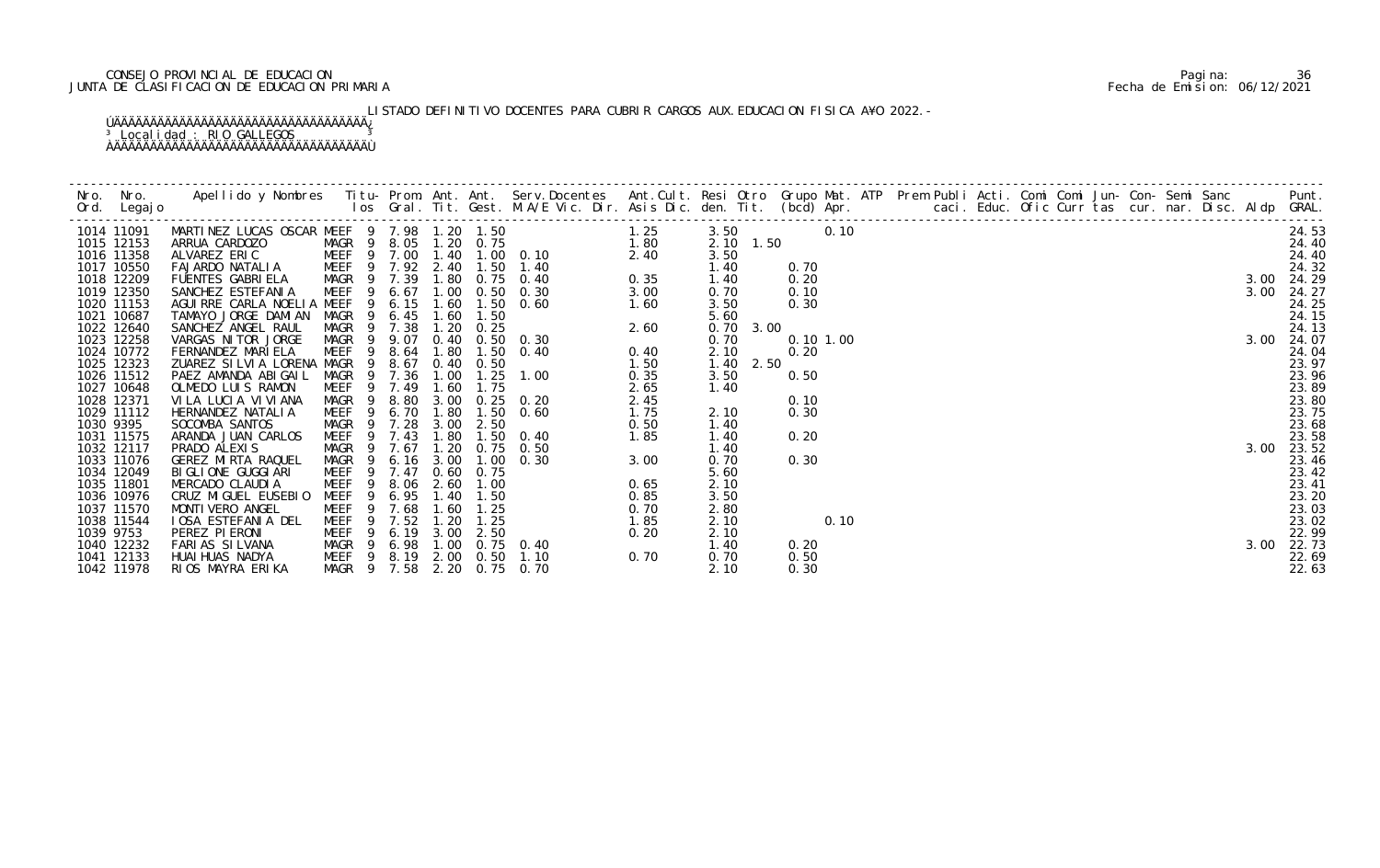# CONSEJO PROVINCIAL DE EDUCACION Pagina: 36 JUNTA DE CLASIFICACION DE EDUCACION PRIMARIA Fecha de Emision: 06/12/2021

# LISTADO DEFINITIVO DOCENTES PARA CUBRIR CARGOS AUX. EDUCACION FISICA A¥O 2022.-

|            | 1014 11091               | MARTINEZ LUCAS OSCAR MEEF 9 7.98 1.20 1.50<br>ARRUA CARDOZO MAGR 9 8.05 1.20 0.75 |                                           |                |      |                   | AS OSCAR MEEF 9 7.98 1.20 1.50<br>0 MAGR 9 8.05 1.20 0.75 1.80<br>MEEF 9 7.00 1.40 1.00 0.10 2.40<br>LIA MEEF 9 7.92 2.40 1.50 1.40 2.40<br>LIA MEEF 9 7.92 2.40 1.50 1.40<br>LIA MAGR 9 7.39 1.80 0.75 0.40 0.35<br>FANIA MEEF 9 6.67 1.0 |      | 3.50 0.10    |      |              |      |  |  |  |  |      | 24.53               |
|------------|--------------------------|-----------------------------------------------------------------------------------|-------------------------------------------|----------------|------|-------------------|--------------------------------------------------------------------------------------------------------------------------------------------------------------------------------------------------------------------------------------------|------|--------------|------|--------------|------|--|--|--|--|------|---------------------|
|            | 1015 12153               |                                                                                   |                                           |                |      |                   |                                                                                                                                                                                                                                            |      | 2.10 1.50    |      |              |      |  |  |  |  |      | 24.40               |
|            | 1016 11358               | ALVAREZ ERIC                                                                      |                                           |                |      |                   |                                                                                                                                                                                                                                            |      | 3.50         |      |              |      |  |  |  |  |      | 24.40               |
|            | 1017 10550               | FAJARDO NATALIA                                                                   |                                           |                |      |                   |                                                                                                                                                                                                                                            |      | 1.40         |      | 0.70<br>0.20 |      |  |  |  |  |      | 24.32               |
|            | 1018 12209<br>1019 12350 | FUENTES GABRI ELA<br>SANCHEZ ESTEFANIA                                            |                                           |                |      |                   |                                                                                                                                                                                                                                            |      | 1.40<br>0.70 |      | 0.10         |      |  |  |  |  |      | 3.00 24.29<br>24.27 |
|            | 1020 11153               | AGUIRRE CARLA NOELIA MEEF                                                         | 9                                         | 6.15           | 1.60 |                   | 1.60<br>$1.50 \t 0.60$                                                                                                                                                                                                                     |      | 3.50         |      | 0.30         |      |  |  |  |  |      | 24.25               |
| 1021 10687 |                          | TAMAYO JORGE DAMIAN                                                               | MAGR                                      | 9 6.45         | 1.60 | 1.50              |                                                                                                                                                                                                                                            |      | 5.60         |      |              |      |  |  |  |  |      | 24.15               |
|            | 1022 12640               | SANCHEZ ANGEL RAUL                                                                | MAGR                                      | 9 7.38         | 1.20 | 0.25              |                                                                                                                                                                                                                                            |      | 0.70 3.00    |      |              |      |  |  |  |  |      | 24.13               |
|            | 1023 12258               | VARGAS NI TOR JORGE                                                               | MAGR<br>$\overline{9}$                    | 9.07           |      |                   | 0.40 0.50 0.30                                                                                                                                                                                                                             |      | 0.70         |      | 0.101.00     |      |  |  |  |  |      | 24.07               |
| 1024 10772 |                          | FERNANDEZ MARIELA                                                                 | 9<br>MEEF                                 | 8.64           | 1.80 |                   | $0.30$<br>$0.40$<br>$0.40$<br>$0.40$<br>$1.50 \t 0.40$                                                                                                                                                                                     |      | 2.10         |      | 0.20         |      |  |  |  |  |      | 24.04               |
|            | 1025 12323               | ZUAREZ SILVIA LORENA MAGR                                                         | 9                                         | 8.67 0.40 0.50 |      |                   |                                                                                                                                                                                                                                            | 1.50 | 1.40         | 2.50 |              |      |  |  |  |  |      | 23.97               |
|            | 1026 11512               | PAEZ AMANDA ABIGAIL                                                               | MAGR                                      | 9 7.36         | 1.00 |                   | $1.25$ $1.00$                                                                                                                                                                                                                              | 0.35 | 3.50         |      | 0.50         |      |  |  |  |  |      | 23.96               |
|            | 1027 10648               | OLMEDO LUIS RAMON                                                                 | MEEF 9 7.49                               |                | 1.60 | 1.75              |                                                                                                                                                                                                                                            | 2.65 | 1.40         |      |              |      |  |  |  |  |      | 23.89               |
|            | 1028 12371               | VI LA LUCIA VI VI ANA                                                             | MAGR<br>9                                 | 8.80           | 3.00 |                   | $0.25 \quad 0.20$                                                                                                                                                                                                                          | 2.45 |              |      | 0.10         |      |  |  |  |  |      | 23.80               |
|            | 1029 11112               | HERNANDEZ NATALIA                                                                 | MEEF<br>$\overline{9}$                    | 6.70           | 1.80 |                   | 1.50 0.60                                                                                                                                                                                                                                  | 1.75 | 2.10         |      | 0.30         |      |  |  |  |  |      | 23.75               |
| 1030 9395  |                          | SOCOMBA SANTOS                                                                    | MAGR 9 7.28                               |                | 3.00 | 2.50              |                                                                                                                                                                                                                                            | 0.50 | 1.40         |      |              |      |  |  |  |  |      | 23.68               |
|            | 1031 11575               | ARANDA JUAN CARLOS                                                                | <b>MEEF</b><br>9                          | 7.43           | 1.80 |                   | $1.50 \t 0.40$                                                                                                                                                                                                                             | 1.85 | 1.40         |      | 0.20         |      |  |  |  |  |      | 23.58               |
|            | 1032 12117               | PRADO ALEXIS                                                                      | MAGR 9                                    | 7.67           | 1.20 |                   | $0.75$ 0.50                                                                                                                                                                                                                                |      | 1.40         |      |              |      |  |  |  |  |      | 23.52               |
|            | 1033 11076               | GEREZ MIRTA RAQUEL                                                                | MAGR<br>$\overline{9}$                    | $6.16$ $3.00$  |      |                   | $1.00 \t 0.30$                                                                                                                                                                                                                             |      | 0.70         |      | 0.30         |      |  |  |  |  |      | 23.46               |
|            | 1034 12049               | BI GLI ONE GUGGI ARI                                                              | MEEF                                      | 9 7.47         |      | $0.60 \quad 0.75$ |                                                                                                                                                                                                                                            |      | 5.60         |      |              |      |  |  |  |  |      | 23.42               |
| 1035 11801 |                          | MERCADO CLAUDIA                                                                   | MEEF <sub>9</sub>                         | 8.06 2.60 1.00 |      |                   |                                                                                                                                                                                                                                            |      | 2.10         |      |              |      |  |  |  |  |      | 23.41               |
|            | 1036 10976               | CRUZ MIGUEL EUSEBIO                                                               | MEEF                                      | 9 6.95         |      | 1.40 1.50         |                                                                                                                                                                                                                                            |      | 3.50         |      |              |      |  |  |  |  |      | 23.20               |
|            | 1037 11570               | MONTI VERO ANGEL                                                                  | 9<br>MEEF                                 | 7.68           | 1.60 | 1.25              |                                                                                                                                                                                                                                            |      | 2.80         |      |              |      |  |  |  |  |      | 23.03               |
|            | 1038 11544               | <b>IOSA ESTEFANIA DEL</b>                                                         | MEEF 9 7.52                               |                | 1.20 | 1.25              |                                                                                                                                                                                                                                            |      | 2.10         |      |              | 0.10 |  |  |  |  |      | 23.02               |
| 1039 9753  |                          | PEREZ PI ERONI                                                                    | MEEF 9 6.19                               |                | 3.00 | 2.50              |                                                                                                                                                                                                                                            |      | 2.10         |      |              |      |  |  |  |  | 3.00 | 22.99               |
|            | 1040 12232<br>1041 12133 | FARIAS SILVANA<br>HUAI HUAS NADYA                                                 | MAGR 9 6.98<br>MEEF 9 8.19 2.00 0.50 1.10 |                |      |                   | 0. 50<br>0. 50<br>0. 30<br>0. 65<br>0. 85<br>0. 70<br>1. 85<br>0. 20<br>0. 20<br>20<br>1. 10<br>0. 70<br>1.00 0.75 0.40                                                                                                                    |      | 1.40<br>0.70 |      | 0.20<br>0.50 |      |  |  |  |  |      | 22.73<br>22.69      |
|            | 1042 11978               | RIOS MAYRA ERIKA                                                                  | MAGR 9 7.58 2.20 0.75 0.70                |                |      |                   |                                                                                                                                                                                                                                            |      | 2.10         |      | 0.30         |      |  |  |  |  |      | 22.63               |
|            |                          |                                                                                   |                                           |                |      |                   |                                                                                                                                                                                                                                            |      |              |      |              |      |  |  |  |  |      |                     |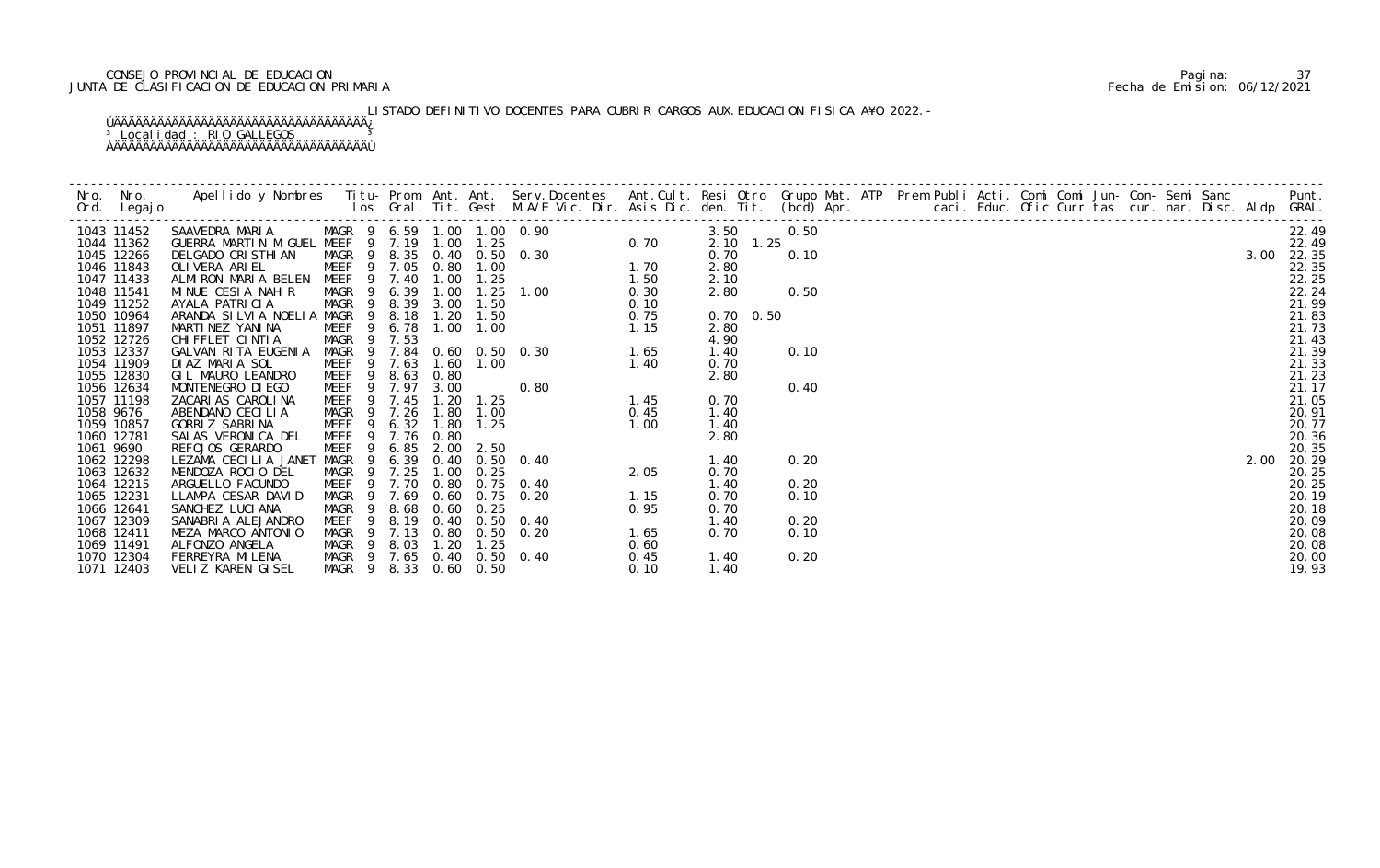# CONSEJO PROVINCIAL DE EDUCACION Pagina: 37 JUNTA DE CLASIFICACION DE EDUCACION PRIMARIA Fecha de Emision: 06/12/2021

# LISTADO DEFINITIVO DOCENTES PARA CUBRIR CARGOS AUX. EDUCACION FISICA A¥O 2022.-

|            | 1043 11452 | 0011 MRTI NE MAGR 9 6.58 1.00 1.00<br>CARVEDRA MARIA MAGR 9 6.59 1.00 1.00 1.00 0.90<br>DELGADO CRISTHIAN MAGR 9 8.35 0.40 0.50 0.30 0.70<br>DELGADO CRISTHIAN MAGR 9 8.35 0.40 0.50 0.30 1.70<br>DELVERA ARIEL MEET 9 7.00 1.00 1.25 |                       |     |      |      |             |                            |      | 3.50              | 0.50 |  |  |  |  |  |      | 22.49 |
|------------|------------|---------------------------------------------------------------------------------------------------------------------------------------------------------------------------------------------------------------------------------------|-----------------------|-----|------|------|-------------|----------------------------|------|-------------------|------|--|--|--|--|--|------|-------|
| 1044 11362 |            |                                                                                                                                                                                                                                       |                       |     |      |      |             |                            |      | 2.10 1.25         |      |  |  |  |  |  |      | 22.49 |
|            | 1045 12266 |                                                                                                                                                                                                                                       |                       |     |      |      |             |                            |      | 0.70              | 0.10 |  |  |  |  |  | 3.00 | 22.35 |
|            | 1046 11843 |                                                                                                                                                                                                                                       |                       |     |      |      |             |                            |      | 2.80              |      |  |  |  |  |  |      | 22.35 |
|            | 1047 11433 |                                                                                                                                                                                                                                       |                       |     |      |      |             |                            |      | 2.10              |      |  |  |  |  |  |      | 22.25 |
| 1048 11541 |            |                                                                                                                                                                                                                                       |                       |     |      |      |             |                            |      | 2.80              | 0.50 |  |  |  |  |  |      | 22.24 |
|            | 1049 11252 |                                                                                                                                                                                                                                       |                       |     |      |      |             |                            |      |                   |      |  |  |  |  |  |      | 21.99 |
| 1050 10964 |            |                                                                                                                                                                                                                                       |                       |     |      |      |             |                            |      | $0.70 \quad 0.50$ |      |  |  |  |  |  |      | 21.83 |
| 1051 11897 |            |                                                                                                                                                                                                                                       |                       |     |      |      |             |                            |      | 2.80              |      |  |  |  |  |  |      | 21.73 |
|            | 1052 12726 |                                                                                                                                                                                                                                       |                       |     |      |      |             |                            |      | 4.90              |      |  |  |  |  |  |      | 21.43 |
| 1053 12337 |            |                                                                                                                                                                                                                                       |                       |     |      |      |             |                            |      | 1.40              | 0.10 |  |  |  |  |  |      | 21.39 |
|            | 1054 11909 |                                                                                                                                                                                                                                       |                       |     |      |      |             |                            |      | 0.70              |      |  |  |  |  |  |      | 21.33 |
|            | 1055 12830 |                                                                                                                                                                                                                                       |                       |     |      |      |             |                            |      | 2.80              |      |  |  |  |  |  |      | 21.23 |
| 1056 12634 |            |                                                                                                                                                                                                                                       |                       |     |      |      |             |                            |      |                   | 0.40 |  |  |  |  |  |      | 21.17 |
|            | 1057 11198 |                                                                                                                                                                                                                                       |                       |     |      |      |             |                            |      | 0.70              |      |  |  |  |  |  |      | 21.05 |
| 1058 9676  |            |                                                                                                                                                                                                                                       |                       |     |      |      |             |                            |      | 1.40              |      |  |  |  |  |  |      | 20.91 |
| 1059 10857 |            |                                                                                                                                                                                                                                       |                       |     |      |      |             |                            |      | 1.40              |      |  |  |  |  |  |      | 20.77 |
| 1060 12781 |            |                                                                                                                                                                                                                                       |                       |     |      |      |             |                            |      | 2.80              |      |  |  |  |  |  |      | 20.36 |
| 1061 9690  |            |                                                                                                                                                                                                                                       |                       |     |      |      |             |                            |      |                   |      |  |  |  |  |  |      | 20.35 |
|            | 1062 12298 |                                                                                                                                                                                                                                       |                       |     |      |      |             |                            |      | 1.40              | 0.20 |  |  |  |  |  |      | 20.29 |
|            | 1063 12632 |                                                                                                                                                                                                                                       |                       |     |      |      |             |                            |      | 0.70              |      |  |  |  |  |  |      | 20.25 |
| 1064 12215 |            |                                                                                                                                                                                                                                       |                       |     |      |      |             |                            |      | 1.40              | 0.20 |  |  |  |  |  |      | 20.25 |
| 1065 12231 |            |                                                                                                                                                                                                                                       |                       |     |      |      |             |                            |      | 0.70              | 0.10 |  |  |  |  |  |      | 20.19 |
| 1066 12641 |            | SANCHEZ LUCI ANA                                                                                                                                                                                                                      | MAGR 9                |     | 8.68 |      | $0.60$ 0.25 |                            | 0.95 | 0.70              |      |  |  |  |  |  |      | 20.18 |
|            | 1067 12309 | SANABRIA ALEJANDRO                                                                                                                                                                                                                    | MEEF                  | 9   | 8.19 |      |             | 0.40 0.50 0.40             |      | 1.40              | 0.20 |  |  |  |  |  |      | 20.09 |
| 1068 12411 |            | MEZA MARCO ANTONIO                                                                                                                                                                                                                    | MAGR                  | - 9 | 7.13 |      |             | 0.80 0.50 0.20             | 1.65 | 0.70              | 0.10 |  |  |  |  |  |      | 20.08 |
| 1069 11491 |            | ALFONZO ANGELA                                                                                                                                                                                                                        | MAGR <sub>9</sub>     |     | 8.03 | 1.20 | 1.25        |                            | 0.60 |                   |      |  |  |  |  |  |      | 20.08 |
| 1070 12304 |            | FERREYRA MI LENA                                                                                                                                                                                                                      |                       |     |      |      |             | MAGR 9 7.65 0.40 0.50 0.40 | 0.45 | 1.40              | 0.20 |  |  |  |  |  |      | 20.00 |
|            | 1071 12403 | VELIZ KAREN GISEL                                                                                                                                                                                                                     | MAGR 9 8.33 0.60 0.50 |     |      |      |             |                            | 0.10 | 1.40              |      |  |  |  |  |  |      | 19.93 |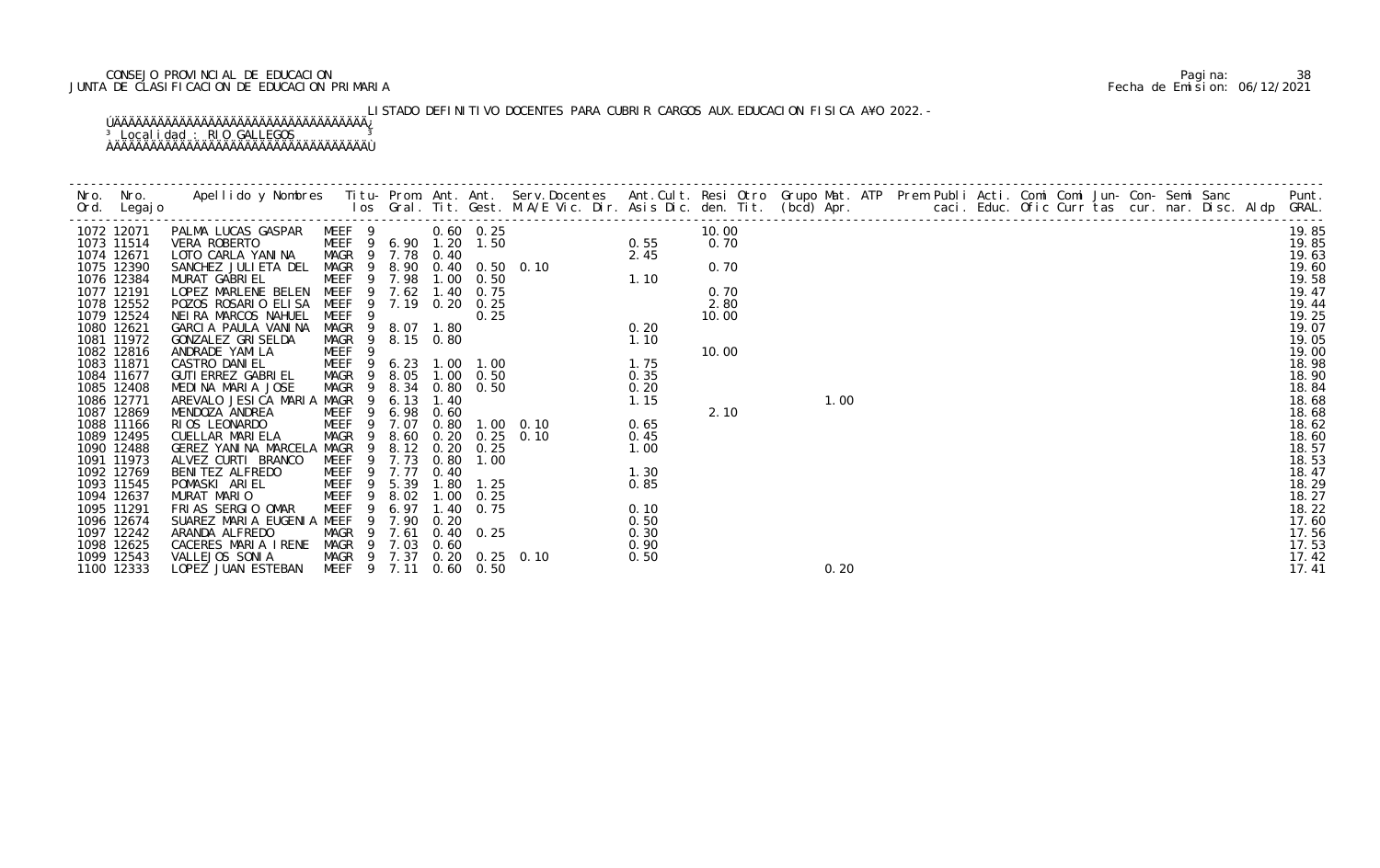# CONSEJO PROVINCIAL DE EDUCACION Pagina: 38 JUNTA DE CLASIFICACION DE EDUCACION PRIMARIA Fecha de Emision: 06/12/2021

LISTADO DEFINITIVO DOCENTES PARA CUBRIR CARGOS AUX. EDUCACION FISICA A¥O 2022.-

| 1073 11514               | 1072 12071 | PALMA LUCAS GASPAR MEEF 9 0.60 0.25<br>VERA ROBERTO | MEEF 9 6.90 1.20 1.50                          |                |        |           |                   | 0. 25<br>1. 50<br>0. 50<br>0. 10<br>0. 50<br>1. 10<br>0. 75<br>0. 25<br>0. 25<br>0. 25<br>0. 20<br>1. 10<br>1. 10<br>1. 10<br>0. 50<br>1. 10<br>1. 10<br>0. 25<br>0. 25<br>0. 35<br>0. 35<br>0. 26<br>1. 10<br>1. 10<br>1. 10<br>1. 10<br>1. 10<br>1. 10<br>1. 10<br>1. 10<br>1. 10<br>1. 10 |      | 10.00<br>0.70 | $1.00$<br>$0.20$ |  |  |  |  |  | 19.85<br>19.85 |
|--------------------------|------------|-----------------------------------------------------|------------------------------------------------|----------------|--------|-----------|-------------------|----------------------------------------------------------------------------------------------------------------------------------------------------------------------------------------------------------------------------------------------------------------------------------------------|------|---------------|------------------|--|--|--|--|--|----------------|
| 1074 12671               |            | LOTO CARLA YANINA                                   | MAGR 9 7.78 0.40                               |                |        |           |                   |                                                                                                                                                                                                                                                                                              |      |               |                  |  |  |  |  |  | 19.63          |
|                          | 1075 12390 | SANCHEZ JULI ETA DEL                                |                                                |                |        |           |                   | MAGR 9 8.90 0.40 0.50 0.10                                                                                                                                                                                                                                                                   |      | 0.70          |                  |  |  |  |  |  | 19.60          |
| 1076 12384               |            | MURAT GABRIEL                                       | MEEF 9 7.98                                    |                |        |           | $1.00 \quad 0.50$ |                                                                                                                                                                                                                                                                                              |      |               |                  |  |  |  |  |  | 19.58          |
| 1077 12191               |            | LOPEZ MARLENE BELEN MEEF 9 7.62                     |                                                |                |        |           | 1.40 0.75         |                                                                                                                                                                                                                                                                                              |      | 0.70          |                  |  |  |  |  |  | 19.47          |
| 1078 12552               |            | POZOS ROSARIO ELISA                                 | MEEF 9 7.19 0.20 0.25                          |                |        |           |                   |                                                                                                                                                                                                                                                                                              |      | 2.80          |                  |  |  |  |  |  | 19.44          |
| 1079 12524               |            | NEIRA MARCOS NAHUEL                                 | MEEF                                           | $\overline{9}$ |        |           |                   |                                                                                                                                                                                                                                                                                              |      | 10.00         |                  |  |  |  |  |  | 19.25          |
| 1080 12621               |            | GARCIA PAULA VANINA                                 | MAGR 9 8.07 1.80                               |                |        |           |                   |                                                                                                                                                                                                                                                                                              |      |               |                  |  |  |  |  |  | 19.07          |
| 1081 11972               |            | GONZALEZ GRISELDA                                   | MAGR 9 8.15 0.80                               |                |        |           |                   |                                                                                                                                                                                                                                                                                              |      |               |                  |  |  |  |  |  | 19.05          |
|                          | 1082 12816 | ANDRADE YAMILA                                      | MEEF                                           | 9              |        |           |                   |                                                                                                                                                                                                                                                                                              |      | 10.00         |                  |  |  |  |  |  | 19.00          |
| 1083 11871<br>1084 11677 |            | CASTRO DANI EL<br>GUTI ERREZ GABRI EL               | MEEF 9 6.23 1.00 1.00<br>MAGR 9 8.05 1.00 0.50 |                |        |           |                   |                                                                                                                                                                                                                                                                                              |      |               |                  |  |  |  |  |  | 18.98<br>18.90 |
| 1085 12408               |            | MEDINA MARIA JOSE                                   | MAGR 9 8.34 0.80 0.50                          |                |        |           |                   |                                                                                                                                                                                                                                                                                              |      |               |                  |  |  |  |  |  | 18.84          |
| 1086 12771               |            | AREVALO JESICA MARIA MAGR 9                         |                                                |                | 6.13   | 1.40      |                   |                                                                                                                                                                                                                                                                                              |      |               |                  |  |  |  |  |  | 18.68          |
| 1087 12869               |            | MENDOZA ANDREA                                      | MEEF 9 6.98 0.60                               |                |        |           |                   |                                                                                                                                                                                                                                                                                              |      | 2.10          |                  |  |  |  |  |  | 18.68          |
| 1088 11166               |            | RIOS LEONARDO                                       | MEEF 9 7.07                                    |                |        |           |                   | 0.80 1.00 0.10                                                                                                                                                                                                                                                                               |      |               |                  |  |  |  |  |  | 18.62          |
| 1089 12495               |            | CUELLAR MARIELA                                     | MAGR                                           | $\overline{9}$ | 8.60   | 0.20      |                   | $0.25$ 0.10                                                                                                                                                                                                                                                                                  | 0.45 |               |                  |  |  |  |  |  | 18.60          |
| 1090 12488               |            | GEREZ YANINA MARCELA                                | MAGR                                           | $\overline{9}$ |        | 8.12 0.20 | 0. 25             |                                                                                                                                                                                                                                                                                              | 1.00 |               |                  |  |  |  |  |  | 18.57          |
| 1091 11973               |            | ALVEZ CURTI BRANCO                                  | MEEF 9 7.73 0.80                               |                |        |           | 1.00              |                                                                                                                                                                                                                                                                                              |      |               |                  |  |  |  |  |  | 18.53          |
|                          | 1092 12769 | BENITEZ ALFREDO                                     | MEEF 9 7.77                                    |                |        | 0.40      |                   |                                                                                                                                                                                                                                                                                              |      |               |                  |  |  |  |  |  | 18.47          |
| 1093 11545               |            | POMASKI ARIEL                                       | MEEF 9 5.39                                    |                |        | 1.80      | 1.25              |                                                                                                                                                                                                                                                                                              |      |               |                  |  |  |  |  |  | 18.29          |
| 1094 12637               |            | MURAT MARIO                                         | MEEF                                           |                | 9 8.02 | 1.00      | 0.25              |                                                                                                                                                                                                                                                                                              |      |               |                  |  |  |  |  |  | 18.27          |
| 1095 11291               |            | FRIAS SERGIO OMAR                                   | MEEF 9 6.97                                    |                |        |           | 1.40 0.75         |                                                                                                                                                                                                                                                                                              |      |               |                  |  |  |  |  |  | 18.22          |
| 1096 12674<br>1097 12242 |            | SUAREZ MARIA EUGENIA MEEF 9 7.90<br>ARANDA ALFREDO  | MAGR                                           |                | 9 7.61 | 0.20      | $0.40 \quad 0.25$ |                                                                                                                                                                                                                                                                                              |      |               |                  |  |  |  |  |  | 17.60<br>17.56 |
| 1098 12625               |            | CACERES MARIA IRENE                                 | MAGR 9 7.03                                    |                |        | 0.60      |                   |                                                                                                                                                                                                                                                                                              |      |               |                  |  |  |  |  |  | 17.53          |
| 1099 12543               |            | VALLEJOS SONIA                                      |                                                |                |        |           |                   | $\begin{array}{cccc} 25 & & & & 1.30 \\ 00 & & & & 1.30 \\ 1.25 & & & 0.85 \\ 1.25 & & & 0.30 \\ 0.25 & & & 0.30 \\ 0.25 & & & 0.30 \\ 0.25 & & & 0.90 \\ 0.25 & & & 0.50 \\ 0.25 & & & 0.50 \\ 0.50 & & & 0.50 \\ \end{array}$<br>MAGR 9 7.37 0.20 0.25 0.10                                | 0.50 |               |                  |  |  |  |  |  | 17.42          |
| 1100 12333               |            | LOPEZ JUAN ESTEBAN                                  | MEEF 9 7.11                                    |                |        |           | $0.60 \quad 0.50$ |                                                                                                                                                                                                                                                                                              |      |               |                  |  |  |  |  |  | 17.41          |